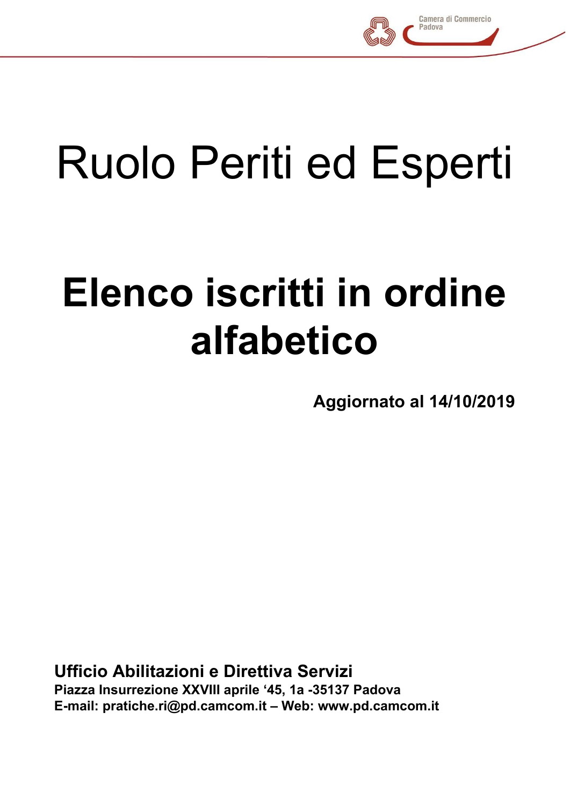

## Ruolo Periti ed Esperti

## **Elenco iscritti in ordine alfabetico**

**Aggiornato al 14/10/2019**

**Ufficio Abilitazioni e Direttiva Servizi Piazza Insurrezione XXVIII aprile '45, 1a -35137 Padova E-mail: pratiche.ri@pd.camcom.it – Web: www.pd.camcom.it**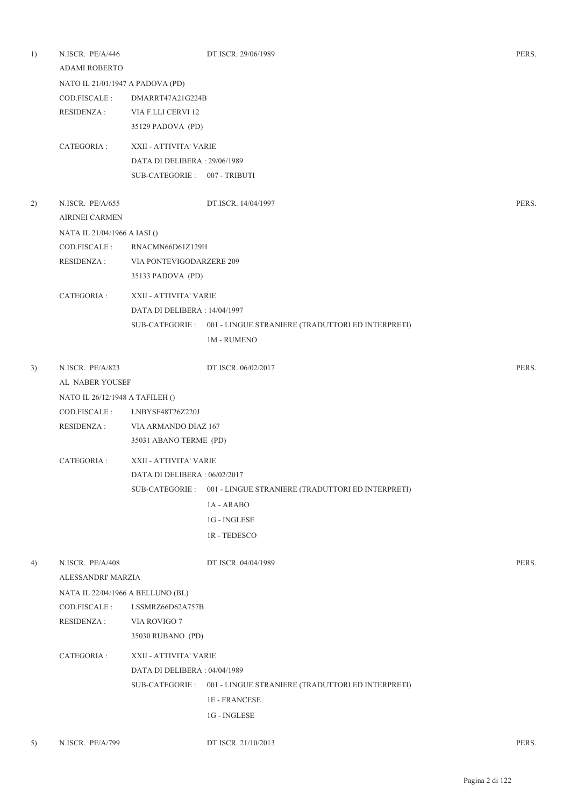| 1) | N.ISCR. PE/A/446<br><b>ADAMI ROBERTO</b> |                                  | DT.ISCR. 29/06/1989                                               | PERS. |  |  |
|----|------------------------------------------|----------------------------------|-------------------------------------------------------------------|-------|--|--|
|    |                                          | NATO IL 21/01/1947 A PADOVA (PD) |                                                                   |       |  |  |
|    | COD.FISCALE :                            | DMARRT47A21G224B                 |                                                                   |       |  |  |
|    | RESIDENZA :                              | VIA F.LLI CERVI 12               |                                                                   |       |  |  |
|    |                                          | 35129 PADOVA (PD)                |                                                                   |       |  |  |
|    | CATEGORIA :                              | XXII - ATTIVITA' VARIE           |                                                                   |       |  |  |
|    |                                          | DATA DI DELIBERA: 29/06/1989     |                                                                   |       |  |  |
|    |                                          | SUB-CATEGORIE: 007 - TRIBUTI     |                                                                   |       |  |  |
| 2) | N.ISCR. PE/A/655                         |                                  | DT.ISCR. 14/04/1997                                               | PERS. |  |  |
|    | <b>AIRINEI CARMEN</b>                    |                                  |                                                                   |       |  |  |
|    | NATA IL 21/04/1966 A IASI ()             |                                  |                                                                   |       |  |  |
|    | COD.FISCALE :                            | RNACMN66D61Z129H                 |                                                                   |       |  |  |
|    | RESIDENZA :                              | VIA PONTEVIGODARZERE 209         |                                                                   |       |  |  |
|    |                                          | 35133 PADOVA (PD)                |                                                                   |       |  |  |
|    | CATEGORIA :                              | XXII - ATTIVITA' VARIE           |                                                                   |       |  |  |
|    |                                          | DATA DI DELIBERA : 14/04/1997    |                                                                   |       |  |  |
|    |                                          |                                  | SUB-CATEGORIE: 001 - LINGUE STRANIERE (TRADUTTORI ED INTERPRETI)  |       |  |  |
|    |                                          |                                  | <b>1M - RUMENO</b>                                                |       |  |  |
| 3) | N.ISCR. PE/A/823                         |                                  | DT.ISCR. 06/02/2017                                               | PERS. |  |  |
|    | AL NABER YOUSEF                          |                                  |                                                                   |       |  |  |
|    | NATO IL 26/12/1948 A TAFILEH ()          |                                  |                                                                   |       |  |  |
|    | COD.FISCALE:                             | LNBYSF48T26Z220J                 |                                                                   |       |  |  |
|    | RESIDENZA :                              | VIA ARMANDO DIAZ 167             |                                                                   |       |  |  |
|    |                                          | 35031 ABANO TERME (PD)           |                                                                   |       |  |  |
|    | CATEGORIA :                              | XXII - ATTIVITA' VARIE           |                                                                   |       |  |  |
|    |                                          | DATA DI DELIBERA: 06/02/2017     |                                                                   |       |  |  |
|    |                                          | SUB-CATEGORIE :                  | 001 - LINGUE STRANIERE (TRADUTTORI ED INTERPRETI)                 |       |  |  |
|    |                                          |                                  | 1A - ARABO                                                        |       |  |  |
|    |                                          |                                  | 1G - INGLESE                                                      |       |  |  |
|    |                                          |                                  | 1R-TEDESCO                                                        |       |  |  |
| 4) | N.ISCR. PE/A/408                         |                                  | DT.ISCR. 04/04/1989                                               | PERS. |  |  |
|    | ALESSANDRI' MARZIA                       |                                  |                                                                   |       |  |  |
|    | NATA IL 22/04/1966 A BELLUNO (BL)        |                                  |                                                                   |       |  |  |
|    | COD.FISCALE:                             | LSSMRZ66D62A757B                 |                                                                   |       |  |  |
|    | <b>RESIDENZA:</b>                        | VIA ROVIGO 7                     |                                                                   |       |  |  |
|    |                                          | 35030 RUBANO (PD)                |                                                                   |       |  |  |
|    | CATEGORIA :                              | XXII - ATTIVITA' VARIE           |                                                                   |       |  |  |
|    |                                          | DATA DI DELIBERA: 04/04/1989     |                                                                   |       |  |  |
|    |                                          |                                  | SUB-CATEGORIE : 001 - LINGUE STRANIERE (TRADUTTORI ED INTERPRETI) |       |  |  |
|    |                                          |                                  | <b>1E-FRANCESE</b>                                                |       |  |  |
|    |                                          |                                  | 1G - INGLESE                                                      |       |  |  |
|    |                                          |                                  |                                                                   |       |  |  |
| 5) | N.ISCR. PE/A/799                         |                                  | DT.ISCR. 21/10/2013                                               | PERS. |  |  |

Pagina 2 di 122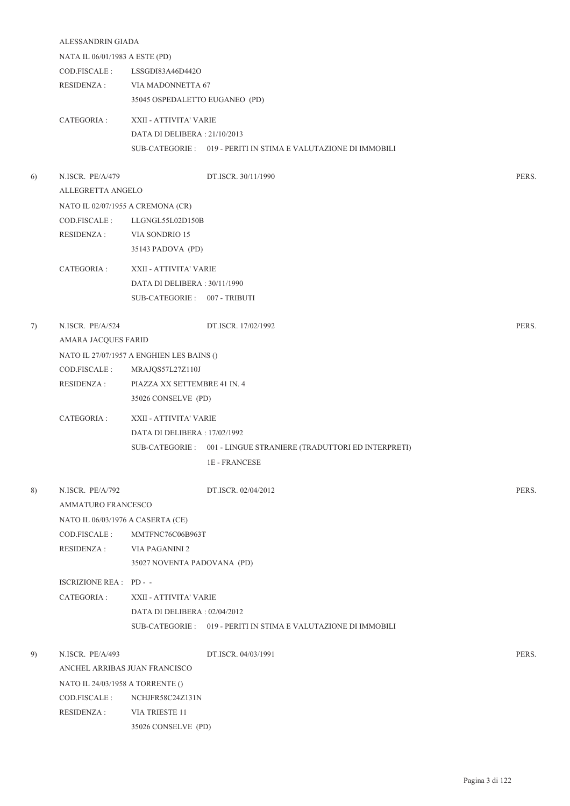|    | ALESSANDRIN GIADA                 |                                           |                                                                   |       |  |
|----|-----------------------------------|-------------------------------------------|-------------------------------------------------------------------|-------|--|
|    | NATA IL 06/01/1983 A ESTE (PD)    |                                           |                                                                   |       |  |
|    | COD.FISCALE :                     | LSSGDI83A46D442O                          |                                                                   |       |  |
|    |                                   | RESIDENZA: VIA MADONNETTA 67              |                                                                   |       |  |
|    |                                   | 35045 OSPEDALETTO EUGANEO (PD)            |                                                                   |       |  |
|    | CATEGORIA :                       | XXII - ATTIVITA' VARIE                    |                                                                   |       |  |
|    |                                   | DATA DI DELIBERA: 21/10/2013              |                                                                   |       |  |
|    |                                   |                                           | SUB-CATEGORIE: 019 - PERITI IN STIMA E VALUTAZIONE DI IMMOBILI    |       |  |
| 6) | N.ISCR. PE/A/479                  |                                           | DT.ISCR. 30/11/1990                                               | PERS. |  |
|    | ALLEGRETTA ANGELO                 |                                           |                                                                   |       |  |
|    | NATO IL 02/07/1955 A CREMONA (CR) |                                           |                                                                   |       |  |
|    | COD.FISCALE :                     | LLGNGL55L02D150B                          |                                                                   |       |  |
|    | <b>RESIDENZA:</b>                 | VIA SONDRIO 15                            |                                                                   |       |  |
|    |                                   | 35143 PADOVA (PD)                         |                                                                   |       |  |
|    |                                   |                                           |                                                                   |       |  |
|    | CATEGORIA :                       | XXII - ATTIVITA' VARIE                    |                                                                   |       |  |
|    |                                   | DATA DI DELIBERA: 30/11/1990              |                                                                   |       |  |
|    |                                   | SUB-CATEGORIE: 007 - TRIBUTI              |                                                                   |       |  |
| 7) | N.ISCR. PE/A/524                  |                                           | DT.ISCR. 17/02/1992                                               | PERS. |  |
|    | AMARA JACQUES FARID               |                                           |                                                                   |       |  |
|    |                                   | NATO IL 27/07/1957 A ENGHIEN LES BAINS () |                                                                   |       |  |
|    | COD.FISCALE :                     | MRAJQS57L27Z110J                          |                                                                   |       |  |
|    | <b>RESIDENZA:</b>                 | PIAZZA XX SETTEMBRE 41 IN. 4              |                                                                   |       |  |
|    |                                   | 35026 CONSELVE (PD)                       |                                                                   |       |  |
|    | CATEGORIA :                       | XXII - ATTIVITA' VARIE                    |                                                                   |       |  |
|    |                                   | DATA DI DELIBERA : 17/02/1992             |                                                                   |       |  |
|    |                                   |                                           | SUB-CATEGORIE : 001 - LINGUE STRANIERE (TRADUTTORI ED INTERPRETI) |       |  |
|    |                                   |                                           | $1\mathrm{E}$ - FRANCESE                                          |       |  |
| 8) | N.ISCR. PE/A/792                  |                                           | DT.ISCR. 02/04/2012                                               | PERS. |  |
|    | AMMATURO FRANCESCO                |                                           |                                                                   |       |  |
|    | NATO IL 06/03/1976 A CASERTA (CE) |                                           |                                                                   |       |  |
|    | COD.FISCALE :                     | MMTFNC76C06B963T                          |                                                                   |       |  |
|    | RESIDENZA :                       | VIA PAGANINI 2                            |                                                                   |       |  |
|    |                                   | 35027 NOVENTA PADOVANA (PD)               |                                                                   |       |  |
|    | ISCRIZIONE REA : PD - -           |                                           |                                                                   |       |  |
|    | CATEGORIA :                       | XXII - ATTIVITA' VARIE                    |                                                                   |       |  |
|    |                                   | DATA DI DELIBERA : 02/04/2012             |                                                                   |       |  |
|    |                                   |                                           | SUB-CATEGORIE : 019 - PERITI IN STIMA E VALUTAZIONE DI IMMOBILI   |       |  |
| 9) | N.ISCR. PE/A/493                  |                                           | DT.ISCR. 04/03/1991                                               | PERS. |  |
|    |                                   | ANCHEL ARRIBAS JUAN FRANCISCO             |                                                                   |       |  |
|    | NATO IL 24/03/1958 A TORRENTE ()  |                                           |                                                                   |       |  |
|    | COD.FISCALE :                     | NCHJFR58C24Z131N                          |                                                                   |       |  |
|    | RESIDENZA :                       | VIA TRIESTE 11                            |                                                                   |       |  |

35026 CONSELVE (PD)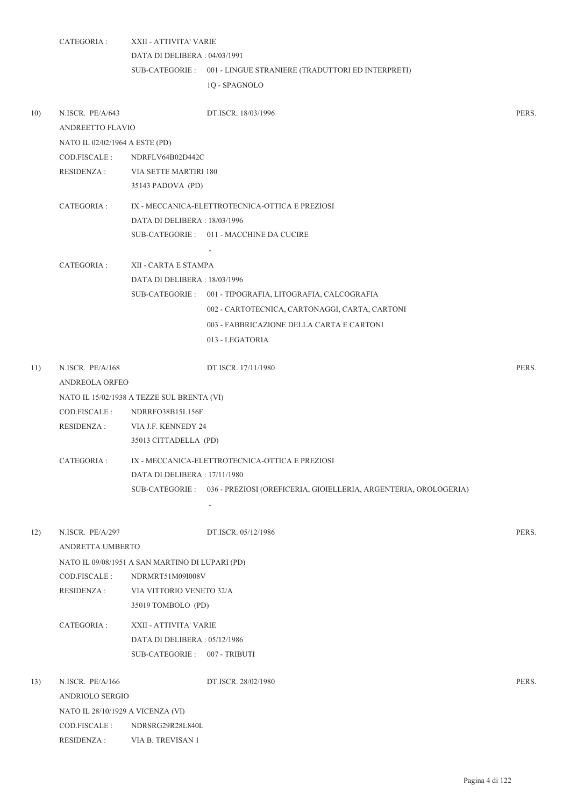|     | CATEGORIA :                       | XXII - ATTIVITA' VARIE                                                          |       |
|-----|-----------------------------------|---------------------------------------------------------------------------------|-------|
|     |                                   | DATA DI DELIBERA: 04/03/1991                                                    |       |
|     |                                   | SUB-CATEGORIE: 001 - LINGUE STRANIERE (TRADUTTORI ED INTERPRETI)                |       |
|     |                                   | 1Q - SPAGNOLO                                                                   |       |
| 10) | N.ISCR. PE/A/643                  | DT.ISCR. 18/03/1996                                                             | PERS. |
|     | ANDREETTO FLAVIO                  |                                                                                 |       |
|     | NATO IL 02/02/1964 A ESTE (PD)    |                                                                                 |       |
|     | COD.FISCALE :                     | NDRFLV64B02D442C                                                                |       |
|     |                                   | RESIDENZA : VIA SETTE MARTIRI 180                                               |       |
|     |                                   | 35143 PADOVA (PD)                                                               |       |
|     | CATEGORIA :                       | IX - MECCANICA-ELETTROTECNICA-OTTICA E PREZIOSI                                 |       |
|     |                                   | DATA DI DELIBERA : 18/03/1996                                                   |       |
|     |                                   | SUB-CATEGORIE: 011 - MACCHINE DA CUCIRE                                         |       |
|     |                                   |                                                                                 |       |
|     | CATEGORIA :                       | XII - CARTA E STAMPA                                                            |       |
|     |                                   | DATA DI DELIBERA : 18/03/1996                                                   |       |
|     |                                   | SUB-CATEGORIE: 001 - TIPOGRAFIA, LITOGRAFIA, CALCOGRAFIA                        |       |
|     |                                   | 002 - CARTOTECNICA, CARTONAGGI, CARTA, CARTONI                                  |       |
|     |                                   | 003 - FABBRICAZIONE DELLA CARTA E CARTONI                                       |       |
|     |                                   | 013 - LEGATORIA                                                                 |       |
|     |                                   |                                                                                 |       |
| 11) | N.ISCR. PE/A/168                  | DT.ISCR. 17/11/1980                                                             | PERS. |
|     | ANDREOLA ORFEO                    |                                                                                 |       |
|     |                                   | NATO IL 15/02/1938 A TEZZE SUL BRENTA (VI)                                      |       |
|     | COD.FISCALE :                     | NDRRFO38B15L156F                                                                |       |
|     | RESIDENZA :                       | VIA J.F. KENNEDY 24                                                             |       |
|     |                                   | 35013 CITTADELLA (PD)                                                           |       |
|     | CATEGORIA :                       | IX - MECCANICA-ELETTROTECNICA-OTTICA E PREZIOSI                                 |       |
|     |                                   | DATA DI DELIBERA: 17/11/1980                                                    |       |
|     |                                   | SUB-CATEGORIE: 036 - PREZIOSI (OREFICERIA, GIOIELLERIA, ARGENTERIA, OROLOGERIA) |       |
|     |                                   | $\overline{\phantom{a}}$                                                        |       |
| 12) | N.ISCR. PE/A/297                  | DT.ISCR. 05/12/1986                                                             | PERS. |
|     | ANDRETTA UMBERTO                  |                                                                                 |       |
|     |                                   | NATO IL 09/08/1951 A SAN MARTINO DI LUPARI (PD)                                 |       |
|     | COD.FISCALE :                     | NDRMRT51M09I008V                                                                |       |
|     | <b>RESIDENZA:</b>                 | VIA VITTORIO VENETO 32/A                                                        |       |
|     |                                   | 35019 TOMBOLO (PD)                                                              |       |
|     | CATEGORIA :                       | XXII - ATTIVITA' VARIE                                                          |       |
|     |                                   | DATA DI DELIBERA : 05/12/1986                                                   |       |
|     |                                   | SUB-CATEGORIE: 007 - TRIBUTI                                                    |       |
|     |                                   |                                                                                 |       |
| 13) | N.ISCR. PE/A/166                  | DT.ISCR. 28/02/1980                                                             | PERS. |
|     | ANDRIOLO SERGIO                   |                                                                                 |       |
|     | NATO IL 28/10/1929 A VICENZA (VI) |                                                                                 |       |
|     | COD.FISCALE :                     | NDRSRG29R28L840L                                                                |       |
|     | <b>RESIDENZA:</b>                 | VIA B. TREVISAN 1                                                               |       |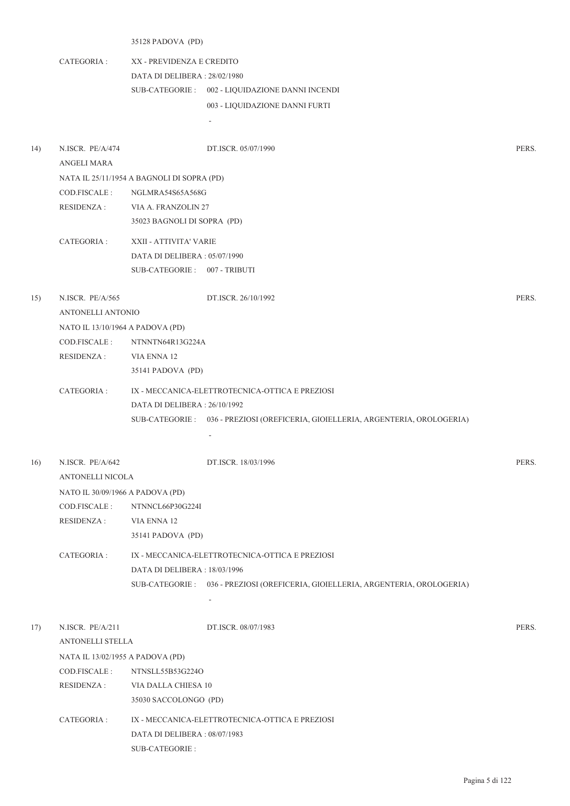## 35128 PADOVA (PD)

CATEGORIA : XX - PREVIDENZA E CREDITO DATA DI DELIBERA : 28/02/1980 SUB-CATEGORIE : 002 - LIQUIDAZIONE DANNI INCENDI 003 - LIQUIDAZIONE DANNI FURTI

-

| 14) | N.ISCR. PE/A/474<br><b>ANGELI MARA</b> | DT.ISCR. 05/07/1990                                                             | PERS. |
|-----|----------------------------------------|---------------------------------------------------------------------------------|-------|
|     |                                        | NATA IL 25/11/1954 A BAGNOLI DI SOPRA (PD)                                      |       |
|     | COD.FISCALE :                          | NGLMRA54S65A568G                                                                |       |
|     | <b>RESIDENZA:</b>                      | VIA A. FRANZOLIN 27                                                             |       |
|     |                                        | 35023 BAGNOLI DI SOPRA (PD)                                                     |       |
|     | CATEGORIA :                            | XXII - ATTIVITA' VARIE                                                          |       |
|     |                                        | DATA DI DELIBERA: 05/07/1990                                                    |       |
|     |                                        | SUB-CATEGORIE: 007 - TRIBUTI                                                    |       |
|     |                                        |                                                                                 |       |
| 15) | N.ISCR. PE/A/565                       | DT.ISCR. 26/10/1992                                                             | PERS. |
|     | ANTONELLI ANTONIO                      |                                                                                 |       |
|     | NATO IL 13/10/1964 A PADOVA (PD)       |                                                                                 |       |
|     | COD.FISCALE :                          | NTNNTN64R13G224A                                                                |       |
|     | <b>RESIDENZA:</b>                      | VIA ENNA 12                                                                     |       |
|     |                                        | 35141 PADOVA (PD)                                                               |       |
|     | CATEGORIA :                            | IX - MECCANICA-ELETTROTECNICA-OTTICA E PREZIOSI                                 |       |
|     |                                        | DATA DI DELIBERA : 26/10/1992                                                   |       |
|     |                                        | SUB-CATEGORIE: 036 - PREZIOSI (OREFICERIA, GIOIELLERIA, ARGENTERIA, OROLOGERIA) |       |
|     |                                        | $\overline{a}$                                                                  |       |
|     |                                        |                                                                                 |       |
| 16) | N.ISCR. PE/A/642                       | DT.ISCR. 18/03/1996                                                             | PERS. |
|     | ANTONELLI NICOLA                       |                                                                                 |       |
|     | NATO IL 30/09/1966 A PADOVA (PD)       |                                                                                 |       |
|     | COD.FISCALE :                          | NTNNCL66P30G224I                                                                |       |
|     | RESIDENZA :                            | VIA ENNA 12                                                                     |       |
|     |                                        | 35141 PADOVA (PD)                                                               |       |
|     | CATEGORIA :                            | IX - MECCANICA-ELETTROTECNICA-OTTICA E PREZIOSI                                 |       |
|     |                                        | DATA DI DELIBERA : 18/03/1996                                                   |       |
|     |                                        | SUB-CATEGORIE: 036 - PREZIOSI (OREFICERIA, GIOIELLERIA, ARGENTERIA, OROLOGERIA) |       |
|     |                                        |                                                                                 |       |
| 17) | N.ISCR. PE/A/211                       | DT.ISCR. 08/07/1983                                                             | PERS. |
|     | ANTONELLI STELLA                       |                                                                                 |       |
|     | NATA IL 13/02/1955 A PADOVA (PD)       |                                                                                 |       |
|     | COD.FISCALE:                           | NTNSLL55B53G224O                                                                |       |
|     | <b>RESIDENZA:</b>                      | VIA DALLA CHIESA 10                                                             |       |
|     |                                        | 35030 SACCOLONGO (PD)                                                           |       |
|     |                                        |                                                                                 |       |
|     |                                        |                                                                                 |       |
|     | CATEGORIA :                            | IX - MECCANICA-ELETTROTECNICA-OTTICA E PREZIOSI                                 |       |
|     |                                        | DATA DI DELIBERA: 08/07/1983<br>SUB-CATEGORIE :                                 |       |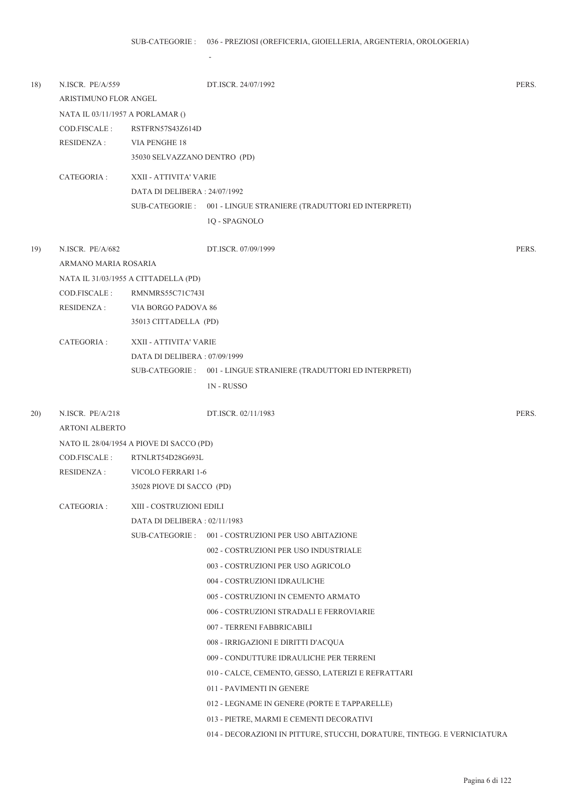-

| 18) | N.ISCR. PE/A/559                 |                                          | DT.ISCR. 24/07/1992                                                      | PERS. |  |  |
|-----|----------------------------------|------------------------------------------|--------------------------------------------------------------------------|-------|--|--|
|     | ARISTIMUNO FLOR ANGEL            |                                          |                                                                          |       |  |  |
|     | NATA IL 03/11/1957 A PORLAMAR () |                                          |                                                                          |       |  |  |
|     | COD.FISCALE :                    | RSTFRN57S43Z614D                         |                                                                          |       |  |  |
|     | RESIDENZA :                      | VIA PENGHE 18                            |                                                                          |       |  |  |
|     |                                  | 35030 SELVAZZANO DENTRO (PD)             |                                                                          |       |  |  |
|     | CATEGORIA :                      | XXII - ATTIVITA' VARIE                   |                                                                          |       |  |  |
|     |                                  | DATA DI DELIBERA : 24/07/1992            |                                                                          |       |  |  |
|     |                                  |                                          | SUB-CATEGORIE : 001 - LINGUE STRANIERE (TRADUTTORI ED INTERPRETI)        |       |  |  |
|     |                                  |                                          | 1Q - SPAGNOLO                                                            |       |  |  |
| 19) | N.ISCR. PE/A/682                 |                                          | DT.ISCR. 07/09/1999                                                      | PERS. |  |  |
|     | ARMANO MARIA ROSARIA             |                                          |                                                                          |       |  |  |
|     |                                  | NATA IL 31/03/1955 A CITTADELLA (PD)     |                                                                          |       |  |  |
|     | COD.FISCALE:                     | RMNMRS55C71C743I                         |                                                                          |       |  |  |
|     | RESIDENZA :                      | VIA BORGO PADOVA 86                      |                                                                          |       |  |  |
|     |                                  | 35013 CITTADELLA (PD)                    |                                                                          |       |  |  |
|     | CATEGORIA :                      | XXII - ATTIVITA' VARIE                   |                                                                          |       |  |  |
|     |                                  | DATA DI DELIBERA: 07/09/1999             |                                                                          |       |  |  |
|     |                                  |                                          | SUB-CATEGORIE: 001 - LINGUE STRANIERE (TRADUTTORI ED INTERPRETI)         |       |  |  |
|     |                                  |                                          | <b>1N-RUSSO</b>                                                          |       |  |  |
| 20) | N.ISCR. PE/A/218                 |                                          | DT.ISCR. 02/11/1983                                                      | PERS. |  |  |
|     | <b>ARTONI ALBERTO</b>            |                                          |                                                                          |       |  |  |
|     |                                  | NATO IL 28/04/1954 A PIOVE DI SACCO (PD) |                                                                          |       |  |  |
|     | COD.FISCALE :                    | RTNLRT54D28G693L                         |                                                                          |       |  |  |
|     | RESIDENZA :                      | VICOLO FERRARI 1-6                       |                                                                          |       |  |  |
|     |                                  | 35028 PIOVE DI SACCO (PD)                |                                                                          |       |  |  |
|     | CATEGORIA :                      | XIII - COSTRUZIONI EDILI                 |                                                                          |       |  |  |
|     |                                  | DATA DI DELIBERA: 02/11/1983             |                                                                          |       |  |  |
|     |                                  | SUB-CATEGORIE :                          | 001 - COSTRUZIONI PER USO ABITAZIONE                                     |       |  |  |
|     |                                  |                                          | 002 - COSTRUZIONI PER USO INDUSTRIALE                                    |       |  |  |
|     |                                  |                                          | 003 - COSTRUZIONI PER USO AGRICOLO                                       |       |  |  |
|     |                                  |                                          | 004 - COSTRUZIONI IDRAULICHE                                             |       |  |  |
|     |                                  |                                          | 005 - COSTRUZIONI IN CEMENTO ARMATO                                      |       |  |  |
|     |                                  |                                          | 006 - COSTRUZIONI STRADALI E FERROVIARIE                                 |       |  |  |
|     |                                  |                                          | 007 - TERRENI FABBRICABILI                                               |       |  |  |
|     |                                  |                                          | 008 - IRRIGAZIONI E DIRITTI D'ACQUA                                      |       |  |  |
|     |                                  |                                          | 009 - CONDUTTURE IDRAULICHE PER TERRENI                                  |       |  |  |
|     |                                  |                                          | 010 - CALCE, CEMENTO, GESSO, LATERIZI E REFRATTARI                       |       |  |  |
|     |                                  |                                          | 011 - PAVIMENTI IN GENERE                                                |       |  |  |
|     |                                  |                                          | 012 - LEGNAME IN GENERE (PORTE E TAPPARELLE)                             |       |  |  |
|     |                                  |                                          | 013 - PIETRE, MARMI E CEMENTI DECORATIVI                                 |       |  |  |
|     |                                  |                                          | 014 - DECORAZIONI IN PITTURE, STUCCHI, DORATURE, TINTEGG. E VERNICIATURA |       |  |  |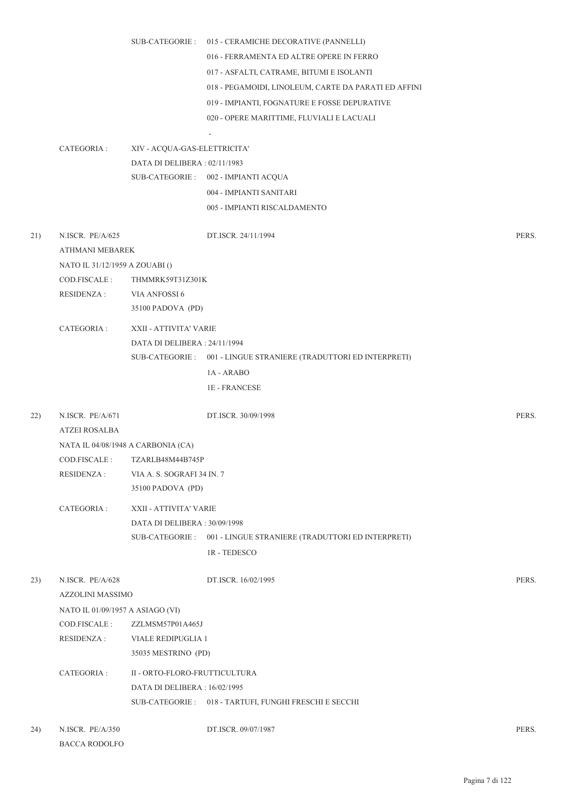SUB-CATEGORIE : 015 - CERAMICHE DECORATIVE (PANNELLI)

- 016 FERRAMENTA ED ALTRE OPERE IN FERRO
- 017 ASFALTI, CATRAME, BITUMI E ISOLANTI

018 - PEGAMOIDI, LINOLEUM, CARTE DA PARATI ED AFFINI

019 - IMPIANTI, FOGNATURE E FOSSE DEPURATIVE

020 - OPERE MARITTIME, FLUVIALI E LACUALI

CATEGORIA : XIV - ACQUA-GAS-ELETTRICITA' DATA DI DELIBERA : 02/11/1983 SUB-CATEGORIE : 002 - IMPIANTI ACQUA 004 - IMPIANTI SANITARI 005 - IMPIANTI RISCALDAMENTO

-

- 21) N.ISCR. PE/A/625 DT.ISCR. 24/11/1994 PERS. ATHMANI MEBAREK NATO IL 31/12/1959 A ZOUABI () COD.FISCALE : THMMRK59T31Z301K RESIDENZA : VIA ANFOSSI 6 35100 PADOVA (PD) CATEGORIA : XXII - ATTIVITA' VARIE DATA DI DELIBERA : 24/11/1994 SUB-CATEGORIE : 001 - LINGUE STRANIERE (TRADUTTORI ED INTERPRETI) 1A - ARABO 1E - FRANCESE 22) N.ISCR. PE/A/671 DT.ISCR. 30/09/1998 PERS. ATZEI ROSALBA NATA IL 04/08/1948 A CARBONIA (CA) COD.FISCALE : TZARLB48M44B745P RESIDENZA : VIA A. S. SOGRAFI 34 IN. 7 35100 PADOVA (PD) CATEGORIA : XXII - ATTIVITA' VARIE DATA DI DELIBERA : 30/09/1998 001 - LINGUE STRANIERE (TRADUTTORI ED INTERPRETI) SUB-CATEGORIE : 1R - TEDESCO 23) N.ISCR. PE/A/628 DT.ISCR. 16/02/1995 PERS. AZZOLINI MASSIMO NATO IL 01/09/1957 A ASIAGO (VI) COD.FISCALE : ZZLMSM57P01A465J RESIDENZA : VIALE REDIPUGLIA 1 35035 MESTRINO (PD) CATEGORIA : II - ORTO-FLORO-FRUTTICULTURA
	- DATA DI DELIBERA : 16/02/1995 SUB-CATEGORIE : 018 - TARTUFI, FUNGHI FRESCHI E SECCHI
- 24) N.ISCR. PE/A/350 DT.ISCR. 09/07/1987 PERS. BACCA RODOLFO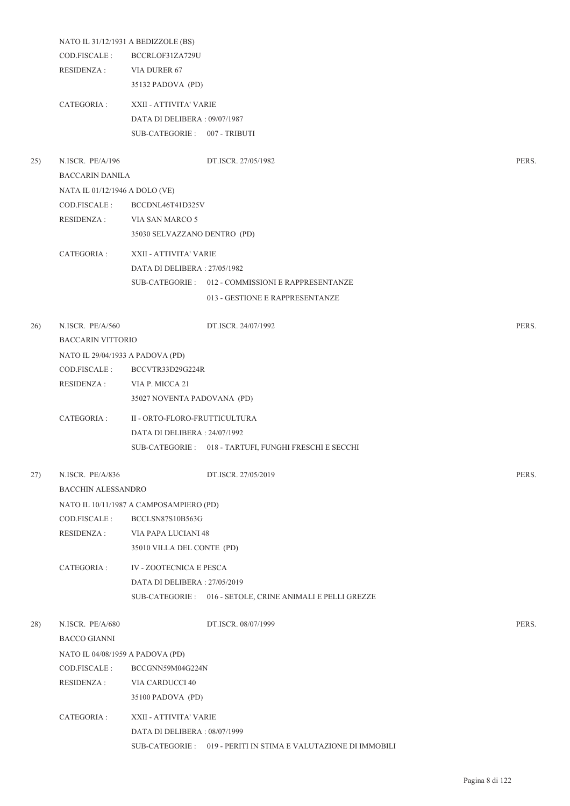|     |                                  | NATO IL 31/12/1931 A BEDIZZOLE (BS)     |                                                                 |       |  |  |
|-----|----------------------------------|-----------------------------------------|-----------------------------------------------------------------|-------|--|--|
|     | COD.FISCALE :                    | BCCRLOF31ZA729U                         |                                                                 |       |  |  |
|     | RESIDENZA :                      | VIA DURER 67                            |                                                                 |       |  |  |
|     |                                  | 35132 PADOVA (PD)                       |                                                                 |       |  |  |
|     |                                  |                                         |                                                                 |       |  |  |
|     | CATEGORIA :                      | XXII - ATTIVITA' VARIE                  |                                                                 |       |  |  |
|     |                                  | DATA DI DELIBERA: 09/07/1987            |                                                                 |       |  |  |
|     |                                  | SUB-CATEGORIE: 007 - TRIBUTI            |                                                                 |       |  |  |
| 25) | N.ISCR. PE/A/196                 |                                         | DT.ISCR. 27/05/1982                                             | PERS. |  |  |
|     | <b>BACCARIN DANILA</b>           |                                         |                                                                 |       |  |  |
|     | NATA IL 01/12/1946 A DOLO (VE)   |                                         |                                                                 |       |  |  |
|     | COD.FISCALE :                    | BCCDNL46T41D325V                        |                                                                 |       |  |  |
|     | RESIDENZA :                      | VIA SAN MARCO 5                         |                                                                 |       |  |  |
|     |                                  | 35030 SELVAZZANO DENTRO (PD)            |                                                                 |       |  |  |
|     | CATEGORIA :                      | XXII - ATTIVITA' VARIE                  |                                                                 |       |  |  |
|     |                                  | DATA DI DELIBERA: 27/05/1982            |                                                                 |       |  |  |
|     |                                  |                                         | SUB-CATEGORIE: 012 - COMMISSIONI E RAPPRESENTANZE               |       |  |  |
|     |                                  |                                         | 013 - GESTIONE E RAPPRESENTANZE                                 |       |  |  |
|     |                                  |                                         |                                                                 |       |  |  |
| 26) | N.ISCR. PE/A/560                 |                                         | DT.ISCR. 24/07/1992                                             | PERS. |  |  |
|     | <b>BACCARIN VITTORIO</b>         |                                         |                                                                 |       |  |  |
|     |                                  | NATO IL 29/04/1933 A PADOVA (PD)        |                                                                 |       |  |  |
|     | COD.FISCALE :<br>RESIDENZA :     | BCCVTR33D29G224R                        |                                                                 |       |  |  |
|     |                                  | VIA P. MICCA 21                         |                                                                 |       |  |  |
|     |                                  | 35027 NOVENTA PADOVANA (PD)             |                                                                 |       |  |  |
|     | CATEGORIA :                      | II - ORTO-FLORO-FRUTTICULTURA           |                                                                 |       |  |  |
|     |                                  | DATA DI DELIBERA : 24/07/1992           |                                                                 |       |  |  |
|     |                                  |                                         | SUB-CATEGORIE: 018 - TARTUFI, FUNGHI FRESCHI E SECCHI           |       |  |  |
| 27) | N.ISCR. PE/A/836                 |                                         | DT.ISCR. 27/05/2019                                             | PERS. |  |  |
|     | <b>BACCHIN ALESSANDRO</b>        |                                         |                                                                 |       |  |  |
|     |                                  | NATO IL 10/11/1987 A CAMPOSAMPIERO (PD) |                                                                 |       |  |  |
|     | COD.FISCALE :                    | BCCLSN87S10B563G                        |                                                                 |       |  |  |
|     | <b>RESIDENZA:</b>                | VIA PAPA LUCIANI 48                     |                                                                 |       |  |  |
|     |                                  | 35010 VILLA DEL CONTE (PD)              |                                                                 |       |  |  |
|     | CATEGORIA :                      | IV - ZOOTECNICA E PESCA                 |                                                                 |       |  |  |
|     |                                  | DATA DI DELIBERA: 27/05/2019            |                                                                 |       |  |  |
|     |                                  |                                         | SUB-CATEGORIE : 016 - SETOLE, CRINE ANIMALI E PELLI GREZZE      |       |  |  |
|     |                                  |                                         |                                                                 |       |  |  |
| 28) | N.ISCR. PE/A/680                 |                                         | DT.ISCR. 08/07/1999                                             | PERS. |  |  |
|     | <b>BACCO GIANNI</b>              |                                         |                                                                 |       |  |  |
|     | NATO IL 04/08/1959 A PADOVA (PD) |                                         |                                                                 |       |  |  |
|     | COD.FISCALE :                    | BCCGNN59M04G224N                        |                                                                 |       |  |  |
|     | <b>RESIDENZA:</b>                | VIA CARDUCCI 40                         |                                                                 |       |  |  |
|     |                                  | 35100 PADOVA (PD)                       |                                                                 |       |  |  |
|     | CATEGORIA :                      | XXII - ATTIVITA' VARIE                  |                                                                 |       |  |  |
|     |                                  | DATA DI DELIBERA : 08/07/1999           |                                                                 |       |  |  |
|     |                                  |                                         | SUB-CATEGORIE : 019 - PERITI IN STIMA E VALUTAZIONE DI IMMOBILI |       |  |  |
|     |                                  |                                         |                                                                 |       |  |  |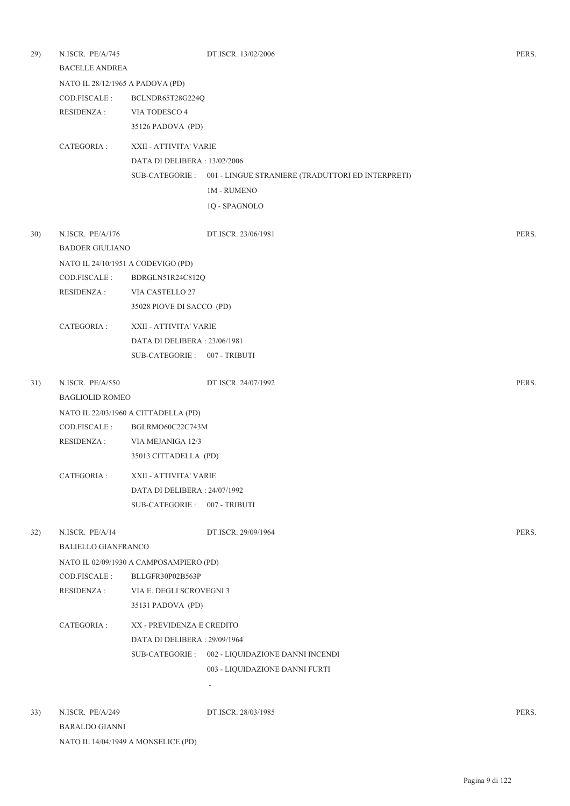| 29) | N.ISCR. PE/A/745<br><b>BACELLE ANDREA</b> |                                         | DT.ISCR. 13/02/2006                                               | PERS. |
|-----|-------------------------------------------|-----------------------------------------|-------------------------------------------------------------------|-------|
|     | NATO IL 28/12/1965 A PADOVA (PD)          |                                         |                                                                   |       |
|     | COD.FISCALE :                             | BCLNDR65T28G224Q                        |                                                                   |       |
|     | RESIDENZA :                               | VIA TODESCO 4                           |                                                                   |       |
|     |                                           | 35126 PADOVA (PD)                       |                                                                   |       |
|     | CATEGORIA:                                | XXII - ATTIVITA' VARIE                  |                                                                   |       |
|     |                                           | DATA DI DELIBERA : 13/02/2006           |                                                                   |       |
|     |                                           |                                         | SUB-CATEGORIE : 001 - LINGUE STRANIERE (TRADUTTORI ED INTERPRETI) |       |
|     |                                           |                                         | <b>1M - RUMENO</b>                                                |       |
|     |                                           |                                         | 1Q - SPAGNOLO                                                     |       |
| 30) | N.ISCR. PE/A/176                          |                                         | DT.ISCR. 23/06/1981                                               | PERS. |
|     | <b>BADOER GIULIANO</b>                    |                                         |                                                                   |       |
|     |                                           | NATO IL 24/10/1951 A CODEVIGO (PD)      |                                                                   |       |
|     | COD.FISCALE:                              | BDRGLN51R24C812Q                        |                                                                   |       |
|     | <b>RESIDENZA:</b>                         | VIA CASTELLO 27                         |                                                                   |       |
|     |                                           | 35028 PIOVE DI SACCO (PD)               |                                                                   |       |
|     | CATEGORIA :                               | XXII - ATTIVITA' VARIE                  |                                                                   |       |
|     |                                           | DATA DI DELIBERA: 23/06/1981            |                                                                   |       |
|     |                                           | SUB-CATEGORIE: 007 - TRIBUTI            |                                                                   |       |
| 31) | N.ISCR. PE/A/550                          |                                         | DT.ISCR. 24/07/1992                                               | PERS. |
|     | <b>BAGLIOLID ROMEO</b>                    |                                         |                                                                   |       |
|     |                                           | NATO IL 22/03/1960 A CITTADELLA (PD)    |                                                                   |       |
|     | COD.FISCALE :                             | BGLRMO60C22C743M                        |                                                                   |       |
|     | <b>RESIDENZA:</b>                         | VIA MEJANIGA 12/3                       |                                                                   |       |
|     |                                           | 35013 CITTADELLA (PD)                   |                                                                   |       |
|     | CATEGORIA :                               | XXII - ATTIVITA' VARIE                  |                                                                   |       |
|     |                                           | DATA DI DELIBERA : 24/07/1992           |                                                                   |       |
|     |                                           | SUB-CATEGORIE: 007 - TRIBUTI            |                                                                   |       |
| 32) | N.ISCR. PE/A/14                           |                                         | DT.ISCR. 29/09/1964                                               | PERS. |
|     | <b>BALIELLO GIANFRANCO</b>                |                                         |                                                                   |       |
|     |                                           | NATO IL 02/09/1930 A CAMPOSAMPIERO (PD) |                                                                   |       |
|     | COD.FISCALE :                             | BLLGFR30P02B563P                        |                                                                   |       |
|     | <b>RESIDENZA:</b>                         | VIA E. DEGLI SCROVEGNI 3                |                                                                   |       |
|     |                                           | 35131 PADOVA (PD)                       |                                                                   |       |
|     | CATEGORIA :                               | XX - PREVIDENZA E CREDITO               |                                                                   |       |
|     |                                           | DATA DI DELIBERA: 29/09/1964            |                                                                   |       |
|     |                                           |                                         | SUB-CATEGORIE : 002 - LIQUIDAZIONE DANNI INCENDI                  |       |
|     |                                           |                                         | 003 - LIQUIDAZIONE DANNI FURTI                                    |       |
|     |                                           |                                         | $\overline{\phantom{a}}$                                          |       |
| 33) | N.ISCR. PE/A/249                          |                                         | DT.ISCR. 28/03/1985                                               | PERS. |
|     | <b>BARALDO GIANNI</b>                     |                                         |                                                                   |       |

NATO IL 14/04/1949 A MONSELICE (PD)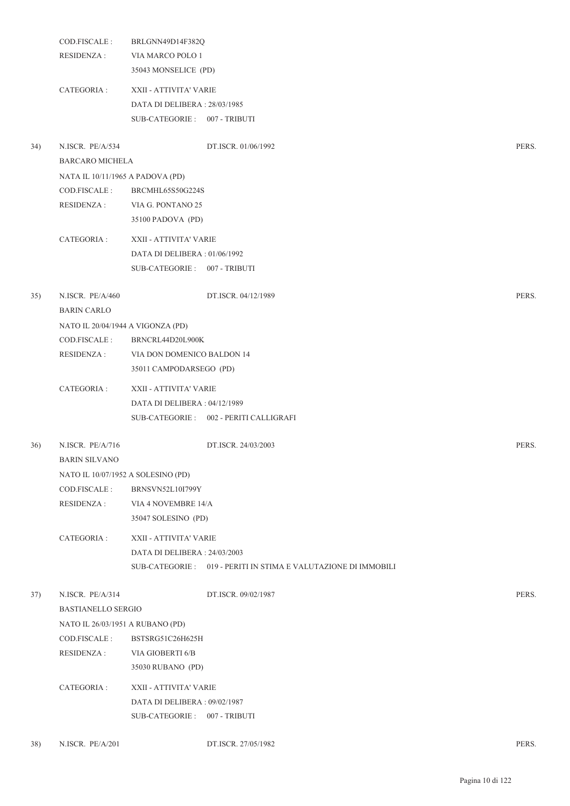|     | COD.FISCALE:<br><b>RESIDENZA:</b>  | BRLGNN49D14F382Q<br>VIA MARCO POLO 1 |                                                                 |       |
|-----|------------------------------------|--------------------------------------|-----------------------------------------------------------------|-------|
|     |                                    | 35043 MONSELICE (PD)                 |                                                                 |       |
|     | CATEGORIA :                        | XXII - ATTIVITA' VARIE               |                                                                 |       |
|     |                                    | DATA DI DELIBERA: 28/03/1985         |                                                                 |       |
|     |                                    | SUB-CATEGORIE: 007 - TRIBUTI         |                                                                 |       |
| 34) | N.ISCR. PE/A/534                   |                                      | DT.ISCR. 01/06/1992                                             | PERS. |
|     | BARCARO MICHELA                    |                                      |                                                                 |       |
|     | NATA IL 10/11/1965 A PADOVA (PD)   |                                      |                                                                 |       |
|     | COD.FISCALE:                       | BRCMHL65S50G224S                     |                                                                 |       |
|     | <b>RESIDENZA:</b>                  | VIA G. PONTANO 25                    |                                                                 |       |
|     |                                    | 35100 PADOVA (PD)                    |                                                                 |       |
|     | CATEGORIA :                        | XXII - ATTIVITA' VARIE               |                                                                 |       |
|     |                                    | DATA DI DELIBERA: 01/06/1992         |                                                                 |       |
|     |                                    | SUB-CATEGORIE: 007 - TRIBUTI         |                                                                 |       |
| 35) | N.ISCR. PE/A/460                   |                                      | DT.ISCR. 04/12/1989                                             | PERS. |
|     | <b>BARIN CARLO</b>                 |                                      |                                                                 |       |
|     | NATO IL 20/04/1944 A VIGONZA (PD)  |                                      |                                                                 |       |
|     | COD.FISCALE :                      | BRNCRL44D20L900K                     |                                                                 |       |
|     | <b>RESIDENZA:</b>                  | VIA DON DOMENICO BALDON 14           |                                                                 |       |
|     |                                    | 35011 CAMPODARSEGO (PD)              |                                                                 |       |
|     | CATEGORIA :                        | XXII - ATTIVITA' VARIE               |                                                                 |       |
|     |                                    | DATA DI DELIBERA: 04/12/1989         |                                                                 |       |
|     |                                    |                                      | SUB-CATEGORIE: 002 - PERITI CALLIGRAFI                          |       |
| 36) | N.ISCR. PE/A/716                   |                                      | DT.ISCR. 24/03/2003                                             | PERS. |
|     | <b>BARIN SILVANO</b>               |                                      |                                                                 |       |
|     | NATO IL 10/07/1952 A SOLESINO (PD) |                                      |                                                                 |       |
|     | COD.FISCALE:                       | <b>BRNSVN52L10I799Y</b>              |                                                                 |       |
|     | <b>RESIDENZA:</b>                  | VIA 4 NOVEMBRE 14/A                  |                                                                 |       |
|     |                                    | 35047 SOLESINO (PD)                  |                                                                 |       |
|     | CATEGORIA :                        | XXII - ATTIVITA' VARIE               |                                                                 |       |
|     |                                    | DATA DI DELIBERA: 24/03/2003         |                                                                 |       |
|     |                                    |                                      | SUB-CATEGORIE : 019 - PERITI IN STIMA E VALUTAZIONE DI IMMOBILI |       |
| 37) | N.ISCR. PE/A/314                   |                                      | DT.ISCR. 09/02/1987                                             | PERS. |
|     | <b>BASTIANELLO SERGIO</b>          |                                      |                                                                 |       |
|     | NATO IL 26/03/1951 A RUBANO (PD)   |                                      |                                                                 |       |
|     | COD.FISCALE :                      | BSTSRG51C26H625H                     |                                                                 |       |
|     | <b>RESIDENZA:</b>                  | VIA GIOBERTI 6/B                     |                                                                 |       |
|     |                                    | 35030 RUBANO (PD)                    |                                                                 |       |
|     | CATEGORIA :                        | XXII - ATTIVITA' VARIE               |                                                                 |       |
|     |                                    | DATA DI DELIBERA: 09/02/1987         |                                                                 |       |
|     |                                    | SUB-CATEGORIE: 007 - TRIBUTI         |                                                                 |       |
| 38) | N.ISCR. PE/A/201                   |                                      | DT.ISCR. 27/05/1982                                             | PERS. |
|     |                                    |                                      |                                                                 |       |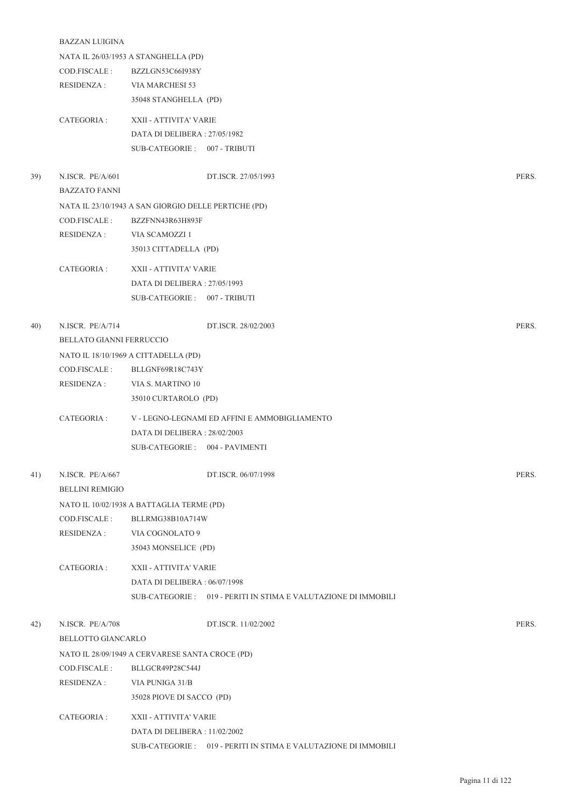|     | <b>BAZZAN LUIGINA</b>    |                                                      |                                                                 |       |
|-----|--------------------------|------------------------------------------------------|-----------------------------------------------------------------|-------|
|     |                          | NATA IL 26/03/1953 A STANGHELLA (PD)                 |                                                                 |       |
|     | COD.FISCALE :            | BZZLGN53C66I938Y                                     |                                                                 |       |
|     | RESIDENZA :              | VIA MARCHESI 53                                      |                                                                 |       |
|     |                          | 35048 STANGHELLA (PD)                                |                                                                 |       |
|     | CATEGORIA :              | XXII - ATTIVITA' VARIE                               |                                                                 |       |
|     |                          | DATA DI DELIBERA: 27/05/1982                         |                                                                 |       |
|     |                          | SUB-CATEGORIE: 007 - TRIBUTI                         |                                                                 |       |
|     |                          |                                                      |                                                                 |       |
| 39) | N.ISCR. PE/A/601         |                                                      | DT.ISCR. 27/05/1993                                             | PERS. |
|     | <b>BAZZATO FANNI</b>     |                                                      |                                                                 |       |
|     |                          | NATA IL 23/10/1943 A SAN GIORGIO DELLE PERTICHE (PD) |                                                                 |       |
|     | COD.FISCALE :            | BZZFNN43R63H893F                                     |                                                                 |       |
|     | RESIDENZA :              | VIA SCAMOZZI 1                                       |                                                                 |       |
|     |                          | 35013 CITTADELLA (PD)                                |                                                                 |       |
|     | CATEGORIA :              | XXII - ATTIVITA' VARIE                               |                                                                 |       |
|     |                          | DATA DI DELIBERA: 27/05/1993                         |                                                                 |       |
|     |                          | SUB-CATEGORIE: 007 - TRIBUTI                         |                                                                 |       |
|     |                          |                                                      |                                                                 |       |
| 40) | N.ISCR. PE/A/714         |                                                      | DT.ISCR. 28/02/2003                                             | PERS. |
|     | BELLATO GIANNI FERRUCCIO |                                                      |                                                                 |       |
|     |                          | NATO IL 18/10/1969 A CITTADELLA (PD)                 |                                                                 |       |
|     | COD.FISCALE :            | BLLGNF69R18C743Y                                     |                                                                 |       |
|     | <b>RESIDENZA:</b>        | VIA S. MARTINO 10                                    |                                                                 |       |
|     |                          | 35010 CURTAROLO (PD)                                 |                                                                 |       |
|     | CATEGORIA :              |                                                      | V - LEGNO-LEGNAMI ED AFFINI E AMMOBIGLIAMENTO                   |       |
|     |                          | DATA DI DELIBERA : 28/02/2003                        |                                                                 |       |
|     |                          | SUB-CATEGORIE: 004 - PAVIMENTI                       |                                                                 |       |
|     |                          |                                                      |                                                                 |       |
| 41) | N.ISCR. PE/A/667         |                                                      | DT.ISCR. 06/07/1998                                             | PERS. |
|     | <b>BELLINI REMIGIO</b>   |                                                      |                                                                 |       |
|     |                          | NATO IL 10/02/1938 A BATTAGLIA TERME (PD)            |                                                                 |       |
|     | COD.FISCALE :            | BLLRMG38B10A714W                                     |                                                                 |       |
|     | <b>RESIDENZA:</b>        | VIA COGNOLATO 9                                      |                                                                 |       |
|     |                          | 35043 MONSELICE (PD)                                 |                                                                 |       |
|     | CATEGORIA :              | XXII - ATTIVITA' VARIE                               |                                                                 |       |
|     |                          | DATA DI DELIBERA: 06/07/1998                         |                                                                 |       |
|     |                          |                                                      | SUB-CATEGORIE: 019 - PERITI IN STIMA E VALUTAZIONE DI IMMOBILI  |       |
|     |                          |                                                      |                                                                 |       |
| 42) | N.ISCR. PE/A/708         |                                                      | DT.ISCR. 11/02/2002                                             | PERS. |
|     | BELLOTTO GIANCARLO       |                                                      |                                                                 |       |
|     |                          | NATO IL 28/09/1949 A CERVARESE SANTA CROCE (PD)      |                                                                 |       |
|     | COD.FISCALE:             | BLLGCR49P28C544J                                     |                                                                 |       |
|     | <b>RESIDENZA:</b>        | VIA PUNIGA 31/B                                      |                                                                 |       |
|     |                          | 35028 PIOVE DI SACCO (PD)                            |                                                                 |       |
|     | CATEGORIA :              | XXII - ATTIVITA' VARIE                               |                                                                 |       |
|     |                          | DATA DI DELIBERA : 11/02/2002                        |                                                                 |       |
|     |                          |                                                      | SUB-CATEGORIE : 019 - PERITI IN STIMA E VALUTAZIONE DI IMMOBILI |       |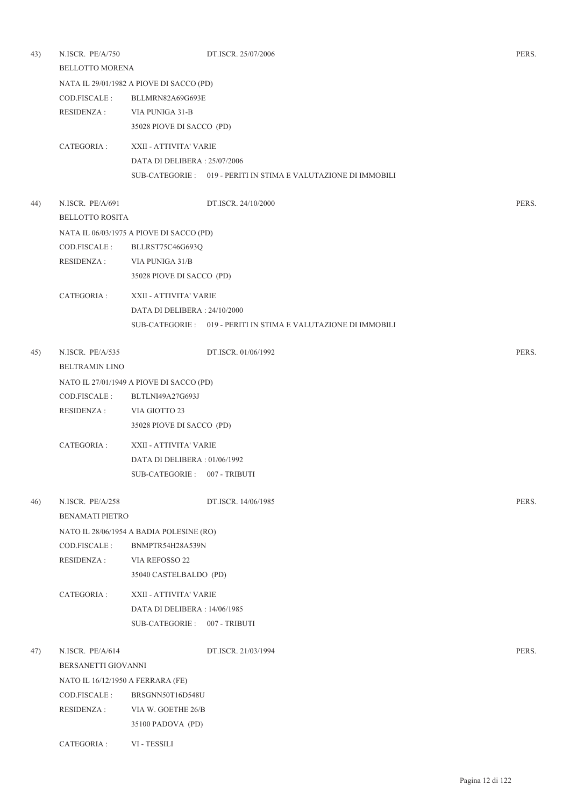| 43) | N.ISCR. PE/A/750<br><b>BELLOTTO MORENA</b> |                                          | DT.ISCR. 25/07/2006                                             | PERS. |  |  |
|-----|--------------------------------------------|------------------------------------------|-----------------------------------------------------------------|-------|--|--|
|     |                                            | NATA IL 29/01/1982 A PIOVE DI SACCO (PD) |                                                                 |       |  |  |
|     | COD.FISCALE :                              | BLLMRN82A69G693E                         |                                                                 |       |  |  |
|     | RESIDENZA :                                | VIA PUNIGA 31-B                          |                                                                 |       |  |  |
|     |                                            | 35028 PIOVE DI SACCO (PD)                |                                                                 |       |  |  |
|     | CATEGORIA :                                | XXII - ATTIVITA' VARIE                   |                                                                 |       |  |  |
|     |                                            | DATA DI DELIBERA: 25/07/2006             |                                                                 |       |  |  |
|     |                                            |                                          | SUB-CATEGORIE : 019 - PERITI IN STIMA E VALUTAZIONE DI IMMOBILI |       |  |  |
| 44) | N.ISCR. PE/A/691                           |                                          | DT.ISCR. 24/10/2000                                             | PERS. |  |  |
|     | <b>BELLOTTO ROSITA</b>                     |                                          |                                                                 |       |  |  |
|     |                                            | NATA IL 06/03/1975 A PIOVE DI SACCO (PD) |                                                                 |       |  |  |
|     | COD.FISCALE :                              | BLLRST75C46G693Q                         |                                                                 |       |  |  |
|     | <b>RESIDENZA:</b>                          | VIA PUNIGA 31/B                          |                                                                 |       |  |  |
|     |                                            | 35028 PIOVE DI SACCO (PD)                |                                                                 |       |  |  |
|     | CATEGORIA :                                | XXII - ATTIVITA' VARIE                   |                                                                 |       |  |  |
|     |                                            | DATA DI DELIBERA: 24/10/2000             |                                                                 |       |  |  |
|     |                                            |                                          | SUB-CATEGORIE : 019 - PERITI IN STIMA E VALUTAZIONE DI IMMOBILI |       |  |  |
| 45) | N.ISCR. PE/A/535                           |                                          | DT.ISCR. 01/06/1992                                             | PERS. |  |  |
|     | <b>BELTRAMIN LINO</b>                      |                                          |                                                                 |       |  |  |
|     | NATO IL 27/01/1949 A PIOVE DI SACCO (PD)   |                                          |                                                                 |       |  |  |
|     | COD.FISCALE :                              | BLTLNI49A27G693J                         |                                                                 |       |  |  |
|     | <b>RESIDENZA:</b>                          | VIA GIOTTO 23                            |                                                                 |       |  |  |
|     |                                            | 35028 PIOVE DI SACCO (PD)                |                                                                 |       |  |  |
|     | CATEGORIA :                                | XXII - ATTIVITA' VARIE                   |                                                                 |       |  |  |
|     |                                            | DATA DI DELIBERA : 01/06/1992            |                                                                 |       |  |  |
|     |                                            | SUB-CATEGORIE: 007 - TRIBUTI             |                                                                 |       |  |  |
| 46) | N.ISCR. PE/A/258                           |                                          | DT.ISCR. 14/06/1985                                             | PERS. |  |  |
|     | <b>BENAMATI PIETRO</b>                     |                                          |                                                                 |       |  |  |
|     |                                            | NATO IL 28/06/1954 A BADIA POLESINE (RO) |                                                                 |       |  |  |
|     | COD.FISCALE :                              | BNMPTR54H28A539N                         |                                                                 |       |  |  |
|     | <b>RESIDENZA:</b>                          | VIA REFOSSO 22                           |                                                                 |       |  |  |
|     |                                            | 35040 CASTELBALDO (PD)                   |                                                                 |       |  |  |
|     | CATEGORIA :                                | XXII - ATTIVITA' VARIE                   |                                                                 |       |  |  |
|     |                                            | DATA DI DELIBERA : 14/06/1985            |                                                                 |       |  |  |
|     |                                            | SUB-CATEGORIE: 007 - TRIBUTI             |                                                                 |       |  |  |
| 47) | N.ISCR. PE/A/614                           |                                          | DT.ISCR. 21/03/1994                                             | PERS. |  |  |
|     | BERSANETTI GIOVANNI                        |                                          |                                                                 |       |  |  |
|     | NATO IL 16/12/1950 A FERRARA (FE)          |                                          |                                                                 |       |  |  |
|     | COD.FISCALE :                              | BRSGNN50T16D548U                         |                                                                 |       |  |  |
|     | RESIDENZA :<br>VIA W. GOETHE 26/B          |                                          |                                                                 |       |  |  |
|     |                                            | 35100 PADOVA (PD)                        |                                                                 |       |  |  |
|     | CATEGORIA :                                | VI - TESSILI                             |                                                                 |       |  |  |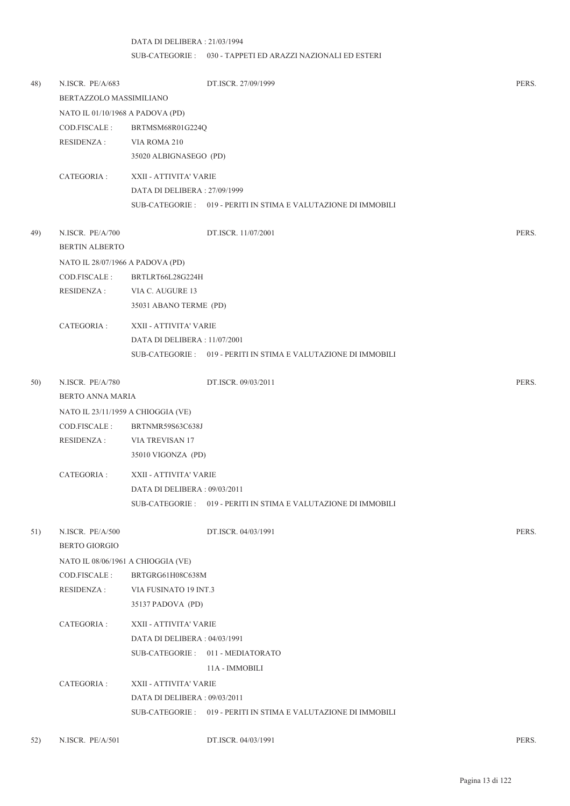## DATA DI DELIBERA : 21/03/1994 SUB-CATEGORIE : 030 - TAPPETI ED ARAZZI NAZIONALI ED ESTERI

| 48) | N.ISCR. PE/A/683<br>BERTAZZOLO MASSIMILIANO |                               | DT.ISCR. 27/09/1999                                             | PERS. |
|-----|---------------------------------------------|-------------------------------|-----------------------------------------------------------------|-------|
|     | NATO IL 01/10/1968 A PADOVA (PD)            |                               |                                                                 |       |
|     | COD.FISCALE :                               | BRTMSM68R01G224Q              |                                                                 |       |
|     | <b>RESIDENZA:</b>                           | VIA ROMA 210                  |                                                                 |       |
|     |                                             | 35020 ALBIGNASEGO (PD)        |                                                                 |       |
|     | CATEGORIA :                                 | XXII - ATTIVITA' VARIE        |                                                                 |       |
|     |                                             | DATA DI DELIBERA: 27/09/1999  |                                                                 |       |
|     |                                             |                               | SUB-CATEGORIE : 019 - PERITI IN STIMA E VALUTAZIONE DI IMMOBILI |       |
| 49) | N.ISCR. PE/A/700                            |                               | DT.ISCR. 11/07/2001                                             | PERS. |
|     | <b>BERTIN ALBERTO</b>                       |                               |                                                                 |       |
|     | NATO IL 28/07/1966 A PADOVA (PD)            |                               |                                                                 |       |
|     | COD.FISCALE :                               | BRTLRT66L28G224H              |                                                                 |       |
|     | RESIDENZA :                                 | VIA C. AUGURE 13              |                                                                 |       |
|     |                                             | 35031 ABANO TERME (PD)        |                                                                 |       |
|     | CATEGORIA :                                 | XXII - ATTIVITA' VARIE        |                                                                 |       |
|     |                                             | DATA DI DELIBERA : 11/07/2001 |                                                                 |       |
|     |                                             |                               | SUB-CATEGORIE: 019 - PERITI IN STIMA E VALUTAZIONE DI IMMOBILI  |       |
| 50) | N.ISCR. PE/A/780                            |                               | DT.ISCR. 09/03/2011                                             | PERS. |
|     | BERTO ANNA MARIA                            |                               |                                                                 |       |
|     | NATO IL 23/11/1959 A CHIOGGIA (VE)          |                               |                                                                 |       |
|     | COD.FISCALE :                               | BRTNMR59S63C638J              |                                                                 |       |
|     | <b>RESIDENZA:</b>                           | VIA TREVISAN 17               |                                                                 |       |
|     |                                             | 35010 VIGONZA (PD)            |                                                                 |       |
|     | CATEGORIA :                                 | XXII - ATTIVITA' VARIE        |                                                                 |       |
|     |                                             | DATA DI DELIBERA: 09/03/2011  |                                                                 |       |
|     |                                             |                               | SUB-CATEGORIE : 019 - PERITI IN STIMA E VALUTAZIONE DI IMMOBILI |       |
| 51) | N.ISCR. PE/A/500                            |                               | DT.ISCR. 04/03/1991                                             | PERS. |
|     | <b>BERTO GIORGIO</b>                        |                               |                                                                 |       |
|     | NATO IL 08/06/1961 A CHIOGGIA (VE)          |                               |                                                                 |       |
|     | COD.FISCALE:                                | BRTGRG61H08C638M              |                                                                 |       |
|     | RESIDENZA :                                 | VIA FUSINATO 19 INT.3         |                                                                 |       |
|     |                                             | 35137 PADOVA (PD)             |                                                                 |       |
|     | CATEGORIA :                                 | XXII - ATTIVITA' VARIE        |                                                                 |       |
|     |                                             | DATA DI DELIBERA: 04/03/1991  |                                                                 |       |
|     |                                             |                               | SUB-CATEGORIE: 011 - MEDIATORATO                                |       |
|     |                                             |                               | 11A - IMMOBILI                                                  |       |
|     | CATEGORIA :                                 | XXII - ATTIVITA' VARIE        |                                                                 |       |
|     |                                             | DATA DI DELIBERA : 09/03/2011 |                                                                 |       |
|     |                                             |                               | SUB-CATEGORIE: 019 - PERITI IN STIMA E VALUTAZIONE DI IMMOBILI  |       |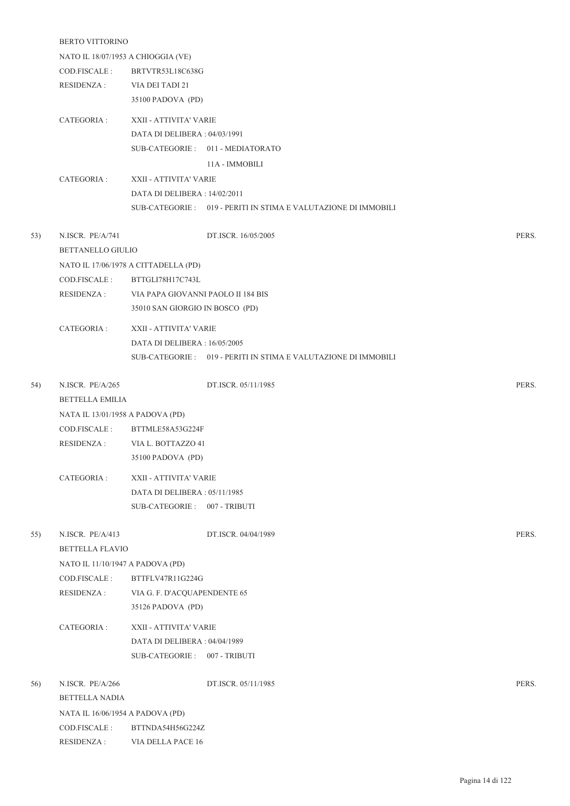|     | BERTO VITTORINO                    |                                      |                                                                |       |  |
|-----|------------------------------------|--------------------------------------|----------------------------------------------------------------|-------|--|
|     | NATO IL 18/07/1953 A CHIOGGIA (VE) |                                      |                                                                |       |  |
|     | COD.FISCALE :                      | BRTVTR53L18C638G                     |                                                                |       |  |
|     | RESIDENZA :                        | VIA DEI TADI 21                      |                                                                |       |  |
|     |                                    | 35100 PADOVA (PD)                    |                                                                |       |  |
|     | CATEGORIA :                        | XXII - ATTIVITA' VARIE               |                                                                |       |  |
|     |                                    | DATA DI DELIBERA : 04/03/1991        |                                                                |       |  |
|     |                                    |                                      | SUB-CATEGORIE: 011 - MEDIATORATO                               |       |  |
|     |                                    |                                      | 11A - IMMOBILI                                                 |       |  |
|     | CATEGORIA :                        | XXII - ATTIVITA' VARIE               |                                                                |       |  |
|     |                                    | DATA DI DELIBERA : 14/02/2011        |                                                                |       |  |
|     |                                    |                                      | SUB-CATEGORIE: 019 - PERITI IN STIMA E VALUTAZIONE DI IMMOBILI |       |  |
| 53) | N.ISCR. PE/A/741                   |                                      | DT.ISCR. 16/05/2005                                            | PERS. |  |
|     | BETTANELLO GIULIO                  |                                      |                                                                |       |  |
|     |                                    | NATO IL 17/06/1978 A CITTADELLA (PD) |                                                                |       |  |
|     | COD.FISCALE :                      | BTTGLI78H17C743L                     |                                                                |       |  |
|     | RESIDENZA :                        | VIA PAPA GIOVANNI PAOLO II 184 BIS   |                                                                |       |  |
|     |                                    | 35010 SAN GIORGIO IN BOSCO (PD)      |                                                                |       |  |
|     |                                    |                                      |                                                                |       |  |
|     | CATEGORIA :                        | XXII - ATTIVITA' VARIE               |                                                                |       |  |
|     |                                    | DATA DI DELIBERA : 16/05/2005        |                                                                |       |  |
|     |                                    |                                      | SUB-CATEGORIE: 019 - PERITI IN STIMA E VALUTAZIONE DI IMMOBILI |       |  |
| 54) | N.ISCR. PE/A/265                   |                                      | DT.ISCR. 05/11/1985                                            | PERS. |  |
|     | <b>BETTELLA EMILIA</b>             |                                      |                                                                |       |  |
|     | NATA IL 13/01/1958 A PADOVA (PD)   |                                      |                                                                |       |  |
|     | COD.FISCALE :                      | BTTMLE58A53G224F                     |                                                                |       |  |
|     | <b>RESIDENZA:</b>                  | VIA L. BOTTAZZO 41                   |                                                                |       |  |
|     |                                    | 35100 PADOVA (PD)                    |                                                                |       |  |
|     | CATEGORIA :                        | XXII - ATTIVITA' VARIE               |                                                                |       |  |
|     |                                    | DATA DI DELIBERA: 05/11/1985         |                                                                |       |  |
|     |                                    | SUB-CATEGORIE: 007 - TRIBUTI         |                                                                |       |  |
|     |                                    |                                      |                                                                |       |  |
| 55) | N.ISCR. PE/A/413                   |                                      | DT.ISCR. 04/04/1989                                            | PERS. |  |
|     | <b>BETTELLA FLAVIO</b>             |                                      |                                                                |       |  |
|     | NATO IL 11/10/1947 A PADOVA (PD)   |                                      |                                                                |       |  |
|     | COD.FISCALE :                      | BTTFLV47R11G224G                     |                                                                |       |  |
|     | <b>RESIDENZA:</b>                  | VIA G. F. D'ACQUAPENDENTE 65         |                                                                |       |  |
|     |                                    | 35126 PADOVA (PD)                    |                                                                |       |  |
|     | CATEGORIA :                        | XXII - ATTIVITA' VARIE               |                                                                |       |  |
|     |                                    | DATA DI DELIBERA: 04/04/1989         |                                                                |       |  |
|     |                                    | SUB-CATEGORIE: 007 - TRIBUTI         |                                                                |       |  |
| 56) | N.ISCR. PE/A/266                   |                                      | DT.ISCR. 05/11/1985                                            | PERS. |  |
|     | BETTELLA NADIA                     |                                      |                                                                |       |  |
|     | NATA IL 16/06/1954 A PADOVA (PD)   |                                      |                                                                |       |  |
|     | COD.FISCALE :                      | BTTNDA54H56G224Z                     |                                                                |       |  |
|     | <b>RESIDENZA:</b>                  | VIA DELLA PACE 16                    |                                                                |       |  |
|     |                                    |                                      |                                                                |       |  |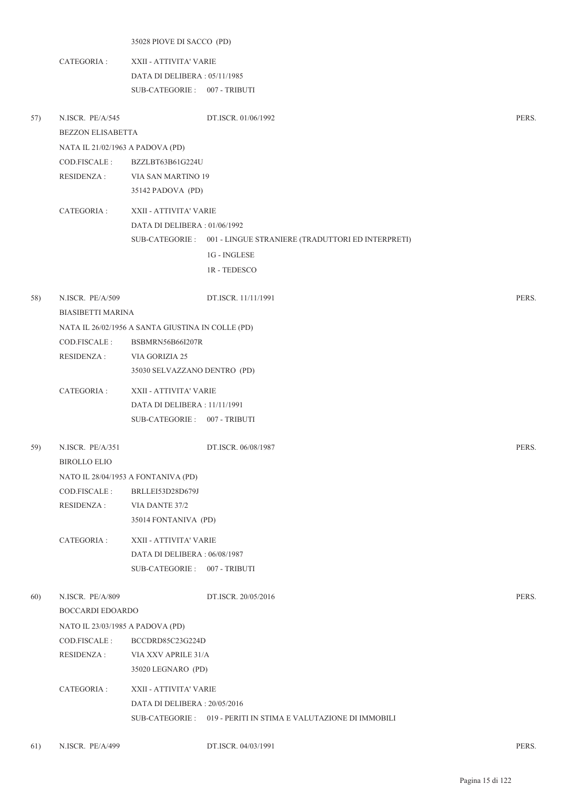|     |                                  | 35028 PIOVE DI SACCO (PD)                         |                                                                   |       |
|-----|----------------------------------|---------------------------------------------------|-------------------------------------------------------------------|-------|
|     | CATEGORIA :                      | XXII - ATTIVITA' VARIE                            |                                                                   |       |
|     |                                  | DATA DI DELIBERA : 05/11/1985                     |                                                                   |       |
|     |                                  | SUB-CATEGORIE: 007 - TRIBUTI                      |                                                                   |       |
|     |                                  |                                                   |                                                                   |       |
| 57) | N.ISCR. PE/A/545                 |                                                   | DT.ISCR. 01/06/1992                                               | PERS. |
|     | <b>BEZZON ELISABETTA</b>         |                                                   |                                                                   |       |
|     | NATA IL 21/02/1963 A PADOVA (PD) |                                                   |                                                                   |       |
|     | COD.FISCALE :                    | BZZLBT63B61G224U                                  |                                                                   |       |
|     | RESIDENZA :                      | VIA SAN MARTINO 19                                |                                                                   |       |
|     |                                  | 35142 PADOVA (PD)                                 |                                                                   |       |
|     | CATEGORIA :                      | XXII - ATTIVITA' VARIE                            |                                                                   |       |
|     |                                  | DATA DI DELIBERA: 01/06/1992                      |                                                                   |       |
|     |                                  |                                                   | SUB-CATEGORIE : 001 - LINGUE STRANIERE (TRADUTTORI ED INTERPRETI) |       |
|     |                                  |                                                   | 1G - INGLESE                                                      |       |
|     |                                  |                                                   | <b>1R-TEDESCO</b>                                                 |       |
|     |                                  |                                                   |                                                                   |       |
| 58) | N.ISCR. PE/A/509                 |                                                   | DT.ISCR. 11/11/1991                                               | PERS. |
|     | <b>BIASIBETTI MARINA</b>         |                                                   |                                                                   |       |
|     |                                  | NATA IL 26/02/1956 A SANTA GIUSTINA IN COLLE (PD) |                                                                   |       |
|     | COD.FISCALE :                    | <b>BSBMRN56B66I207R</b>                           |                                                                   |       |
|     | <b>RESIDENZA:</b>                | VIA GORIZIA 25                                    |                                                                   |       |
|     |                                  | 35030 SELVAZZANO DENTRO (PD)                      |                                                                   |       |
|     | CATEGORIA :                      | XXII - ATTIVITA' VARIE                            |                                                                   |       |
|     |                                  | DATA DI DELIBERA : 11/11/1991                     |                                                                   |       |
|     |                                  | SUB-CATEGORIE: 007 - TRIBUTI                      |                                                                   |       |
| 59) | N.ISCR. PE/A/351                 |                                                   | DT.ISCR. 06/08/1987                                               | PERS. |
|     | <b>BIROLLO ELIO</b>              |                                                   |                                                                   |       |
|     |                                  | NATO IL 28/04/1953 A FONTANIVA (PD)               |                                                                   |       |
|     | COD.FISCALE :                    | BRLLEI53D28D679J                                  |                                                                   |       |
|     | <b>RESIDENZA:</b>                | VIA DANTE 37/2                                    |                                                                   |       |
|     |                                  | 35014 FONTANIVA (PD)                              |                                                                   |       |
|     |                                  |                                                   |                                                                   |       |
|     | CATEGORIA :                      | XXII - ATTIVITA' VARIE                            |                                                                   |       |
|     |                                  | DATA DI DELIBERA: 06/08/1987                      |                                                                   |       |
|     |                                  | SUB-CATEGORIE: 007 - TRIBUTI                      |                                                                   |       |
| 60) | N.ISCR. PE/A/809                 |                                                   | DT.ISCR. 20/05/2016                                               | PERS. |
|     | BOCCARDI EDOARDO                 |                                                   |                                                                   |       |
|     | NATO IL 23/03/1985 A PADOVA (PD) |                                                   |                                                                   |       |
|     | COD.FISCALE :                    | BCCDRD85C23G224D                                  |                                                                   |       |
|     | <b>RESIDENZA:</b>                | VIA XXV APRILE 31/A                               |                                                                   |       |
|     |                                  | 35020 LEGNARO (PD)                                |                                                                   |       |
|     | CATEGORIA :                      | XXII - ATTIVITA' VARIE                            |                                                                   |       |
|     |                                  | DATA DI DELIBERA: 20/05/2016                      |                                                                   |       |
|     |                                  |                                                   | SUB-CATEGORIE : 019 - PERITI IN STIMA E VALUTAZIONE DI IMMOBILI   |       |
|     |                                  |                                                   |                                                                   |       |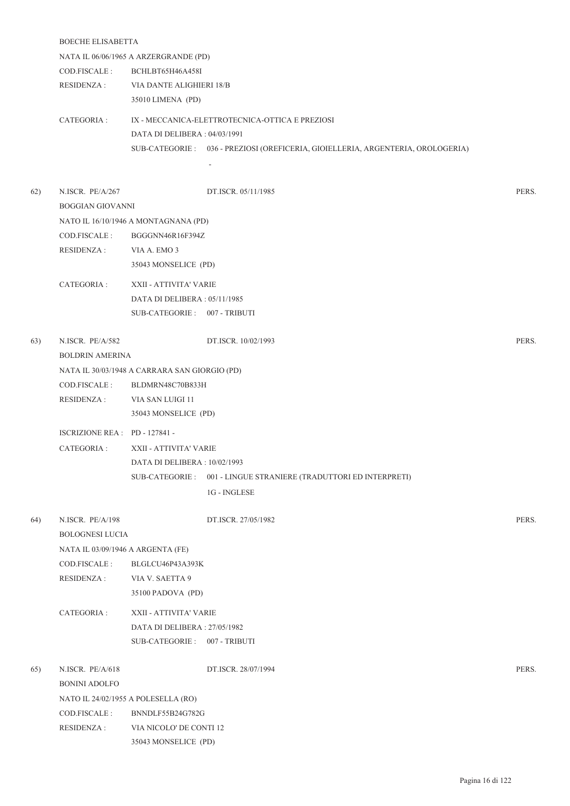|     | <b>BOECHE ELISABETTA</b>          |                                                        |                                                                                 |       |  |  |  |
|-----|-----------------------------------|--------------------------------------------------------|---------------------------------------------------------------------------------|-------|--|--|--|
|     |                                   | NATA IL 06/06/1965 A ARZERGRANDE (PD)                  |                                                                                 |       |  |  |  |
|     | COD.FISCALE :                     | BCHLBT65H46A458I                                       |                                                                                 |       |  |  |  |
|     | <b>RESIDENZA:</b>                 | VIA DANTE ALIGHIERI 18/B                               |                                                                                 |       |  |  |  |
|     |                                   | 35010 LIMENA (PD)                                      |                                                                                 |       |  |  |  |
|     | CATEGORIA :                       |                                                        | IX - MECCANICA-ELETTROTECNICA-OTTICA E PREZIOSI                                 |       |  |  |  |
|     |                                   | DATA DI DELIBERA: 04/03/1991                           |                                                                                 |       |  |  |  |
|     |                                   |                                                        | SUB-CATEGORIE: 036 - PREZIOSI (OREFICERIA, GIOIELLERIA, ARGENTERIA, OROLOGERIA) |       |  |  |  |
|     |                                   |                                                        |                                                                                 |       |  |  |  |
| 62) | N.ISCR. PE/A/267                  |                                                        | DT.ISCR. 05/11/1985                                                             | PERS. |  |  |  |
|     | <b>BOGGIAN GIOVANNI</b>           |                                                        |                                                                                 |       |  |  |  |
|     |                                   | NATO IL 16/10/1946 A MONTAGNANA (PD)                   |                                                                                 |       |  |  |  |
|     | COD.FISCALE :                     | BGGGNN46R16F394Z                                       |                                                                                 |       |  |  |  |
|     |                                   |                                                        |                                                                                 |       |  |  |  |
|     | RESIDENZA :                       | VIA A. EMO 3                                           |                                                                                 |       |  |  |  |
|     |                                   | 35043 MONSELICE (PD)                                   |                                                                                 |       |  |  |  |
|     | CATEGORIA :                       | XXII - ATTIVITA' VARIE                                 |                                                                                 |       |  |  |  |
|     |                                   | DATA DI DELIBERA: 05/11/1985                           |                                                                                 |       |  |  |  |
|     |                                   | SUB-CATEGORIE: 007 - TRIBUTI                           |                                                                                 |       |  |  |  |
| 63) | N.ISCR. PE/A/582                  |                                                        | DT.ISCR. 10/02/1993                                                             | PERS. |  |  |  |
|     | <b>BOLDRIN AMERINA</b>            |                                                        |                                                                                 |       |  |  |  |
|     |                                   | NATA IL 30/03/1948 A CARRARA SAN GIORGIO (PD)          |                                                                                 |       |  |  |  |
|     | COD.FISCALE :                     | BLDMRN48C70B833H                                       |                                                                                 |       |  |  |  |
|     | <b>RESIDENZA:</b>                 | VIA SAN LUIGI 11                                       |                                                                                 |       |  |  |  |
|     |                                   | 35043 MONSELICE (PD)                                   |                                                                                 |       |  |  |  |
|     | ISCRIZIONE REA : PD - 127841 -    |                                                        |                                                                                 |       |  |  |  |
|     | CATEGORIA :                       |                                                        |                                                                                 |       |  |  |  |
|     |                                   | XXII - ATTIVITA' VARIE<br>DATA DI DELIBERA: 10/02/1993 |                                                                                 |       |  |  |  |
|     |                                   |                                                        |                                                                                 |       |  |  |  |
|     |                                   | SUB-CATEGORIE :                                        | 001 - LINGUE STRANIERE (TRADUTTORI ED INTERPRETI)                               |       |  |  |  |
|     |                                   |                                                        | 1G - INGLESE                                                                    |       |  |  |  |
| 64) | N.ISCR. PE/A/198                  |                                                        | DT.ISCR. 27/05/1982                                                             | PERS. |  |  |  |
|     | <b>BOLOGNESI LUCIA</b>            |                                                        |                                                                                 |       |  |  |  |
|     | NATA IL 03/09/1946 A ARGENTA (FE) |                                                        |                                                                                 |       |  |  |  |
|     | COD.FISCALE:                      | BLGLCU46P43A393K                                       |                                                                                 |       |  |  |  |
|     | <b>RESIDENZA:</b>                 | VIA V. SAETTA 9                                        |                                                                                 |       |  |  |  |
|     |                                   | 35100 PADOVA (PD)                                      |                                                                                 |       |  |  |  |
|     | CATEGORIA:                        | XXII - ATTIVITA' VARIE                                 |                                                                                 |       |  |  |  |
|     |                                   | DATA DI DELIBERA : 27/05/1982                          |                                                                                 |       |  |  |  |
|     |                                   | SUB-CATEGORIE: 007 - TRIBUTI                           |                                                                                 |       |  |  |  |
| 65) | N.ISCR. PE/A/618                  |                                                        | DT.ISCR. 28/07/1994                                                             | PERS. |  |  |  |
|     | <b>BONINI ADOLFO</b>              |                                                        |                                                                                 |       |  |  |  |
|     |                                   | NATO IL 24/02/1955 A POLESELLA (RO)                    |                                                                                 |       |  |  |  |
|     |                                   |                                                        |                                                                                 |       |  |  |  |

COD.FISCALE : BNNDLF55B24G782G RESIDENZA : VIA NICOLO' DE CONTI 12

35043 MONSELICE (PD)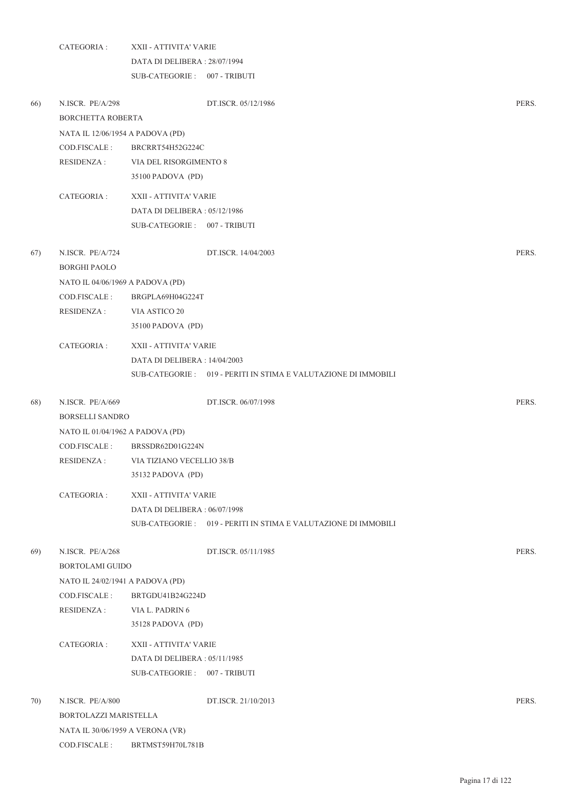|     | CATEGORIA:                              | XXII - ATTIVITA' VARIE               |                                                                 |       |  |
|-----|-----------------------------------------|--------------------------------------|-----------------------------------------------------------------|-------|--|
|     |                                         | DATA DI DELIBERA: 28/07/1994         |                                                                 |       |  |
|     |                                         | SUB-CATEGORIE: 007 - TRIBUTI         |                                                                 |       |  |
| 66) | N.ISCR. PE/A/298<br>BORCHETTA ROBERTA   |                                      | DT.ISCR. 05/12/1986                                             | PERS. |  |
|     | NATA IL 12/06/1954 A PADOVA (PD)        |                                      |                                                                 |       |  |
|     | COD.FISCALE:                            | BRCRRT54H52G224C                     |                                                                 |       |  |
|     | <b>RESIDENZA:</b>                       | VIA DEL RISORGIMENTO 8               |                                                                 |       |  |
|     |                                         | 35100 PADOVA (PD)                    |                                                                 |       |  |
|     | CATEGORIA :                             | XXII - ATTIVITA' VARIE               |                                                                 |       |  |
|     |                                         | DATA DI DELIBERA: 05/12/1986         |                                                                 |       |  |
|     |                                         | SUB-CATEGORIE: 007 - TRIBUTI         |                                                                 |       |  |
| 67) | N.ISCR. PE/A/724<br><b>BORGHI PAOLO</b> |                                      | DT.ISCR. 14/04/2003                                             | PERS. |  |
|     | NATO IL 04/06/1969 A PADOVA (PD)        |                                      |                                                                 |       |  |
|     | COD.FISCALE :                           | BRGPLA69H04G224T                     |                                                                 |       |  |
|     | <b>RESIDENZA:</b>                       | VIA ASTICO 20                        |                                                                 |       |  |
|     |                                         | 35100 PADOVA (PD)                    |                                                                 |       |  |
|     | CATEGORIA :                             | XXII - ATTIVITA' VARIE               |                                                                 |       |  |
|     |                                         | DATA DI DELIBERA: 14/04/2003         |                                                                 |       |  |
|     |                                         |                                      | SUB-CATEGORIE : 019 - PERITI IN STIMA E VALUTAZIONE DI IMMOBILI |       |  |
| 68) | N.ISCR. PE/A/669                        |                                      | DT.ISCR. 06/07/1998                                             | PERS. |  |
|     | <b>BORSELLI SANDRO</b>                  |                                      |                                                                 |       |  |
|     | NATO IL 01/04/1962 A PADOVA (PD)        |                                      |                                                                 |       |  |
|     | COD.FISCALE :                           | BRSSDR62D01G224N                     |                                                                 |       |  |
|     |                                         | RESIDENZA: VIA TIZIANO VECELLIO 38/B |                                                                 |       |  |
|     |                                         | 35132 PADOVA (PD)                    |                                                                 |       |  |
|     | CATEGORIA:                              | XXII - ATTIVITA' VARIE               |                                                                 |       |  |
|     |                                         | DATA DI DELIBERA: 06/07/1998         |                                                                 |       |  |
|     |                                         |                                      | SUB-CATEGORIE : 019 - PERITI IN STIMA E VALUTAZIONE DI IMMOBILI |       |  |
| 69) | N.ISCR. PE/A/268                        |                                      | DT.ISCR. 05/11/1985                                             | PERS. |  |
|     | <b>BORTOLAMI GUIDO</b>                  |                                      |                                                                 |       |  |
|     | NATO IL 24/02/1941 A PADOVA (PD)        |                                      |                                                                 |       |  |
|     | COD.FISCALE:                            | BRTGDU41B24G224D                     |                                                                 |       |  |
|     | <b>RESIDENZA:</b>                       | VIA L. PADRIN 6                      |                                                                 |       |  |
|     |                                         | 35128 PADOVA (PD)                    |                                                                 |       |  |
|     | CATEGORIA :                             | XXII - ATTIVITA' VARIE               |                                                                 |       |  |
|     |                                         | DATA DI DELIBERA: 05/11/1985         |                                                                 |       |  |
|     |                                         | SUB-CATEGORIE: 007 - TRIBUTI         |                                                                 |       |  |
| 70) | N.ISCR. PE/A/800                        |                                      | DT.ISCR. 21/10/2013                                             | PERS. |  |
|     | BORTOLAZZI MARISTELLA                   |                                      |                                                                 |       |  |
|     | NATA IL 30/06/1959 A VERONA (VR)        |                                      |                                                                 |       |  |
|     | COD.FISCALE :                           | BRTMST59H70L781B                     |                                                                 |       |  |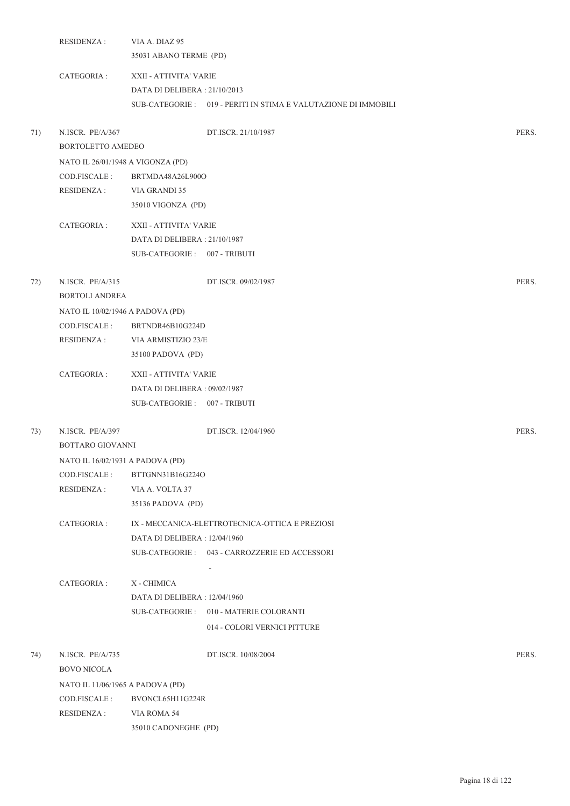|     | <b>RESIDENZA:</b>                         | VIA A. DIAZ 95<br>35031 ABANO TERME (PD)               |                                                                 |       |
|-----|-------------------------------------------|--------------------------------------------------------|-----------------------------------------------------------------|-------|
|     | CATEGORIA :                               | XXII - ATTIVITA' VARIE<br>DATA DI DELIBERA: 21/10/2013 |                                                                 |       |
|     |                                           |                                                        | SUB-CATEGORIE : 019 - PERITI IN STIMA E VALUTAZIONE DI IMMOBILI |       |
| 71) | N.ISCR. PE/A/367<br>BORTOLETTO AMEDEO     |                                                        | DT.ISCR. 21/10/1987                                             | PERS. |
|     | NATO IL 26/01/1948 A VIGONZA (PD)         |                                                        |                                                                 |       |
|     | COD.FISCALE:                              | BRTMDA48A26L900O                                       |                                                                 |       |
|     | <b>RESIDENZA:</b>                         | VIA GRANDI 35                                          |                                                                 |       |
|     |                                           | 35010 VIGONZA (PD)                                     |                                                                 |       |
|     | CATEGORIA :                               | XXII - ATTIVITA' VARIE                                 |                                                                 |       |
|     |                                           | DATA DI DELIBERA: 21/10/1987                           |                                                                 |       |
|     |                                           | SUB-CATEGORIE: 007 - TRIBUTI                           |                                                                 |       |
| 72) | N.ISCR. PE/A/315<br><b>BORTOLI ANDREA</b> |                                                        | DT.ISCR. 09/02/1987                                             | PERS. |
|     | NATO IL 10/02/1946 A PADOVA (PD)          |                                                        |                                                                 |       |
|     | COD.FISCALE:                              | BRTNDR46B10G224D                                       |                                                                 |       |
|     | RESIDENZA :                               | VIA ARMISTIZIO 23/E                                    |                                                                 |       |
|     |                                           | 35100 PADOVA (PD)                                      |                                                                 |       |
|     | CATEGORIA :                               | XXII - ATTIVITA' VARIE                                 |                                                                 |       |
|     |                                           | DATA DI DELIBERA: 09/02/1987                           |                                                                 |       |
|     |                                           | SUB-CATEGORIE: 007 - TRIBUTI                           |                                                                 |       |
| 73) | N.ISCR. PE/A/397                          |                                                        | DT.ISCR. 12/04/1960                                             | PERS. |
|     | BOTTARO GIOVANNI                          |                                                        |                                                                 |       |
|     | NATO IL 16/02/1931 A PADOVA (PD)          |                                                        |                                                                 |       |
|     | COD.FISCALE:                              | BTTGNN31B16G224O                                       |                                                                 |       |
|     | <b>RESIDENZA:</b>                         | VIA A. VOLTA 37                                        |                                                                 |       |
|     |                                           | 35136 PADOVA (PD)                                      |                                                                 |       |
|     | CATEGORIA :                               |                                                        | IX - MECCANICA-ELETTROTECNICA-OTTICA E PREZIOSI                 |       |
|     |                                           | DATA DI DELIBERA : 12/04/1960                          |                                                                 |       |
|     |                                           |                                                        | SUB-CATEGORIE: 043 - CARROZZERIE ED ACCESSORI                   |       |
|     |                                           |                                                        |                                                                 |       |
|     | CATEGORIA :                               | X - CHIMICA                                            |                                                                 |       |
|     |                                           | DATA DI DELIBERA : 12/04/1960                          |                                                                 |       |
|     |                                           |                                                        | SUB-CATEGORIE: 010 - MATERIE COLORANTI                          |       |
|     |                                           |                                                        | 014 - COLORI VERNICI PITTURE                                    |       |
| 74) | N.ISCR. PE/A/735                          |                                                        | DT.ISCR. 10/08/2004                                             | PERS. |
|     | <b>BOVO NICOLA</b>                        |                                                        |                                                                 |       |
|     | NATO IL 11/06/1965 A PADOVA (PD)          |                                                        |                                                                 |       |
|     | COD.FISCALE :                             | BVONCL65H11G224R                                       |                                                                 |       |
|     | <b>RESIDENZA:</b>                         | VIA ROMA 54                                            |                                                                 |       |
|     |                                           | 35010 CADONEGHE (PD)                                   |                                                                 |       |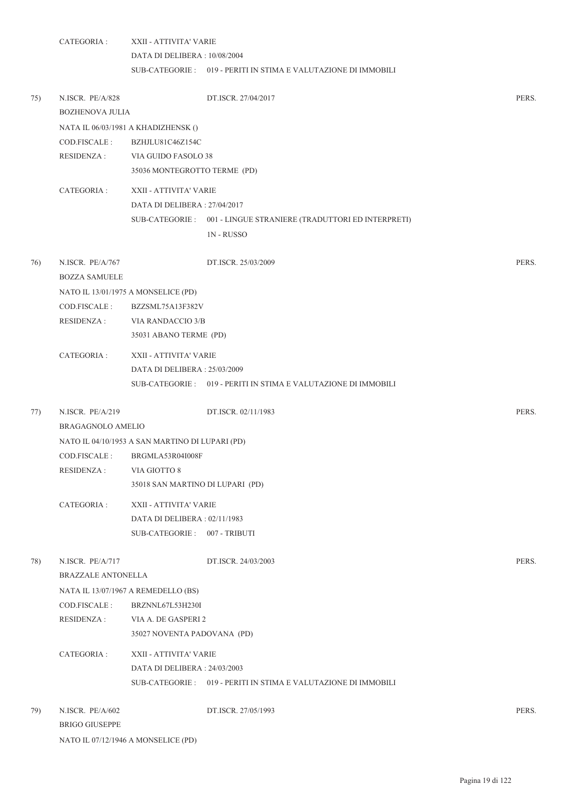CATEGORIA : XXII - ATTIVITA' VARIE DATA DI DELIBERA : 10/08/2004 SUB-CATEGORIE : 019 - PERITI IN STIMA E VALUTAZIONE DI IMMOBILI 75) N.ISCR. PE/A/828 DT.ISCR. 27/04/2017 PERS. BOZHENOVA JULIA NATA IL 06/03/1981 A KHADIZHENSK () COD.FISCALE : BZHJLU81C46Z154C RESIDENZA : VIA GUIDO FASOLO 38 35036 MONTEGROTTO TERME (PD) CATEGORIA : XXII - ATTIVITA' VARIE DATA DI DELIBERA : 27/04/2017 001 - LINGUE STRANIERE (TRADUTTORI ED INTERPRETI) SUB-CATEGORIE : 1N - RUSSO 76) N.ISCR. PE/A/767 DT.ISCR. 25/03/2009 PERS. BOZZA SAMUELE NATO IL 13/01/1975 A MONSELICE (PD) COD.FISCALE : BZZSML75A13F382V RESIDENZA : VIA RANDACCIO 3/B 35031 ABANO TERME (PD) CATEGORIA : XXII - ATTIVITA' VARIE DATA DI DELIBERA : 25/03/2009 SUB-CATEGORIE : 019 - PERITI IN STIMA E VALUTAZIONE DI IMMOBILI 77) N.ISCR. PE/A/219 DT.ISCR. 02/11/1983 PERS. BRAGAGNOLO AMELIO NATO IL 04/10/1953 A SAN MARTINO DI LUPARI (PD) COD.FISCALE : BRGMLA53R04I008F RESIDENZA : VIA GIOTTO 8 35018 SAN MARTINO DI LUPARI (PD) CATEGORIA : XXII - ATTIVITA' VARIE DATA DI DELIBERA : 02/11/1983 SUB-CATEGORIE : 007 - TRIBUTI 78) N.ISCR. PE/A/717 DT.ISCR. 24/03/2003 PERS. BRAZZALE ANTONELLA NATA IL 13/07/1967 A REMEDELLO (BS) COD.FISCALE : BRZNNL67L53H230I RESIDENZA : VIA A. DE GASPERI 2 35027 NOVENTA PADOVANA (PD) CATEGORIA : XXII - ATTIVITA' VARIE DATA DI DELIBERA : 24/03/2003 SUB-CATEGORIE : 019 - PERITI IN STIMA E VALUTAZIONE DI IMMOBILI 79) N.ISCR. PE/A/602 DT.ISCR. 27/05/1993 PERS.

BRIGO GIUSEPPE NATO IL 07/12/1946 A MONSELICE (PD)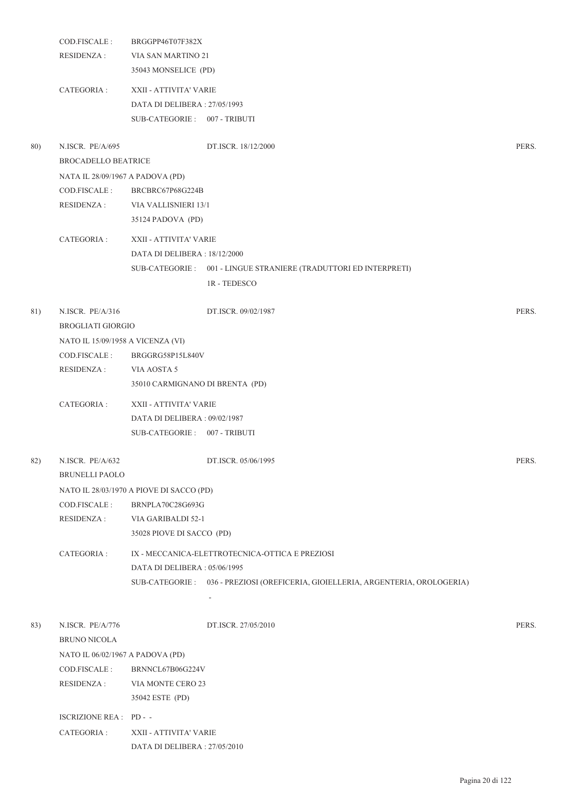|     | COD.FISCALE :<br><b>RESIDENZA:</b>             | BRGGPP46T07F382X<br>VIA SAN MARTINO 21<br>35043 MONSELICE (PD)                         |                                                                                 |       |
|-----|------------------------------------------------|----------------------------------------------------------------------------------------|---------------------------------------------------------------------------------|-------|
|     | CATEGORIA :                                    | XXII - ATTIVITA' VARIE<br>DATA DI DELIBERA: 27/05/1993<br>SUB-CATEGORIE: 007 - TRIBUTI |                                                                                 |       |
| 80) | N.ISCR. PE/A/695<br><b>BROCADELLO BEATRICE</b> |                                                                                        | DT.ISCR. 18/12/2000                                                             | PERS. |
|     | NATA IL 28/09/1967 A PADOVA (PD)               |                                                                                        |                                                                                 |       |
|     | COD.FISCALE :                                  | BRCBRC67P68G224B                                                                       |                                                                                 |       |
|     | <b>RESIDENZA:</b>                              | VIA VALLISNIERI 13/1                                                                   |                                                                                 |       |
|     |                                                | 35124 PADOVA (PD)                                                                      |                                                                                 |       |
|     | CATEGORIA :                                    | XXII - ATTIVITA' VARIE                                                                 |                                                                                 |       |
|     |                                                | DATA DI DELIBERA: 18/12/2000                                                           |                                                                                 |       |
|     |                                                |                                                                                        | SUB-CATEGORIE: 001 - LINGUE STRANIERE (TRADUTTORI ED INTERPRETI)                |       |
|     |                                                |                                                                                        | 1R - TEDESCO                                                                    |       |
| 81) | N.ISCR. PE/A/316<br><b>BROGLIATI GIORGIO</b>   |                                                                                        | DT.ISCR. 09/02/1987                                                             | PERS. |
|     | NATO IL 15/09/1958 A VICENZA (VI)              |                                                                                        |                                                                                 |       |
|     | COD.FISCALE :                                  | BRGGRG58P15L840V                                                                       |                                                                                 |       |
|     | <b>RESIDENZA:</b>                              | VIA AOSTA 5                                                                            |                                                                                 |       |
|     |                                                | 35010 CARMIGNANO DI BRENTA (PD)                                                        |                                                                                 |       |
|     | CATEGORIA :                                    | XXII - ATTIVITA' VARIE                                                                 |                                                                                 |       |
|     |                                                | DATA DI DELIBERA: 09/02/1987                                                           |                                                                                 |       |
|     |                                                | SUB-CATEGORIE: 007 - TRIBUTI                                                           |                                                                                 |       |
|     | 82) N.ISCR. PE/A/632<br><b>BRUNELLI PAOLO</b>  |                                                                                        | DT.ISCR. 05/06/1995                                                             | PERS. |
|     |                                                | NATO IL 28/03/1970 A PIOVE DI SACCO (PD)                                               |                                                                                 |       |
|     | COD.FISCALE:                                   | BRNPLA70C28G693G                                                                       |                                                                                 |       |
|     | <b>RESIDENZA:</b>                              | VIA GARIBALDI 52-1                                                                     |                                                                                 |       |
|     |                                                | 35028 PIOVE DI SACCO (PD)                                                              |                                                                                 |       |
|     | CATEGORIA :                                    |                                                                                        | IX - MECCANICA-ELETTROTECNICA-OTTICA E PREZIOSI                                 |       |
|     |                                                | DATA DI DELIBERA: 05/06/1995                                                           |                                                                                 |       |
|     |                                                |                                                                                        | SUB-CATEGORIE: 036 - PREZIOSI (OREFICERIA, GIOIELLERIA, ARGENTERIA, OROLOGERIA) |       |
|     |                                                |                                                                                        |                                                                                 |       |
| 83) | N.ISCR. PE/A/776                               |                                                                                        | DT.ISCR. 27/05/2010                                                             | PERS. |
|     | <b>BRUNO NICOLA</b>                            |                                                                                        |                                                                                 |       |
|     | NATO IL 06/02/1967 A PADOVA (PD)               |                                                                                        |                                                                                 |       |
|     | COD.FISCALE :                                  | BRNNCL67B06G224V                                                                       |                                                                                 |       |
|     | <b>RESIDENZA:</b>                              | VIA MONTE CERO 23                                                                      |                                                                                 |       |
|     |                                                | 35042 ESTE (PD)                                                                        |                                                                                 |       |
|     | ISCRIZIONE REA : PD - -                        |                                                                                        |                                                                                 |       |
|     | CATEGORIA :                                    | XXII - ATTIVITA' VARIE                                                                 |                                                                                 |       |
|     |                                                | DATA DI DELIBERA : 27/05/2010                                                          |                                                                                 |       |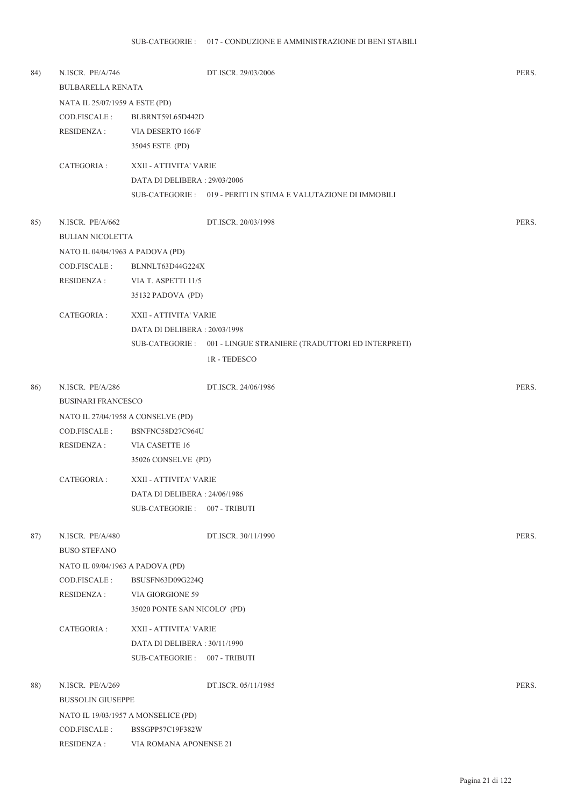| 84) | N.ISCR. PE/A/746<br><b>BULBARELLA RENATA</b> |                                     | DT.ISCR. 29/03/2006                                               | PERS. |
|-----|----------------------------------------------|-------------------------------------|-------------------------------------------------------------------|-------|
|     |                                              |                                     |                                                                   |       |
|     | NATA IL 25/07/1959 A ESTE (PD)               |                                     |                                                                   |       |
|     | COD.FISCALE:                                 | BLBRNT59L65D442D                    |                                                                   |       |
|     | <b>RESIDENZA:</b>                            | VIA DESERTO 166/F                   |                                                                   |       |
|     |                                              | 35045 ESTE (PD)                     |                                                                   |       |
|     | CATEGORIA :                                  | XXII - ATTIVITA' VARIE              |                                                                   |       |
|     |                                              | DATA DI DELIBERA : 29/03/2006       |                                                                   |       |
|     |                                              |                                     | SUB-CATEGORIE : 019 - PERITI IN STIMA E VALUTAZIONE DI IMMOBILI   |       |
| 85) | N.ISCR. PE/A/662                             |                                     | DT.ISCR. 20/03/1998                                               | PERS. |
|     | <b>BULIAN NICOLETTA</b>                      |                                     |                                                                   |       |
|     | NATO IL 04/04/1963 A PADOVA (PD)             |                                     |                                                                   |       |
|     | COD.FISCALE :                                | BLNNLT63D44G224X                    |                                                                   |       |
|     | <b>RESIDENZA:</b>                            | VIA T. ASPETTI 11/5                 |                                                                   |       |
|     |                                              | 35132 PADOVA (PD)                   |                                                                   |       |
|     |                                              |                                     |                                                                   |       |
|     | CATEGORIA :                                  | XXII - ATTIVITA' VARIE              |                                                                   |       |
|     |                                              | DATA DI DELIBERA: 20/03/1998        |                                                                   |       |
|     |                                              |                                     | SUB-CATEGORIE : 001 - LINGUE STRANIERE (TRADUTTORI ED INTERPRETI) |       |
|     |                                              |                                     | 1R - TEDESCO                                                      |       |
| 86) | N.ISCR. PE/A/286                             |                                     | DT.ISCR. 24/06/1986                                               | PERS. |
|     | <b>BUSINARI FRANCESCO</b>                    |                                     |                                                                   |       |
|     | NATO IL 27/04/1958 A CONSELVE (PD)           |                                     |                                                                   |       |
|     | COD.FISCALE:                                 | BSNFNC58D27C964U                    |                                                                   |       |
|     | <b>RESIDENZA:</b>                            | VIA CASETTE 16                      |                                                                   |       |
|     |                                              | 35026 CONSELVE (PD)                 |                                                                   |       |
|     | CATEGORIA :                                  | XXII - ATTIVITA' VARIE              |                                                                   |       |
|     |                                              | DATA DI DELIBERA: 24/06/1986        |                                                                   |       |
|     |                                              | SUB-CATEGORIE: 007 - TRIBUTI        |                                                                   |       |
| 87) | N.ISCR. PE/A/480                             |                                     | DT.ISCR. 30/11/1990                                               | PERS. |
|     | <b>BUSO STEFANO</b>                          |                                     |                                                                   |       |
|     | NATO IL 09/04/1963 A PADOVA (PD)             |                                     |                                                                   |       |
|     | COD.FISCALE:                                 | BSUSFN63D09G224Q                    |                                                                   |       |
|     | <b>RESIDENZA:</b>                            | VIA GIORGIONE 59                    |                                                                   |       |
|     |                                              | 35020 PONTE SAN NICOLO' (PD)        |                                                                   |       |
|     | CATEGORIA :                                  | XXII - ATTIVITA' VARIE              |                                                                   |       |
|     |                                              | DATA DI DELIBERA: 30/11/1990        |                                                                   |       |
|     |                                              | SUB-CATEGORIE: 007 - TRIBUTI        |                                                                   |       |
|     |                                              |                                     |                                                                   |       |
| 88) | N.ISCR. PE/A/269                             |                                     | DT.ISCR. 05/11/1985                                               | PERS. |
|     | <b>BUSSOLIN GIUSEPPE</b>                     |                                     |                                                                   |       |
|     |                                              | NATO IL 19/03/1957 A MONSELICE (PD) |                                                                   |       |
|     | COD.FISCALE:                                 | BSSGPP57C19F382W                    |                                                                   |       |
|     | <b>RESIDENZA:</b>                            | VIA ROMANA APONENSE 21              |                                                                   |       |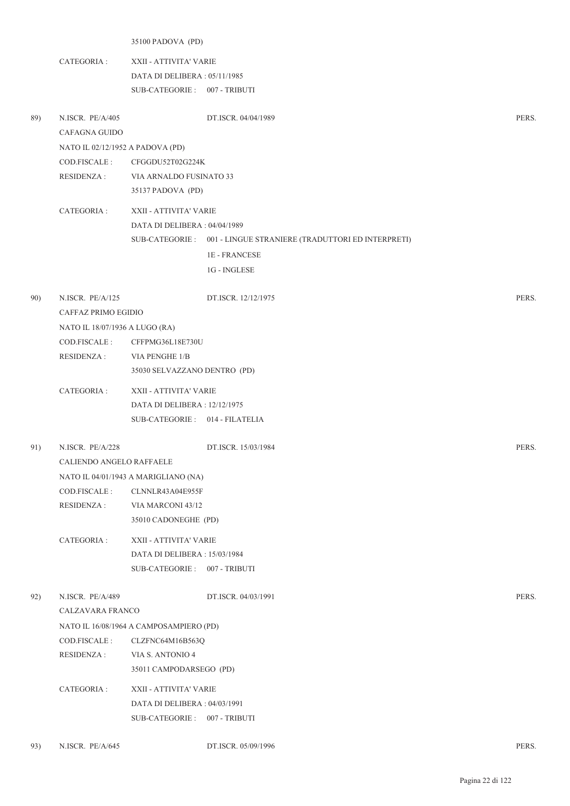35100 PADOVA (PD)

- CATEGORIA : XXII ATTIVITA' VARIE DATA DI DELIBERA : 05/11/1985 SUB-CATEGORIE : 007 - TRIBUTI
- 89) N.ISCR. PE/A/405 DT.ISCR. 04/04/1989 PERS. CAFAGNA GUIDO NATO IL 02/12/1952 A PADOVA (PD) COD.FISCALE : CFGGDU52T02G224K RESIDENZA : VIA ARNALDO FUSINATO 33 35137 PADOVA (PD) CATEGORIA : XXII - ATTIVITA' VARIE DATA DI DELIBERA : 04/04/1989 001 - LINGUE STRANIERE (TRADUTTORI ED INTERPRETI) SUB-CATEGORIE : 1E - FRANCESE 1G - INGLESE 90) N.ISCR. PE/A/125 DT.ISCR. 12/12/1975 PERS. CAFFAZ PRIMO EGIDIO NATO IL 18/07/1936 A LUGO (RA) COD.FISCALE : CFFPMG36L18E730U RESIDENZA : VIA PENGHE 1/B 35030 SELVAZZANO DENTRO (PD) CATEGORIA : XXII - ATTIVITA' VARIE DATA DI DELIBERA : 12/12/1975 SUB-CATEGORIE : 014 - FILATELIA 91) N.ISCR. PE/A/228 DT.ISCR. 15/03/1984 PERS. CALIENDO ANGELO RAFFAELE NATO IL 04/01/1943 A MARIGLIANO (NA) COD.FISCALE : CLNNLR43A04E955F RESIDENZA : VIA MARCONI 43/12 35010 CADONEGHE (PD) CATEGORIA : XXII - ATTIVITA' VARIE DATA DI DELIBERA : 15/03/1984 SUB-CATEGORIE : 007 - TRIBUTI 92) N.ISCR. PE/A/489 DT.ISCR. 04/03/1991 PERS. CALZAVARA FRANCO NATO IL 16/08/1964 A CAMPOSAMPIERO (PD) COD.FISCALE : CLZFNC64M16B563Q RESIDENZA : VIA S. ANTONIO 4 35011 CAMPODARSEGO (PD) CATEGORIA : XXII - ATTIVITA' VARIE DATA DI DELIBERA : 04/03/1991 SUB-CATEGORIE : 007 - TRIBUTI 93) N.ISCR. PE/A/645 DT.ISCR. 05/09/1996 PERS.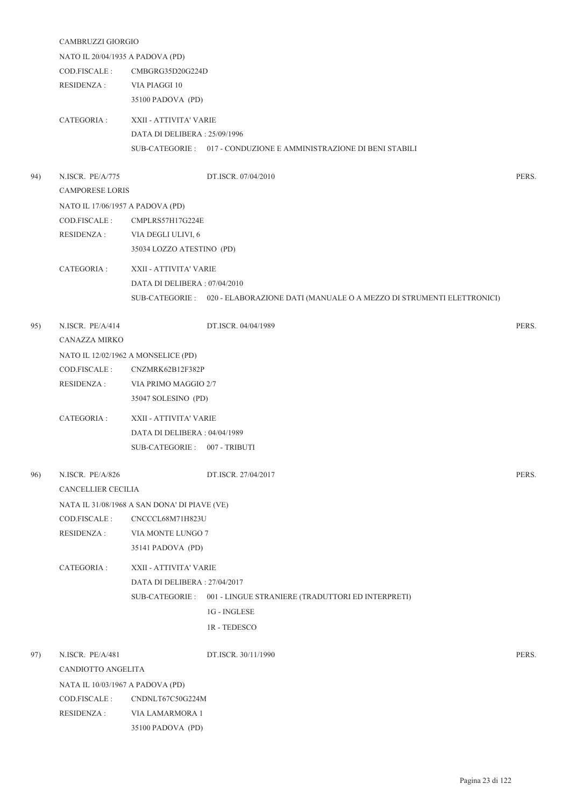|     | CAMBRUZZI GIORGIO                     |                                              |                                                                                      |       |  |  |
|-----|---------------------------------------|----------------------------------------------|--------------------------------------------------------------------------------------|-------|--|--|
|     | NATO IL 20/04/1935 A PADOVA (PD)      |                                              |                                                                                      |       |  |  |
|     | COD.FISCALE :                         | CMBGRG35D20G224D                             |                                                                                      |       |  |  |
|     | <b>RESIDENZA:</b>                     | VIA PIAGGI 10                                |                                                                                      |       |  |  |
|     |                                       | 35100 PADOVA (PD)                            |                                                                                      |       |  |  |
|     | CATEGORIA :                           | XXII - ATTIVITA' VARIE                       |                                                                                      |       |  |  |
|     |                                       | DATA DI DELIBERA: 25/09/1996                 |                                                                                      |       |  |  |
|     |                                       |                                              | SUB-CATEGORIE: 017 - CONDUZIONE E AMMINISTRAZIONE DI BENI STABILI                    |       |  |  |
| 94) | N.ISCR. PE/A/775                      |                                              | DT.ISCR. 07/04/2010                                                                  | PERS. |  |  |
|     | <b>CAMPORESE LORIS</b>                |                                              |                                                                                      |       |  |  |
|     | NATO IL 17/06/1957 A PADOVA (PD)      |                                              |                                                                                      |       |  |  |
|     | COD.FISCALE :                         | CMPLRS57H17G224E                             |                                                                                      |       |  |  |
|     | RESIDENZA :                           | VIA DEGLI ULIVI, 6                           |                                                                                      |       |  |  |
|     |                                       | 35034 LOZZO ATESTINO (PD)                    |                                                                                      |       |  |  |
|     |                                       |                                              |                                                                                      |       |  |  |
|     | CATEGORIA :                           | XXII - ATTIVITA' VARIE                       |                                                                                      |       |  |  |
|     |                                       | DATA DI DELIBERA : 07/04/2010                |                                                                                      |       |  |  |
|     |                                       |                                              | SUB-CATEGORIE : 020 - ELABORAZIONE DATI (MANUALE O A MEZZO DI STRUMENTI ELETTRONICI) |       |  |  |
| 95) | N.ISCR. PE/A/414                      |                                              | DT.ISCR. 04/04/1989                                                                  | PERS. |  |  |
|     | CANAZZA MIRKO                         |                                              |                                                                                      |       |  |  |
|     | NATO IL 12/02/1962 A MONSELICE (PD)   |                                              |                                                                                      |       |  |  |
|     | COD.FISCALE :<br>CNZMRK62B12F382P     |                                              |                                                                                      |       |  |  |
|     | RESIDENZA :                           | VIA PRIMO MAGGIO 2/7                         |                                                                                      |       |  |  |
|     | 35047 SOLESINO (PD)                   |                                              |                                                                                      |       |  |  |
|     | CATEGORIA :<br>XXII - ATTIVITA' VARIE |                                              |                                                                                      |       |  |  |
|     |                                       | DATA DI DELIBERA : 04/04/1989                |                                                                                      |       |  |  |
|     |                                       | SUB-CATEGORIE: 007 - TRIBUTI                 |                                                                                      |       |  |  |
| 96) | N.ISCR. PE/A/826                      |                                              | DT.ISCR. 27/04/2017                                                                  | PERS. |  |  |
|     | CANCELLIER CECILIA                    |                                              |                                                                                      |       |  |  |
|     |                                       | NATA IL 31/08/1968 A SAN DONA' DI PIAVE (VE) |                                                                                      |       |  |  |
|     | COD.FISCALE :                         | CNCCCL68M71H823U                             |                                                                                      |       |  |  |
|     | <b>RESIDENZA:</b>                     | VIA MONTE LUNGO 7                            |                                                                                      |       |  |  |
|     |                                       | 35141 PADOVA (PD)                            |                                                                                      |       |  |  |
|     | CATEGORIA :                           | XXII - ATTIVITA' VARIE                       |                                                                                      |       |  |  |
|     |                                       | DATA DI DELIBERA: 27/04/2017                 |                                                                                      |       |  |  |
|     |                                       |                                              | SUB-CATEGORIE : 001 - LINGUE STRANIERE (TRADUTTORI ED INTERPRETI)                    |       |  |  |
|     |                                       | 1G - INGLESE                                 |                                                                                      |       |  |  |
|     |                                       | 1R - TEDESCO                                 |                                                                                      |       |  |  |
| 97) | N.ISCR. PE/A/481                      |                                              | DT.ISCR. 30/11/1990                                                                  | PERS. |  |  |
|     | CANDIOTTO ANGELITA                    |                                              |                                                                                      |       |  |  |
|     | NATA IL 10/03/1967 A PADOVA (PD)      |                                              |                                                                                      |       |  |  |
|     | COD.FISCALE :                         | CNDNLT67C50G224M                             |                                                                                      |       |  |  |
|     | <b>RESIDENZA:</b>                     | VIA LAMARMORA 1                              |                                                                                      |       |  |  |
|     |                                       |                                              |                                                                                      |       |  |  |

35100 PADOVA (PD)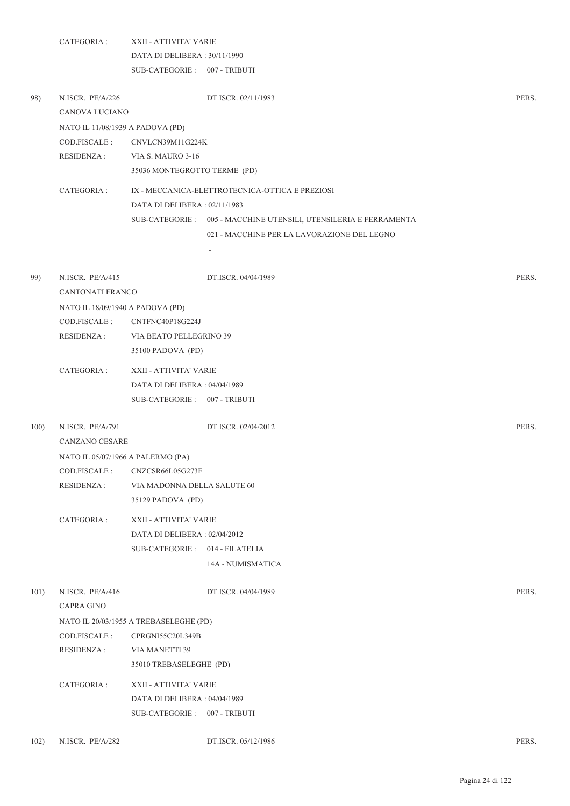|      | CATEGORIA :                       | XXII - ATTIVITA' VARIE                 |                                                                   |       |  |  |
|------|-----------------------------------|----------------------------------------|-------------------------------------------------------------------|-------|--|--|
|      |                                   | DATA DI DELIBERA: 30/11/1990           |                                                                   |       |  |  |
|      |                                   | SUB-CATEGORIE: 007 - TRIBUTI           |                                                                   |       |  |  |
| 98)  | N.ISCR. PE/A/226                  |                                        | DT.ISCR. 02/11/1983                                               | PERS. |  |  |
|      | CANOVA LUCIANO                    |                                        |                                                                   |       |  |  |
|      | NATO IL 11/08/1939 A PADOVA (PD)  |                                        |                                                                   |       |  |  |
|      | COD.FISCALE:                      | CNVLCN39M11G224K                       |                                                                   |       |  |  |
|      | <b>RESIDENZA:</b>                 | VIA S. MAURO 3-16                      |                                                                   |       |  |  |
|      |                                   | 35036 MONTEGROTTO TERME (PD)           |                                                                   |       |  |  |
|      | CATEGORIA :                       |                                        | IX - MECCANICA-ELETTROTECNICA-OTTICA E PREZIOSI                   |       |  |  |
|      |                                   | DATA DI DELIBERA: 02/11/1983           |                                                                   |       |  |  |
|      |                                   |                                        | SUB-CATEGORIE : 005 - MACCHINE UTENSILI, UTENSILERIA E FERRAMENTA |       |  |  |
|      |                                   |                                        | 021 - MACCHINE PER LA LAVORAZIONE DEL LEGNO                       |       |  |  |
|      |                                   |                                        |                                                                   |       |  |  |
| 99)  | N.ISCR. PE/A/415                  |                                        | DT.ISCR. 04/04/1989                                               | PERS. |  |  |
|      | <b>CANTONATI FRANCO</b>           |                                        |                                                                   |       |  |  |
|      | NATO IL 18/09/1940 A PADOVA (PD)  |                                        |                                                                   |       |  |  |
|      | COD.FISCALE :                     | CNTFNC40P18G224J                       |                                                                   |       |  |  |
|      | <b>RESIDENZA:</b>                 | VIA BEATO PELLEGRINO 39                |                                                                   |       |  |  |
|      |                                   | 35100 PADOVA (PD)                      |                                                                   |       |  |  |
|      | CATEGORIA :                       | XXII - ATTIVITA' VARIE                 |                                                                   |       |  |  |
|      |                                   | DATA DI DELIBERA : 04/04/1989          |                                                                   |       |  |  |
|      |                                   | SUB-CATEGORIE: 007 - TRIBUTI           |                                                                   |       |  |  |
| 100) | N.ISCR. PE/A/791                  |                                        | DT.ISCR. 02/04/2012                                               | PERS. |  |  |
|      | CANZANO CESARE                    |                                        |                                                                   |       |  |  |
|      | NATO IL 05/07/1966 A PALERMO (PA) |                                        |                                                                   |       |  |  |
|      | COD.FISCALE:                      | CNZCSR66L05G273F                       |                                                                   |       |  |  |
|      | RESIDENZA :                       | VIA MADONNA DELLA SALUTE 60            |                                                                   |       |  |  |
|      |                                   | 35129 PADOVA (PD)                      |                                                                   |       |  |  |
|      | CATEGORIA :                       | XXII - ATTIVITA' VARIE                 |                                                                   |       |  |  |
|      |                                   | DATA DI DELIBERA: 02/04/2012           |                                                                   |       |  |  |
|      |                                   | SUB-CATEGORIE: 014 - FILATELIA         |                                                                   |       |  |  |
|      |                                   |                                        | 14A - NUMISMATICA                                                 |       |  |  |
| 101) | N.ISCR. PE/A/416                  |                                        | DT.ISCR. 04/04/1989                                               | PERS. |  |  |
|      | <b>CAPRA GINO</b>                 |                                        |                                                                   |       |  |  |
|      |                                   | NATO IL 20/03/1955 A TREBASELEGHE (PD) |                                                                   |       |  |  |
|      | COD.FISCALE:                      | CPRGNI55C20L349B                       |                                                                   |       |  |  |
|      | <b>RESIDENZA:</b>                 | VIA MANETTI 39                         |                                                                   |       |  |  |
|      |                                   | 35010 TREBASELEGHE (PD)                |                                                                   |       |  |  |
|      | CATEGORIA :                       | XXII - ATTIVITA' VARIE                 |                                                                   |       |  |  |
|      |                                   | DATA DI DELIBERA: 04/04/1989           |                                                                   |       |  |  |
|      |                                   | SUB-CATEGORIE: 007 - TRIBUTI           |                                                                   |       |  |  |
|      |                                   |                                        |                                                                   |       |  |  |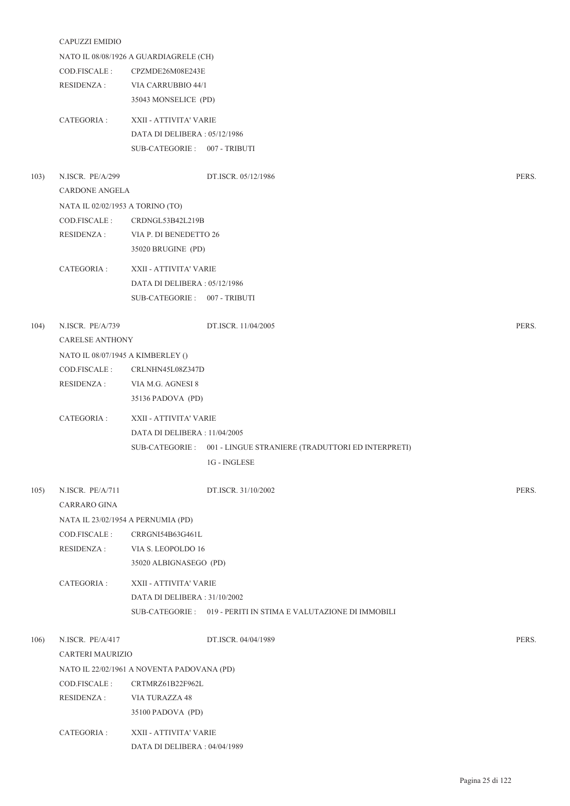|      | CAPUZZI EMIDIO                    |                                                                  |       |  |  |  |
|------|-----------------------------------|------------------------------------------------------------------|-------|--|--|--|
|      |                                   | NATO IL 08/08/1926 A GUARDIAGRELE (CH)                           |       |  |  |  |
|      | COD.FISCALE :                     | CPZMDE26M08E243E                                                 |       |  |  |  |
|      | RESIDENZA :                       | VIA CARRUBBIO 44/1                                               |       |  |  |  |
|      |                                   | 35043 MONSELICE (PD)                                             |       |  |  |  |
|      | CATEGORIA :                       | XXII - ATTIVITA' VARIE                                           |       |  |  |  |
|      |                                   | DATA DI DELIBERA: 05/12/1986                                     |       |  |  |  |
|      |                                   | SUB-CATEGORIE: 007 - TRIBUTI                                     |       |  |  |  |
|      |                                   |                                                                  |       |  |  |  |
| 103) | N.ISCR. PE/A/299                  | DT.ISCR. 05/12/1986                                              | PERS. |  |  |  |
|      | <b>CARDONE ANGELA</b>             |                                                                  |       |  |  |  |
|      | NATA IL 02/02/1953 A TORINO (TO)  |                                                                  |       |  |  |  |
|      | COD.FISCALE:                      | CRDNGL53B42L219B                                                 |       |  |  |  |
|      | RESIDENZA :                       | VIA P. DI BENEDETTO 26                                           |       |  |  |  |
|      |                                   | 35020 BRUGINE (PD)                                               |       |  |  |  |
|      | CATEGORIA :                       | XXII - ATTIVITA' VARIE                                           |       |  |  |  |
|      |                                   | DATA DI DELIBERA: 05/12/1986                                     |       |  |  |  |
|      |                                   | SUB-CATEGORIE: 007 - TRIBUTI                                     |       |  |  |  |
|      |                                   |                                                                  |       |  |  |  |
| 104) | N.ISCR. PE/A/739                  | DT.ISCR. 11/04/2005                                              | PERS. |  |  |  |
|      | <b>CARELSE ANTHONY</b>            |                                                                  |       |  |  |  |
|      | NATO IL 08/07/1945 A KIMBERLEY () |                                                                  |       |  |  |  |
|      | COD.FISCALE:                      | CRLNHN45L08Z347D                                                 |       |  |  |  |
|      | RESIDENZA :                       | VIA M.G. AGNESI 8                                                |       |  |  |  |
|      |                                   | 35136 PADOVA (PD)                                                |       |  |  |  |
|      | CATEGORIA :                       | XXII - ATTIVITA' VARIE                                           |       |  |  |  |
|      |                                   | DATA DI DELIBERA : 11/04/2005                                    |       |  |  |  |
|      |                                   | SUB-CATEGORIE: 001 - LINGUE STRANIERE (TRADUTTORI ED INTERPRETI) |       |  |  |  |
|      |                                   | 1G - INGLESE                                                     |       |  |  |  |
|      |                                   |                                                                  |       |  |  |  |
| 105) | N.ISCR. PE/A/711                  | DT.ISCR. 31/10/2002                                              | PERS. |  |  |  |
|      | <b>CARRARO GINA</b>               |                                                                  |       |  |  |  |
|      |                                   | NATA IL 23/02/1954 A PERNUMIA (PD)                               |       |  |  |  |
|      | COD.FISCALE:                      | CRRGNI54B63G461L                                                 |       |  |  |  |
|      | <b>RESIDENZA:</b>                 | VIA S. LEOPOLDO 16                                               |       |  |  |  |
|      |                                   | 35020 ALBIGNASEGO (PD)                                           |       |  |  |  |
|      | CATEGORIA :                       | XXII - ATTIVITA' VARIE                                           |       |  |  |  |
|      |                                   | DATA DI DELIBERA : 31/10/2002                                    |       |  |  |  |
|      |                                   | SUB-CATEGORIE : 019 - PERITI IN STIMA E VALUTAZIONE DI IMMOBILI  |       |  |  |  |
|      |                                   |                                                                  |       |  |  |  |
| 106) | N.ISCR. PE/A/417                  | DT.ISCR. 04/04/1989                                              | PERS. |  |  |  |
|      | CARTERI MAURIZIO                  |                                                                  |       |  |  |  |
|      |                                   | NATO IL 22/02/1961 A NOVENTA PADOVANA (PD)                       |       |  |  |  |
|      | COD.FISCALE:                      | CRTMRZ61B22F962L                                                 |       |  |  |  |
|      | RESIDENZA :                       | VIA TURAZZA 48                                                   |       |  |  |  |
|      |                                   | 35100 PADOVA (PD)                                                |       |  |  |  |
|      | CATEGORIA :                       | XXII - ATTIVITA' VARIE                                           |       |  |  |  |
|      |                                   | DATA DI DELIBERA : 04/04/1989                                    |       |  |  |  |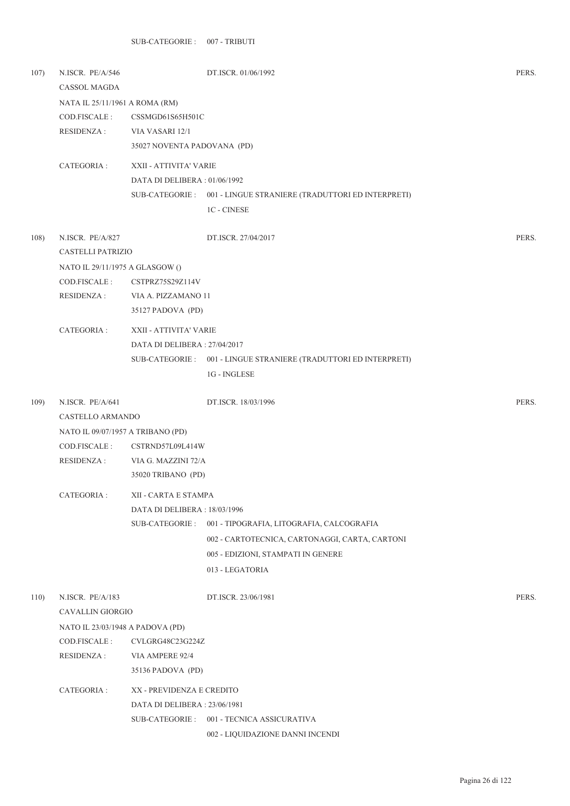| 107) | N.ISCR. PE/A/546<br>CASSOL MAGDA  |                              | DT.ISCR. 01/06/1992                                               | PERS. |  |
|------|-----------------------------------|------------------------------|-------------------------------------------------------------------|-------|--|
|      | NATA IL 25/11/1961 A ROMA (RM)    |                              |                                                                   |       |  |
|      | COD.FISCALE :                     | CSSMGD61S65H501C             |                                                                   |       |  |
|      | <b>RESIDENZA:</b>                 | VIA VASARI 12/1              |                                                                   |       |  |
|      |                                   | 35027 NOVENTA PADOVANA (PD)  |                                                                   |       |  |
|      | CATEGORIA :                       | XXII - ATTIVITA' VARIE       |                                                                   |       |  |
|      |                                   | DATA DI DELIBERA: 01/06/1992 |                                                                   |       |  |
|      |                                   |                              | SUB-CATEGORIE : 001 - LINGUE STRANIERE (TRADUTTORI ED INTERPRETI) |       |  |
|      |                                   |                              | <b>1C - CINESE</b>                                                |       |  |
| 108) | N.ISCR. PE/A/827                  |                              | DT.ISCR. 27/04/2017                                               | PERS. |  |
|      | CASTELLI PATRIZIO                 |                              |                                                                   |       |  |
|      | NATO IL 29/11/1975 A GLASGOW ()   |                              |                                                                   |       |  |
|      | COD.FISCALE:                      | CSTPRZ75S29Z114V             |                                                                   |       |  |
|      | RESIDENZA :                       | VIA A. PIZZAMANO 11          |                                                                   |       |  |
|      |                                   | 35127 PADOVA (PD)            |                                                                   |       |  |
|      | CATEGORIA:                        | XXII - ATTIVITA' VARIE       |                                                                   |       |  |
|      |                                   | DATA DI DELIBERA: 27/04/2017 |                                                                   |       |  |
|      |                                   |                              | SUB-CATEGORIE : 001 - LINGUE STRANIERE (TRADUTTORI ED INTERPRETI) |       |  |
|      |                                   |                              | 1G - INGLESE                                                      |       |  |
| 109) | N.ISCR. PE/A/641                  |                              | DT.ISCR. 18/03/1996                                               | PERS. |  |
|      | CASTELLO ARMANDO                  |                              |                                                                   |       |  |
|      | NATO IL 09/07/1957 A TRIBANO (PD) |                              |                                                                   |       |  |
|      | COD.FISCALE :                     | CSTRND57L09L414W             |                                                                   |       |  |
|      | RESIDENZA :                       | VIA G. MAZZINI 72/A          |                                                                   |       |  |
|      |                                   | 35020 TRIBANO (PD)           |                                                                   |       |  |
|      | CATEGORIA :                       | XII - CARTA E STAMPA         |                                                                   |       |  |
|      |                                   | DATA DI DELIBERA: 18/03/1996 |                                                                   |       |  |
|      |                                   | SUB-CATEGORIE :              | 001 - TIPOGRAFIA, LITOGRAFIA, CALCOGRAFIA                         |       |  |
|      |                                   |                              | 002 - CARTOTECNICA, CARTONAGGI, CARTA, CARTONI                    |       |  |
|      |                                   |                              | 005 - EDIZIONI, STAMPATI IN GENERE                                |       |  |
|      |                                   |                              | 013 - LEGATORIA                                                   |       |  |
| 110) | N.ISCR. PE/A/183                  |                              | DT.ISCR. 23/06/1981                                               | PERS. |  |
|      | CAVALLIN GIORGIO                  |                              |                                                                   |       |  |
|      | NATO IL 23/03/1948 A PADOVA (PD)  |                              |                                                                   |       |  |
|      | COD.FISCALE :                     | CVLGRG48C23G224Z             |                                                                   |       |  |
|      | RESIDENZA :                       | VIA AMPERE 92/4              |                                                                   |       |  |
|      |                                   | 35136 PADOVA (PD)            |                                                                   |       |  |
|      | CATEGORIA :                       | XX - PREVIDENZA E CREDITO    |                                                                   |       |  |
|      |                                   | DATA DI DELIBERA: 23/06/1981 |                                                                   |       |  |
|      |                                   |                              | SUB-CATEGORIE: 001 - TECNICA ASSICURATIVA                         |       |  |
|      |                                   |                              | 002 - LIQUIDAZIONE DANNI INCENDI                                  |       |  |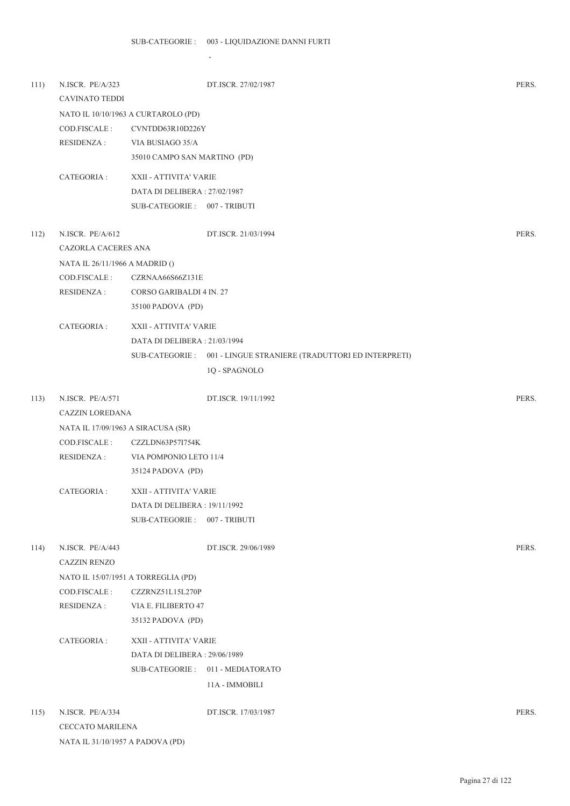-

NATA IL 31/10/1957 A PADOVA (PD)

| 111) | N.ISCR. PE/A/323<br><b>CAVINATO TEDDI</b> |                                     | DT.ISCR. 27/02/1987                                               | PERS. |
|------|-------------------------------------------|-------------------------------------|-------------------------------------------------------------------|-------|
|      |                                           | NATO IL 10/10/1963 A CURTAROLO (PD) |                                                                   |       |
|      | COD.FISCALE:                              | CVNTDD63R10D226Y                    |                                                                   |       |
|      | RESIDENZA :                               | VIA BUSIAGO 35/A                    |                                                                   |       |
|      |                                           | 35010 CAMPO SAN MARTINO (PD)        |                                                                   |       |
|      | CATEGORIA:                                | XXII - ATTIVITA' VARIE              |                                                                   |       |
|      |                                           | DATA DI DELIBERA: 27/02/1987        |                                                                   |       |
|      |                                           | SUB-CATEGORIE: 007 - TRIBUTI        |                                                                   |       |
| 112) | N.ISCR. PE/A/612                          |                                     | DT.ISCR. 21/03/1994                                               | PERS. |
|      | CAZORLA CACERES ANA                       |                                     |                                                                   |       |
|      | NATA IL 26/11/1966 A MADRID ()            |                                     |                                                                   |       |
|      | COD.FISCALE :                             | CZRNAA66S66Z131E                    |                                                                   |       |
|      | <b>RESIDENZA:</b>                         | CORSO GARIBALDI 4 IN. 27            |                                                                   |       |
|      |                                           | 35100 PADOVA (PD)                   |                                                                   |       |
|      | CATEGORIA :                               | XXII - ATTIVITA' VARIE              |                                                                   |       |
|      |                                           | DATA DI DELIBERA: 21/03/1994        |                                                                   |       |
|      |                                           |                                     | SUB-CATEGORIE : 001 - LINGUE STRANIERE (TRADUTTORI ED INTERPRETI) |       |
|      |                                           |                                     | 1Q - SPAGNOLO                                                     |       |
| 113) | N.ISCR. PE/A/571                          |                                     | DT.ISCR. 19/11/1992                                               | PERS. |
|      | CAZZIN LOREDANA                           |                                     |                                                                   |       |
|      | NATA IL 17/09/1963 A SIRACUSA (SR)        |                                     |                                                                   |       |
|      | COD.FISCALE:                              | CZZLDN63P57I754K                    |                                                                   |       |
|      | RESIDENZA :                               | VIA POMPONIO LETO 11/4              |                                                                   |       |
|      |                                           | 35124 PADOVA (PD)                   |                                                                   |       |
|      | CATEGORIA :                               | XXII - ATTIVITA' VARIE              |                                                                   |       |
|      |                                           | DATA DI DELIBERA: 19/11/1992        |                                                                   |       |
|      |                                           | SUB-CATEGORIE: 007 - TRIBUTI        |                                                                   |       |
| 114) | N.ISCR. PE/A/443                          |                                     | DT.ISCR. 29/06/1989                                               | PERS. |
|      | <b>CAZZIN RENZO</b>                       |                                     |                                                                   |       |
|      |                                           | NATO IL 15/07/1951 A TORREGLIA (PD) |                                                                   |       |
|      | COD.FISCALE:                              | CZZRNZ51L15L270P                    |                                                                   |       |
|      | RESIDENZA :                               | VIA E. FILIBERTO 47                 |                                                                   |       |
|      |                                           | 35132 PADOVA (PD)                   |                                                                   |       |
|      | CATEGORIA:                                | XXII - ATTIVITA' VARIE              |                                                                   |       |
|      |                                           | DATA DI DELIBERA: 29/06/1989        |                                                                   |       |
|      |                                           |                                     | SUB-CATEGORIE: 011 - MEDIATORATO                                  |       |
|      |                                           |                                     | 11A - IMMOBILI                                                    |       |
| 115) | N.ISCR. PE/A/334                          |                                     | DT.ISCR. 17/03/1987                                               | PERS. |
|      | <b>CECCATO MARILENA</b>                   |                                     |                                                                   |       |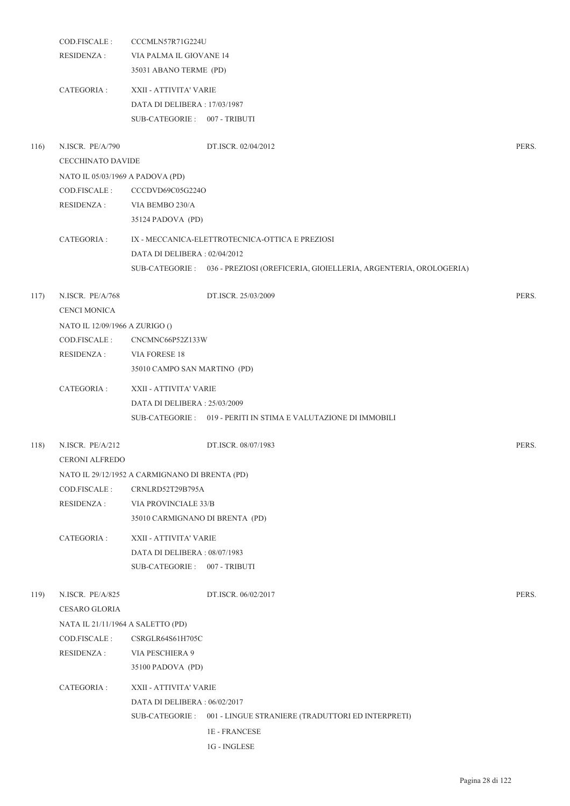|      | COD.FISCALE:                      | CCCMLN57R71G224U                               |                                                                                 |       |  |  |
|------|-----------------------------------|------------------------------------------------|---------------------------------------------------------------------------------|-------|--|--|
|      | RESIDENZA :                       | VIA PALMA IL GIOVANE 14                        |                                                                                 |       |  |  |
|      |                                   | 35031 ABANO TERME (PD)                         |                                                                                 |       |  |  |
|      | CATEGORIA :                       | XXII - ATTIVITA' VARIE                         |                                                                                 |       |  |  |
|      |                                   | DATA DI DELIBERA: 17/03/1987                   |                                                                                 |       |  |  |
|      |                                   | SUB-CATEGORIE: 007 - TRIBUTI                   |                                                                                 |       |  |  |
| 116) | N.ISCR. PE/A/790                  |                                                | DT.ISCR. 02/04/2012                                                             | PERS. |  |  |
|      | CECCHINATO DAVIDE                 |                                                |                                                                                 |       |  |  |
|      | NATO IL 05/03/1969 A PADOVA (PD)  |                                                |                                                                                 |       |  |  |
|      | COD.FISCALE :                     | CCCDVD69C05G224O                               |                                                                                 |       |  |  |
|      | <b>RESIDENZA:</b>                 | VIA BEMBO 230/A                                |                                                                                 |       |  |  |
|      |                                   | 35124 PADOVA (PD)                              |                                                                                 |       |  |  |
|      | CATEGORIA :                       |                                                | IX - MECCANICA-ELETTROTECNICA-OTTICA E PREZIOSI                                 |       |  |  |
|      |                                   | DATA DI DELIBERA : 02/04/2012                  |                                                                                 |       |  |  |
|      |                                   |                                                | SUB-CATEGORIE: 036 - PREZIOSI (OREFICERIA, GIOIELLERIA, ARGENTERIA, OROLOGERIA) |       |  |  |
|      |                                   |                                                |                                                                                 |       |  |  |
| 117) | N.ISCR. PE/A/768                  |                                                | DT.ISCR. 25/03/2009                                                             | PERS. |  |  |
|      | <b>CENCI MONICA</b>               |                                                |                                                                                 |       |  |  |
|      | NATO IL 12/09/1966 A ZURIGO ()    |                                                |                                                                                 |       |  |  |
|      | COD.FISCALE :                     | CNCMNC66P52Z133W                               |                                                                                 |       |  |  |
|      | RESIDENZA :                       | VIA FORESE 18                                  |                                                                                 |       |  |  |
|      |                                   | 35010 CAMPO SAN MARTINO (PD)                   |                                                                                 |       |  |  |
|      | CATEGORIA :                       | XXII - ATTIVITA' VARIE                         |                                                                                 |       |  |  |
|      |                                   | DATA DI DELIBERA : 25/03/2009                  |                                                                                 |       |  |  |
|      |                                   |                                                | SUB-CATEGORIE: 019 - PERITI IN STIMA E VALUTAZIONE DI IMMOBILI                  |       |  |  |
| 118) | N.ISCR. PE/A/212                  |                                                | DT.ISCR. 08/07/1983                                                             | PERS. |  |  |
|      | <b>CERONI ALFREDO</b>             |                                                |                                                                                 |       |  |  |
|      |                                   | NATO IL 29/12/1952 A CARMIGNANO DI BRENTA (PD) |                                                                                 |       |  |  |
|      | COD.FISCALE :                     | CRNLRD52T29B795A                               |                                                                                 |       |  |  |
|      | <b>RESIDENZA:</b>                 | VIA PROVINCIALE 33/B                           |                                                                                 |       |  |  |
|      |                                   | 35010 CARMIGNANO DI BRENTA (PD)                |                                                                                 |       |  |  |
|      | CATEGORIA :                       | XXII - ATTIVITA' VARIE                         |                                                                                 |       |  |  |
|      |                                   | DATA DI DELIBERA: 08/07/1983                   |                                                                                 |       |  |  |
|      |                                   | SUB-CATEGORIE: 007 - TRIBUTI                   |                                                                                 |       |  |  |
|      |                                   |                                                |                                                                                 |       |  |  |
| 119) | N.ISCR. PE/A/825                  |                                                | DT.ISCR. 06/02/2017                                                             | PERS. |  |  |
|      | CESARO GLORIA                     |                                                |                                                                                 |       |  |  |
|      | NATA IL 21/11/1964 A SALETTO (PD) |                                                |                                                                                 |       |  |  |
|      | COD.FISCALE:                      | CSRGLR64S61H705C                               |                                                                                 |       |  |  |
|      | <b>RESIDENZA:</b>                 | VIA PESCHIERA 9                                |                                                                                 |       |  |  |
|      |                                   | 35100 PADOVA (PD)                              |                                                                                 |       |  |  |
|      | CATEGORIA :                       | XXII - ATTIVITA' VARIE                         |                                                                                 |       |  |  |
|      |                                   | DATA DI DELIBERA: 06/02/2017                   |                                                                                 |       |  |  |
|      |                                   |                                                | SUB-CATEGORIE : 001 - LINGUE STRANIERE (TRADUTTORI ED INTERPRETI)               |       |  |  |
|      |                                   |                                                | <b>1E-FRANCESE</b>                                                              |       |  |  |
|      |                                   |                                                | 1G - INGLESE                                                                    |       |  |  |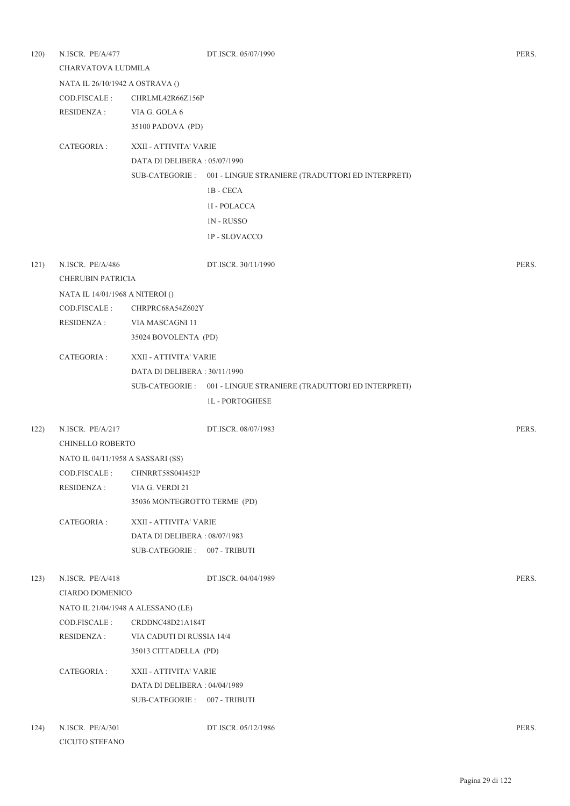| 120) | N.ISCR. PE/A/477<br>CHARVATOVA LUDMILA   |                              | DT.ISCR. 05/07/1990                                               |       |  |  |
|------|------------------------------------------|------------------------------|-------------------------------------------------------------------|-------|--|--|
|      | NATA IL 26/10/1942 A OSTRAVA ()          |                              |                                                                   |       |  |  |
|      | COD.FISCALE:                             | CHRLML42R66Z156P             |                                                                   |       |  |  |
|      | <b>RESIDENZA:</b>                        | VIA G. GOLA 6                |                                                                   |       |  |  |
|      |                                          | 35100 PADOVA (PD)            |                                                                   |       |  |  |
|      | CATEGORIA :                              | XXII - ATTIVITA' VARIE       |                                                                   |       |  |  |
|      |                                          | DATA DI DELIBERA: 05/07/1990 |                                                                   |       |  |  |
|      |                                          |                              | SUB-CATEGORIE : 001 - LINGUE STRANIERE (TRADUTTORI ED INTERPRETI) |       |  |  |
|      |                                          |                              | 1B - CECA                                                         |       |  |  |
|      |                                          |                              | 1I - POLACCA                                                      |       |  |  |
|      |                                          |                              | <b>1N-RUSSO</b>                                                   |       |  |  |
|      |                                          |                              | <b>1P - SLOVACCO</b>                                              |       |  |  |
| 121) | N.ISCR. PE/A/486                         |                              | DT.ISCR. 30/11/1990                                               | PERS. |  |  |
|      | <b>CHERUBIN PATRICIA</b>                 |                              |                                                                   |       |  |  |
|      | NATA IL 14/01/1968 A NITEROI ()          |                              |                                                                   |       |  |  |
|      | COD.FISCALE:                             | CHRPRC68A54Z602Y             |                                                                   |       |  |  |
|      | <b>RESIDENZA:</b>                        | VIA MASCAGNI 11              |                                                                   |       |  |  |
|      |                                          | 35024 BOVOLENTA (PD)         |                                                                   |       |  |  |
|      | CATEGORIA :<br>XXII - ATTIVITA' VARIE    |                              |                                                                   |       |  |  |
|      |                                          | DATA DI DELIBERA: 30/11/1990 |                                                                   |       |  |  |
|      |                                          | SUB-CATEGORIE :              | 001 - LINGUE STRANIERE (TRADUTTORI ED INTERPRETI)                 |       |  |  |
|      |                                          |                              | <b>1L-PORTOGHESE</b>                                              |       |  |  |
| 122) | N.ISCR. PE/A/217                         |                              | DT.ISCR. 08/07/1983                                               | PERS. |  |  |
|      | CHINELLO ROBERTO                         |                              |                                                                   |       |  |  |
|      | NATO IL 04/11/1958 A SASSARI (SS)        |                              |                                                                   |       |  |  |
|      | COD FISCALE :                            | <b>CHNRRT58S04I452P</b>      |                                                                   |       |  |  |
|      | <b>RESIDENZA:</b>                        | VIA G. VERDI 21              |                                                                   |       |  |  |
|      |                                          | 35036 MONTEGROTTO TERME (PD) |                                                                   |       |  |  |
|      | CATEGORIA :                              | XXII - ATTIVITA' VARIE       |                                                                   |       |  |  |
|      |                                          | DATA DI DELIBERA: 08/07/1983 |                                                                   |       |  |  |
|      |                                          | SUB-CATEGORIE: 007 - TRIBUTI |                                                                   |       |  |  |
| 123) | N.ISCR. PE/A/418                         |                              | DT.ISCR. 04/04/1989                                               | PERS. |  |  |
|      | CIARDO DOMENICO                          |                              |                                                                   |       |  |  |
|      | NATO IL 21/04/1948 A ALESSANO (LE)       |                              |                                                                   |       |  |  |
|      | COD.FISCALE:                             | CRDDNC48D21A184T             |                                                                   |       |  |  |
|      | RESIDENZA :<br>VIA CADUTI DI RUSSIA 14/4 |                              |                                                                   |       |  |  |
|      | 35013 CITTADELLA (PD)                    |                              |                                                                   |       |  |  |
|      | XXII - ATTIVITA' VARIE<br>CATEGORIA :    |                              |                                                                   |       |  |  |
|      |                                          | DATA DI DELIBERA: 04/04/1989 |                                                                   |       |  |  |
|      |                                          | SUB-CATEGORIE: 007 - TRIBUTI |                                                                   |       |  |  |
| 124) | N.ISCR. PE/A/301                         |                              | DT.ISCR. 05/12/1986                                               | PERS. |  |  |
|      | CICUTO STEFANO                           |                              |                                                                   |       |  |  |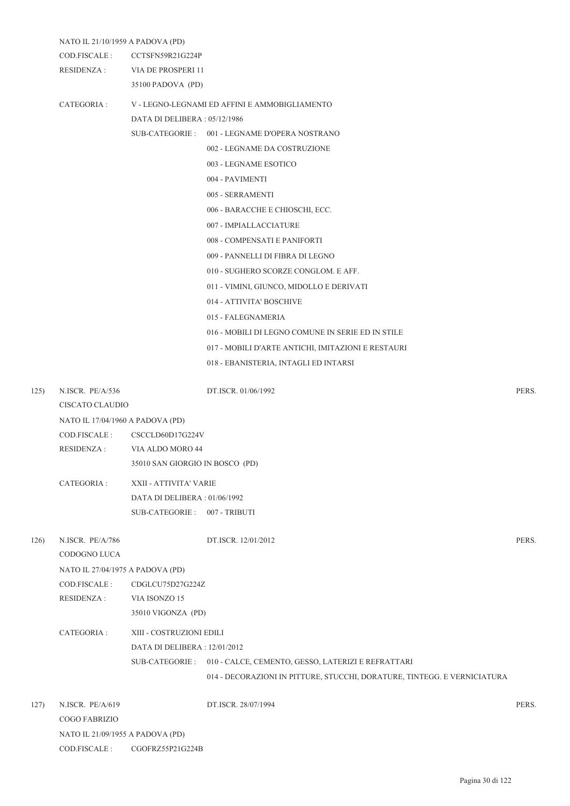|      |                                  | NATO IL 21/10/1959 A PADOVA (PD) |                                                                          |       |  |  |
|------|----------------------------------|----------------------------------|--------------------------------------------------------------------------|-------|--|--|
|      | COD.FISCALE :                    | CCTSFN59R21G224P                 |                                                                          |       |  |  |
|      | <b>RESIDENZA:</b>                | VIA DE PROSPERI 11               |                                                                          |       |  |  |
|      |                                  | 35100 PADOVA (PD)                |                                                                          |       |  |  |
|      | CATEGORIA :                      |                                  | V - LEGNO-LEGNAMI ED AFFINI E AMMOBIGLIAMENTO                            |       |  |  |
|      |                                  | DATA DI DELIBERA: 05/12/1986     |                                                                          |       |  |  |
|      |                                  |                                  | SUB-CATEGORIE: 001 - LEGNAME D'OPERA NOSTRANO                            |       |  |  |
|      |                                  |                                  | 002 - LEGNAME DA COSTRUZIONE                                             |       |  |  |
|      |                                  |                                  | 003 - LEGNAME ESOTICO                                                    |       |  |  |
|      |                                  |                                  | 004 - PAVIMENTI                                                          |       |  |  |
|      |                                  |                                  | 005 - SERRAMENTI                                                         |       |  |  |
|      |                                  |                                  | 006 - BARACCHE E CHIOSCHI, ECC.                                          |       |  |  |
|      |                                  |                                  | 007 - IMPIALLACCIATURE                                                   |       |  |  |
|      |                                  |                                  | 008 - COMPENSATI E PANIFORTI                                             |       |  |  |
|      |                                  |                                  | 009 - PANNELLI DI FIBRA DI LEGNO                                         |       |  |  |
|      |                                  |                                  | 010 - SUGHERO SCORZE CONGLOM. E AFF.                                     |       |  |  |
|      |                                  |                                  | 011 - VIMINI, GIUNCO, MIDOLLO E DERIVATI                                 |       |  |  |
|      |                                  |                                  | 014 - ATTIVITA' BOSCHIVE                                                 |       |  |  |
|      |                                  |                                  | 015 - FALEGNAMERIA                                                       |       |  |  |
|      |                                  |                                  | 016 - MOBILI DI LEGNO COMUNE IN SERIE ED IN STILE                        |       |  |  |
|      |                                  |                                  | 017 - MOBILI D'ARTE ANTICHI, IMITAZIONI E RESTAURI                       |       |  |  |
|      |                                  |                                  | 018 - EBANISTERIA, INTAGLI ED INTARSI                                    |       |  |  |
| 125) | N.ISCR. PE/A/536                 |                                  | DT.ISCR. 01/06/1992                                                      | PERS. |  |  |
|      | CISCATO CLAUDIO                  |                                  |                                                                          |       |  |  |
|      | NATO IL 17/04/1960 A PADOVA (PD) |                                  |                                                                          |       |  |  |
|      | COD.FISCALE :                    | CSCCLD60D17G224V                 |                                                                          |       |  |  |
|      | <b>RESIDENZA:</b>                | VIA ALDO MORO 44                 |                                                                          |       |  |  |
|      |                                  | 35010 SAN GIORGIO IN BOSCO (PD)  |                                                                          |       |  |  |
|      | CATEGORIA :                      | XXII - ATTIVITA' VARIE           |                                                                          |       |  |  |
|      |                                  | DATA DI DELIBERA: 01/06/1992     |                                                                          |       |  |  |
|      |                                  | SUB-CATEGORIE: 007 - TRIBUTI     |                                                                          |       |  |  |
| 126) | N.ISCR. PE/A/786                 |                                  | DT.ISCR. 12/01/2012                                                      | PERS. |  |  |
|      | CODOGNO LUCA                     |                                  |                                                                          |       |  |  |
|      | NATO IL 27/04/1975 A PADOVA (PD) |                                  |                                                                          |       |  |  |
|      | COD.FISCALE:                     | CDGLCU75D27G224Z                 |                                                                          |       |  |  |
|      | <b>RESIDENZA:</b>                | VIA ISONZO 15                    |                                                                          |       |  |  |
|      |                                  | 35010 VIGONZA (PD)               |                                                                          |       |  |  |
|      | CATEGORIA :                      | XIII - COSTRUZIONI EDILI         |                                                                          |       |  |  |
|      |                                  | DATA DI DELIBERA : 12/01/2012    |                                                                          |       |  |  |
|      |                                  |                                  | SUB-CATEGORIE: 010 - CALCE, CEMENTO, GESSO, LATERIZI E REFRATTARI        |       |  |  |
|      |                                  |                                  | 014 - DECORAZIONI IN PITTURE, STUCCHI, DORATURE, TINTEGG. E VERNICIATURA |       |  |  |
| 127) | N.ISCR. PE/A/619                 |                                  | DT.ISCR. 28/07/1994                                                      | PERS. |  |  |
|      | <b>COGO FABRIZIO</b>             |                                  |                                                                          |       |  |  |
|      | NATO IL 21/09/1955 A PADOVA (PD) |                                  |                                                                          |       |  |  |
|      | COD.FISCALE:                     | CGOFRZ55P21G224B                 |                                                                          |       |  |  |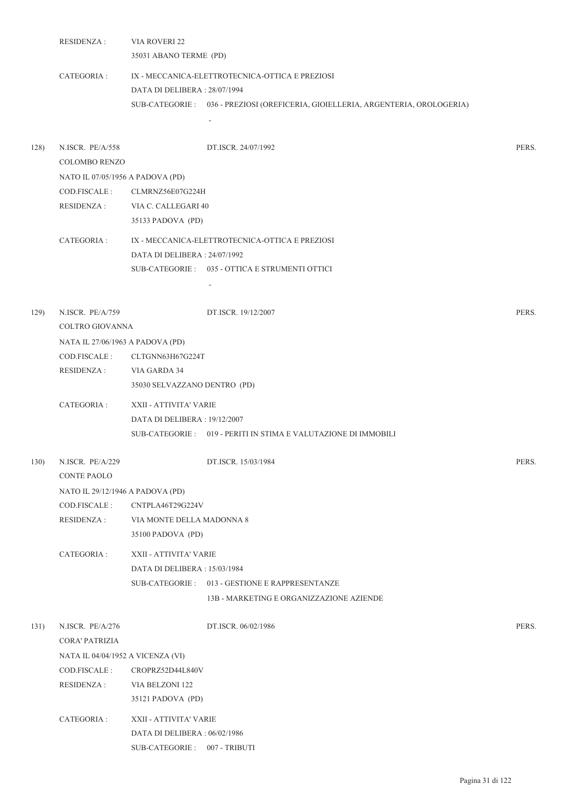|      | <b>RESIDENZA:</b>                                                      | VIA ROVERI 22<br>35031 ABANO TERME (PD)                                                |                                                                                                                                    |       |
|------|------------------------------------------------------------------------|----------------------------------------------------------------------------------------|------------------------------------------------------------------------------------------------------------------------------------|-------|
|      | CATEGORIA :                                                            | DATA DI DELIBERA: 28/07/1994                                                           | IX - MECCANICA-ELETTROTECNICA-OTTICA E PREZIOSI<br>SUB-CATEGORIE: 036 - PREZIOSI (OREFICERIA, GIOIELLERIA, ARGENTERIA, OROLOGERIA) |       |
| 128) | N.ISCR. PE/A/558<br><b>COLOMBO RENZO</b>                               |                                                                                        | DT.ISCR. 24/07/1992                                                                                                                | PERS. |
|      | NATO IL 07/05/1956 A PADOVA (PD)<br>COD.FISCALE :<br><b>RESIDENZA:</b> | CLMRNZ56E07G224H<br>VIA C. CALLEGARI 40<br>35133 PADOVA (PD)                           |                                                                                                                                    |       |
|      | CATEGORIA :                                                            | DATA DI DELIBERA: 24/07/1992                                                           | IX - MECCANICA-ELETTROTECNICA-OTTICA E PREZIOSI<br>SUB-CATEGORIE: 035 - OTTICA E STRUMENTI OTTICI                                  |       |
| 129) | N.ISCR. PE/A/759<br>COLTRO GIOVANNA                                    |                                                                                        | DT.ISCR. 19/12/2007                                                                                                                | PERS. |
|      | NATA IL 27/06/1963 A PADOVA (PD)                                       |                                                                                        |                                                                                                                                    |       |
|      | COD.FISCALE :                                                          | CLTGNN63H67G224T                                                                       |                                                                                                                                    |       |
|      | <b>RESIDENZA:</b>                                                      | VIA GARDA 34<br>35030 SELVAZZANO DENTRO (PD)                                           |                                                                                                                                    |       |
|      | CATEGORIA:                                                             | XXII - ATTIVITA' VARIE<br>DATA DI DELIBERA : 19/12/2007                                | SUB-CATEGORIE: 019 - PERITI IN STIMA E VALUTAZIONE DI IMMOBILI                                                                     |       |
| 130) | N.ISCR. PE/A/229<br><b>CONTE PAOLO</b>                                 |                                                                                        | DT.ISCR. 15/03/1984                                                                                                                | PERS. |
|      | NATO IL 29/12/1946 A PADOVA (PD)                                       |                                                                                        |                                                                                                                                    |       |
|      | COD.FISCALE :                                                          | CNTPLA46T29G224V                                                                       |                                                                                                                                    |       |
|      | RESIDENZA :                                                            | VIA MONTE DELLA MADONNA 8<br>35100 PADOVA (PD)                                         |                                                                                                                                    |       |
|      | CATEGORIA :                                                            | XXII - ATTIVITA' VARIE<br>DATA DI DELIBERA : 15/03/1984                                | SUB-CATEGORIE: 013 - GESTIONE E RAPPRESENTANZE<br>13B - MARKETING E ORGANIZZAZIONE AZIENDE                                         |       |
| 131) | N.ISCR. PE/A/276<br><b>CORA' PATRIZIA</b>                              |                                                                                        | DT.ISCR. 06/02/1986                                                                                                                | PERS. |
|      | NATA IL 04/04/1952 A VICENZA (VI)                                      |                                                                                        |                                                                                                                                    |       |
|      | COD.FISCALE :<br><b>RESIDENZA:</b>                                     | CROPRZ52D44L840V<br>VIA BELZONI 122<br>35121 PADOVA (PD)                               |                                                                                                                                    |       |
|      | CATEGORIA :                                                            | XXII - ATTIVITA' VARIE<br>DATA DI DELIBERA: 06/02/1986<br>SUB-CATEGORIE: 007 - TRIBUTI |                                                                                                                                    |       |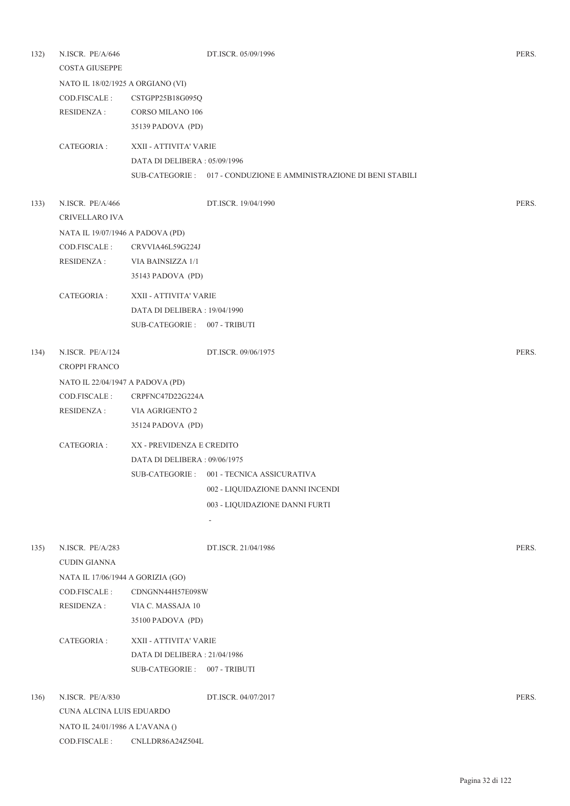| 132) | N.ISCR. PE/A/646<br>COSTA GIUSEPPE |                                   | DT.ISCR. 05/09/1996                                                | PERS. |  |  |
|------|------------------------------------|-----------------------------------|--------------------------------------------------------------------|-------|--|--|
|      |                                    | NATO IL 18/02/1925 A ORGIANO (VI) |                                                                    |       |  |  |
|      | COD.FISCALE :                      | CSTGPP25B18G095Q                  |                                                                    |       |  |  |
|      | <b>RESIDENZA:</b>                  | <b>CORSO MILANO 106</b>           |                                                                    |       |  |  |
|      |                                    | 35139 PADOVA (PD)                 |                                                                    |       |  |  |
|      | CATEGORIA :                        | XXII - ATTIVITA' VARIE            |                                                                    |       |  |  |
|      |                                    | DATA DI DELIBERA: 05/09/1996      |                                                                    |       |  |  |
|      |                                    |                                   | SUB-CATEGORIE : 017 - CONDUZIONE E AMMINISTRAZIONE DI BENI STABILI |       |  |  |
| 133) | N.ISCR. PE/A/466                   |                                   | DT.ISCR. 19/04/1990                                                | PERS. |  |  |
|      | CRIVELLARO IVA                     |                                   |                                                                    |       |  |  |
|      |                                    | NATA IL 19/07/1946 A PADOVA (PD)  |                                                                    |       |  |  |
|      | COD.FISCALE :                      | CRVVIA46L59G224J                  |                                                                    |       |  |  |
|      | RESIDENZA :                        | VIA BAINSIZZA 1/1                 |                                                                    |       |  |  |
|      |                                    | 35143 PADOVA (PD)                 |                                                                    |       |  |  |
|      | CATEGORIA :                        | XXII - ATTIVITA' VARIE            |                                                                    |       |  |  |
|      |                                    | DATA DI DELIBERA: 19/04/1990      |                                                                    |       |  |  |
|      |                                    | SUB-CATEGORIE: 007 - TRIBUTI      |                                                                    |       |  |  |
| 134) | N.ISCR. PE/A/124                   |                                   | DT.ISCR. 09/06/1975                                                | PERS. |  |  |
|      | <b>CROPPI FRANCO</b>               |                                   |                                                                    |       |  |  |
|      | NATO IL 22/04/1947 A PADOVA (PD)   |                                   |                                                                    |       |  |  |
|      | COD.FISCALE :                      | CRPFNC47D22G224A                  |                                                                    |       |  |  |
|      | <b>RESIDENZA:</b>                  | VIA AGRIGENTO 2                   |                                                                    |       |  |  |
|      |                                    | 35124 PADOVA (PD)                 |                                                                    |       |  |  |
|      | CATEGORIA :                        | XX - PREVIDENZA E CREDITO         |                                                                    |       |  |  |
|      |                                    | DATA DI DELIBERA : 09/06/1975     |                                                                    |       |  |  |
|      |                                    |                                   | SUB-CATEGORIE: 001 - TECNICA ASSICURATIVA                          |       |  |  |
|      |                                    |                                   | 002 - LIQUIDAZIONE DANNI INCENDI                                   |       |  |  |
|      |                                    |                                   | 003 - LIQUIDAZIONE DANNI FURTI                                     |       |  |  |
|      |                                    |                                   | $\overline{\phantom{a}}$                                           |       |  |  |
| 135) | N.ISCR. PE/A/283                   |                                   | DT.ISCR. 21/04/1986                                                | PERS. |  |  |
|      | <b>CUDIN GIANNA</b>                |                                   |                                                                    |       |  |  |
|      | NATA IL 17/06/1944 A GORIZIA (GO)  |                                   |                                                                    |       |  |  |
|      | COD.FISCALE:                       | CDNGNN44H57E098W                  |                                                                    |       |  |  |
|      | <b>RESIDENZA:</b>                  | VIA C. MASSAJA 10                 |                                                                    |       |  |  |
|      |                                    | 35100 PADOVA (PD)                 |                                                                    |       |  |  |
|      | CATEGORIA :                        | XXII - ATTIVITA' VARIE            |                                                                    |       |  |  |
|      |                                    | DATA DI DELIBERA: 21/04/1986      |                                                                    |       |  |  |
|      |                                    | SUB-CATEGORIE: 007 - TRIBUTI      |                                                                    |       |  |  |
| 136) | N.ISCR. PE/A/830                   |                                   | DT.ISCR. 04/07/2017                                                | PERS. |  |  |
|      | CUNA ALCINA LUIS EDUARDO           |                                   |                                                                    |       |  |  |
|      | NATO IL 24/01/1986 A L'AVANA ()    |                                   |                                                                    |       |  |  |
|      | COD.FISCALE :                      | CNLLDR86A24Z504L                  |                                                                    |       |  |  |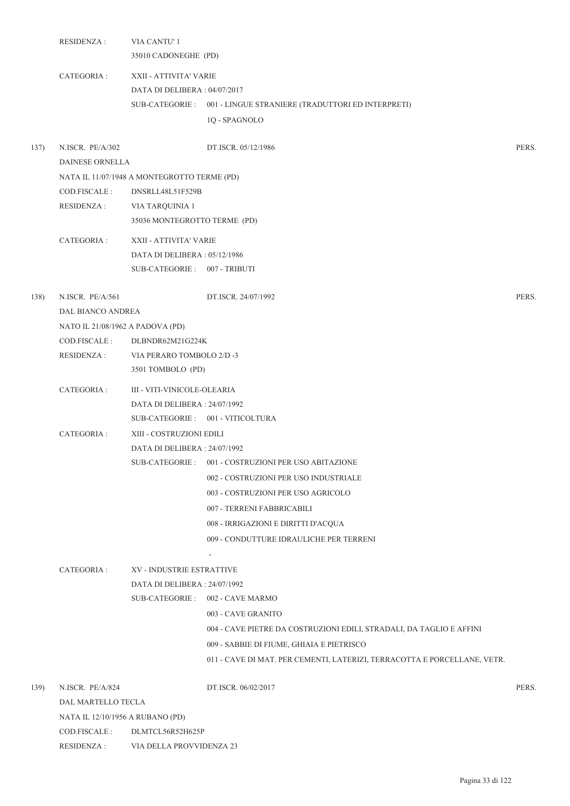|      | <b>RESIDENZA:</b>                          | VIA CANTU' 1<br>35010 CADONEGHE (PD)        |                                                                          |       |  |  |
|------|--------------------------------------------|---------------------------------------------|--------------------------------------------------------------------------|-------|--|--|
|      | CATEGORIA :                                | XXII - ATTIVITA' VARIE                      |                                                                          |       |  |  |
|      |                                            | DATA DI DELIBERA: 04/07/2017                |                                                                          |       |  |  |
|      |                                            |                                             | SUB-CATEGORIE: 001 - LINGUE STRANIERE (TRADUTTORI ED INTERPRETI)         |       |  |  |
|      |                                            |                                             | 1Q - SPAGNOLO                                                            |       |  |  |
| 137) | N.ISCR. PE/A/302<br><b>DAINESE ORNELLA</b> |                                             | DT.ISCR. 05/12/1986                                                      | PERS. |  |  |
|      |                                            | NATA IL 11/07/1948 A MONTEGROTTO TERME (PD) |                                                                          |       |  |  |
|      | COD.FISCALE :                              | DNSRLL48L51F529B                            |                                                                          |       |  |  |
|      | RESIDENZA :                                | VIA TARQUINIA 1                             |                                                                          |       |  |  |
|      |                                            | 35036 MONTEGROTTO TERME (PD)                |                                                                          |       |  |  |
|      | CATEGORIA :                                | XXII - ATTIVITA' VARIE                      |                                                                          |       |  |  |
|      |                                            | DATA DI DELIBERA : 05/12/1986               |                                                                          |       |  |  |
|      |                                            | SUB-CATEGORIE: 007 - TRIBUTI                |                                                                          |       |  |  |
| 138) | N.ISCR. PE/A/561                           |                                             | DT.ISCR. 24/07/1992                                                      | PERS. |  |  |
|      | DAL BIANCO ANDREA                          |                                             |                                                                          |       |  |  |
|      | NATO IL 21/08/1962 A PADOVA (PD)           |                                             |                                                                          |       |  |  |
|      | COD.FISCALE :                              | DLBNDR62M21G224K                            |                                                                          |       |  |  |
|      | RESIDENZA :                                | VIA PERARO TOMBOLO 2/D -3                   |                                                                          |       |  |  |
|      |                                            | 3501 TOMBOLO (PD)                           |                                                                          |       |  |  |
|      | CATEGORIA :                                | III - VITI-VINICOLE-OLEARIA                 |                                                                          |       |  |  |
|      |                                            | DATA DI DELIBERA : 24/07/1992               |                                                                          |       |  |  |
|      |                                            |                                             | SUB-CATEGORIE: 001 - VITICOLTURA                                         |       |  |  |
|      | CATEGORIA :                                | XIII - COSTRUZIONI EDILI                    |                                                                          |       |  |  |
|      |                                            | DATA DI DELIBERA: 24/07/1992                |                                                                          |       |  |  |
|      |                                            |                                             | SUB-CATEGORIE: 001 - COSTRUZIONI PER USO ABITAZIONE                      |       |  |  |
|      |                                            |                                             | 002 - COSTRUZIONI PER USO INDUSTRIALE                                    |       |  |  |
|      |                                            |                                             | 003 - COSTRUZIONI PER USO AGRICOLO                                       |       |  |  |
|      |                                            |                                             | 007 - TERRENI FABBRICABILI                                               |       |  |  |
|      |                                            |                                             | 008 - IRRIGAZIONI E DIRITTI D'ACQUA                                      |       |  |  |
|      |                                            |                                             | 009 - CONDUTTURE IDRAULICHE PER TERRENI                                  |       |  |  |
|      |                                            |                                             |                                                                          |       |  |  |
|      | CATEGORIA :                                | <b>XV - INDUSTRIE ESTRATTIVE</b>            |                                                                          |       |  |  |
|      |                                            | DATA DI DELIBERA: 24/07/1992                |                                                                          |       |  |  |
|      |                                            |                                             | SUB-CATEGORIE: 002 - CAVE MARMO                                          |       |  |  |
|      |                                            |                                             | 003 - CAVE GRANITO                                                       |       |  |  |
|      |                                            |                                             | 004 - CAVE PIETRE DA COSTRUZIONI EDILI, STRADALI, DA TAGLIO E AFFINI     |       |  |  |
|      |                                            |                                             | 009 - SABBIE DI FIUME, GHIAIA E PIETRISCO                                |       |  |  |
|      |                                            |                                             | 011 - CAVE DI MAT. PER CEMENTI, LATERIZI, TERRACOTTA E PORCELLANE, VETR. |       |  |  |
| 139) | N.ISCR. PE/A/824                           |                                             | DT.ISCR. 06/02/2017                                                      | PERS. |  |  |
|      | DAL MARTELLO TECLA                         |                                             |                                                                          |       |  |  |
|      | NATA IL 12/10/1956 A RUBANO (PD)           |                                             |                                                                          |       |  |  |
|      | COD.FISCALE :<br>DLMTCL56R52H625P          |                                             |                                                                          |       |  |  |
|      | RESIDENZA :                                | VIA DELLA PROVVIDENZA 23                    |                                                                          |       |  |  |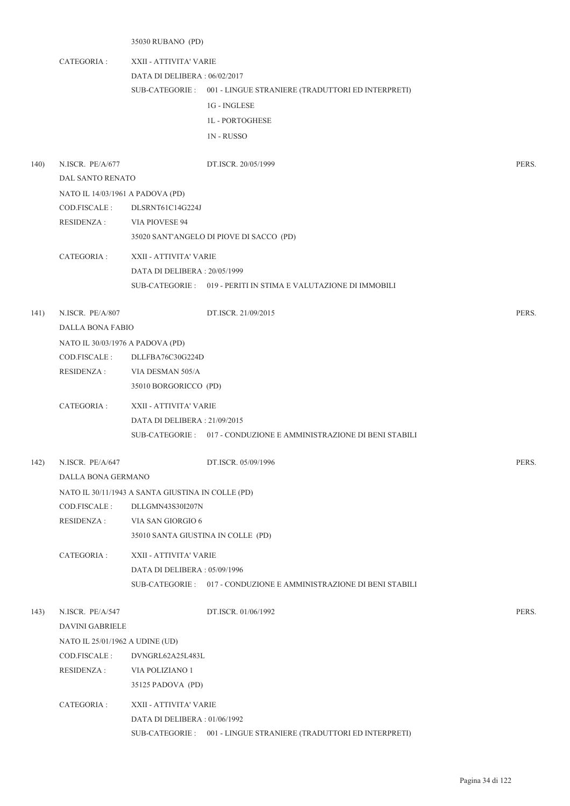35030 RUBANO (PD) CATEGORIA : XXII - ATTIVITA' VARIE DATA DI DELIBERA : 06/02/2017 001 - LINGUE STRANIERE (TRADUTTORI ED INTERPRETI) SUB-CATEGORIE : 1G - INGLESE 1L - PORTOGHESE 1N - RUSSO 140) N.ISCR. PE/A/677 DT.ISCR. 20/05/1999 PERS. DAL SANTO RENATO NATO IL 14/03/1961 A PADOVA (PD) COD.FISCALE : DLSRNT61C14G224J RESIDENZA : VIA PIOVESE 94 35020 SANT'ANGELO DI PIOVE DI SACCO (PD) CATEGORIA : XXII - ATTIVITA' VARIE DATA DI DELIBERA : 20/05/1999 SUB-CATEGORIE : 019 - PERITI IN STIMA E VALUTAZIONE DI IMMOBILI 141) N.ISCR. PE/A/807 DT.ISCR. 21/09/2015 PERS. DALLA BONA FABIO NATO IL 30/03/1976 A PADOVA (PD) COD.FISCALE : DLLFBA76C30G224D RESIDENZA : VIA DESMAN 505/A 35010 BORGORICCO (PD) CATEGORIA : XXII - ATTIVITA' VARIE DATA DI DELIBERA : 21/09/2015 SUB-CATEGORIE : 017 - CONDUZIONE E AMMINISTRAZIONE DI BENI STABILI 142) N.ISCR. PE/A/647 DT.ISCR. 05/09/1996 PERS. DALLA BONA GERMANO NATO IL 30/11/1943 A SANTA GIUSTINA IN COLLE (PD) COD.FISCALE : DLLGMN43S30I207N RESIDENZA : VIA SAN GIORGIO 6 35010 SANTA GIUSTINA IN COLLE (PD) CATEGORIA : XXII - ATTIVITA' VARIE DATA DI DELIBERA : 05/09/1996 SUB-CATEGORIE : 017 - CONDUZIONE E AMMINISTRAZIONE DI BENI STABILI 143) N.ISCR. PE/A/547 DT.ISCR. 01/06/1992 PERS. DAVINI GABRIELE NATO IL 25/01/1962 A UDINE (UD) COD.FISCALE : DVNGRL62A25L483L RESIDENZA : VIA POLIZIANO 1 35125 PADOVA (PD) CATEGORIA : XXII - ATTIVITA' VARIE DATA DI DELIBERA : 01/06/1992

SUB-CATEGORIE : 001 - LINGUE STRANIERE (TRADUTTORI ED INTERPRETI)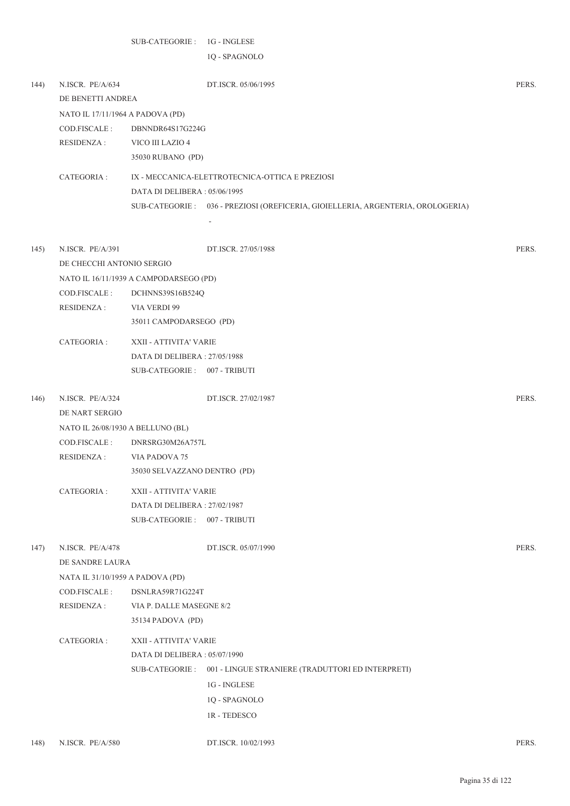1Q - SPAGNOLO

| 144) | N.ISCR. PE/A/634<br>DE BENETTI ANDREA | DT.ISCR. 05/06/1995                                                              | PERS. |  |  |  |
|------|---------------------------------------|----------------------------------------------------------------------------------|-------|--|--|--|
|      | NATO IL 17/11/1964 A PADOVA (PD)      |                                                                                  |       |  |  |  |
|      | COD.FISCALE :                         | DBNNDR64S17G224G                                                                 |       |  |  |  |
|      | RESIDENZA :                           | VICO III LAZIO 4                                                                 |       |  |  |  |
|      |                                       | 35030 RUBANO (PD)                                                                |       |  |  |  |
|      |                                       |                                                                                  |       |  |  |  |
|      | CATEGORIA :                           | IX - MECCANICA-ELETTROTECNICA-OTTICA E PREZIOSI                                  |       |  |  |  |
|      |                                       | DATA DI DELIBERA: 05/06/1995                                                     |       |  |  |  |
|      |                                       | SUB-CATEGORIE : 036 - PREZIOSI (OREFICERIA, GIOIELLERIA, ARGENTERIA, OROLOGERIA) |       |  |  |  |
|      |                                       |                                                                                  |       |  |  |  |
| 145) | N.ISCR. PE/A/391                      | DT.ISCR. 27/05/1988                                                              | PERS. |  |  |  |
|      | DE CHECCHI ANTONIO SERGIO             |                                                                                  |       |  |  |  |
|      |                                       | NATO IL 16/11/1939 A CAMPODARSEGO (PD)                                           |       |  |  |  |
|      | COD.FISCALE :                         | DCHNNS39S16B524Q                                                                 |       |  |  |  |
|      | <b>RESIDENZA:</b>                     | VIA VERDI 99                                                                     |       |  |  |  |
|      |                                       | 35011 CAMPODARSEGO (PD)                                                          |       |  |  |  |
|      | CATEGORIA :                           | XXII - ATTIVITA' VARIE                                                           |       |  |  |  |
|      |                                       | DATA DI DELIBERA : 27/05/1988                                                    |       |  |  |  |
|      |                                       | SUB-CATEGORIE: 007 - TRIBUTI                                                     |       |  |  |  |
|      |                                       |                                                                                  |       |  |  |  |
| 146) | N.ISCR. PE/A/324                      | DT.ISCR. 27/02/1987                                                              | PERS. |  |  |  |
|      | DE NART SERGIO                        |                                                                                  |       |  |  |  |
|      | NATO IL 26/08/1930 A BELLUNO (BL)     |                                                                                  |       |  |  |  |
|      | COD.FISCALE :                         | DNRSRG30M26A757L                                                                 |       |  |  |  |
|      | <b>RESIDENZA:</b>                     | VIA PADOVA 75                                                                    |       |  |  |  |
|      |                                       | 35030 SELVAZZANO DENTRO (PD)                                                     |       |  |  |  |
|      | CATEGORIA :                           | XXII - ATTIVITA' VARIE                                                           |       |  |  |  |
|      |                                       | DATA DI DELIBERA: 27/02/1987                                                     |       |  |  |  |
|      |                                       | SUB-CATEGORIE :<br>007 - TRIBUTI                                                 |       |  |  |  |
| 147) | N.ISCR. PE/A/478                      | DT.ISCR. 05/07/1990                                                              | PERS. |  |  |  |
|      | DE SANDRE LAURA                       |                                                                                  |       |  |  |  |
|      |                                       | NATA IL 31/10/1959 A PADOVA (PD)                                                 |       |  |  |  |
|      | COD.FISCALE:                          | DSNLRA59R71G224T                                                                 |       |  |  |  |
|      | <b>RESIDENZA:</b>                     | VIA P. DALLE MASEGNE 8/2                                                         |       |  |  |  |
|      |                                       | 35134 PADOVA (PD)                                                                |       |  |  |  |
|      | CATEGORIA :                           | XXII - ATTIVITA' VARIE                                                           |       |  |  |  |
|      |                                       | DATA DI DELIBERA: 05/07/1990                                                     |       |  |  |  |
|      |                                       | SUB-CATEGORIE : 001 - LINGUE STRANIERE (TRADUTTORI ED INTERPRETI)                |       |  |  |  |
|      |                                       | 1G - INGLESE                                                                     |       |  |  |  |
|      |                                       | 1Q - SPAGNOLO                                                                    |       |  |  |  |
|      |                                       | 1R - TEDESCO                                                                     |       |  |  |  |
|      |                                       |                                                                                  |       |  |  |  |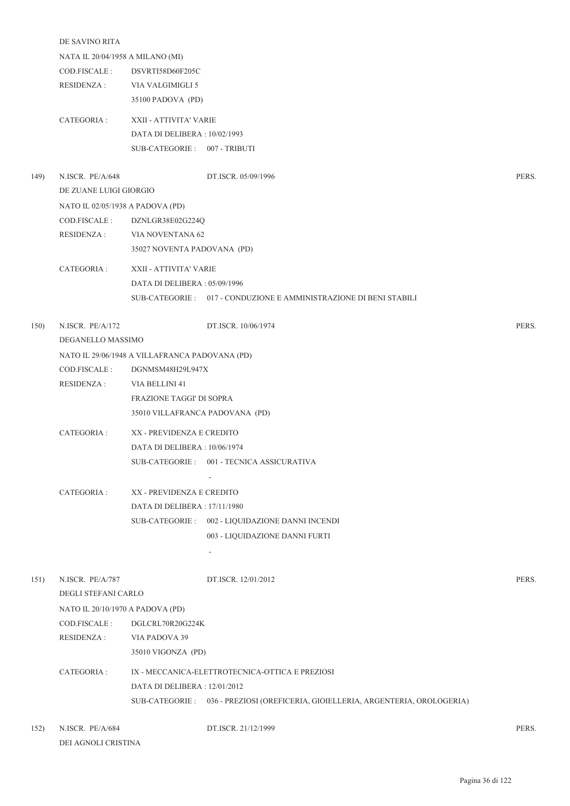|      | DE SAVINO RITA                   |                                                |                                                                                  |       |  |
|------|----------------------------------|------------------------------------------------|----------------------------------------------------------------------------------|-------|--|
|      | NATA IL 20/04/1958 A MILANO (MI) |                                                |                                                                                  |       |  |
|      | COD.FISCALE :                    | DSVRTI58D60F205C                               |                                                                                  |       |  |
|      | <b>RESIDENZA:</b>                | VIA VALGIMIGLI 5                               |                                                                                  |       |  |
|      |                                  | 35100 PADOVA (PD)                              |                                                                                  |       |  |
|      | CATEGORIA :                      | XXII - ATTIVITA' VARIE                         |                                                                                  |       |  |
|      |                                  | DATA DI DELIBERA : 10/02/1993                  |                                                                                  |       |  |
|      |                                  | SUB-CATEGORIE: 007 - TRIBUTI                   |                                                                                  |       |  |
| 149) | N.ISCR. PE/A/648                 |                                                | DT.ISCR. 05/09/1996                                                              | PERS. |  |
|      | DE ZUANE LUIGI GIORGIO           |                                                |                                                                                  |       |  |
|      | NATO IL 02/05/1938 A PADOVA (PD) |                                                |                                                                                  |       |  |
|      | COD.FISCALE :                    | DZNLGR38E02G224Q                               |                                                                                  |       |  |
|      | RESIDENZA :                      | VIA NOVENTANA 62                               |                                                                                  |       |  |
|      |                                  | 35027 NOVENTA PADOVANA (PD)                    |                                                                                  |       |  |
|      | CATEGORIA :                      | XXII - ATTIVITA' VARIE                         |                                                                                  |       |  |
|      |                                  | DATA DI DELIBERA: 05/09/1996                   |                                                                                  |       |  |
|      |                                  |                                                | SUB-CATEGORIE : 017 - CONDUZIONE E AMMINISTRAZIONE DI BENI STABILI               |       |  |
|      |                                  |                                                |                                                                                  |       |  |
| 150) | N.ISCR. PE/A/172                 |                                                | DT.ISCR. 10/06/1974                                                              | PERS. |  |
|      | DEGANELLO MASSIMO                |                                                |                                                                                  |       |  |
|      |                                  | NATO IL 29/06/1948 A VILLAFRANCA PADOVANA (PD) |                                                                                  |       |  |
|      | COD.FISCALE :                    | DGNMSM48H29L947X                               |                                                                                  |       |  |
|      | <b>RESIDENZA:</b>                | VIA BELLINI 41                                 |                                                                                  |       |  |
|      |                                  | <b>FRAZIONE TAGGI' DI SOPRA</b>                |                                                                                  |       |  |
|      |                                  | 35010 VILLAFRANCA PADOVANA (PD)                |                                                                                  |       |  |
|      | CATEGORIA :                      | XX - PREVIDENZA E CREDITO                      |                                                                                  |       |  |
|      |                                  | DATA DI DELIBERA : 10/06/1974                  |                                                                                  |       |  |
|      |                                  |                                                | SUB-CATEGORIE: 001 - TECNICA ASSICURATIVA                                        |       |  |
|      |                                  |                                                | $\overline{\phantom{a}}$                                                         |       |  |
|      | CATEGORIA :                      | XX - PREVIDENZA E CREDITO                      |                                                                                  |       |  |
|      |                                  | DATA DI DELIBERA: 17/11/1980                   |                                                                                  |       |  |
|      |                                  |                                                | SUB-CATEGORIE: 002 - LIQUIDAZIONE DANNI INCENDI                                  |       |  |
|      |                                  |                                                | 003 - LIQUIDAZIONE DANNI FURTI                                                   |       |  |
|      |                                  |                                                | $\overline{\phantom{a}}$                                                         |       |  |
| 151) | N.ISCR. PE/A/787                 |                                                | DT.ISCR. 12/01/2012                                                              | PERS. |  |
|      | DEGLI STEFANI CARLO              |                                                |                                                                                  |       |  |
|      | NATO IL 20/10/1970 A PADOVA (PD) |                                                |                                                                                  |       |  |
|      | COD.FISCALE :                    | DGLCRL70R20G224K                               |                                                                                  |       |  |
|      | RESIDENZA :                      | VIA PADOVA 39                                  |                                                                                  |       |  |
|      |                                  | 35010 VIGONZA (PD)                             |                                                                                  |       |  |
|      |                                  |                                                |                                                                                  |       |  |
|      | CATEGORIA :                      |                                                | IX - MECCANICA-ELETTROTECNICA-OTTICA E PREZIOSI                                  |       |  |
|      |                                  | DATA DI DELIBERA : 12/01/2012                  |                                                                                  |       |  |
|      |                                  |                                                | SUB-CATEGORIE : 036 - PREZIOSI (OREFICERIA, GIOIELLERIA, ARGENTERIA, OROLOGERIA) |       |  |
|      |                                  |                                                |                                                                                  |       |  |

152) N.ISCR. PE/A/684 DT.ISCR. 21/12/1999 PERS. DEI AGNOLI CRISTINA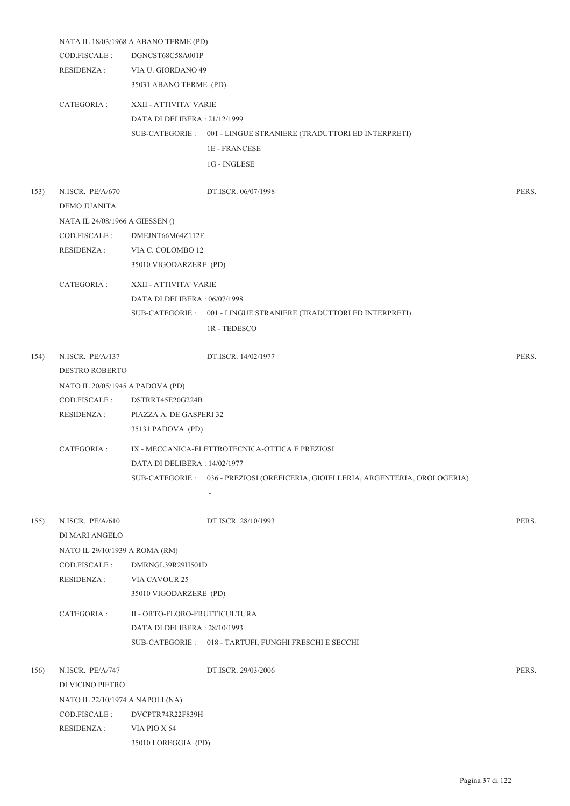|      |                                  | NATA IL 18/03/1968 A ABANO TERME (PD) |                                                                   |       |
|------|----------------------------------|---------------------------------------|-------------------------------------------------------------------|-------|
|      | COD.FISCALE :                    | DGNCST68C58A001P                      |                                                                   |       |
|      | <b>RESIDENZA:</b>                | VIA U. GIORDANO 49                    |                                                                   |       |
|      |                                  | 35031 ABANO TERME (PD)                |                                                                   |       |
|      | CATEGORIA :                      | XXII - ATTIVITA' VARIE                |                                                                   |       |
|      |                                  | DATA DI DELIBERA: 21/12/1999          |                                                                   |       |
|      |                                  |                                       | SUB-CATEGORIE : 001 - LINGUE STRANIERE (TRADUTTORI ED INTERPRETI) |       |
|      |                                  |                                       | <b>1E-FRANCESE</b>                                                |       |
|      |                                  |                                       | 1G - INGLESE                                                      |       |
| 153) | N.ISCR. PE/A/670                 |                                       | DT.ISCR. 06/07/1998                                               | PERS. |
|      | <b>DEMO JUANITA</b>              |                                       |                                                                   |       |
|      | NATA IL 24/08/1966 A GIESSEN ()  |                                       |                                                                   |       |
|      | COD.FISCALE :                    | DMEJNT66M64Z112F                      |                                                                   |       |
|      | <b>RESIDENZA:</b>                | VIA C. COLOMBO 12                     |                                                                   |       |
|      |                                  | 35010 VIGODARZERE (PD)                |                                                                   |       |
|      | CATEGORIA :                      | XXII - ATTIVITA' VARIE                |                                                                   |       |
|      |                                  | DATA DI DELIBERA : 06/07/1998         |                                                                   |       |
|      |                                  |                                       | SUB-CATEGORIE : 001 - LINGUE STRANIERE (TRADUTTORI ED INTERPRETI) |       |
|      |                                  |                                       | <b>1R-TEDESCO</b>                                                 |       |
|      |                                  |                                       |                                                                   |       |
| 154) | N.ISCR. PE/A/137                 |                                       | DT.ISCR. 14/02/1977                                               | PERS. |
|      | <b>DESTRO ROBERTO</b>            |                                       |                                                                   |       |
|      | NATO IL 20/05/1945 A PADOVA (PD) |                                       |                                                                   |       |
|      | COD.FISCALE :                    | DSTRRT45E20G224B                      |                                                                   |       |
|      | <b>RESIDENZA:</b>                | PIAZZA A. DE GASPERI 32               |                                                                   |       |
|      |                                  | 35131 PADOVA (PD)                     |                                                                   |       |
|      | CATEGORIA :                      |                                       | IX - MECCANICA-ELETTROTECNICA-OTTICA E PREZIOSI                   |       |
|      |                                  | DATA DI DELIBERA : 14/02/1977         |                                                                   |       |
|      |                                  | SUB-CATEGORIE :                       | 036 - PREZIOSI (OREFICERIA, GIOIELLERIA, ARGENTERIA, OROLOGERIA)  |       |
|      |                                  |                                       |                                                                   |       |
| 155) | N.ISCR. PE/A/610                 |                                       | DT.ISCR. 28/10/1993                                               | PERS. |
|      | DI MARI ANGELO                   |                                       |                                                                   |       |
|      | NATO IL 29/10/1939 A ROMA (RM)   |                                       |                                                                   |       |
|      | COD.FISCALE:                     | DMRNGL39R29H501D                      |                                                                   |       |
|      | <b>RESIDENZA:</b>                | VIA CAVOUR 25                         |                                                                   |       |
|      |                                  | 35010 VIGODARZERE (PD)                |                                                                   |       |
|      | CATEGORIA :                      | II - ORTO-FLORO-FRUTTICULTURA         |                                                                   |       |
|      |                                  | DATA DI DELIBERA: 28/10/1993          |                                                                   |       |
|      |                                  |                                       | SUB-CATEGORIE: 018 - TARTUFI, FUNGHI FRESCHI E SECCHI             |       |
| 156) | N.ISCR. PE/A/747                 |                                       | DT.ISCR. 29/03/2006                                               | PERS. |
|      | DI VICINO PIETRO                 |                                       |                                                                   |       |
|      | NATO IL 22/10/1974 A NAPOLI (NA) |                                       |                                                                   |       |
|      | COD.FISCALE :                    | DVCPTR74R22F839H                      |                                                                   |       |
|      | RESIDENZA:                       | VIA PIO X 54                          |                                                                   |       |
|      |                                  | 35010 LOREGGIA (PD)                   |                                                                   |       |
|      |                                  |                                       |                                                                   |       |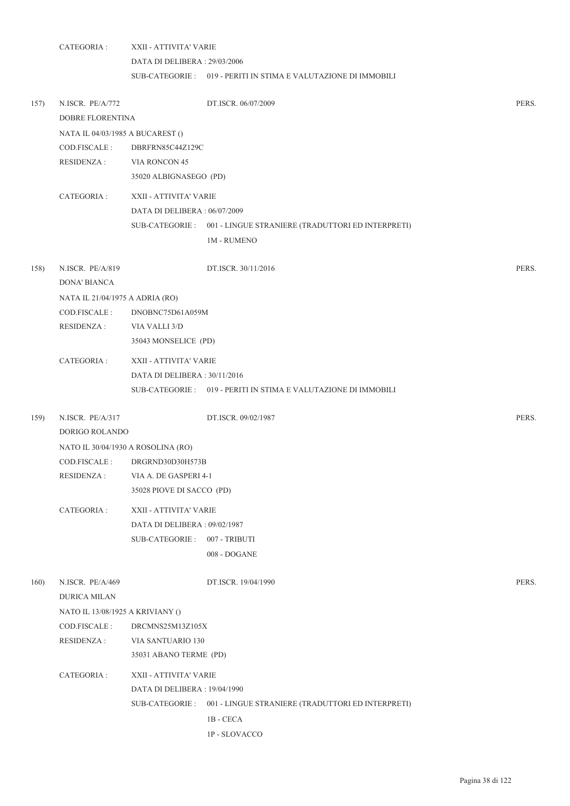|      | CATEGORIA :                        | XXII - ATTIVITA' VARIE       |                                                                  |       |  |  |  |
|------|------------------------------------|------------------------------|------------------------------------------------------------------|-------|--|--|--|
|      |                                    | DATA DI DELIBERA: 29/03/2006 |                                                                  |       |  |  |  |
|      |                                    |                              | SUB-CATEGORIE : 019 - PERITI IN STIMA E VALUTAZIONE DI IMMOBILI  |       |  |  |  |
| 157) | N.ISCR. PE/A/772                   |                              | DT.ISCR. 06/07/2009                                              | PERS. |  |  |  |
|      | DOBRE FLORENTINA                   |                              |                                                                  |       |  |  |  |
|      | NATA IL 04/03/1985 A BUCAREST ()   |                              |                                                                  |       |  |  |  |
|      | COD.FISCALE:                       | DBRFRN85C44Z129C             |                                                                  |       |  |  |  |
|      | RESIDENZA :                        | VIA RONCON 45                |                                                                  |       |  |  |  |
|      |                                    | 35020 ALBIGNASEGO (PD)       |                                                                  |       |  |  |  |
|      | CATEGORIA :                        | XXII - ATTIVITA' VARIE       |                                                                  |       |  |  |  |
|      |                                    | DATA DI DELIBERA: 06/07/2009 |                                                                  |       |  |  |  |
|      |                                    |                              | SUB-CATEGORIE: 001 - LINGUE STRANIERE (TRADUTTORI ED INTERPRETI) |       |  |  |  |
|      |                                    |                              | <b>1M - RUMENO</b>                                               |       |  |  |  |
| 158) | N.ISCR. PE/A/819                   |                              | DT.ISCR. 30/11/2016                                              | PERS. |  |  |  |
|      | <b>DONA' BIANCA</b>                |                              |                                                                  |       |  |  |  |
|      | NATA IL 21/04/1975 A ADRIA (RO)    |                              |                                                                  |       |  |  |  |
|      | COD.FISCALE :                      | DNOBNC75D61A059M             |                                                                  |       |  |  |  |
|      | <b>RESIDENZA:</b>                  | VIA VALLI 3/D                |                                                                  |       |  |  |  |
|      |                                    | 35043 MONSELICE (PD)         |                                                                  |       |  |  |  |
|      | CATEGORIA :                        | XXII - ATTIVITA' VARIE       |                                                                  |       |  |  |  |
|      |                                    | DATA DI DELIBERA: 30/11/2016 |                                                                  |       |  |  |  |
|      |                                    |                              | SUB-CATEGORIE : 019 - PERITI IN STIMA E VALUTAZIONE DI IMMOBILI  |       |  |  |  |
| 159) | N.ISCR. PE/A/317                   |                              | DT.ISCR. 09/02/1987                                              | PERS. |  |  |  |
|      | DORIGO ROLANDO                     |                              |                                                                  |       |  |  |  |
|      | NATO IL 30/04/1930 A ROSOLINA (RO) |                              |                                                                  |       |  |  |  |
|      | COD.FISCALE :                      | DRGRND30D30H573B             |                                                                  |       |  |  |  |
|      | RESIDENZA :                        | VIA A. DE GASPERI 4-1        |                                                                  |       |  |  |  |
|      |                                    | 35028 PIOVE DI SACCO (PD)    |                                                                  |       |  |  |  |
|      | CATEGORIA :                        | XXII - ATTIVITA' VARIE       |                                                                  |       |  |  |  |
|      |                                    | DATA DI DELIBERA: 09/02/1987 |                                                                  |       |  |  |  |
|      |                                    | SUB-CATEGORIE :              | 007 - TRIBUTI                                                    |       |  |  |  |
|      |                                    |                              | 008 - DOGANE                                                     |       |  |  |  |
| 160) | N.ISCR. PE/A/469                   |                              | DT.ISCR. 19/04/1990                                              | PERS. |  |  |  |
|      | DURICA MILAN                       |                              |                                                                  |       |  |  |  |
|      | NATO IL 13/08/1925 A KRIVIANY ()   |                              |                                                                  |       |  |  |  |
|      | COD.FISCALE:                       | DRCMNS25M13Z105X             |                                                                  |       |  |  |  |
|      | RESIDENZA :                        | VIA SANTUARIO 130            |                                                                  |       |  |  |  |
|      |                                    | 35031 ABANO TERME (PD)       |                                                                  |       |  |  |  |
|      | CATEGORIA :                        | XXII - ATTIVITA' VARIE       |                                                                  |       |  |  |  |
|      |                                    | DATA DI DELIBERA: 19/04/1990 |                                                                  |       |  |  |  |
|      |                                    |                              | SUB-CATEGORIE: 001 - LINGUE STRANIERE (TRADUTTORI ED INTERPRETI) |       |  |  |  |
|      |                                    |                              | 1B - CECA                                                        |       |  |  |  |
|      |                                    |                              | 1P - SLOVACCO                                                    |       |  |  |  |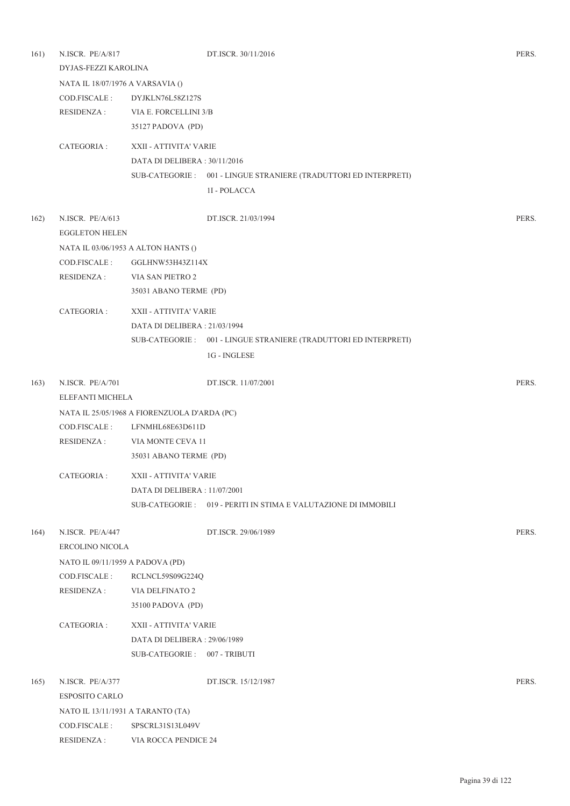| 161) | N.ISCR. PE/A/817                  |                                              | DT.ISCR. 30/11/2016                                               | PERS. |
|------|-----------------------------------|----------------------------------------------|-------------------------------------------------------------------|-------|
|      | DYJAS-FEZZI KAROLINA              |                                              |                                                                   |       |
|      | NATA IL 18/07/1976 A VARSAVIA ()  |                                              |                                                                   |       |
|      | COD.FISCALE :                     | DYJKLN76L58Z127S                             |                                                                   |       |
|      | <b>RESIDENZA:</b>                 | VIA E. FORCELLINI 3/B                        |                                                                   |       |
|      |                                   | 35127 PADOVA (PD)                            |                                                                   |       |
|      | CATEGORIA :                       | XXII - ATTIVITA' VARIE                       |                                                                   |       |
|      |                                   | DATA DI DELIBERA: 30/11/2016                 |                                                                   |       |
|      |                                   |                                              | SUB-CATEGORIE : 001 - LINGUE STRANIERE (TRADUTTORI ED INTERPRETI) |       |
|      |                                   |                                              | 1I - POLACCA                                                      |       |
| 162) | N.ISCR. PE/A/613                  |                                              | DT.ISCR. 21/03/1994                                               | PERS. |
|      | <b>EGGLETON HELEN</b>             |                                              |                                                                   |       |
|      |                                   | NATA IL 03/06/1953 A ALTON HANTS ()          |                                                                   |       |
|      | COD.FISCALE:                      | GGLHNW53H43Z114X                             |                                                                   |       |
|      | <b>RESIDENZA:</b>                 | VIA SAN PIETRO 2                             |                                                                   |       |
|      |                                   | 35031 ABANO TERME (PD)                       |                                                                   |       |
|      | CATEGORIA :                       | XXII - ATTIVITA' VARIE                       |                                                                   |       |
|      |                                   | DATA DI DELIBERA: 21/03/1994                 |                                                                   |       |
|      |                                   |                                              | SUB-CATEGORIE : 001 - LINGUE STRANIERE (TRADUTTORI ED INTERPRETI) |       |
|      |                                   |                                              | 1G - INGLESE                                                      |       |
| 163) | N.ISCR. PE/A/701                  |                                              | DT.ISCR. 11/07/2001                                               | PERS. |
|      | ELEFANTI MICHELA                  |                                              |                                                                   |       |
|      |                                   | NATA IL 25/05/1968 A FIORENZUOLA D'ARDA (PC) |                                                                   |       |
|      | COD.FISCALE :                     | LFNMHL68E63D611D                             |                                                                   |       |
|      | RESIDENZA :                       | VIA MONTE CEVA 11                            |                                                                   |       |
|      |                                   | 35031 ABANO TERME (PD)                       |                                                                   |       |
|      | CATEGORIA :                       | XXII - ATTIVITA' VARIE                       |                                                                   |       |
|      |                                   | DATA DI DELIBERA : 11/07/2001                |                                                                   |       |
|      |                                   |                                              | SUB-CATEGORIE : 019 - PERITI IN STIMA E VALUTAZIONE DI IMMOBILI   |       |
| 164) | N.ISCR. PE/A/447                  |                                              | DT.ISCR. 29/06/1989                                               | PERS. |
|      | ERCOLINO NICOLA                   |                                              |                                                                   |       |
|      | NATO IL 09/11/1959 A PADOVA (PD)  |                                              |                                                                   |       |
|      | COD.FISCALE :                     | RCLNCL59S09G224Q                             |                                                                   |       |
|      | RESIDENZA :                       | VIA DELFINATO 2                              |                                                                   |       |
|      |                                   | 35100 PADOVA (PD)                            |                                                                   |       |
|      | CATEGORIA :                       | XXII - ATTIVITA' VARIE                       |                                                                   |       |
|      |                                   | DATA DI DELIBERA: 29/06/1989                 |                                                                   |       |
|      |                                   | SUB-CATEGORIE: 007 - TRIBUTI                 |                                                                   |       |
| 165) | N.ISCR. PE/A/377                  |                                              | DT.ISCR. 15/12/1987                                               | PERS. |
|      | ESPOSITO CARLO                    |                                              |                                                                   |       |
|      | NATO IL 13/11/1931 A TARANTO (TA) |                                              |                                                                   |       |
|      | COD.FISCALE :                     | SPSCRL31S13L049V                             |                                                                   |       |
|      | <b>RESIDENZA:</b>                 | VIA ROCCA PENDICE 24                         |                                                                   |       |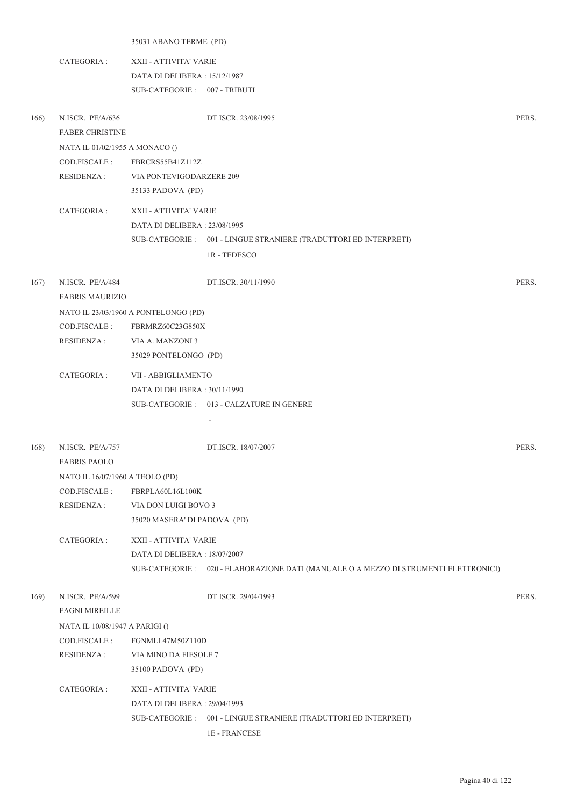|      |                                 | 35031 ABANO TERME (PD)               |                                                                                      |       |
|------|---------------------------------|--------------------------------------|--------------------------------------------------------------------------------------|-------|
|      | CATEGORIA :                     | XXII - ATTIVITA' VARIE               |                                                                                      |       |
|      |                                 | DATA DI DELIBERA : 15/12/1987        |                                                                                      |       |
|      |                                 | SUB-CATEGORIE: 007 - TRIBUTI         |                                                                                      |       |
|      |                                 |                                      |                                                                                      |       |
| 166) | N.ISCR. PE/A/636                |                                      | DT.ISCR. 23/08/1995                                                                  | PERS. |
|      | <b>FABER CHRISTINE</b>          |                                      |                                                                                      |       |
|      | NATA IL 01/02/1955 A MONACO ()  |                                      |                                                                                      |       |
|      | COD.FISCALE :                   | FBRCRS55B41Z112Z                     |                                                                                      |       |
|      | RESIDENZA :                     | VIA PONTEVIGODARZERE 209             |                                                                                      |       |
|      |                                 | 35133 PADOVA (PD)                    |                                                                                      |       |
|      | CATEGORIA :                     | XXII - ATTIVITA' VARIE               |                                                                                      |       |
|      |                                 | DATA DI DELIBERA: 23/08/1995         |                                                                                      |       |
|      |                                 |                                      | SUB-CATEGORIE: 001 - LINGUE STRANIERE (TRADUTTORI ED INTERPRETI)                     |       |
|      |                                 |                                      | 1R - TEDESCO                                                                         |       |
|      |                                 |                                      |                                                                                      |       |
| 167) | N.ISCR. PE/A/484                |                                      | DT.ISCR. 30/11/1990                                                                  | PERS. |
|      | <b>FABRIS MAURIZIO</b>          |                                      |                                                                                      |       |
|      |                                 | NATO IL 23/03/1960 A PONTELONGO (PD) |                                                                                      |       |
|      | COD.FISCALE :                   | FBRMRZ60C23G850X                     |                                                                                      |       |
|      | RESIDENZA :                     | VIA A. MANZONI 3                     |                                                                                      |       |
|      |                                 | 35029 PONTELONGO (PD)                |                                                                                      |       |
|      | CATEGORIA :                     | VII - ABBIGLIAMENTO                  |                                                                                      |       |
|      |                                 | DATA DI DELIBERA : 30/11/1990        |                                                                                      |       |
|      |                                 |                                      | SUB-CATEGORIE: 013 - CALZATURE IN GENERE                                             |       |
|      |                                 |                                      |                                                                                      |       |
|      |                                 |                                      |                                                                                      |       |
| 168) | N.ISCR. PE/A/757                |                                      | DT.ISCR. 18/07/2007                                                                  | PERS. |
|      | <b>FABRIS PAOLO</b>             |                                      |                                                                                      |       |
|      | NATO IL 16/07/1960 A TEOLO (PD) |                                      |                                                                                      |       |
|      | COD.FISCALE :                   | FBRPLA60L16L100K                     |                                                                                      |       |
|      | <b>RESIDENZA:</b>               | VIA DON LUIGI BOVO 3                 |                                                                                      |       |
|      |                                 | 35020 MASERA' DI PADOVA (PD)         |                                                                                      |       |
|      | CATEGORIA :                     | XXII - ATTIVITA' VARIE               |                                                                                      |       |
|      |                                 | DATA DI DELIBERA: 18/07/2007         |                                                                                      |       |
|      |                                 |                                      | SUB-CATEGORIE : 020 - ELABORAZIONE DATI (MANUALE O A MEZZO DI STRUMENTI ELETTRONICI) |       |
|      |                                 |                                      |                                                                                      |       |
| 169) | N.ISCR. PE/A/599                |                                      | DT.ISCR. 29/04/1993                                                                  | PERS. |
|      | <b>FAGNI MIREILLE</b>           |                                      |                                                                                      |       |
|      | NATA IL 10/08/1947 A PARIGI ()  |                                      |                                                                                      |       |
|      | COD.FISCALE :                   | FGNMLL47M50Z110D                     |                                                                                      |       |
|      | <b>RESIDENZA:</b>               | VIA MINO DA FIESOLE 7                |                                                                                      |       |
|      |                                 | 35100 PADOVA (PD)                    |                                                                                      |       |
|      | CATEGORIA :                     | XXII - ATTIVITA' VARIE               |                                                                                      |       |
|      |                                 | DATA DI DELIBERA: 29/04/1993         |                                                                                      |       |
|      |                                 |                                      | SUB-CATEGORIE : 001 - LINGUE STRANIERE (TRADUTTORI ED INTERPRETI)                    |       |
|      |                                 |                                      | 1E - FRANCESE                                                                        |       |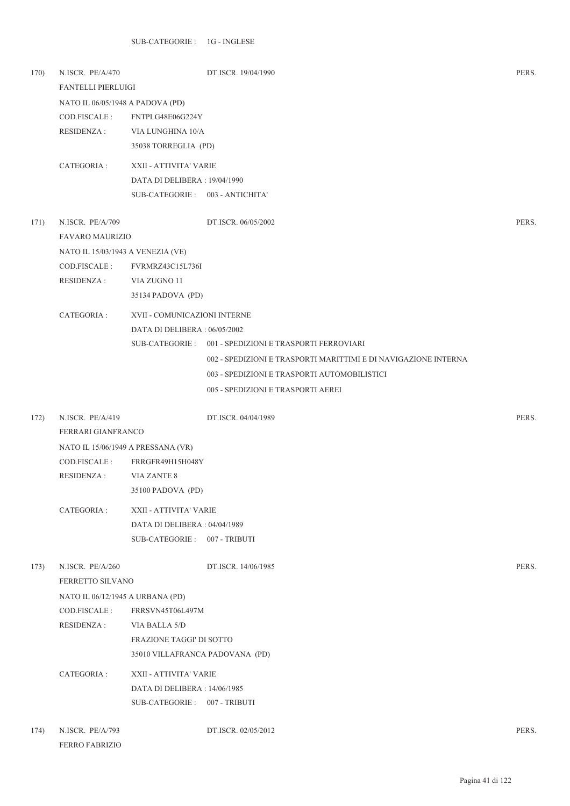| 170) | N.ISCR. PE/A/470<br><b>FANTELLI PIERLUIGI</b>                    |                                                                  | DT.ISCR. 19/04/1990                                             | PERS. |
|------|------------------------------------------------------------------|------------------------------------------------------------------|-----------------------------------------------------------------|-------|
|      | NATO IL 06/05/1948 A PADOVA (PD)<br>COD.FISCALE :<br>RESIDENZA : | FNTPLG48E06G224Y<br>VIA LUNGHINA 10/A<br>35038 TORREGLIA (PD)    |                                                                 |       |
|      | CATEGORIA :                                                      | XXII - ATTIVITA' VARIE                                           |                                                                 |       |
|      |                                                                  | DATA DI DELIBERA : 19/04/1990<br>SUB-CATEGORIE: 003 - ANTICHITA' |                                                                 |       |
|      |                                                                  |                                                                  |                                                                 |       |
| 171) | N.ISCR. PE/A/709                                                 |                                                                  | DT.ISCR. 06/05/2002                                             | PERS. |
|      | <b>FAVARO MAURIZIO</b>                                           |                                                                  |                                                                 |       |
|      | NATO IL 15/03/1943 A VENEZIA (VE)<br>COD.FISCALE :               | FVRMRZ43C15L736I                                                 |                                                                 |       |
|      | RESIDENZA :                                                      | VIA ZUGNO 11                                                     |                                                                 |       |
|      |                                                                  | 35134 PADOVA (PD)                                                |                                                                 |       |
|      | CATEGORIA :                                                      | XVII - COMUNICAZIONI INTERNE                                     |                                                                 |       |
|      |                                                                  | DATA DI DELIBERA : 06/05/2002                                    |                                                                 |       |
|      |                                                                  |                                                                  | SUB-CATEGORIE: 001 - SPEDIZIONI E TRASPORTI FERROVIARI          |       |
|      |                                                                  |                                                                  | 002 - SPEDIZIONI E TRASPORTI MARITTIMI E DI NAVIGAZIONE INTERNA |       |
|      |                                                                  |                                                                  | 003 - SPEDIZIONI E TRASPORTI AUTOMOBILISTICI                    |       |
|      |                                                                  |                                                                  | 005 - SPEDIZIONI E TRASPORTI AEREI                              |       |
| 172) | N.ISCR. PE/A/419                                                 |                                                                  | DT.ISCR. 04/04/1989                                             | PERS. |
|      | FERRARI GIANFRANCO                                               |                                                                  |                                                                 |       |
|      | NATO IL 15/06/1949 A PRESSANA (VR)                               |                                                                  |                                                                 |       |
|      | COD.FISCALE :                                                    | FRRGFR49H15H048Y                                                 |                                                                 |       |
|      | <b>RESIDENZA:</b>                                                | <b>VIA ZANTE 8</b>                                               |                                                                 |       |
|      |                                                                  | 35100 PADOVA (PD)                                                |                                                                 |       |
|      | CATEGORIA :                                                      | XXII - ATTIVITA' VARIE                                           |                                                                 |       |
|      |                                                                  | DATA DI DELIBERA : 04/04/1989                                    |                                                                 |       |
|      |                                                                  | SUB-CATEGORIE: 007 - TRIBUTI                                     |                                                                 |       |
| 173) | N.ISCR. PE/A/260<br>FERRETTO SILVANO                             |                                                                  | DT.ISCR. 14/06/1985                                             | PERS. |
|      | NATO IL 06/12/1945 A URBANA (PD)                                 |                                                                  |                                                                 |       |
|      | COD.FISCALE :                                                    | FRRSVN45T06L497M                                                 |                                                                 |       |
|      | RESIDENZA :                                                      | VIA BALLA 5/D                                                    |                                                                 |       |
|      |                                                                  | FRAZIONE TAGGI' DI SOTTO                                         |                                                                 |       |
|      |                                                                  | 35010 VILLAFRANCA PADOVANA (PD)                                  |                                                                 |       |
|      | CATEGORIA :                                                      | XXII - ATTIVITA' VARIE                                           |                                                                 |       |
|      |                                                                  | DATA DI DELIBERA : 14/06/1985                                    |                                                                 |       |
|      |                                                                  | SUB-CATEGORIE: 007 - TRIBUTI                                     |                                                                 |       |
| 174) | N.ISCR. PE/A/793<br>FERRO FABRIZIO                               |                                                                  | DT.ISCR. 02/05/2012                                             | PERS. |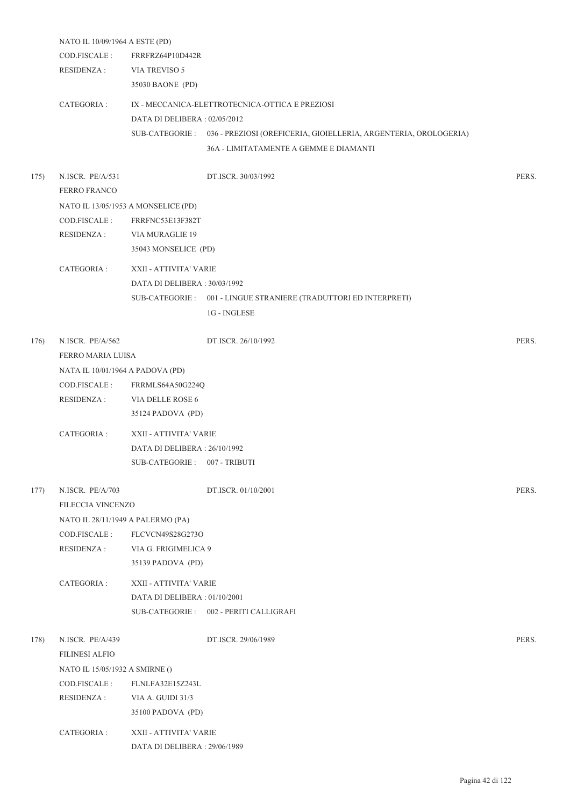|      | NATO IL 10/09/1964 A ESTE (PD)    |                                     |                                                                                  |       |
|------|-----------------------------------|-------------------------------------|----------------------------------------------------------------------------------|-------|
|      | COD.FISCALE :                     | FRRFRZ64P10D442R                    |                                                                                  |       |
|      | <b>RESIDENZA:</b>                 | VIA TREVISO 5                       |                                                                                  |       |
|      |                                   | 35030 BAONE (PD)                    |                                                                                  |       |
|      | CATEGORIA :                       |                                     | IX - MECCANICA-ELETTROTECNICA-OTTICA E PREZIOSI                                  |       |
|      |                                   | DATA DI DELIBERA : 02/05/2012       |                                                                                  |       |
|      |                                   |                                     | SUB-CATEGORIE : 036 - PREZIOSI (OREFICERIA, GIOIELLERIA, ARGENTERIA, OROLOGERIA) |       |
|      |                                   |                                     | 36A - LIMITATAMENTE A GEMME E DIAMANTI                                           |       |
| 175) | N.ISCR. PE/A/531                  |                                     | DT.ISCR. 30/03/1992                                                              | PERS. |
|      | <b>FERRO FRANCO</b>               |                                     |                                                                                  |       |
|      |                                   | NATO IL 13/05/1953 A MONSELICE (PD) |                                                                                  |       |
|      | COD.FISCALE:                      | FRRFNC53E13F382T                    |                                                                                  |       |
|      | RESIDENZA :                       | VIA MURAGLIE 19                     |                                                                                  |       |
|      |                                   | 35043 MONSELICE (PD)                |                                                                                  |       |
|      | CATEGORIA :                       | XXII - ATTIVITA' VARIE              |                                                                                  |       |
|      |                                   | DATA DI DELIBERA: 30/03/1992        |                                                                                  |       |
|      |                                   |                                     | SUB-CATEGORIE : 001 - LINGUE STRANIERE (TRADUTTORI ED INTERPRETI)                |       |
|      |                                   |                                     | $1G$ - $\sf INGLESE$                                                             |       |
|      |                                   |                                     |                                                                                  |       |
| 176) | N.ISCR. PE/A/562                  |                                     | DT.ISCR. 26/10/1992                                                              | PERS. |
|      | FERRO MARIA LUISA                 |                                     |                                                                                  |       |
|      | NATA IL 10/01/1964 A PADOVA (PD)  |                                     |                                                                                  |       |
|      | COD.FISCALE :                     | FRRMLS64A50G224Q                    |                                                                                  |       |
|      | <b>RESIDENZA:</b>                 | VIA DELLE ROSE 6                    |                                                                                  |       |
|      |                                   | 35124 PADOVA (PD)                   |                                                                                  |       |
|      | CATEGORIA :                       | XXII - ATTIVITA' VARIE              |                                                                                  |       |
|      |                                   | DATA DI DELIBERA: 26/10/1992        |                                                                                  |       |
|      |                                   | SUB-CATEGORIE: 007 - TRIBUTI        |                                                                                  |       |
| 177) | N.ISCR. PE/A/703                  |                                     | DT.ISCR. 01/10/2001                                                              | PERS. |
|      | FILECCIA VINCENZO                 |                                     |                                                                                  |       |
|      | NATO IL 28/11/1949 A PALERMO (PA) |                                     |                                                                                  |       |
|      | COD.FISCALE :                     | FLCVCN49S28G273O                    |                                                                                  |       |
|      | <b>RESIDENZA:</b>                 | VIA G. FRIGIMELICA 9                |                                                                                  |       |
|      |                                   | 35139 PADOVA (PD)                   |                                                                                  |       |
|      | CATEGORIA :                       | XXII - ATTIVITA' VARIE              |                                                                                  |       |
|      |                                   | DATA DI DELIBERA: 01/10/2001        |                                                                                  |       |
|      |                                   |                                     | SUB-CATEGORIE: 002 - PERITI CALLIGRAFI                                           |       |
| 178) | N.ISCR. PE/A/439                  |                                     | DT.ISCR. 29/06/1989                                                              | PERS. |
|      | <b>FILINESI ALFIO</b>             |                                     |                                                                                  |       |
|      | NATO IL 15/05/1932 A SMIRNE ()    |                                     |                                                                                  |       |
|      | COD.FISCALE :                     | FLNLFA32E15Z243L                    |                                                                                  |       |
|      | <b>RESIDENZA:</b>                 | VIA A. GUIDI 31/3                   |                                                                                  |       |
|      |                                   | 35100 PADOVA (PD)                   |                                                                                  |       |
|      |                                   |                                     |                                                                                  |       |
|      | CATEGORIA :                       | XXII - ATTIVITA' VARIE              |                                                                                  |       |
|      |                                   | DATA DI DELIBERA : 29/06/1989       |                                                                                  |       |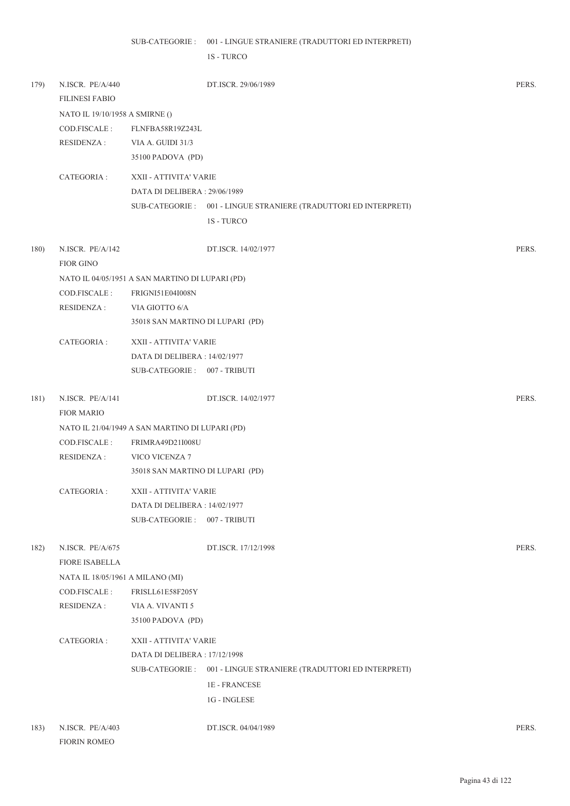1S - TURCO

| 179) | N.ISCR. PE/A/440<br><b>FILINESI FABIO</b> |                                                 | DT.ISCR. 29/06/1989                                              | PERS. |
|------|-------------------------------------------|-------------------------------------------------|------------------------------------------------------------------|-------|
|      | NATO IL 19/10/1958 A SMIRNE ()            |                                                 |                                                                  |       |
|      | COD.FISCALE :                             | FLNFBA58R19Z243L                                |                                                                  |       |
|      | <b>RESIDENZA:</b>                         | VIA A. GUIDI 31/3                               |                                                                  |       |
|      |                                           | 35100 PADOVA (PD)                               |                                                                  |       |
|      | CATEGORIA :                               | XXII - ATTIVITA' VARIE                          |                                                                  |       |
|      |                                           | DATA DI DELIBERA: 29/06/1989                    |                                                                  |       |
|      |                                           |                                                 | SUB-CATEGORIE: 001 - LINGUE STRANIERE (TRADUTTORI ED INTERPRETI) |       |
|      |                                           |                                                 | 1S - TURCO                                                       |       |
| 180) | N.ISCR. PE/A/142<br><b>FIOR GINO</b>      |                                                 | DT.ISCR. 14/02/1977                                              | PERS. |
|      |                                           | NATO IL 04/05/1951 A SAN MARTINO DI LUPARI (PD) |                                                                  |       |
|      | COD.FISCALE :                             | <b>FRIGNI51E04I008N</b>                         |                                                                  |       |
|      | <b>RESIDENZA:</b>                         | VIA GIOTTO 6/A                                  |                                                                  |       |
|      |                                           | 35018 SAN MARTINO DI LUPARI (PD)                |                                                                  |       |
|      | CATEGORIA :                               | XXII - ATTIVITA' VARIE                          |                                                                  |       |
|      |                                           | DATA DI DELIBERA : 14/02/1977                   |                                                                  |       |
|      |                                           | SUB-CATEGORIE: 007 - TRIBUTI                    |                                                                  |       |
| 181) | N.ISCR. PE/A/141<br><b>FIOR MARIO</b>     |                                                 | DT.ISCR. 14/02/1977                                              | PERS. |
|      |                                           | NATO IL 21/04/1949 A SAN MARTINO DI LUPARI (PD) |                                                                  |       |
|      | COD.FISCALE :                             | FRIMRA49D21I008U                                |                                                                  |       |
|      | <b>RESIDENZA:</b>                         | VICO VICENZA 7                                  |                                                                  |       |
|      |                                           | 35018 SAN MARTINO DI LUPARI (PD)                |                                                                  |       |
|      | CATEGORIA :                               | XXII - ATTIVITA' VARIE                          |                                                                  |       |
|      |                                           | DATA DI DELIBERA : 14/02/1977                   |                                                                  |       |
|      |                                           | <b>SUB-CATEGORIE:</b>                           | 007 - TRIBUTI                                                    |       |
| 182) | N.ISCR. PE/A/675<br><b>FIORE ISABELLA</b> |                                                 | DT.ISCR. 17/12/1998                                              | PERS. |
|      | NATA IL 18/05/1961 A MILANO (MI)          |                                                 |                                                                  |       |
|      | COD.FISCALE:                              | FRISLL61E58F205Y                                |                                                                  |       |
|      | <b>RESIDENZA:</b>                         | VIA A. VIVANTI 5                                |                                                                  |       |
|      |                                           | 35100 PADOVA (PD)                               |                                                                  |       |
|      | CATEGORIA :                               | XXII - ATTIVITA' VARIE                          |                                                                  |       |
|      |                                           | DATA DI DELIBERA : 17/12/1998                   |                                                                  |       |
|      |                                           |                                                 | SUB-CATEGORIE: 001 - LINGUE STRANIERE (TRADUTTORI ED INTERPRETI) |       |
|      |                                           |                                                 | <b>1E-FRANCESE</b>                                               |       |
|      |                                           |                                                 | 1G - INGLESE                                                     |       |
| 183) | N.ISCR. PE/A/403<br><b>FIORIN ROMEO</b>   |                                                 | DT.ISCR. 04/04/1989                                              | PERS. |

Pagina 43 di 122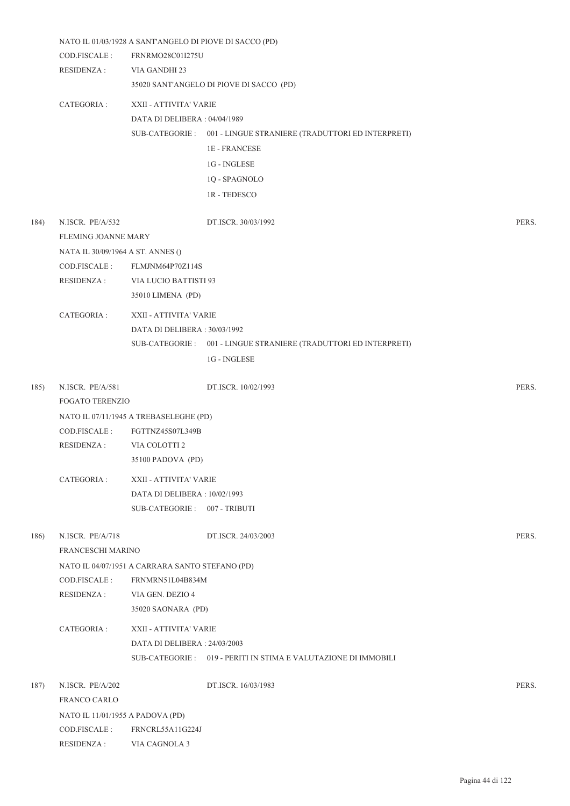|      |                                   | NATO IL 01/03/1928 A SANT'ANGELO DI PIOVE DI SACCO (PD) |                                                                   |       |
|------|-----------------------------------|---------------------------------------------------------|-------------------------------------------------------------------|-------|
|      | COD.FISCALE :                     | <b>FRNRMO28C01I275U</b>                                 |                                                                   |       |
|      | <b>RESIDENZA:</b>                 | VIA GANDHI 23                                           |                                                                   |       |
|      |                                   |                                                         | 35020 SANT'ANGELO DI PIOVE DI SACCO (PD)                          |       |
|      | CATEGORIA :                       | XXII - ATTIVITA' VARIE                                  |                                                                   |       |
|      |                                   | DATA DI DELIBERA : 04/04/1989                           |                                                                   |       |
|      |                                   |                                                         | SUB-CATEGORIE : 001 - LINGUE STRANIERE (TRADUTTORI ED INTERPRETI) |       |
|      |                                   |                                                         | <b>1E - FRANCESE</b>                                              |       |
|      |                                   |                                                         | 1G - INGLESE                                                      |       |
|      |                                   |                                                         | 1Q - SPAGNOLO                                                     |       |
|      |                                   |                                                         | 1R - TEDESCO                                                      |       |
| 184) | N.ISCR. PE/A/532                  |                                                         | DT.ISCR. 30/03/1992                                               | PERS. |
|      | FLEMING JOANNE MARY               |                                                         |                                                                   |       |
|      | NATA IL 30/09/1964 A ST. ANNES () |                                                         |                                                                   |       |
|      | COD.FISCALE:                      | FLMJNM64P70Z114S                                        |                                                                   |       |
|      | RESIDENZA :                       | VIA LUCIO BATTISTI 93                                   |                                                                   |       |
|      |                                   | 35010 LIMENA (PD)                                       |                                                                   |       |
|      | CATEGORIA :                       | XXII - ATTIVITA' VARIE                                  |                                                                   |       |
|      |                                   | DATA DI DELIBERA : 30/03/1992                           |                                                                   |       |
|      |                                   |                                                         | SUB-CATEGORIE: 001 - LINGUE STRANIERE (TRADUTTORI ED INTERPRETI)  |       |
|      |                                   |                                                         | $1G$ - $\sf INGLESE$                                              |       |
| 185) | N.ISCR. PE/A/581                  |                                                         | DT.ISCR. 10/02/1993                                               | PERS. |
|      | FOGATO TERENZIO                   |                                                         |                                                                   |       |
|      |                                   | NATO IL 07/11/1945 A TREBASELEGHE (PD)                  |                                                                   |       |
|      | COD.FISCALE:                      | FGTTNZ45S07L349B                                        |                                                                   |       |
|      | <b>RESIDENZA:</b>                 | VIA COLOTTI 2                                           |                                                                   |       |
|      |                                   | 35100 PADOVA (PD)                                       |                                                                   |       |
|      | CATEGORIA :                       | XXII - ATTIVITA' VARIE                                  |                                                                   |       |
|      |                                   | DATA DI DELIBERA: 10/02/1993                            |                                                                   |       |
|      |                                   | SUB-CATEGORIE: 007 - TRIBUTI                            |                                                                   |       |
| 186) | N.ISCR. PE/A/718                  |                                                         | DT.ISCR. 24/03/2003                                               | PERS. |
|      | FRANCESCHI MARINO                 |                                                         |                                                                   |       |
|      |                                   | NATO IL 04/07/1951 A CARRARA SANTO STEFANO (PD)         |                                                                   |       |
|      | COD.FISCALE :                     | FRNMRN51L04B834M                                        |                                                                   |       |
|      | <b>RESIDENZA:</b>                 | VIA GEN. DEZIO 4                                        |                                                                   |       |
|      |                                   | 35020 SAONARA (PD)                                      |                                                                   |       |
|      | CATEGORIA :                       | XXII - ATTIVITA' VARIE                                  |                                                                   |       |
|      |                                   | DATA DI DELIBERA : 24/03/2003                           |                                                                   |       |
|      |                                   |                                                         | SUB-CATEGORIE: 019 - PERITI IN STIMA E VALUTAZIONE DI IMMOBILI    |       |
| 187) | N.ISCR. PE/A/202                  |                                                         | DT.ISCR. 16/03/1983                                               | PERS. |
|      | FRANCO CARLO                      |                                                         |                                                                   |       |
|      | NATO IL 11/01/1955 A PADOVA (PD)  |                                                         |                                                                   |       |
|      | COD.FISCALE:                      | FRNCRL55A11G224J                                        |                                                                   |       |
|      | <b>RESIDENZA:</b>                 | VIA CAGNOLA 3                                           |                                                                   |       |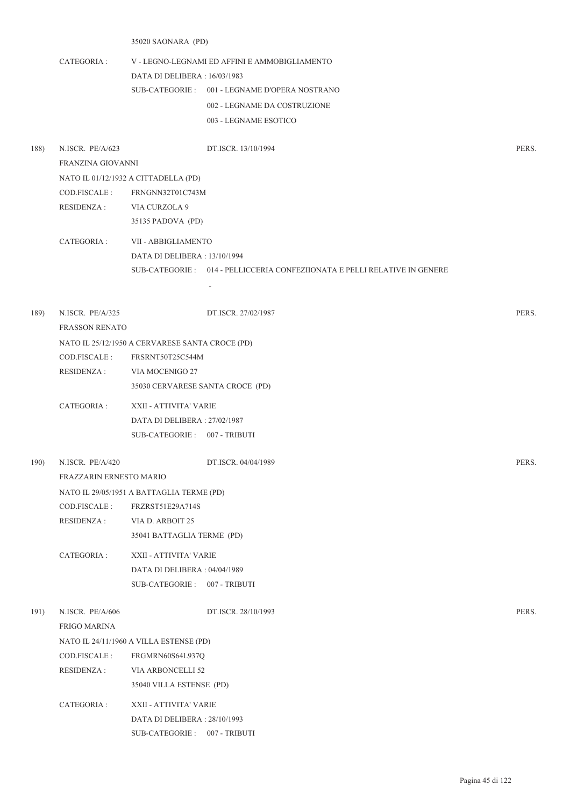|      |                         | 35020 SAONARA (PD)                              |                                                                            |       |
|------|-------------------------|-------------------------------------------------|----------------------------------------------------------------------------|-------|
|      | CATEGORIA :             |                                                 | V - LEGNO-LEGNAMI ED AFFINI E AMMOBIGLIAMENTO                              |       |
|      |                         | DATA DI DELIBERA : 16/03/1983                   |                                                                            |       |
|      |                         |                                                 | SUB-CATEGORIE: 001 - LEGNAME D'OPERA NOSTRANO                              |       |
|      |                         |                                                 | 002 - LEGNAME DA COSTRUZIONE                                               |       |
|      |                         |                                                 | 003 - LEGNAME ESOTICO                                                      |       |
| 188) | N.ISCR. PE/A/623        |                                                 | DT.ISCR. 13/10/1994                                                        | PERS. |
|      | FRANZINA GIOVANNI       |                                                 |                                                                            |       |
|      |                         | NATO IL 01/12/1932 A CITTADELLA (PD)            |                                                                            |       |
|      | COD.FISCALE :           | FRNGNN32T01C743M                                |                                                                            |       |
|      | RESIDENZA :             | VIA CURZOLA 9                                   |                                                                            |       |
|      |                         | 35135 PADOVA (PD)                               |                                                                            |       |
|      | CATEGORIA :             | VII - ABBIGLIAMENTO                             |                                                                            |       |
|      |                         | DATA DI DELIBERA : 13/10/1994                   |                                                                            |       |
|      |                         |                                                 | SUB-CATEGORIE : 014 - PELLICCERIA CONFEZIIONATA E PELLI RELATIVE IN GENERE |       |
|      |                         |                                                 | $\sim$                                                                     |       |
| 189) | N.ISCR. PE/A/325        |                                                 | DT.ISCR. 27/02/1987                                                        | PERS. |
|      | <b>FRASSON RENATO</b>   |                                                 |                                                                            |       |
|      |                         | NATO IL 25/12/1950 A CERVARESE SANTA CROCE (PD) |                                                                            |       |
|      | COD.FISCALE:            | FRSRNT50T25C544M                                |                                                                            |       |
|      | RESIDENZA :             | VIA MOCENIGO 27                                 |                                                                            |       |
|      |                         | 35030 CERVARESE SANTA CROCE (PD)                |                                                                            |       |
|      | CATEGORIA :             | XXII - ATTIVITA' VARIE                          |                                                                            |       |
|      |                         | DATA DI DELIBERA : 27/02/1987                   |                                                                            |       |
|      |                         | SUB-CATEGORIE: 007 - TRIBUTI                    |                                                                            |       |
| 190) | N.ISCR. PE/A/420        |                                                 | DT.ISCR. 04/04/1989                                                        | PERS. |
|      | FRAZZARIN ERNESTO MARIO |                                                 |                                                                            |       |
|      |                         | NATO IL 29/05/1951 A BATTAGLIA TERME (PD)       |                                                                            |       |
|      | COD.FISCALE:            | FRZRST51E29A714S                                |                                                                            |       |
|      | <b>RESIDENZA:</b>       | VIA D. ARBOIT 25                                |                                                                            |       |
|      |                         | 35041 BATTAGLIA TERME (PD)                      |                                                                            |       |
|      | CATEGORIA :             | XXII - ATTIVITA' VARIE                          |                                                                            |       |
|      |                         | DATA DI DELIBERA: 04/04/1989                    |                                                                            |       |
|      |                         | SUB-CATEGORIE: 007 - TRIBUTI                    |                                                                            |       |
| 191) | N.ISCR. PE/A/606        |                                                 | DT.ISCR. 28/10/1993                                                        | PERS. |
|      | FRIGO MARINA            |                                                 |                                                                            |       |
|      |                         | NATO IL 24/11/1960 A VILLA ESTENSE (PD)         |                                                                            |       |
|      | COD.FISCALE:            | FRGMRN60S64L937Q                                |                                                                            |       |
|      | RESIDENZA :             | VIA ARBONCELLI 52                               |                                                                            |       |
|      |                         | 35040 VILLA ESTENSE (PD)                        |                                                                            |       |

CATEGORIA : XXII - ATTIVITA' VARIE DATA DI DELIBERA : 28/10/1993 SUB-CATEGORIE : 007 - TRIBUTI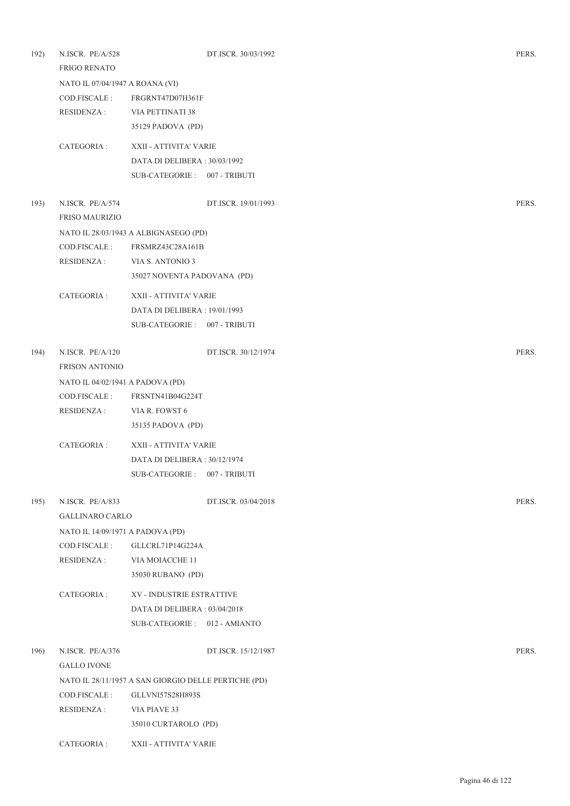| 192) | N.ISCR. PE/A/528<br><b>FRIGO RENATO</b> |                                                      | DT.ISCR. 30/03/1992 | PERS. |
|------|-----------------------------------------|------------------------------------------------------|---------------------|-------|
|      | NATO IL 07/04/1947 A ROANA (VI)         |                                                      |                     |       |
|      | COD.FISCALE :                           | FRGRNT47D07H361F                                     |                     |       |
|      | <b>RESIDENZA:</b>                       | VIA PETTINATI 38                                     |                     |       |
|      |                                         | 35129 PADOVA (PD)                                    |                     |       |
|      | CATEGORIA :                             | XXII - ATTIVITA' VARIE                               |                     |       |
|      |                                         | DATA DI DELIBERA : 30/03/1992                        |                     |       |
|      |                                         | SUB-CATEGORIE: 007 - TRIBUTI                         |                     |       |
| 193) | N.ISCR. PE/A/574                        |                                                      | DT.ISCR. 19/01/1993 | PERS. |
|      | <b>FRISO MAURIZIO</b>                   |                                                      |                     |       |
|      |                                         | NATO IL 28/03/1943 A ALBIGNASEGO (PD)                |                     |       |
|      | COD.FISCALE :                           | FRSMRZ43C28A161B                                     |                     |       |
|      | <b>RESIDENZA:</b>                       | VIA S. ANTONIO 3                                     |                     |       |
|      |                                         | 35027 NOVENTA PADOVANA (PD)                          |                     |       |
|      | CATEGORIA :                             | XXII - ATTIVITA' VARIE                               |                     |       |
|      |                                         | DATA DI DELIBERA : 19/01/1993                        |                     |       |
|      |                                         | SUB-CATEGORIE: 007 - TRIBUTI                         |                     |       |
| 194) | N.ISCR. PE/A/120                        |                                                      | DT.ISCR. 30/12/1974 | PERS. |
|      | <b>FRISON ANTONIO</b>                   |                                                      |                     |       |
|      | NATO IL 04/02/1941 A PADOVA (PD)        |                                                      |                     |       |
|      | COD.FISCALE:                            | FRSNTN41B04G224T                                     |                     |       |
|      | <b>RESIDENZA:</b>                       | VIA R. FOWST 6                                       |                     |       |
|      |                                         | 35135 PADOVA (PD)                                    |                     |       |
|      | CATEGORIA :                             | XXII - ATTIVITA' VARIE                               |                     |       |
|      |                                         | DATA DI DELIBERA : 30/12/1974                        |                     |       |
|      |                                         | SUB-CATEGORIE: 007 - TRIBUTI                         |                     |       |
| 195) | N.ISCR. PE/A/833                        |                                                      | DT.ISCR. 03/04/2018 | PERS. |
|      | <b>GALLINARO CARLO</b>                  |                                                      |                     |       |
|      | NATO IL 14/09/1971 A PADOVA (PD)        |                                                      |                     |       |
|      | COD.FISCALE :                           | GLLCRL71P14G224A                                     |                     |       |
|      | <b>RESIDENZA:</b>                       | VIA MOIACCHE 11                                      |                     |       |
|      |                                         | 35030 RUBANO (PD)                                    |                     |       |
|      | CATEGORIA :                             | XV - INDUSTRIE ESTRATTIVE                            |                     |       |
|      |                                         | DATA DI DELIBERA: 03/04/2018                         |                     |       |
|      |                                         | SUB-CATEGORIE: 012 - AMIANTO                         |                     |       |
| 196) | N.ISCR. PE/A/376                        |                                                      | DT.ISCR. 15/12/1987 | PERS. |
|      | <b>GALLO IVONE</b>                      |                                                      |                     |       |
|      |                                         | NATO IL 28/11/1957 A SAN GIORGIO DELLE PERTICHE (PD) |                     |       |
|      | COD.FISCALE :                           | GLLVNI57S28H893S                                     |                     |       |
|      | <b>RESIDENZA:</b>                       | VIA PIAVE 33                                         |                     |       |
|      |                                         | 35010 CURTAROLO (PD)                                 |                     |       |
|      | CATEGORIA :                             | XXII - ATTIVITA' VARIE                               |                     |       |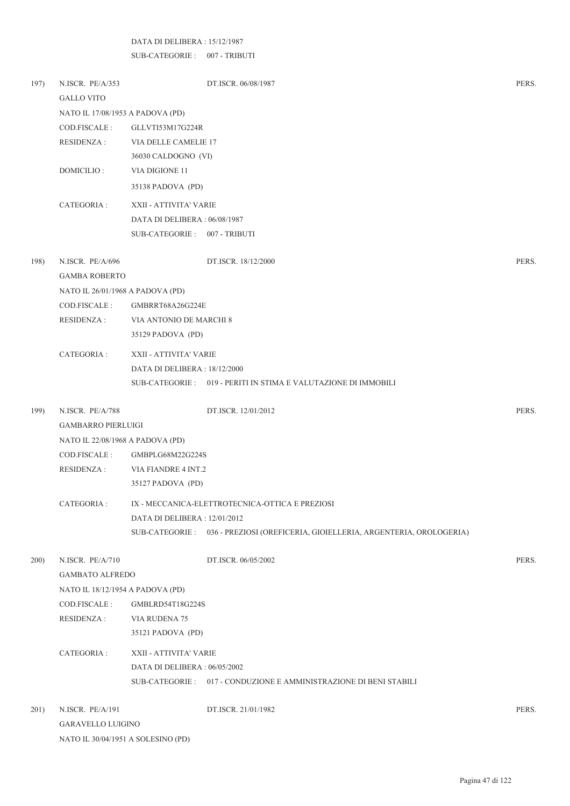## DATA DI DELIBERA : 15/12/1987

NATO IL 30/04/1951 A SOLESINO (PD)

SUB-CATEGORIE : 007 - TRIBUTI

| 197) | N.ISCR. PE/A/353                 | DT.ISCR. 06/08/1987                                                              | PERS. |
|------|----------------------------------|----------------------------------------------------------------------------------|-------|
|      | <b>GALLO VITO</b>                |                                                                                  |       |
|      | NATO IL 17/08/1953 A PADOVA (PD) |                                                                                  |       |
|      | COD.FISCALE:                     | GLLVTI53M17G224R                                                                 |       |
|      | RESIDENZA :                      | VIA DELLE CAMELIE 17                                                             |       |
|      |                                  | 36030 CALDOGNO (VI)                                                              |       |
|      | DOMICILIO:                       | VIA DIGIONE 11                                                                   |       |
|      |                                  | 35138 PADOVA (PD)                                                                |       |
|      | CATEGORIA:                       | XXII - ATTIVITA' VARIE                                                           |       |
|      |                                  | DATA DI DELIBERA : 06/08/1987                                                    |       |
|      |                                  | SUB-CATEGORIE: 007 - TRIBUTI                                                     |       |
| 198) | N.ISCR. PE/A/696                 | DT.ISCR. 18/12/2000                                                              | PERS. |
|      | <b>GAMBA ROBERTO</b>             |                                                                                  |       |
|      | NATO IL 26/01/1968 A PADOVA (PD) |                                                                                  |       |
|      | COD.FISCALE :                    | GMBRRT68A26G224E                                                                 |       |
|      | RESIDENZA :                      | VIA ANTONIO DE MARCHI 8                                                          |       |
|      |                                  | 35129 PADOVA (PD)                                                                |       |
|      | CATEGORIA :                      | XXII - ATTIVITA' VARIE                                                           |       |
|      |                                  | DATA DI DELIBERA : 18/12/2000                                                    |       |
|      |                                  | SUB-CATEGORIE : 019 - PERITI IN STIMA E VALUTAZIONE DI IMMOBILI                  |       |
| 199) | N.ISCR. PE/A/788                 | DT.ISCR. 12/01/2012                                                              | PERS. |
|      | <b>GAMBARRO PIERLUIGI</b>        |                                                                                  |       |
|      | NATO IL 22/08/1968 A PADOVA (PD) |                                                                                  |       |
|      | COD.FISCALE :                    | GMBPLG68M22G224S                                                                 |       |
|      | <b>RESIDENZA:</b>                | VIA FIANDRE 4 INT.2                                                              |       |
|      |                                  | 35127 PADOVA (PD)                                                                |       |
|      | CATEGORIA :                      | IX - MECCANICA-ELETTROTECNICA-OTTICA E PREZIOSI                                  |       |
|      |                                  | DATA DI DELIBERA : 12/01/2012                                                    |       |
|      |                                  | SUB-CATEGORIE : 036 - PREZIOSI (OREFICERIA, GIOIELLERIA, ARGENTERIA, OROLOGERIA) |       |
| 200) | N.ISCR. PE/A/710                 | DT.ISCR. 06/05/2002                                                              | PERS. |
|      | <b>GAMBATO ALFREDO</b>           |                                                                                  |       |
|      | NATO IL 18/12/1954 A PADOVA (PD) |                                                                                  |       |
|      | COD.FISCALE :                    | GMBLRD54T18G224S                                                                 |       |
|      | RESIDENZA :                      | VIA RUDENA 75                                                                    |       |
|      |                                  | 35121 PADOVA (PD)                                                                |       |
|      | CATEGORIA :                      | XXII - ATTIVITA' VARIE                                                           |       |
|      |                                  | DATA DI DELIBERA : 06/05/2002                                                    |       |
|      |                                  | SUB-CATEGORIE: 017 - CONDUZIONE E AMMINISTRAZIONE DI BENI STABILI                |       |
| 201) | N.ISCR. PE/A/191                 | DT.ISCR. 21/01/1982                                                              | PERS. |
|      | <b>GARAVELLO LUIGINO</b>         |                                                                                  |       |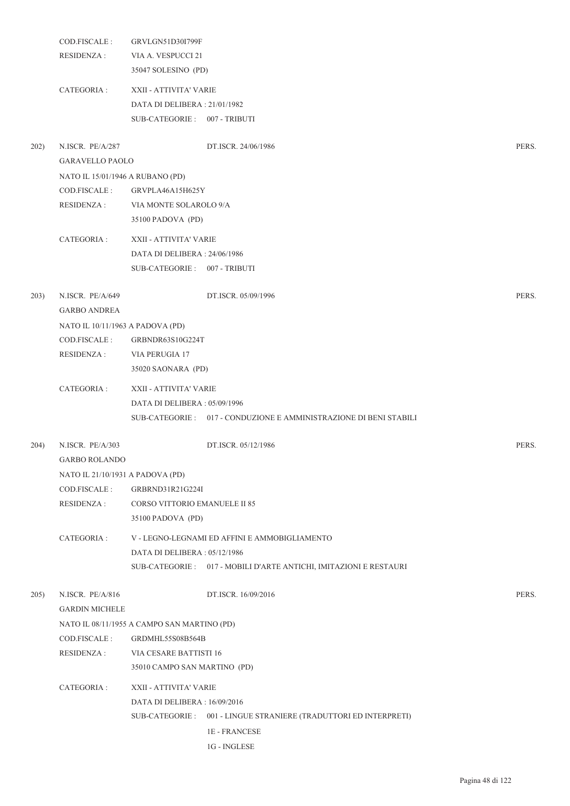|      | COD.FISCALE:                     | GRVLGN51D30I799F                            |                                                                   |       |
|------|----------------------------------|---------------------------------------------|-------------------------------------------------------------------|-------|
|      | <b>RESIDENZA:</b>                | VIA A. VESPUCCI 21                          |                                                                   |       |
|      |                                  | 35047 SOLESINO (PD)                         |                                                                   |       |
|      | CATEGORIA :                      | XXII - ATTIVITA' VARIE                      |                                                                   |       |
|      |                                  | DATA DI DELIBERA: 21/01/1982                |                                                                   |       |
|      |                                  | SUB-CATEGORIE: 007 - TRIBUTI                |                                                                   |       |
|      |                                  |                                             |                                                                   |       |
| 202) | N.ISCR. PE/A/287                 |                                             | DT.ISCR. 24/06/1986                                               | PERS. |
|      | <b>GARAVELLO PAOLO</b>           |                                             |                                                                   |       |
|      | NATO IL 15/01/1946 A RUBANO (PD) |                                             |                                                                   |       |
|      | COD.FISCALE :                    | GRVPLA46A15H625Y                            |                                                                   |       |
|      | RESIDENZA :                      | VIA MONTE SOLAROLO 9/A                      |                                                                   |       |
|      |                                  | 35100 PADOVA (PD)                           |                                                                   |       |
|      | CATEGORIA :                      | XXII - ATTIVITA' VARIE                      |                                                                   |       |
|      |                                  | DATA DI DELIBERA : 24/06/1986               |                                                                   |       |
|      |                                  | SUB-CATEGORIE: 007 - TRIBUTI                |                                                                   |       |
|      |                                  |                                             |                                                                   |       |
| 203) | N.ISCR. PE/A/649                 |                                             | DT.ISCR. 05/09/1996                                               | PERS. |
|      | <b>GARBO ANDREA</b>              |                                             |                                                                   |       |
|      | NATO IL 10/11/1963 A PADOVA (PD) |                                             |                                                                   |       |
|      | COD.FISCALE:                     | GRBNDR63S10G224T                            |                                                                   |       |
|      | RESIDENZA :                      | VIA PERUGIA 17                              |                                                                   |       |
|      |                                  | 35020 SAONARA (PD)                          |                                                                   |       |
|      | CATEGORIA :                      | XXII - ATTIVITA' VARIE                      |                                                                   |       |
|      |                                  | DATA DI DELIBERA : 05/09/1996               |                                                                   |       |
|      |                                  |                                             | SUB-CATEGORIE: 017 - CONDUZIONE E AMMINISTRAZIONE DI BENI STABILI |       |
| 204) | N.ISCR. PE/A/303                 |                                             | DT.ISCR. 05/12/1986                                               | PERS. |
|      | <b>GARBO ROLANDO</b>             |                                             |                                                                   |       |
|      | NATO IL 21/10/1931 A PADOVA (PD) |                                             |                                                                   |       |
|      | COD.FISCALE :                    | GRBRND31R21G224I                            |                                                                   |       |
|      | <b>RESIDENZA:</b>                | CORSO VITTORIO EMANUELE II 85               |                                                                   |       |
|      |                                  | 35100 PADOVA (PD)                           |                                                                   |       |
|      |                                  |                                             |                                                                   |       |
|      | CATEGORIA :                      | DATA DI DELIBERA: 05/12/1986                | V - LEGNO-LEGNAMI ED AFFINI E AMMOBIGLIAMENTO                     |       |
|      |                                  |                                             | SUB-CATEGORIE: 017 - MOBILI D'ARTE ANTICHI, IMITAZIONI E RESTAURI |       |
|      |                                  |                                             |                                                                   |       |
| 205) | N.ISCR. PE/A/816                 |                                             | DT.ISCR. 16/09/2016                                               | PERS. |
|      | <b>GARDIN MICHELE</b>            |                                             |                                                                   |       |
|      |                                  | NATO IL 08/11/1955 A CAMPO SAN MARTINO (PD) |                                                                   |       |
|      | COD.FISCALE:                     | GRDMHL55S08B564B                            |                                                                   |       |
|      | <b>RESIDENZA:</b>                | VIA CESARE BATTISTI 16                      |                                                                   |       |
|      |                                  | 35010 CAMPO SAN MARTINO (PD)                |                                                                   |       |
|      | CATEGORIA :                      | XXII - ATTIVITA' VARIE                      |                                                                   |       |
|      |                                  | DATA DI DELIBERA : 16/09/2016               |                                                                   |       |
|      |                                  |                                             | SUB-CATEGORIE : 001 - LINGUE STRANIERE (TRADUTTORI ED INTERPRETI) |       |
|      |                                  |                                             | <b>1E-FRANCESE</b>                                                |       |
|      |                                  |                                             | 1G - INGLESE                                                      |       |
|      |                                  |                                             |                                                                   |       |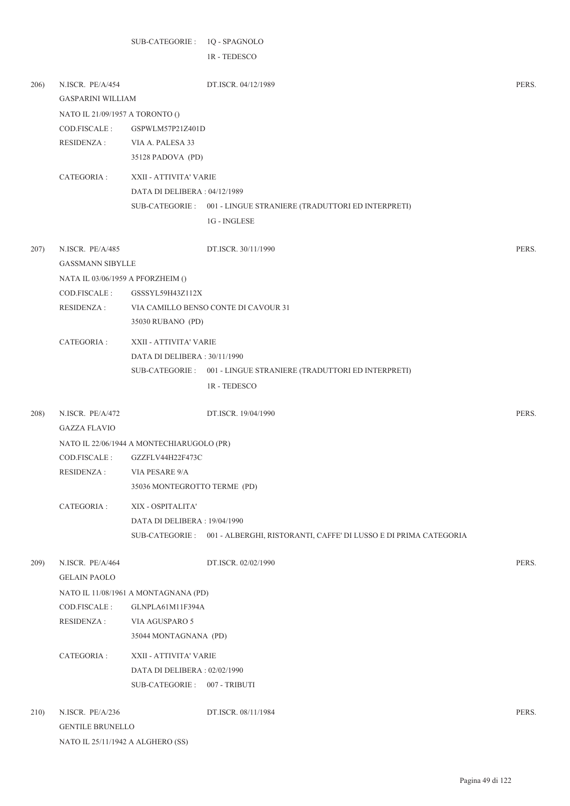|      |                                   | SUB-CATEGORIE: 1Q - SPAGNOLO              |                                                                                 |       |
|------|-----------------------------------|-------------------------------------------|---------------------------------------------------------------------------------|-------|
|      |                                   |                                           | IR - TEDESCO                                                                    |       |
|      |                                   |                                           |                                                                                 |       |
| 206) | N.ISCR. PE/A/454                  |                                           | DT.ISCR. 04/12/1989                                                             | PERS. |
|      | <b>GASPARINI WILLIAM</b>          |                                           |                                                                                 |       |
|      | NATO IL 21/09/1957 A TORONTO ()   |                                           |                                                                                 |       |
|      | COD.FISCALE:                      | GSPWLM57P21Z401D                          |                                                                                 |       |
|      | RESIDENZA :                       | VIA A. PALESA 33                          |                                                                                 |       |
|      |                                   | 35128 PADOVA (PD)                         |                                                                                 |       |
|      | CATEGORIA :                       | XXII - ATTIVITA' VARIE                    |                                                                                 |       |
|      |                                   | DATA DI DELIBERA : 04/12/1989             |                                                                                 |       |
|      |                                   |                                           | SUB-CATEGORIE : 001 - LINGUE STRANIERE (TRADUTTORI ED INTERPRETI)               |       |
|      |                                   |                                           | $1G$ - $\sf INGLESE$                                                            |       |
| 207) | N.ISCR. PE/A/485                  |                                           | DT.ISCR. 30/11/1990                                                             | PERS. |
|      | <b>GASSMANN SIBYLLE</b>           |                                           |                                                                                 |       |
|      | NATA IL 03/06/1959 A PFORZHEIM () |                                           |                                                                                 |       |
|      | COD.FISCALE:                      | GSSSYL59H43Z112X                          |                                                                                 |       |
|      | RESIDENZA :                       |                                           | VIA CAMILLO BENSO CONTE DI CAVOUR 31                                            |       |
|      |                                   | 35030 RUBANO (PD)                         |                                                                                 |       |
|      | CATEGORIA :                       | XXII - ATTIVITA' VARIE                    |                                                                                 |       |
|      |                                   | DATA DI DELIBERA: 30/11/1990              |                                                                                 |       |
|      |                                   |                                           | SUB-CATEGORIE : 001 - LINGUE STRANIERE (TRADUTTORI ED INTERPRETI)               |       |
|      |                                   |                                           | 1R - TEDESCO                                                                    |       |
| 208) | N.ISCR. PE/A/472                  |                                           | DT.ISCR. 19/04/1990                                                             | PERS. |
|      | <b>GAZZA FLAVIO</b>               |                                           |                                                                                 |       |
|      |                                   | NATO IL 22/06/1944 A MONTECHIARUGOLO (PR) |                                                                                 |       |
|      | COD.FISCALE :                     | GZZFLV44H22F473C                          |                                                                                 |       |
|      | <b>RESIDENZA:</b>                 | VIA PESARE 9/A                            |                                                                                 |       |
|      |                                   | 35036 MONTEGROTTO TERME (PD)              |                                                                                 |       |
|      | CATEGORIA:                        | XIX - OSPITALITA'                         |                                                                                 |       |
|      |                                   | DATA DI DELIBERA: 19/04/1990              |                                                                                 |       |
|      |                                   |                                           | SUB-CATEGORIE: 001 - ALBERGHI, RISTORANTI, CAFFE' DI LUSSO E DI PRIMA CATEGORIA |       |
| 209) | N.ISCR. PE/A/464                  |                                           | DT.ISCR. 02/02/1990                                                             | PERS. |
|      | <b>GELAIN PAOLO</b>               |                                           |                                                                                 |       |
|      |                                   | NATO IL 11/08/1961 A MONTAGNANA (PD)      |                                                                                 |       |
|      | COD.FISCALE:                      | GLNPLA61M11F394A                          |                                                                                 |       |
|      | <b>RESIDENZA:</b>                 | VIA AGUSPARO 5                            |                                                                                 |       |
|      |                                   | 35044 MONTAGNANA (PD)                     |                                                                                 |       |
|      | CATEGORIA :                       | XXII - ATTIVITA' VARIE                    |                                                                                 |       |
|      |                                   | DATA DI DELIBERA: 02/02/1990              |                                                                                 |       |
|      |                                   | SUB-CATEGORIE: 007 - TRIBUTI              |                                                                                 |       |
| 210) | N.ISCR. PE/A/236                  |                                           | DT.ISCR. 08/11/1984                                                             | PERS. |
|      | <b>GENTILE BRUNELLO</b>           |                                           |                                                                                 |       |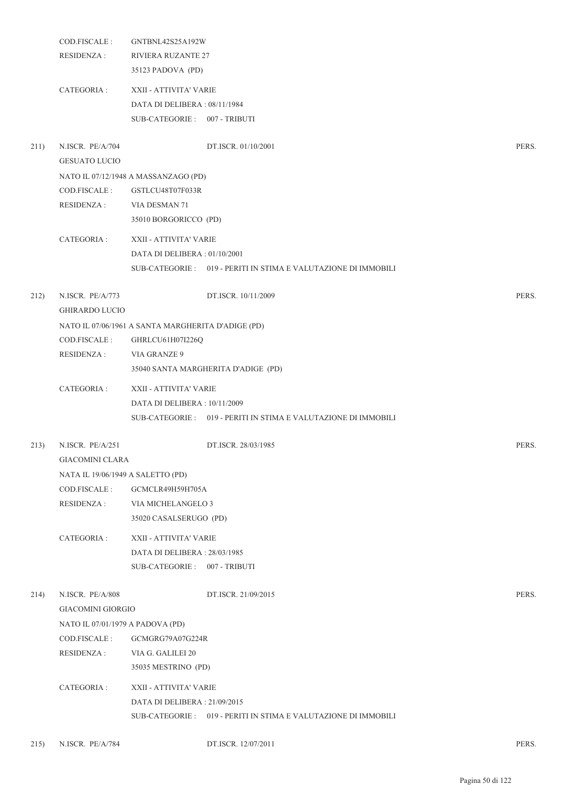|      | COD.FISCALE:<br>RESIDENZA :                  | GNTBNL42S25A192W<br><b>RIVIERA RUZANTE 27</b><br>35123 PADOVA (PD)                     |                                                                 |       |
|------|----------------------------------------------|----------------------------------------------------------------------------------------|-----------------------------------------------------------------|-------|
|      | CATEGORIA :                                  | XXII - ATTIVITA' VARIE<br>DATA DI DELIBERA: 08/11/1984<br>SUB-CATEGORIE: 007 - TRIBUTI |                                                                 |       |
| 211) | N.ISCR. PE/A/704<br><b>GESUATO LUCIO</b>     |                                                                                        | DT.ISCR. 01/10/2001                                             | PERS. |
|      |                                              | NATO IL 07/12/1948 A MASSANZAGO (PD)                                                   |                                                                 |       |
|      | COD.FISCALE:                                 | GSTLCU48T07F033R                                                                       |                                                                 |       |
|      | RESIDENZA :                                  | VIA DESMAN 71<br>35010 BORGORICCO (PD)                                                 |                                                                 |       |
|      | CATEGORIA :                                  | XXII - ATTIVITA' VARIE                                                                 |                                                                 |       |
|      |                                              | DATA DI DELIBERA : 01/10/2001                                                          |                                                                 |       |
|      |                                              |                                                                                        | SUB-CATEGORIE: 019 - PERITI IN STIMA E VALUTAZIONE DI IMMOBILI  |       |
| 212) | N.ISCR. PE/A/773<br><b>GHIRARDO LUCIO</b>    |                                                                                        | DT.ISCR. 10/11/2009                                             | PERS. |
|      |                                              | NATO IL 07/06/1961 A SANTA MARGHERITA D'ADIGE (PD)                                     |                                                                 |       |
|      | COD.FISCALE :                                | GHRLCU61H07I226Q                                                                       |                                                                 |       |
|      | RESIDENZA :                                  | <b>VIA GRANZE 9</b>                                                                    |                                                                 |       |
|      |                                              | 35040 SANTA MARGHERITA D'ADIGE (PD)                                                    |                                                                 |       |
|      | CATEGORIA :                                  | XXII - ATTIVITA' VARIE                                                                 |                                                                 |       |
|      |                                              | DATA DI DELIBERA : 10/11/2009                                                          |                                                                 |       |
|      |                                              |                                                                                        | SUB-CATEGORIE: 019 - PERITI IN STIMA E VALUTAZIONE DI IMMOBILI  |       |
| 213) | N.ISCR. PE/A/251<br><b>GIACOMINI CLARA</b>   |                                                                                        | DT.ISCR. 28/03/1985                                             | PERS. |
|      | NATA IL 19/06/1949 A SALETTO (PD)            |                                                                                        |                                                                 |       |
|      | COD.FISCALE :                                | GCMCLR49H59H705A                                                                       |                                                                 |       |
|      | <b>RESIDENZA:</b>                            | VIA MICHELANGELO 3                                                                     |                                                                 |       |
|      |                                              | 35020 CASALSERUGO (PD)                                                                 |                                                                 |       |
|      | CATEGORIA :                                  | XXII - ATTIVITA' VARIE                                                                 |                                                                 |       |
|      |                                              | DATA DI DELIBERA : 28/03/1985                                                          |                                                                 |       |
|      |                                              | SUB-CATEGORIE: 007 - TRIBUTI                                                           |                                                                 |       |
| 214) | N.ISCR. PE/A/808<br><b>GIACOMINI GIORGIO</b> |                                                                                        | DT.ISCR. 21/09/2015                                             | PERS. |
|      | NATO IL 07/01/1979 A PADOVA (PD)             |                                                                                        |                                                                 |       |
|      | COD.FISCALE :                                | GCMGRG79A07G224R                                                                       |                                                                 |       |
|      | RESIDENZA :                                  | VIA G. GALILEI 20                                                                      |                                                                 |       |
|      |                                              | 35035 MESTRINO (PD)                                                                    |                                                                 |       |
|      | CATEGORIA :                                  | XXII - ATTIVITA' VARIE                                                                 |                                                                 |       |
|      |                                              | DATA DI DELIBERA : 21/09/2015                                                          |                                                                 |       |
|      |                                              |                                                                                        | SUB-CATEGORIE : 019 - PERITI IN STIMA E VALUTAZIONE DI IMMOBILI |       |
|      |                                              |                                                                                        |                                                                 |       |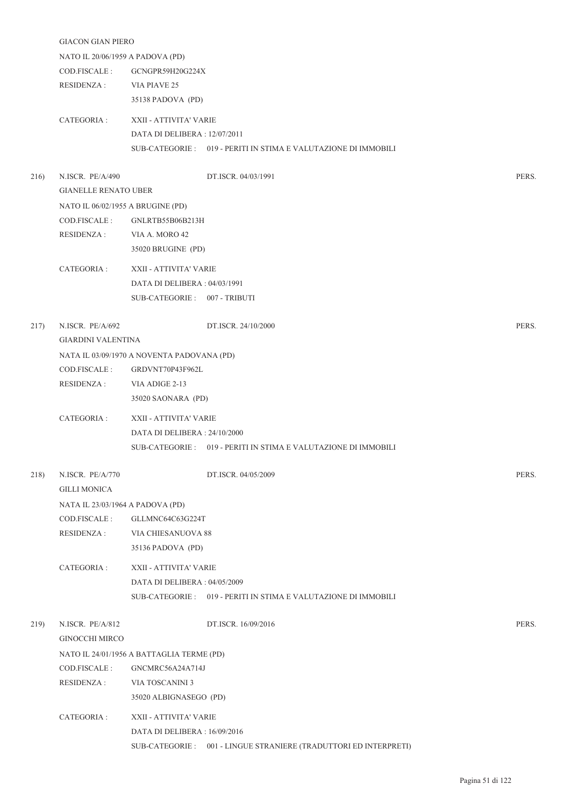|      | <b>GIACON GIAN PIERO</b>          |                                            |                                                                  |       |
|------|-----------------------------------|--------------------------------------------|------------------------------------------------------------------|-------|
|      | NATO IL 20/06/1959 A PADOVA (PD)  |                                            |                                                                  |       |
|      | COD.FISCALE :                     | GCNGPR59H20G224X                           |                                                                  |       |
|      | RESIDENZA :                       | VIA PIAVE 25                               |                                                                  |       |
|      |                                   | 35138 PADOVA (PD)                          |                                                                  |       |
|      |                                   |                                            |                                                                  |       |
|      | CATEGORIA :                       | XXII - ATTIVITA' VARIE                     |                                                                  |       |
|      |                                   | DATA DI DELIBERA : 12/07/2011              |                                                                  |       |
|      |                                   |                                            | SUB-CATEGORIE: 019 - PERITI IN STIMA E VALUTAZIONE DI IMMOBILI   |       |
| 216) | N.ISCR. PE/A/490                  |                                            | DT.ISCR. 04/03/1991                                              | PERS. |
|      | <b>GIANELLE RENATO UBER</b>       |                                            |                                                                  |       |
|      | NATO IL 06/02/1955 A BRUGINE (PD) |                                            |                                                                  |       |
|      | COD.FISCALE :                     | GNLRTB55B06B213H                           |                                                                  |       |
|      | RESIDENZA :                       | VIA A. MORO 42                             |                                                                  |       |
|      |                                   | 35020 BRUGINE (PD)                         |                                                                  |       |
|      | CATEGORIA :                       | XXII - ATTIVITA' VARIE                     |                                                                  |       |
|      |                                   | DATA DI DELIBERA : 04/03/1991              |                                                                  |       |
|      |                                   | SUB-CATEGORIE: 007 - TRIBUTI               |                                                                  |       |
|      |                                   |                                            |                                                                  |       |
| 217) | N.ISCR. PE/A/692                  |                                            | DT.ISCR. 24/10/2000                                              | PERS. |
|      | <b>GIARDINI VALENTINA</b>         |                                            |                                                                  |       |
|      |                                   | NATA IL 03/09/1970 A NOVENTA PADOVANA (PD) |                                                                  |       |
|      | COD.FISCALE :                     | GRDVNT70P43F962L                           |                                                                  |       |
|      | RESIDENZA :                       | VIA ADIGE 2-13                             |                                                                  |       |
|      |                                   | 35020 SAONARA (PD)                         |                                                                  |       |
|      |                                   |                                            |                                                                  |       |
|      | CATEGORIA :                       | XXII - ATTIVITA' VARIE                     |                                                                  |       |
|      |                                   | DATA DI DELIBERA : 24/10/2000              |                                                                  |       |
|      |                                   |                                            | SUB-CATEGORIE: 019 - PERITI IN STIMA E VALUTAZIONE DI IMMOBILI   |       |
| 218) | N.ISCR. PE/A/770                  |                                            | DT.ISCR. 04/05/2009                                              | PERS. |
|      | <b>GILLI MONICA</b>               |                                            |                                                                  |       |
|      | NATA IL 23/03/1964 A PADOVA (PD)  |                                            |                                                                  |       |
|      | COD.FISCALE:                      | GLLMNC64C63G224T                           |                                                                  |       |
|      | RESIDENZA :                       | VIA CHIESANUOVA 88                         |                                                                  |       |
|      |                                   | 35136 PADOVA (PD)                          |                                                                  |       |
|      |                                   |                                            |                                                                  |       |
|      | CATEGORIA :                       | XXII - ATTIVITA' VARIE                     |                                                                  |       |
|      |                                   | DATA DI DELIBERA: 04/05/2009               |                                                                  |       |
|      |                                   |                                            | SUB-CATEGORIE : 019 - PERITI IN STIMA E VALUTAZIONE DI IMMOBILI  |       |
| 219) | N.ISCR. PE/A/812                  |                                            | DT.ISCR. 16/09/2016                                              | PERS. |
|      | <b>GINOCCHI MIRCO</b>             |                                            |                                                                  |       |
|      |                                   | NATO IL 24/01/1956 A BATTAGLIA TERME (PD)  |                                                                  |       |
|      | COD.FISCALE:                      | GNCMRC56A24A714J                           |                                                                  |       |
|      | <b>RESIDENZA:</b>                 | VIA TOSCANINI 3                            |                                                                  |       |
|      |                                   | 35020 ALBIGNASEGO (PD)                     |                                                                  |       |
|      |                                   |                                            |                                                                  |       |
|      | CATEGORIA :                       | XXII - ATTIVITA' VARIE                     |                                                                  |       |
|      |                                   | DATA DI DELIBERA : 16/09/2016              |                                                                  |       |
|      |                                   |                                            | SUB-CATEGORIE: 001 - LINGUE STRANIERE (TRADUTTORI ED INTERPRETI) |       |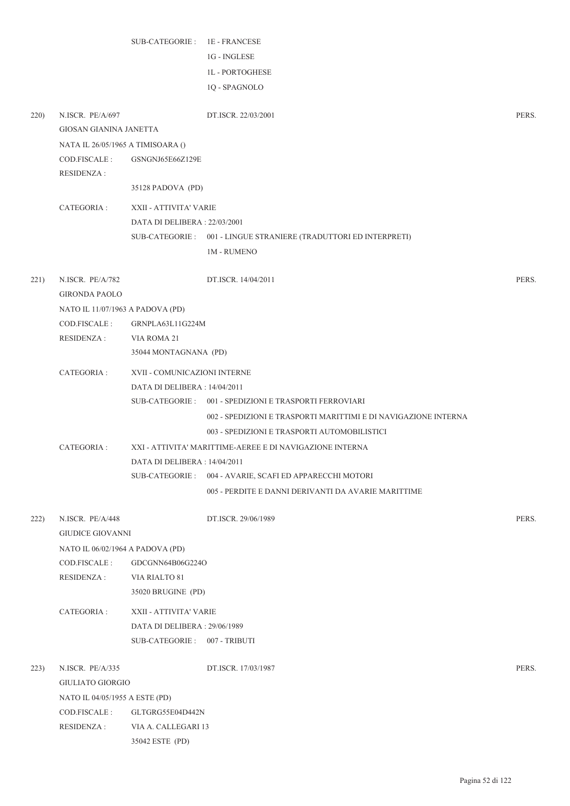|      |                                                  | SUB-CATEGORIE: 1E - FRANCESE        |                                                                  |       |
|------|--------------------------------------------------|-------------------------------------|------------------------------------------------------------------|-------|
|      |                                                  |                                     | 1G - INGLESE                                                     |       |
|      |                                                  |                                     | <b>1L-PORTOGHESE</b>                                             |       |
|      |                                                  |                                     | 1Q - SPAGNOLO                                                    |       |
| 220) | N.ISCR. PE/A/697                                 |                                     | DT.ISCR. 22/03/2001                                              | PERS. |
|      | GIOSAN GIANINA JANETTA                           |                                     |                                                                  |       |
|      | NATA IL 26/05/1965 A TIMISOARA ()                |                                     |                                                                  |       |
|      | COD.FISCALE:                                     | GSNGNJ65E66Z129E                    |                                                                  |       |
|      | <b>RESIDENZA:</b>                                | 35128 PADOVA (PD)                   |                                                                  |       |
|      | CATEGORIA :                                      | XXII - ATTIVITA' VARIE              |                                                                  |       |
|      |                                                  | DATA DI DELIBERA: 22/03/2001        |                                                                  |       |
|      |                                                  |                                     | SUB-CATEGORIE: 001 - LINGUE STRANIERE (TRADUTTORI ED INTERPRETI) |       |
|      |                                                  |                                     | <b>1M - RUMENO</b>                                               |       |
|      |                                                  |                                     |                                                                  |       |
| 221) | N.ISCR. PE/A/782                                 |                                     | DT.ISCR. 14/04/2011                                              | PERS. |
|      | <b>GIRONDA PAOLO</b>                             |                                     |                                                                  |       |
|      | NATO IL 11/07/1963 A PADOVA (PD)<br>COD.FISCALE: | GRNPLA63L11G224M                    |                                                                  |       |
|      | <b>RESIDENZA:</b>                                | VIA ROMA 21                         |                                                                  |       |
|      |                                                  | 35044 MONTAGNANA (PD)               |                                                                  |       |
|      | CATEGORIA :                                      | XVII - COMUNICAZIONI INTERNE        |                                                                  |       |
|      |                                                  | DATA DI DELIBERA : 14/04/2011       |                                                                  |       |
|      |                                                  |                                     | SUB-CATEGORIE: 001 - SPEDIZIONI E TRASPORTI FERROVIARI           |       |
|      |                                                  |                                     | 002 - SPEDIZIONI E TRASPORTI MARITTIMI E DI NAVIGAZIONE INTERNA  |       |
|      |                                                  |                                     | 003 - SPEDIZIONI E TRASPORTI AUTOMOBILISTICI                     |       |
|      | CATEGORIA :                                      |                                     | XXI - ATTIVITA' MARITTIME-AEREE E DI NAVIGAZIONE INTERNA         |       |
|      |                                                  | DATA DI DELIBERA : 14/04/2011       |                                                                  |       |
|      |                                                  | SUB-CATEGORIE :                     | 004 - AVARIE, SCAFI ED APPARECCHI MOTORI                         |       |
|      |                                                  |                                     | 005 - PERDITE E DANNI DERIVANTI DA AVARIE MARITTIME              |       |
| 222) | N.ISCR. PE/A/448                                 |                                     | DT.ISCR. 29/06/1989                                              | PERS. |
|      | <b>GIUDICE GIOVANNI</b>                          |                                     |                                                                  |       |
|      | NATO IL 06/02/1964 A PADOVA (PD)                 |                                     |                                                                  |       |
|      | COD.FISCALE :                                    | GDCGNN64B06G224O                    |                                                                  |       |
|      | <b>RESIDENZA:</b>                                | VIA RIALTO 81<br>35020 BRUGINE (PD) |                                                                  |       |
|      | CATEGORIA :                                      | XXII - ATTIVITA' VARIE              |                                                                  |       |
|      |                                                  | DATA DI DELIBERA: 29/06/1989        |                                                                  |       |
|      |                                                  | SUB-CATEGORIE: 007 - TRIBUTI        |                                                                  |       |
|      |                                                  |                                     |                                                                  |       |
| 223) | N.ISCR. PE/A/335                                 |                                     | DT.ISCR. 17/03/1987                                              | PERS. |
|      | <b>GIULIATO GIORGIO</b>                          |                                     |                                                                  |       |
|      | NATO IL 04/05/1955 A ESTE (PD)                   |                                     |                                                                  |       |
|      | COD.FISCALE:                                     | GLTGRG55E04D442N                    |                                                                  |       |
|      | <b>RESIDENZA:</b>                                | VIA A. CALLEGARI 13                 |                                                                  |       |
|      |                                                  | 35042 ESTE (PD)                     |                                                                  |       |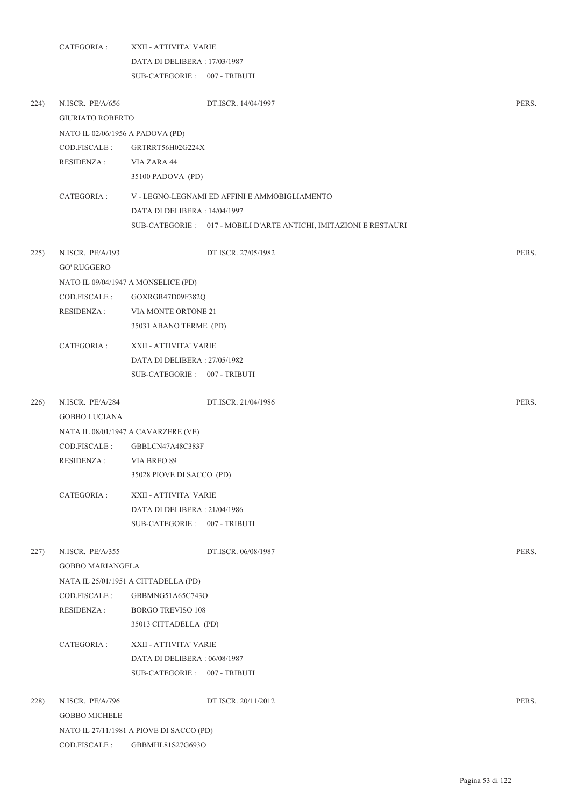|      | CATEGORIA :                                 | XXII - ATTIVITA' VARIE                                       |                                                                    |       |  |  |  |
|------|---------------------------------------------|--------------------------------------------------------------|--------------------------------------------------------------------|-------|--|--|--|
|      |                                             | DATA DI DELIBERA: 17/03/1987                                 |                                                                    |       |  |  |  |
|      |                                             | SUB-CATEGORIE: 007 - TRIBUTI                                 |                                                                    |       |  |  |  |
| 224) | N.ISCR. PE/A/656<br><b>GIURIATO ROBERTO</b> |                                                              | DT.ISCR. 14/04/1997                                                | PERS. |  |  |  |
|      | NATO IL 02/06/1956 A PADOVA (PD)            |                                                              |                                                                    |       |  |  |  |
|      | COD.FISCALE:                                | GRTRRT56H02G224X                                             |                                                                    |       |  |  |  |
|      | RESIDENZA :                                 | VIA ZARA 44                                                  |                                                                    |       |  |  |  |
|      |                                             | 35100 PADOVA (PD)                                            |                                                                    |       |  |  |  |
|      | CATEGORIA :                                 |                                                              | V - LEGNO-LEGNAMI ED AFFINI E AMMOBIGLIAMENTO                      |       |  |  |  |
|      |                                             | DATA DI DELIBERA : 14/04/1997                                |                                                                    |       |  |  |  |
|      |                                             |                                                              | SUB-CATEGORIE : 017 - MOBILI D'ARTE ANTICHI, IMITAZIONI E RESTAURI |       |  |  |  |
| 225) | N.ISCR. PE/A/193<br><b>GO' RUGGERO</b>      |                                                              | DT.ISCR. 27/05/1982                                                | PERS. |  |  |  |
|      |                                             | NATO IL 09/04/1947 A MONSELICE (PD)                          |                                                                    |       |  |  |  |
|      | COD.FISCALE:                                | GOXRGR47D09F382Q                                             |                                                                    |       |  |  |  |
|      | <b>RESIDENZA:</b>                           | VIA MONTE ORTONE 21                                          |                                                                    |       |  |  |  |
|      |                                             | 35031 ABANO TERME (PD)                                       |                                                                    |       |  |  |  |
|      | CATEGORIA :                                 | XXII - ATTIVITA' VARIE                                       |                                                                    |       |  |  |  |
|      |                                             | DATA DI DELIBERA: 27/05/1982                                 |                                                                    |       |  |  |  |
|      |                                             | SUB-CATEGORIE: 007 - TRIBUTI                                 |                                                                    |       |  |  |  |
| 226) | N.ISCR. PE/A/284                            |                                                              | DT.ISCR. 21/04/1986                                                | PERS. |  |  |  |
|      | <b>GOBBO LUCIANA</b>                        |                                                              |                                                                    |       |  |  |  |
|      |                                             | NATA IL 08/01/1947 A CAVARZERE (VE)                          |                                                                    |       |  |  |  |
|      | COD.FISCALE:                                | GBBLCN47A48C383F                                             |                                                                    |       |  |  |  |
|      | RESIDENZA :                                 | VIA BREO 89<br>35028 PIOVE DI SACCO (PD)                     |                                                                    |       |  |  |  |
|      |                                             |                                                              |                                                                    |       |  |  |  |
|      | CATEGORIA :                                 | XXII - ATTIVITA' VARIE                                       |                                                                    |       |  |  |  |
|      |                                             | DATA DI DELIBERA: 21/04/1986<br>SUB-CATEGORIE: 007 - TRIBUTI |                                                                    |       |  |  |  |
|      |                                             |                                                              |                                                                    |       |  |  |  |
| 227) | N.ISCR. PE/A/355                            |                                                              | DT.ISCR. 06/08/1987                                                | PERS. |  |  |  |
|      | <b>GOBBO MARIANGELA</b>                     |                                                              |                                                                    |       |  |  |  |
|      |                                             | NATA IL 25/01/1951 A CITTADELLA (PD)                         |                                                                    |       |  |  |  |
|      | COD.FISCALE:                                | GBBMNG51A65C743O                                             |                                                                    |       |  |  |  |
|      | <b>RESIDENZA:</b>                           | <b>BORGO TREVISO 108</b>                                     |                                                                    |       |  |  |  |
|      |                                             | 35013 CITTADELLA (PD)                                        |                                                                    |       |  |  |  |
|      | CATEGORIA :                                 | XXII - ATTIVITA' VARIE                                       |                                                                    |       |  |  |  |
|      |                                             | DATA DI DELIBERA: 06/08/1987                                 |                                                                    |       |  |  |  |
|      |                                             | SUB-CATEGORIE: 007 - TRIBUTI                                 |                                                                    |       |  |  |  |
| 228) | N.ISCR. PE/A/796                            |                                                              | DT.ISCR. 20/11/2012                                                | PERS. |  |  |  |
|      | <b>GOBBO MICHELE</b>                        |                                                              |                                                                    |       |  |  |  |
|      |                                             | NATO IL 27/11/1981 A PIOVE DI SACCO (PD)                     |                                                                    |       |  |  |  |
|      | COD.FISCALE:                                | GBBMHL81S27G693O                                             |                                                                    |       |  |  |  |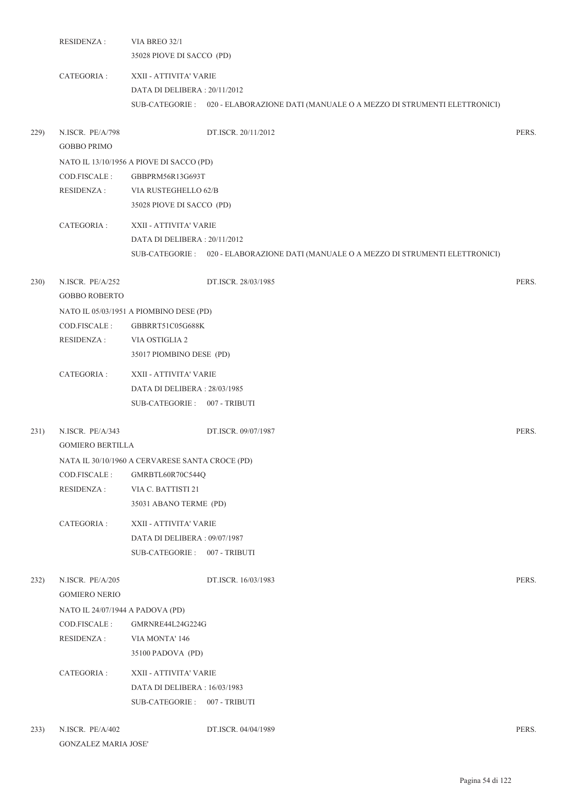|      | <b>RESIDENZA:</b>                                                      | VIA BREO 32/1<br>35028 PIOVE DI SACCO (PD)                                                                                                      |       |
|------|------------------------------------------------------------------------|-------------------------------------------------------------------------------------------------------------------------------------------------|-------|
|      | CATEGORIA :                                                            | XXII - ATTIVITA' VARIE<br>DATA DI DELIBERA: 20/11/2012<br>SUB-CATEGORIE : 020 - ELABORAZIONE DATI (MANUALE O A MEZZO DI STRUMENTI ELETTRONICI)  |       |
| 229) | N.ISCR. PE/A/798<br><b>GOBBO PRIMO</b>                                 | DT.ISCR. 20/11/2012                                                                                                                             | PERS. |
|      | COD.FISCALE:<br>RESIDENZA :                                            | NATO IL 13/10/1956 A PIOVE DI SACCO (PD)<br>GBBPRM56R13G693T<br>VIA RUSTEGHELLO 62/B<br>35028 PIOVE DI SACCO (PD)                               |       |
|      | CATEGORIA :                                                            | XXII - ATTIVITA' VARIE<br>DATA DI DELIBERA : 20/11/2012<br>SUB-CATEGORIE : 020 - ELABORAZIONE DATI (MANUALE O A MEZZO DI STRUMENTI ELETTRONICI) |       |
| 230) | N.ISCR. PE/A/252<br><b>GOBBO ROBERTO</b>                               | DT.ISCR. 28/03/1985                                                                                                                             | PERS. |
|      | COD.FISCALE:<br>RESIDENZA :                                            | NATO IL 05/03/1951 A PIOMBINO DESE (PD)<br>GBBRRT51C05G688K<br>VIA OSTIGLIA 2<br>35017 PIOMBINO DESE (PD)                                       |       |
|      | CATEGORIA :                                                            | XXII - ATTIVITA' VARIE<br>DATA DI DELIBERA : 28/03/1985<br>SUB-CATEGORIE: 007 - TRIBUTI                                                         |       |
| 231) | N.ISCR. PE/A/343<br><b>GOMIERO BERTILLA</b>                            | DT.ISCR. 09/07/1987                                                                                                                             | PERS. |
|      | COD.FISCALE :<br><b>RESIDENZA:</b>                                     | NATA IL 30/10/1960 A CERVARESE SANTA CROCE (PD)<br>GMRBTL60R70C544Q<br>VIA C. BATTISTI 21<br>35031 ABANO TERME (PD)                             |       |
|      | CATEGORIA :                                                            | XXII - ATTIVITA' VARIE<br>DATA DI DELIBERA: 09/07/1987<br>SUB-CATEGORIE: 007 - TRIBUTI                                                          |       |
| 232) | N.ISCR. PE/A/205<br><b>GOMIERO NERIO</b>                               | DT.ISCR. 16/03/1983                                                                                                                             | PERS. |
|      | NATO IL 24/07/1944 A PADOVA (PD)<br>COD.FISCALE :<br><b>RESIDENZA:</b> | GMRNRE44L24G224G<br>VIA MONTA' 146<br>35100 PADOVA (PD)                                                                                         |       |
|      | CATEGORIA :                                                            | XXII - ATTIVITA' VARIE<br>DATA DI DELIBERA : 16/03/1983<br>SUB-CATEGORIE: 007 - TRIBUTI                                                         |       |
| 233) | N.ISCR. PE/A/402<br><b>GONZALEZ MARIA JOSE'</b>                        | DT.ISCR. 04/04/1989                                                                                                                             | PERS. |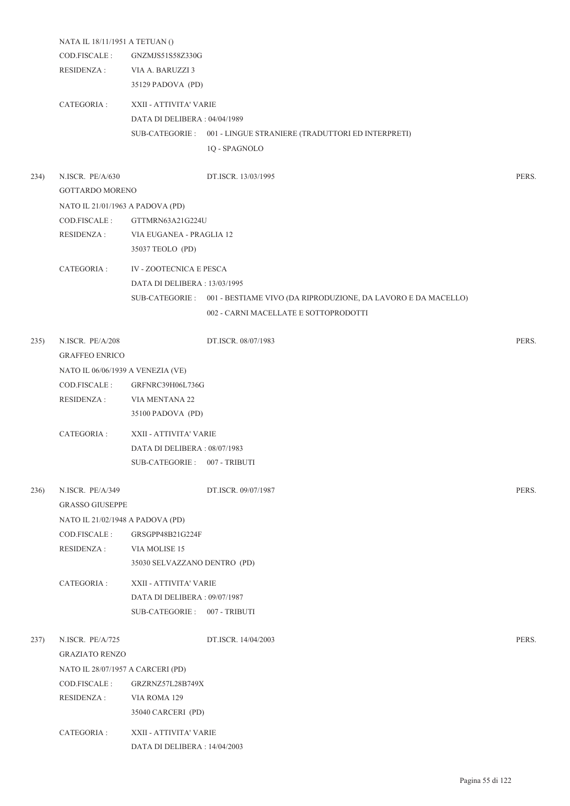|      | NATA IL 18/11/1951 A TETUAN ()    |                               |                                                                               |       |
|------|-----------------------------------|-------------------------------|-------------------------------------------------------------------------------|-------|
|      | COD.FISCALE:                      | GNZMJS51S58Z330G              |                                                                               |       |
|      | <b>RESIDENZA:</b>                 | VIA A. BARUZZI 3              |                                                                               |       |
|      |                                   | 35129 PADOVA (PD)             |                                                                               |       |
|      | CATEGORIA :                       | XXII - ATTIVITA' VARIE        |                                                                               |       |
|      |                                   | DATA DI DELIBERA : 04/04/1989 |                                                                               |       |
|      |                                   |                               | SUB-CATEGORIE : 001 - LINGUE STRANIERE (TRADUTTORI ED INTERPRETI)             |       |
|      |                                   |                               | 1Q - SPAGNOLO                                                                 |       |
| 234) | N.ISCR. PE/A/630                  |                               | DT.ISCR. 13/03/1995                                                           | PERS. |
|      | <b>GOTTARDO MORENO</b>            |                               |                                                                               |       |
|      | NATO IL 21/01/1963 A PADOVA (PD)  |                               |                                                                               |       |
|      | COD.FISCALE:                      | GTTMRN63A21G224U              |                                                                               |       |
|      | <b>RESIDENZA:</b>                 | VIA EUGANEA - PRAGLIA 12      |                                                                               |       |
|      |                                   | 35037 TEOLO (PD)              |                                                                               |       |
|      | CATEGORIA :                       | IV - ZOOTECNICA E PESCA       |                                                                               |       |
|      |                                   | DATA DI DELIBERA : 13/03/1995 |                                                                               |       |
|      |                                   |                               | SUB-CATEGORIE : 001 - BESTIAME VIVO (DA RIPRODUZIONE, DA LAVORO E DA MACELLO) |       |
|      |                                   |                               | 002 - CARNI MACELLATE E SOTTOPRODOTTI                                         |       |
|      |                                   |                               |                                                                               |       |
| 235) | N.ISCR. PE/A/208                  |                               | DT.ISCR. 08/07/1983                                                           | PERS. |
|      | <b>GRAFFEO ENRICO</b>             |                               |                                                                               |       |
|      | NATO IL 06/06/1939 A VENEZIA (VE) |                               |                                                                               |       |
|      | COD.FISCALE :                     | GRFNRC39H06L736G              |                                                                               |       |
|      | <b>RESIDENZA:</b>                 | VIA MENTANA 22                |                                                                               |       |
|      |                                   | 35100 PADOVA (PD)             |                                                                               |       |
|      | CATEGORIA :                       | XXII - ATTIVITA' VARIE        |                                                                               |       |
|      |                                   | DATA DI DELIBERA: 08/07/1983  |                                                                               |       |
|      |                                   | SUB-CATEGORIE: 007 - TRIBUTI  |                                                                               |       |
| 236) | N.ISCR. PE/A/349                  |                               | DT.ISCR. 09/07/1987                                                           | PERS. |
|      | <b>GRASSO GIUSEPPE</b>            |                               |                                                                               |       |
|      | NATO IL 21/02/1948 A PADOVA (PD)  |                               |                                                                               |       |
|      | COD.FISCALE :                     | GRSGPP48B21G224F              |                                                                               |       |
|      | <b>RESIDENZA:</b>                 | VIA MOLISE 15                 |                                                                               |       |
|      |                                   | 35030 SELVAZZANO DENTRO (PD)  |                                                                               |       |
|      | CATEGORIA:                        | XXII - ATTIVITA' VARIE        |                                                                               |       |
|      |                                   | DATA DI DELIBERA: 09/07/1987  |                                                                               |       |
|      |                                   | SUB-CATEGORIE: 007 - TRIBUTI  |                                                                               |       |
| 237) | N.ISCR. PE/A/725                  |                               | DT.ISCR. 14/04/2003                                                           | PERS. |
|      | <b>GRAZIATO RENZO</b>             |                               |                                                                               |       |
|      | NATO IL 28/07/1957 A CARCERI (PD) |                               |                                                                               |       |
|      | COD.FISCALE :                     | GRZRNZ57L28B749X              |                                                                               |       |
|      | <b>RESIDENZA:</b>                 | VIA ROMA 129                  |                                                                               |       |
|      |                                   | 35040 CARCERI (PD)            |                                                                               |       |
|      | CATEGORIA :                       | XXII - ATTIVITA' VARIE        |                                                                               |       |
|      |                                   | DATA DI DELIBERA : 14/04/2003 |                                                                               |       |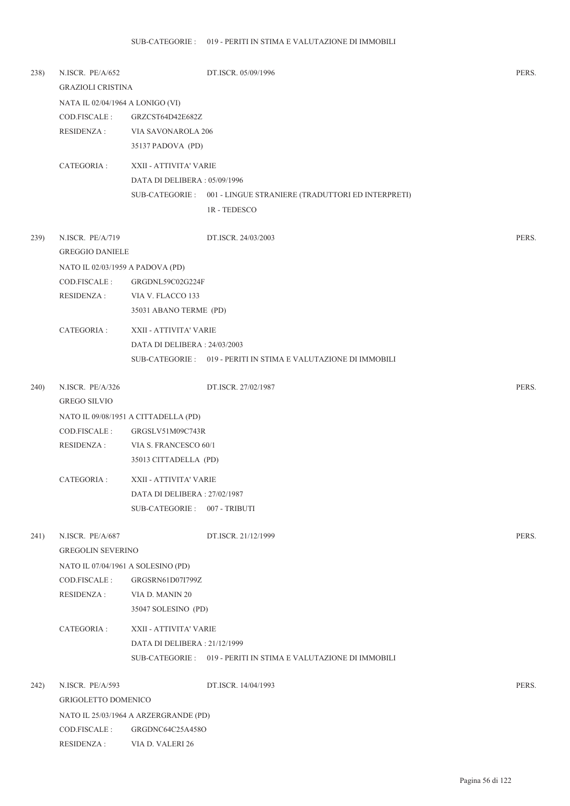| 238) | N.ISCR. PE/A/652                   |                                       | DT.ISCR. 05/09/1996                                              | PERS. |
|------|------------------------------------|---------------------------------------|------------------------------------------------------------------|-------|
|      | <b>GRAZIOLI CRISTINA</b>           |                                       |                                                                  |       |
|      | NATA IL 02/04/1964 A LONIGO (VI)   |                                       |                                                                  |       |
|      | COD.FISCALE:                       | GRZCST64D42E682Z                      |                                                                  |       |
|      | RESIDENZA :                        | VIA SAVONAROLA 206                    |                                                                  |       |
|      |                                    | 35137 PADOVA (PD)                     |                                                                  |       |
|      | CATEGORIA :                        | XXII - ATTIVITA' VARIE                |                                                                  |       |
|      |                                    | DATA DI DELIBERA: 05/09/1996          |                                                                  |       |
|      |                                    |                                       | SUB-CATEGORIE: 001 - LINGUE STRANIERE (TRADUTTORI ED INTERPRETI) |       |
|      |                                    |                                       | 1R - TEDESCO                                                     |       |
|      |                                    |                                       |                                                                  |       |
| 239) | N.ISCR. PE/A/719                   |                                       | DT.ISCR. 24/03/2003                                              | PERS. |
|      | <b>GREGGIO DANIELE</b>             |                                       |                                                                  |       |
|      | NATO IL 02/03/1959 A PADOVA (PD)   |                                       |                                                                  |       |
|      | COD.FISCALE:                       | GRGDNL59C02G224F                      |                                                                  |       |
|      | RESIDENZA :                        | VIA V. FLACCO 133                     |                                                                  |       |
|      |                                    | 35031 ABANO TERME (PD)                |                                                                  |       |
|      | CATEGORIA :                        | XXII - ATTIVITA' VARIE                |                                                                  |       |
|      |                                    | DATA DI DELIBERA: 24/03/2003          |                                                                  |       |
|      |                                    |                                       | SUB-CATEGORIE: 019 - PERITI IN STIMA E VALUTAZIONE DI IMMOBILI   |       |
|      |                                    |                                       |                                                                  |       |
| 240) | N.ISCR. PE/A/326                   |                                       | DT.ISCR. 27/02/1987                                              | PERS. |
|      | <b>GREGO SILVIO</b>                |                                       |                                                                  |       |
|      |                                    | NATO IL 09/08/1951 A CITTADELLA (PD)  |                                                                  |       |
|      | COD.FISCALE:                       | GRGSLV51M09C743R                      |                                                                  |       |
|      | RESIDENZA :                        | VIA S. FRANCESCO 60/1                 |                                                                  |       |
|      |                                    | 35013 CITTADELLA (PD)                 |                                                                  |       |
|      | CATEGORIA :                        | XXII - ATTIVITA' VARIE                |                                                                  |       |
|      |                                    | DATA DI DELIBERA: 27/02/1987          |                                                                  |       |
|      |                                    | SUB-CATEGORIE: 007 - TRIBUTI          |                                                                  |       |
|      |                                    |                                       |                                                                  |       |
| 241) | N.ISCR. PE/A/687                   |                                       | DT.ISCR. 21/12/1999                                              | PERS. |
|      | <b>GREGOLIN SEVERINO</b>           |                                       |                                                                  |       |
|      | NATO IL 07/04/1961 A SOLESINO (PD) |                                       |                                                                  |       |
|      | COD.FISCALE :                      | GRGSRN61D07I799Z                      |                                                                  |       |
|      | <b>RESIDENZA:</b>                  | VIA D. MANIN 20                       |                                                                  |       |
|      |                                    | 35047 SOLESINO (PD)                   |                                                                  |       |
|      | CATEGORIA :                        | XXII - ATTIVITA' VARIE                |                                                                  |       |
|      |                                    | DATA DI DELIBERA: 21/12/1999          |                                                                  |       |
|      |                                    |                                       | SUB-CATEGORIE : 019 - PERITI IN STIMA E VALUTAZIONE DI IMMOBILI  |       |
|      |                                    |                                       |                                                                  |       |
| 242) | N.ISCR. PE/A/593                   |                                       | DT.ISCR. 14/04/1993                                              | PERS. |
|      | GRIGOLETTO DOMENICO                |                                       |                                                                  |       |
|      |                                    | NATO IL 25/03/1964 A ARZERGRANDE (PD) |                                                                  |       |
|      | COD.FISCALE :                      | GRGDNC64C25A458O                      |                                                                  |       |
|      | <b>RESIDENZA:</b>                  | VIA D. VALERI 26                      |                                                                  |       |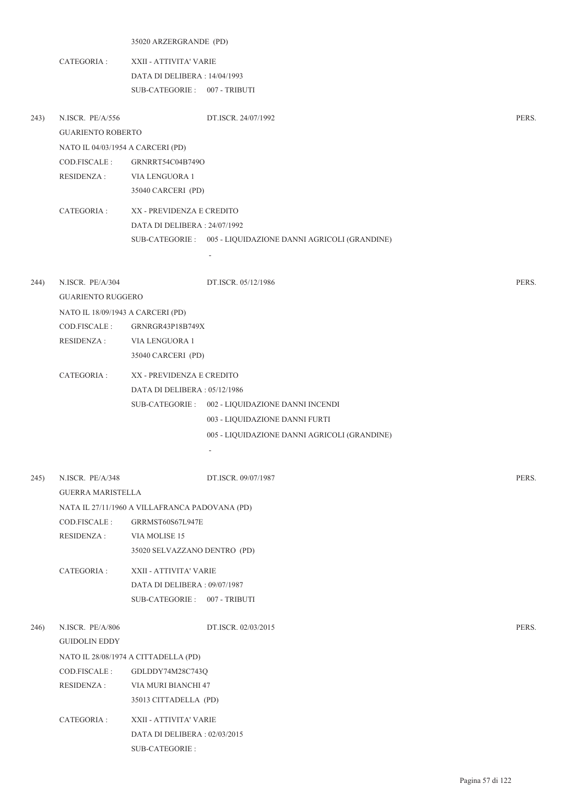|      |                                   | 35020 ARZERGRANDE (PD)                         |                                                              |       |  |
|------|-----------------------------------|------------------------------------------------|--------------------------------------------------------------|-------|--|
|      | CATEGORIA :                       | XXII - ATTIVITA' VARIE                         |                                                              |       |  |
|      |                                   | DATA DI DELIBERA: 14/04/1993                   |                                                              |       |  |
|      |                                   | SUB-CATEGORIE: 007 - TRIBUTI                   |                                                              |       |  |
| 243) | N.ISCR. PE/A/556                  |                                                | DT.ISCR. 24/07/1992                                          | PERS. |  |
|      | <b>GUARIENTO ROBERTO</b>          |                                                |                                                              |       |  |
|      | NATO IL 04/03/1954 A CARCERI (PD) |                                                |                                                              |       |  |
|      | COD.FISCALE:                      | GRNRRT54C04B749O                               |                                                              |       |  |
|      | RESIDENZA :                       | VIA LENGUORA 1                                 |                                                              |       |  |
|      |                                   | 35040 CARCERI (PD)                             |                                                              |       |  |
|      | CATEGORIA :                       | XX - PREVIDENZA E CREDITO                      |                                                              |       |  |
|      |                                   | DATA DI DELIBERA: 24/07/1992                   |                                                              |       |  |
|      |                                   |                                                | SUB-CATEGORIE : 005 - LIQUIDAZIONE DANNI AGRICOLI (GRANDINE) |       |  |
|      |                                   |                                                |                                                              |       |  |
|      |                                   |                                                |                                                              |       |  |
| 244) | N.ISCR. PE/A/304                  |                                                | DT.ISCR. 05/12/1986                                          | PERS. |  |
|      | <b>GUARIENTO RUGGERO</b>          |                                                |                                                              |       |  |
|      | NATO IL 18/09/1943 A CARCERI (PD) |                                                |                                                              |       |  |
|      | COD.FISCALE:                      | GRNRGR43P18B749X                               |                                                              |       |  |
|      | RESIDENZA :                       | VIA LENGUORA 1                                 |                                                              |       |  |
|      |                                   | 35040 CARCERI (PD)                             |                                                              |       |  |
|      | CATEGORIA :                       | XX - PREVIDENZA E CREDITO                      |                                                              |       |  |
|      |                                   | DATA DI DELIBERA : 05/12/1986                  |                                                              |       |  |
|      |                                   |                                                | SUB-CATEGORIE : 002 - LIQUIDAZIONE DANNI INCENDI             |       |  |
|      |                                   |                                                | 003 - LIQUIDAZIONE DANNI FURTI                               |       |  |
|      |                                   |                                                | 005 - LIQUIDAZIONE DANNI AGRICOLI (GRANDINE)                 |       |  |
|      |                                   |                                                | $\overline{\phantom{a}}$                                     |       |  |
| 245) | N.ISCR. PE/A/348                  |                                                | DT.ISCR. 09/07/1987                                          | PERS. |  |
|      | <b>GUERRA MARISTELLA</b>          |                                                |                                                              |       |  |
|      |                                   | NATA IL 27/11/1960 A VILLAFRANCA PADOVANA (PD) |                                                              |       |  |
|      | COD.FISCALE:                      | GRRMST60S67L947E                               |                                                              |       |  |
|      | <b>RESIDENZA:</b>                 | VIA MOLISE 15                                  |                                                              |       |  |
|      |                                   | 35020 SELVAZZANO DENTRO (PD)                   |                                                              |       |  |
|      | CATEGORIA :                       | XXII - ATTIVITA' VARIE                         |                                                              |       |  |
|      |                                   | DATA DI DELIBERA: 09/07/1987                   |                                                              |       |  |
|      |                                   | SUB-CATEGORIE: 007 - TRIBUTI                   |                                                              |       |  |
|      |                                   |                                                |                                                              |       |  |
| 246) | N.ISCR. PE/A/806                  |                                                | DT.ISCR. 02/03/2015                                          | PERS. |  |
|      | GUIDOLIN EDDY                     |                                                |                                                              |       |  |
|      |                                   | NATO IL 28/08/1974 A CITTADELLA (PD)           |                                                              |       |  |
|      | COD.FISCALE:                      | GDLDDY74M28C743Q                               |                                                              |       |  |
|      | <b>RESIDENZA:</b>                 | VIA MURI BIANCHI 47                            |                                                              |       |  |
|      |                                   | 35013 CITTADELLA (PD)                          |                                                              |       |  |
|      | CATEGORIA :                       | XXII - ATTIVITA' VARIE                         |                                                              |       |  |
|      |                                   | DATA DI DELIBERA : 02/03/2015                  |                                                              |       |  |

SUB-CATEGORIE :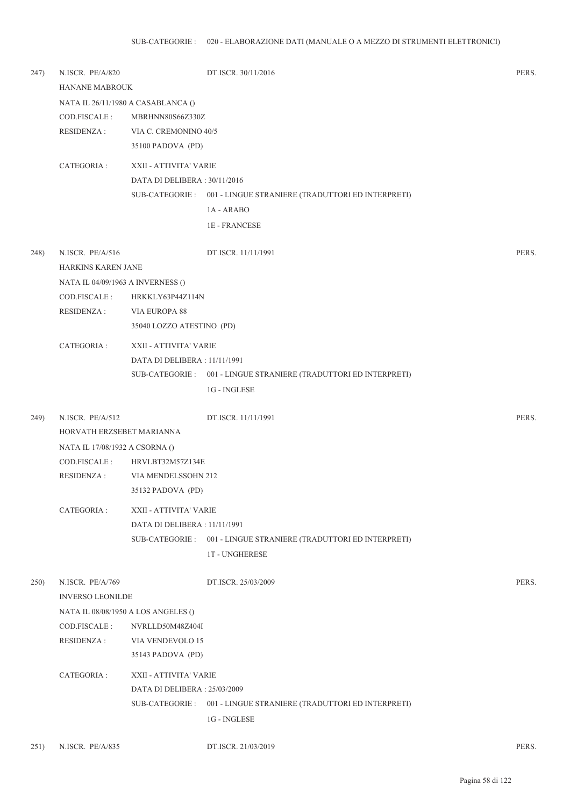| 247) | N.ISCR. PE/A/820<br>HANANE MABROUK |                                     | DT.ISCR. 30/11/2016                                               | PERS. |  |
|------|------------------------------------|-------------------------------------|-------------------------------------------------------------------|-------|--|
|      |                                    |                                     |                                                                   |       |  |
|      |                                    | NATA IL 26/11/1980 A CASABLANCA ()  |                                                                   |       |  |
|      | COD.FISCALE :                      | MBRHNN80S66Z330Z                    |                                                                   |       |  |
|      | <b>RESIDENZA:</b>                  | VIA C. CREMONINO 40/5               |                                                                   |       |  |
|      |                                    | 35100 PADOVA (PD)                   |                                                                   |       |  |
|      | CATEGORIA:                         | XXII - ATTIVITA' VARIE              |                                                                   |       |  |
|      |                                    | DATA DI DELIBERA: 30/11/2016        |                                                                   |       |  |
|      |                                    |                                     | SUB-CATEGORIE: 001 - LINGUE STRANIERE (TRADUTTORI ED INTERPRETI)  |       |  |
|      |                                    |                                     | 1A - ARABO                                                        |       |  |
|      |                                    |                                     | <b>1E - FRANCESE</b>                                              |       |  |
| 248) | N.ISCR. PE/A/516                   |                                     | DT.ISCR. 11/11/1991                                               | PERS. |  |
|      | HARKINS KAREN JANE                 |                                     |                                                                   |       |  |
|      | NATA IL 04/09/1963 A INVERNESS ()  |                                     |                                                                   |       |  |
|      | COD.FISCALE :                      | HRKKLY63P44Z114N                    |                                                                   |       |  |
|      | <b>RESIDENZA:</b>                  | VIA EUROPA 88                       |                                                                   |       |  |
|      |                                    | 35040 LOZZO ATESTINO (PD)           |                                                                   |       |  |
|      | CATEGORIA :                        | XXII - ATTIVITA' VARIE              |                                                                   |       |  |
|      |                                    | DATA DI DELIBERA : 11/11/1991       |                                                                   |       |  |
|      |                                    |                                     | SUB-CATEGORIE : 001 - LINGUE STRANIERE (TRADUTTORI ED INTERPRETI) |       |  |
|      |                                    |                                     | 1G - INGLESE                                                      |       |  |
| 249) | N.ISCR. PE/A/512                   |                                     | DT.ISCR. 11/11/1991                                               | PERS. |  |
|      | HORVATH ERZSEBET MARIANNA          |                                     |                                                                   |       |  |
|      | NATA IL 17/08/1932 A CSORNA ()     |                                     |                                                                   |       |  |
|      | COD.FISCALE :                      | HRVLBT32M57Z134E                    |                                                                   |       |  |
|      | RESIDENZA :                        | VIA MENDELSSOHN 212                 |                                                                   |       |  |
|      |                                    | 35132 PADOVA (PD)                   |                                                                   |       |  |
|      | CATEGORIA :                        | XXII - ATTIVITA' VARIE              |                                                                   |       |  |
|      |                                    | DATA DI DELIBERA : 11/11/1991       |                                                                   |       |  |
|      |                                    |                                     | SUB-CATEGORIE : 001 - LINGUE STRANIERE (TRADUTTORI ED INTERPRETI) |       |  |
|      |                                    |                                     | <b>1T-UNGHERESE</b>                                               |       |  |
| 250) | N.ISCR. PE/A/769                   |                                     | DT.ISCR. 25/03/2009                                               | PERS. |  |
|      | <b>INVERSO LEONILDE</b>            |                                     |                                                                   |       |  |
|      |                                    | NATA IL 08/08/1950 A LOS ANGELES () |                                                                   |       |  |
|      | COD.FISCALE:                       | NVRLLD50M48Z404I                    |                                                                   |       |  |
|      | <b>RESIDENZA:</b>                  | VIA VENDEVOLO 15                    |                                                                   |       |  |
|      |                                    | 35143 PADOVA (PD)                   |                                                                   |       |  |
|      | CATEGORIA :                        | XXII - ATTIVITA' VARIE              |                                                                   |       |  |
|      |                                    | DATA DI DELIBERA : 25/03/2009       |                                                                   |       |  |
|      |                                    |                                     | SUB-CATEGORIE: 001 - LINGUE STRANIERE (TRADUTTORI ED INTERPRETI)  |       |  |
|      |                                    |                                     | 1G - INGLESE                                                      |       |  |
| 251) | N.ISCR. PE/A/835                   |                                     | DT.ISCR. 21/03/2019                                               | PERS. |  |
|      |                                    |                                     |                                                                   |       |  |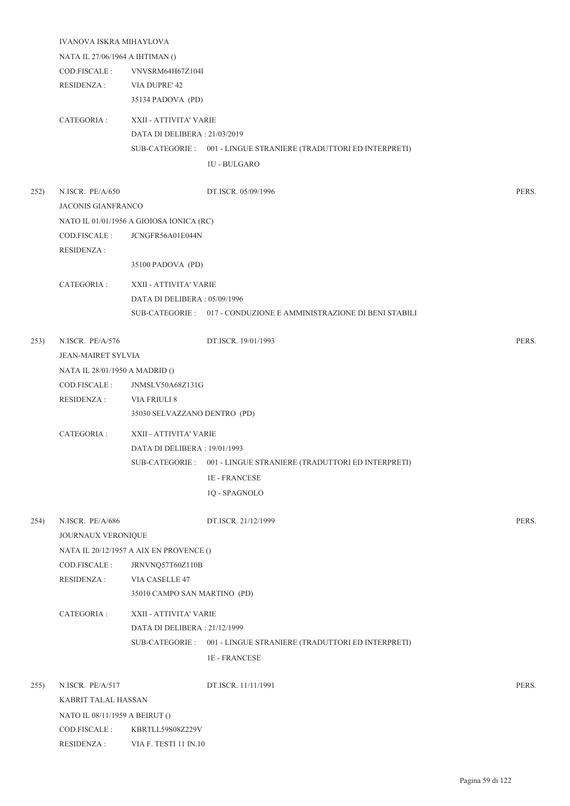|      | IVANOVA ISKRA MIHAYLOVA                        |                                                         |                                                                   |       |  |
|------|------------------------------------------------|---------------------------------------------------------|-------------------------------------------------------------------|-------|--|
|      | NATA IL 27/06/1964 A IHTIMAN ()                |                                                         |                                                                   |       |  |
|      | COD.FISCALE :                                  | VNVSRM64H67Z104I                                        |                                                                   |       |  |
|      | RESIDENZA :                                    | VIA DUPRE' 42                                           |                                                                   |       |  |
|      |                                                | 35134 PADOVA (PD)                                       |                                                                   |       |  |
|      |                                                |                                                         |                                                                   |       |  |
|      | CATEGORIA :                                    | XXII - ATTIVITA' VARIE<br>DATA DI DELIBERA : 21/03/2019 |                                                                   |       |  |
|      |                                                |                                                         | SUB-CATEGORIE: 001 - LINGUE STRANIERE (TRADUTTORI ED INTERPRETI)  |       |  |
|      |                                                |                                                         | <b>1U - BULGARO</b>                                               |       |  |
|      |                                                |                                                         |                                                                   |       |  |
| 252) | N.ISCR. PE/A/650                               |                                                         | DT.ISCR. 05/09/1996                                               | PERS. |  |
|      | <b>JACONIS GIANFRANCO</b>                      |                                                         |                                                                   |       |  |
|      |                                                | NATO IL 01/01/1956 A GIOIOSA IONICA (RC)                |                                                                   |       |  |
|      | COD.FISCALE:                                   | JCNGFR56A01E044N                                        |                                                                   |       |  |
|      | <b>RESIDENZA:</b>                              |                                                         |                                                                   |       |  |
|      |                                                | 35100 PADOVA (PD)                                       |                                                                   |       |  |
|      | CATEGORIA :                                    | XXII - ATTIVITA' VARIE                                  |                                                                   |       |  |
|      |                                                | DATA DI DELIBERA: 05/09/1996                            |                                                                   |       |  |
|      |                                                |                                                         | SUB-CATEGORIE: 017 - CONDUZIONE E AMMINISTRAZIONE DI BENI STABILI |       |  |
|      |                                                |                                                         |                                                                   |       |  |
| 253) | N.ISCR. PE/A/576                               |                                                         | DT.ISCR. 19/01/1993                                               | PERS. |  |
|      | <b>JEAN-MAIRET SYLVIA</b>                      |                                                         |                                                                   |       |  |
|      | NATA IL 28/01/1950 A MADRID ()                 |                                                         |                                                                   |       |  |
|      | COD.FISCALE :                                  | JNMSLV50A68Z131G                                        |                                                                   |       |  |
|      | RESIDENZA :                                    | VIA FRIULI 8                                            |                                                                   |       |  |
|      |                                                | 35030 SELVAZZANO DENTRO (PD)                            |                                                                   |       |  |
|      | CATEGORIA :                                    | XXII - ATTIVITA' VARIE                                  |                                                                   |       |  |
|      |                                                | DATA DI DELIBERA : 19/01/1993                           |                                                                   |       |  |
|      |                                                |                                                         | SUB-CATEGORIE : 001 - LINGUE STRANIERE (TRADUTTORI ED INTERPRETI) |       |  |
|      |                                                |                                                         | <b>1E-FRANCESE</b>                                                |       |  |
|      |                                                |                                                         | 1Q - SPAGNOLO                                                     |       |  |
|      |                                                |                                                         |                                                                   |       |  |
| 254) | N.ISCR. PE/A/686                               |                                                         | DT.ISCR. 21/12/1999                                               | PERS. |  |
|      | JOURNAUX VERONIQUE                             |                                                         |                                                                   |       |  |
|      |                                                | NATA IL 20/12/1957 A AIX EN PROVENCE ()                 |                                                                   |       |  |
|      | COD.FISCALE :                                  | JRNVNQ57T60Z110B                                        |                                                                   |       |  |
|      | <b>RESIDENZA:</b>                              | VIA CASELLE 47                                          |                                                                   |       |  |
|      |                                                | 35010 CAMPO SAN MARTINO (PD)                            |                                                                   |       |  |
|      | CATEGORIA :                                    | XXII - ATTIVITA' VARIE                                  |                                                                   |       |  |
|      |                                                | DATA DI DELIBERA: 21/12/1999                            |                                                                   |       |  |
|      |                                                |                                                         | SUB-CATEGORIE: 001 - LINGUE STRANIERE (TRADUTTORI ED INTERPRETI)  |       |  |
|      |                                                |                                                         | <b>1E-FRANCESE</b>                                                |       |  |
|      |                                                |                                                         |                                                                   |       |  |
| 255) | N.ISCR. PE/A/517<br>KABRIT TALAL HASSAN        |                                                         | DT.ISCR. 11/11/1991                                               | PERS. |  |
|      |                                                |                                                         |                                                                   |       |  |
|      | NATO IL 08/11/1959 A BEIRUT ()<br>COD.FISCALE: |                                                         |                                                                   |       |  |
|      | RESIDENZA :                                    | KBRTLL59S08Z229V<br>VIA F. TESTI 11 IN.10               |                                                                   |       |  |
|      |                                                |                                                         |                                                                   |       |  |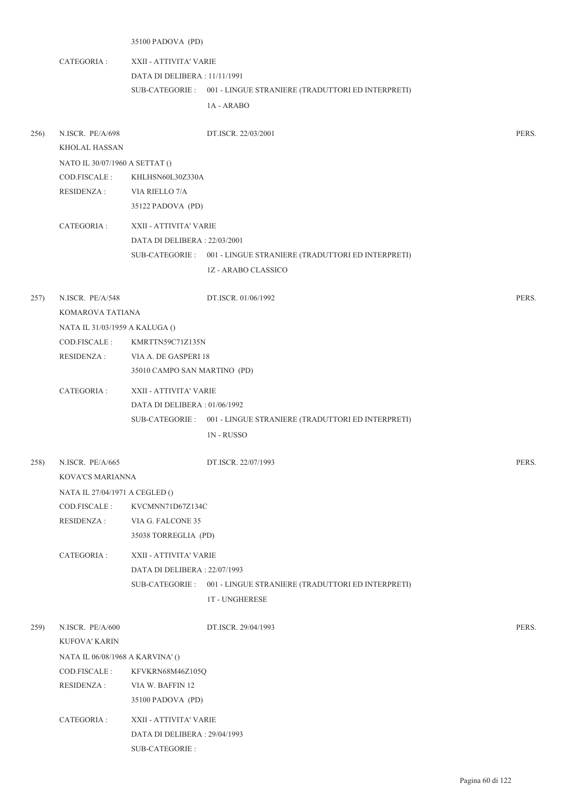|      |                                                 | 35100 PADOVA (PD)             |                                                                   |       |  |
|------|-------------------------------------------------|-------------------------------|-------------------------------------------------------------------|-------|--|
|      | CATEGORIA :                                     | XXII - ATTIVITA' VARIE        |                                                                   |       |  |
|      |                                                 | DATA DI DELIBERA : 11/11/1991 |                                                                   |       |  |
|      |                                                 |                               | SUB-CATEGORIE: 001 - LINGUE STRANIERE (TRADUTTORI ED INTERPRETI)  |       |  |
|      |                                                 |                               | 1A - ARABO                                                        |       |  |
|      |                                                 |                               |                                                                   |       |  |
| 256) | N.ISCR. PE/A/698                                |                               | DT.ISCR. 22/03/2001                                               | PERS. |  |
|      | <b>KHOLAL HASSAN</b>                            |                               |                                                                   |       |  |
|      | NATO IL 30/07/1960 A SETTAT ()                  |                               |                                                                   |       |  |
|      | COD.FISCALE :                                   | KHLHSN60L30Z330A              |                                                                   |       |  |
|      | RESIDENZA :                                     | VIA RIELLO 7/A                |                                                                   |       |  |
|      |                                                 | 35122 PADOVA (PD)             |                                                                   |       |  |
|      | CATEGORIA :                                     | XXII - ATTIVITA' VARIE        |                                                                   |       |  |
|      |                                                 | DATA DI DELIBERA : 22/03/2001 |                                                                   |       |  |
|      |                                                 |                               | SUB-CATEGORIE: 001 - LINGUE STRANIERE (TRADUTTORI ED INTERPRETI)  |       |  |
|      |                                                 |                               | 1Z - ARABO CLASSICO                                               |       |  |
|      |                                                 |                               |                                                                   |       |  |
| 257) | N.ISCR. PE/A/548                                |                               | DT.ISCR. 01/06/1992                                               | PERS. |  |
|      | KOMAROVA TATIANA                                |                               |                                                                   |       |  |
|      | NATA IL 31/03/1959 A KALUGA ()<br>COD.FISCALE : | KMRTTN59C71Z135N              |                                                                   |       |  |
|      | <b>RESIDENZA:</b>                               | VIA A. DE GASPERI 18          |                                                                   |       |  |
|      |                                                 | 35010 CAMPO SAN MARTINO (PD)  |                                                                   |       |  |
|      | CATEGORIA :                                     | XXII - ATTIVITA' VARIE        |                                                                   |       |  |
|      |                                                 | DATA DI DELIBERA: 01/06/1992  |                                                                   |       |  |
|      |                                                 |                               | SUB-CATEGORIE : 001 - LINGUE STRANIERE (TRADUTTORI ED INTERPRETI) |       |  |
|      |                                                 |                               | <b>1N-RUSSO</b>                                                   |       |  |
|      |                                                 |                               |                                                                   |       |  |
|      | 258) N.ISCR. PE/A/665                           |                               | DT.ISCR. 22/07/1993                                               | PERS. |  |
|      | KOVA'CS MARIANNA                                |                               |                                                                   |       |  |
|      | NATA IL 27/04/1971 A CEGLED ()                  |                               |                                                                   |       |  |
|      | COD.FISCALE:                                    | KVCMNN71D67Z134C              |                                                                   |       |  |
|      | <b>RESIDENZA:</b>                               | VIA G. FALCONE 35             |                                                                   |       |  |
|      |                                                 | 35038 TORREGLIA (PD)          |                                                                   |       |  |
|      | CATEGORIA :                                     | XXII - ATTIVITA' VARIE        |                                                                   |       |  |
|      |                                                 | DATA DI DELIBERA : 22/07/1993 |                                                                   |       |  |
|      |                                                 |                               | SUB-CATEGORIE : 001 - LINGUE STRANIERE (TRADUTTORI ED INTERPRETI) |       |  |
|      |                                                 |                               | <b>1T - UNGHERESE</b>                                             |       |  |
| 259) | N.ISCR. PE/A/600                                |                               | DT.ISCR. 29/04/1993                                               | PERS. |  |
|      | KUFOVA' KARIN                                   |                               |                                                                   |       |  |
|      | NATA IL 06/08/1968 A KARVINA' ()                |                               |                                                                   |       |  |
|      | COD.FISCALE :                                   | KFVKRN68M46Z105Q              |                                                                   |       |  |
|      | <b>RESIDENZA:</b>                               | VIA W. BAFFIN 12              |                                                                   |       |  |
|      |                                                 | 35100 PADOVA (PD)             |                                                                   |       |  |
|      | CATEGORIA :                                     | XXII - ATTIVITA' VARIE        |                                                                   |       |  |
|      |                                                 | DATA DI DELIBERA : 29/04/1993 |                                                                   |       |  |
|      |                                                 | SUB-CATEGORIE :               |                                                                   |       |  |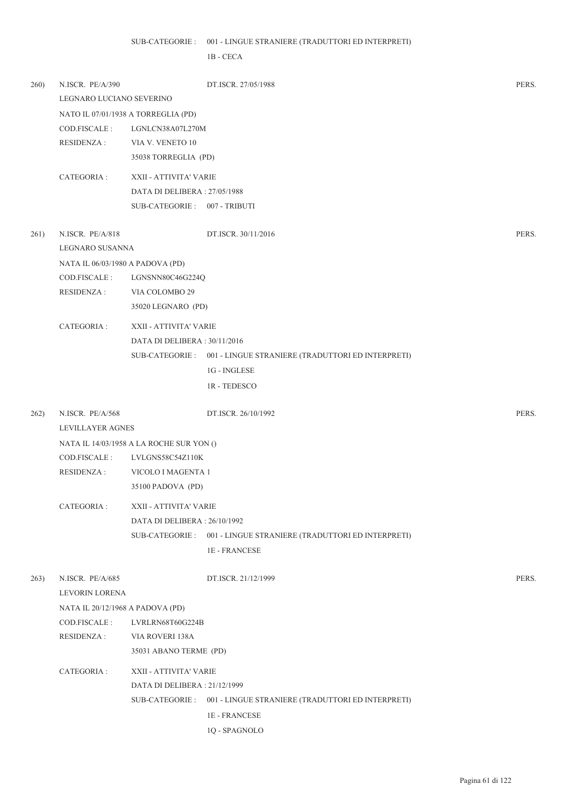## 001 - LINGUE STRANIERE (TRADUTTORI ED INTERPRETI) SUB-CATEGORIE :

1B - CECA

| 260) | N.ISCR. PE/A/390                 | DT.ISCR. 27/05/1988                                               | PERS. |
|------|----------------------------------|-------------------------------------------------------------------|-------|
|      | LEGNARO LUCIANO SEVERINO         |                                                                   |       |
|      |                                  | NATO IL 07/01/1938 A TORREGLIA (PD)                               |       |
|      | COD.FISCALE :                    | LGNLCN38A07L270M                                                  |       |
|      | <b>RESIDENZA:</b>                | VIA V. VENETO 10                                                  |       |
|      |                                  | 35038 TORREGLIA (PD)                                              |       |
|      | CATEGORIA :                      | XXII - ATTIVITA' VARIE                                            |       |
|      |                                  | DATA DI DELIBERA: 27/05/1988                                      |       |
|      |                                  | SUB-CATEGORIE: 007 - TRIBUTI                                      |       |
| 261) | N.ISCR. PE/A/818                 | DT.ISCR. 30/11/2016                                               | PERS. |
|      | LEGNARO SUSANNA                  |                                                                   |       |
|      | NATA IL 06/03/1980 A PADOVA (PD) |                                                                   |       |
|      | COD.FISCALE :                    | LGNSNN80C46G224Q                                                  |       |
|      | <b>RESIDENZA:</b>                | VIA COLOMBO 29                                                    |       |
|      |                                  | 35020 LEGNARO (PD)                                                |       |
|      | CATEGORIA :                      | XXII - ATTIVITA' VARIE                                            |       |
|      |                                  | DATA DI DELIBERA: 30/11/2016                                      |       |
|      |                                  | SUB-CATEGORIE : 001 - LINGUE STRANIERE (TRADUTTORI ED INTERPRETI) |       |
|      |                                  | 1G - INGLESE                                                      |       |
|      |                                  | <b>1R-TEDESCO</b>                                                 |       |
| 262) | N.ISCR. PE/A/568                 | DT.ISCR. 26/10/1992                                               | PERS. |
|      | <b>LEVILLAYER AGNES</b>          |                                                                   |       |
|      |                                  | NATA IL 14/03/1958 A LA ROCHE SUR YON ()                          |       |
|      | COD.FISCALE:                     | LVLGNS58C54Z110K                                                  |       |
|      | <b>RESIDENZA:</b>                | VICOLO I MAGENTA 1                                                |       |
|      |                                  | 35100 PADOVA (PD)                                                 |       |
|      | CATEGORIA :                      | XXII - ATTIVITA' VARIE                                            |       |
|      |                                  | DATA DI DELIBERA: 26/10/1992                                      |       |
|      |                                  | SUB-CATEGORIE : 001 - LINGUE STRANIERE (TRADUTTORI ED INTERPRETI) |       |
|      |                                  | <b>1E-FRANCESE</b>                                                |       |
| 263) | N.ISCR. PE/A/685                 | DT.ISCR. 21/12/1999                                               | PERS. |
|      | LEVORIN LORENA                   |                                                                   |       |
|      | NATA IL 20/12/1968 A PADOVA (PD) |                                                                   |       |
|      | COD.FISCALE:                     | LVRLRN68T60G224B                                                  |       |
|      | RESIDENZA :                      | VIA ROVERI 138A                                                   |       |
|      |                                  | 35031 ABANO TERME (PD)                                            |       |
|      | CATEGORIA :                      | XXII - ATTIVITA' VARIE                                            |       |
|      |                                  | DATA DI DELIBERA : 21/12/1999                                     |       |
|      |                                  | SUB-CATEGORIE: 001 - LINGUE STRANIERE (TRADUTTORI ED INTERPRETI)  |       |
|      |                                  | <b>1E-FRANCESE</b>                                                |       |
|      |                                  | 1Q - SPAGNOLO                                                     |       |
|      |                                  |                                                                   |       |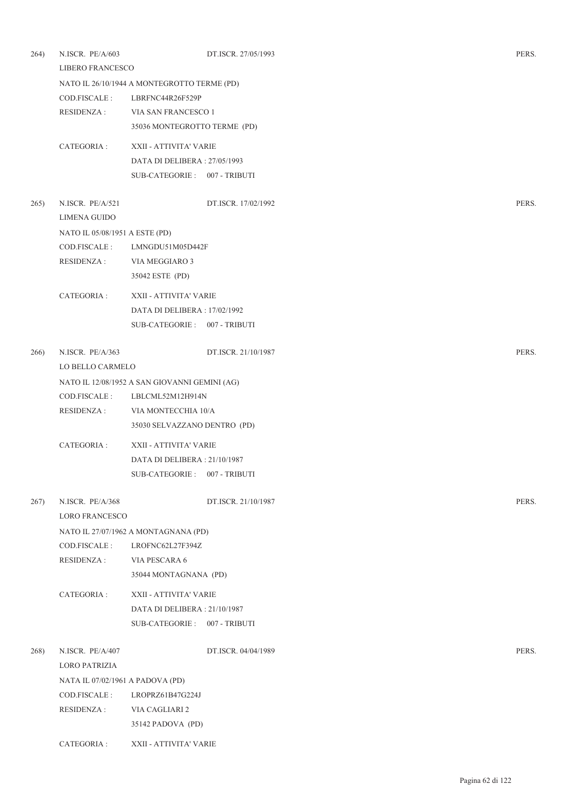| 264) | N.ISCR. PE/A/603<br>LIBERO FRANCESCO |                                               | DT.ISCR. 27/05/1993 | PERS. |
|------|--------------------------------------|-----------------------------------------------|---------------------|-------|
|      |                                      | NATO IL 26/10/1944 A MONTEGROTTO TERME (PD)   |                     |       |
|      | COD.FISCALE :                        | LBRFNC44R26F529P                              |                     |       |
|      | <b>RESIDENZA:</b>                    | VIA SAN FRANCESCO 1                           |                     |       |
|      |                                      | 35036 MONTEGROTTO TERME (PD)                  |                     |       |
|      | CATEGORIA :                          | XXII - ATTIVITA' VARIE                        |                     |       |
|      |                                      | DATA DI DELIBERA: 27/05/1993                  |                     |       |
|      |                                      | SUB-CATEGORIE: 007 - TRIBUTI                  |                     |       |
| 265) | N.ISCR. PE/A/521                     |                                               | DT.ISCR. 17/02/1992 | PERS. |
|      | LIMENA GUIDO                         |                                               |                     |       |
|      | NATO IL 05/08/1951 A ESTE (PD)       |                                               |                     |       |
|      | COD.FISCALE:                         | LMNGDU51M05D442F                              |                     |       |
|      | <b>RESIDENZA:</b>                    | VIA MEGGIARO 3                                |                     |       |
|      |                                      | 35042 ESTE (PD)                               |                     |       |
|      | CATEGORIA :                          | XXII - ATTIVITA' VARIE                        |                     |       |
|      |                                      | DATA DI DELIBERA: 17/02/1992                  |                     |       |
|      |                                      | SUB-CATEGORIE: 007 - TRIBUTI                  |                     |       |
| 266) | N.ISCR. PE/A/363                     |                                               | DT.ISCR. 21/10/1987 | PERS. |
|      | LO BELLO CARMELO                     |                                               |                     |       |
|      |                                      | NATO IL 12/08/1952 A SAN GIOVANNI GEMINI (AG) |                     |       |
|      | COD.FISCALE :                        | LBLCML52M12H914N                              |                     |       |
|      | <b>RESIDENZA:</b>                    | VIA MONTECCHIA 10/A                           |                     |       |
|      |                                      | 35030 SELVAZZANO DENTRO (PD)                  |                     |       |
|      | CATEGORIA :                          | XXII - ATTIVITA' VARIE                        |                     |       |
|      |                                      | DATA DI DELIBERA : 21/10/1987                 |                     |       |
|      |                                      | SUB-CATEGORIE: 007 - TRIBUTI                  |                     |       |
| 267) | N.ISCR. PE/A/368                     |                                               | DT.ISCR. 21/10/1987 | PERS. |
|      | LORO FRANCESCO                       |                                               |                     |       |
|      |                                      | NATO IL 27/07/1962 A MONTAGNANA (PD)          |                     |       |
|      | COD.FISCALE:                         | LROFNC62L27F394Z                              |                     |       |
|      | <b>RESIDENZA:</b>                    | VIA PESCARA 6                                 |                     |       |
|      |                                      | 35044 MONTAGNANA (PD)                         |                     |       |
|      | CATEGORIA :                          | XXII - ATTIVITA' VARIE                        |                     |       |
|      |                                      | DATA DI DELIBERA : 21/10/1987                 |                     |       |
|      |                                      | SUB-CATEGORIE: 007 - TRIBUTI                  |                     |       |
| 268) | N.ISCR. PE/A/407                     |                                               | DT.ISCR. 04/04/1989 | PERS. |
|      | <b>LORO PATRIZIA</b>                 |                                               |                     |       |
|      | NATA IL 07/02/1961 A PADOVA (PD)     |                                               |                     |       |
|      | COD.FISCALE :                        | LROPRZ61B47G224J                              |                     |       |
|      | <b>RESIDENZA:</b>                    | VIA CAGLIARI 2                                |                     |       |
|      |                                      | 35142 PADOVA (PD)                             |                     |       |
|      | CATEGORIA:                           | XXII - ATTIVITA' VARIE                        |                     |       |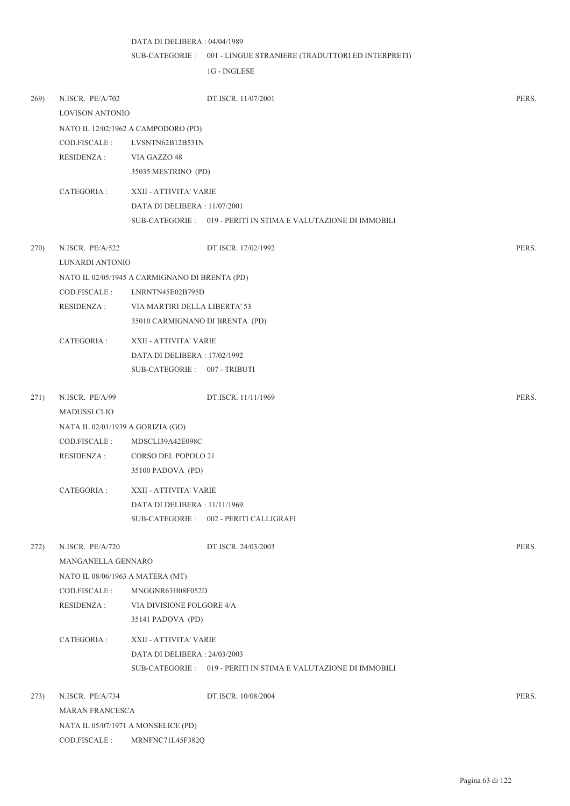001 - LINGUE STRANIERE (TRADUTTORI ED INTERPRETI) SUB-CATEGORIE : 1G - INGLESE 269) N.ISCR. PE/A/702 DT.ISCR. 11/07/2001 PERS. LOVISON ANTONIO NATO IL 12/02/1962 A CAMPODORO (PD) COD.FISCALE : LVSNTN62B12B531N RESIDENZA : VIA GAZZO 48 35035 MESTRINO (PD) CATEGORIA : XXII - ATTIVITA' VARIE DATA DI DELIBERA : 11/07/2001 SUB-CATEGORIE : 019 - PERITI IN STIMA E VALUTAZIONE DI IMMOBILI 270) N.ISCR. PE/A/522 DT.ISCR. 17/02/1992 PERS. LUNARDI ANTONIO NATO IL 02/05/1945 A CARMIGNANO DI BRENTA (PD) COD.FISCALE : LNRNTN45E02B795D RESIDENZA : VIA MARTIRI DELLA LIBERTA' 53 35010 CARMIGNANO DI BRENTA (PD) CATEGORIA : XXII - ATTIVITA' VARIE DATA DI DELIBERA : 17/02/1992 SUB-CATEGORIE : 007 - TRIBUTI 271) N.ISCR. PE/A/99 DT.ISCR. 11/11/1969 PERS. MADUSSI CLIO NATA IL 02/01/1939 A GORIZIA (GO) COD.FISCALE : MDSCLI39A42E098C RESIDENZA : CORSO DEL POPOLO 21 35100 PADOVA (PD) CATEGORIA : XXII - ATTIVITA' VARIE DATA DI DELIBERA : 11/11/1969 SUB-CATEGORIE : 002 - PERITI CALLIGRAFI 272) N.ISCR. PE/A/720 DT.ISCR. 24/03/2003 PERS. MANGANELLA GENNARO NATO IL 08/06/1963 A MATERA (MT) COD.FISCALE : MNGGNR63H08F052D RESIDENZA : VIA DIVISIONE FOLGORE 4/A 35141 PADOVA (PD) CATEGORIA : XXII - ATTIVITA' VARIE DATA DI DELIBERA : 24/03/2003 SUB-CATEGORIE : 019 - PERITI IN STIMA E VALUTAZIONE DI IMMOBILI 273) N.ISCR. PE/A/734 DT.ISCR. 10/08/2004 PERS.

DATA DI DELIBERA : 04/04/1989

MARAN FRANCESCA

NATA IL 05/07/1971 A MONSELICE (PD) COD.FISCALE : MRNFNC71L45F382Q

Pagina 63 di 122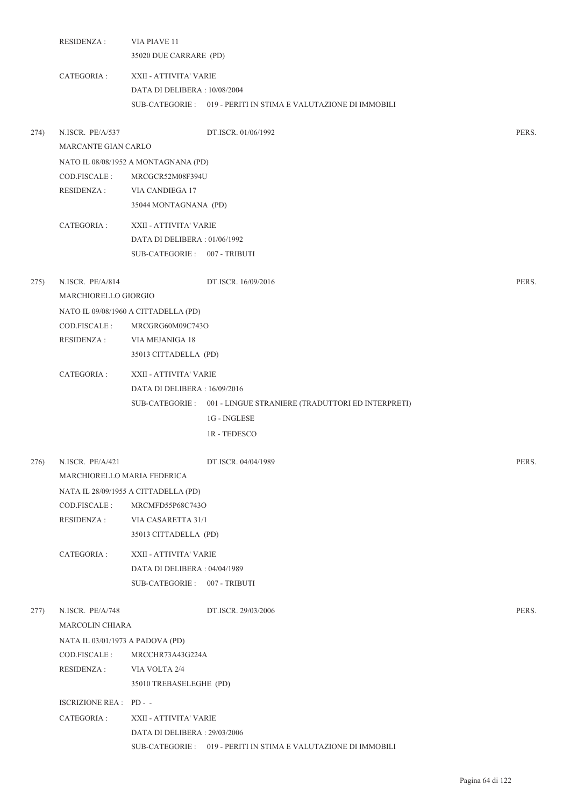|      | <b>RESIDENZA:</b>                | VIA PIAVE 11                         |                                                                   |       |
|------|----------------------------------|--------------------------------------|-------------------------------------------------------------------|-------|
|      |                                  | 35020 DUE CARRARE (PD)               |                                                                   |       |
|      | CATEGORIA :                      | XXII - ATTIVITA' VARIE               |                                                                   |       |
|      |                                  | DATA DI DELIBERA: 10/08/2004         |                                                                   |       |
|      |                                  |                                      | SUB-CATEGORIE : 019 - PERITI IN STIMA E VALUTAZIONE DI IMMOBILI   |       |
| 274) | N.ISCR. PE/A/537                 |                                      | DT.ISCR. 01/06/1992                                               | PERS. |
|      | MARCANTE GIAN CARLO              |                                      |                                                                   |       |
|      |                                  | NATO IL 08/08/1952 A MONTAGNANA (PD) |                                                                   |       |
|      | COD.FISCALE:                     | MRCGCR52M08F394U                     |                                                                   |       |
|      | RESIDENZA :                      | VIA CANDIEGA 17                      |                                                                   |       |
|      |                                  | 35044 MONTAGNANA (PD)                |                                                                   |       |
|      | CATEGORIA :                      | XXII - ATTIVITA' VARIE               |                                                                   |       |
|      |                                  | DATA DI DELIBERA: 01/06/1992         |                                                                   |       |
|      |                                  | SUB-CATEGORIE: 007 - TRIBUTI         |                                                                   |       |
| 275) | N.ISCR. PE/A/814                 |                                      | DT.ISCR. 16/09/2016                                               | PERS. |
|      | MARCHIORELLO GIORGIO             |                                      |                                                                   |       |
|      |                                  | NATO IL 09/08/1960 A CITTADELLA (PD) |                                                                   |       |
|      | COD.FISCALE:                     | MRCGRG60M09C743O                     |                                                                   |       |
|      | RESIDENZA :                      | VIA MEJANIGA 18                      |                                                                   |       |
|      |                                  | 35013 CITTADELLA (PD)                |                                                                   |       |
|      | CATEGORIA :                      | XXII - ATTIVITA' VARIE               |                                                                   |       |
|      |                                  | DATA DI DELIBERA : 16/09/2016        |                                                                   |       |
|      |                                  |                                      | SUB-CATEGORIE : 001 - LINGUE STRANIERE (TRADUTTORI ED INTERPRETI) |       |
|      |                                  |                                      | 1G - INGLESE                                                      |       |
|      |                                  |                                      | 1R - TEDESCO                                                      |       |
| 276) | N.ISCR. PE/A/421                 |                                      | DT.ISCR. 04/04/1989                                               | PERS. |
|      | MARCHIORELLO MARIA FEDERICA      |                                      |                                                                   |       |
|      |                                  | NATA IL 28/09/1955 A CITTADELLA (PD) |                                                                   |       |
|      | COD.FISCALE :                    | MRCMFD55P68C743O                     |                                                                   |       |
|      | RESIDENZA :                      | VIA CASARETTA 31/1                   |                                                                   |       |
|      |                                  | 35013 CITTADELLA (PD)                |                                                                   |       |
|      | CATEGORIA :                      | XXII - ATTIVITA' VARIE               |                                                                   |       |
|      |                                  | DATA DI DELIBERA : 04/04/1989        |                                                                   |       |
|      |                                  | SUB-CATEGORIE: 007 - TRIBUTI         |                                                                   |       |
| 277) | N.ISCR. PE/A/748                 |                                      | DT.ISCR. 29/03/2006                                               | PERS. |
|      | MARCOLIN CHIARA                  |                                      |                                                                   |       |
|      | NATA IL 03/01/1973 A PADOVA (PD) |                                      |                                                                   |       |
|      | COD.FISCALE :                    | MRCCHR73A43G224A                     |                                                                   |       |
|      | RESIDENZA :                      | VIA VOLTA 2/4                        |                                                                   |       |
|      |                                  | 35010 TREBASELEGHE (PD)              |                                                                   |       |
|      | ISCRIZIONE REA : PD - -          |                                      |                                                                   |       |
|      | CATEGORIA :                      | XXII - ATTIVITA' VARIE               |                                                                   |       |
|      |                                  | DATA DI DELIBERA : 29/03/2006        |                                                                   |       |
|      |                                  |                                      | SUB-CATEGORIE : 019 - PERITI IN STIMA E VALUTAZIONE DI IMMOBILI   |       |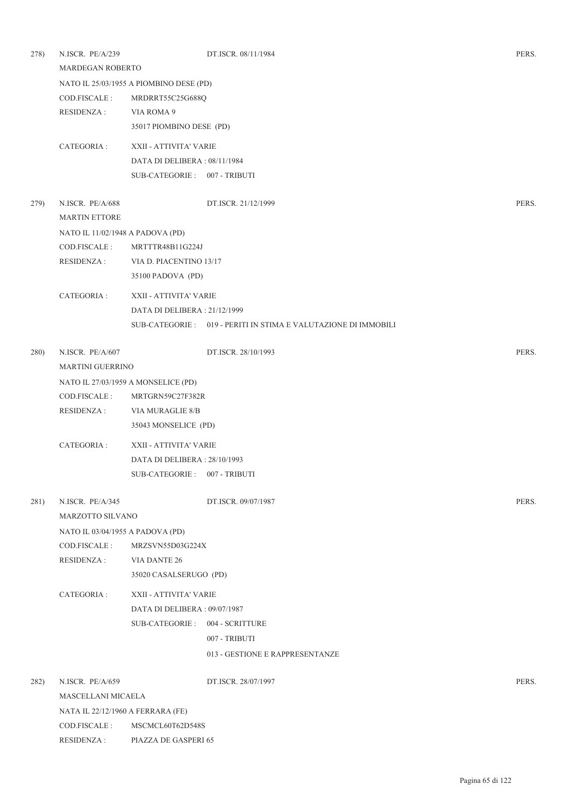| 278) | N.ISCR. PE/A/239<br>MARDEGAN ROBERTO |                                         | DT.ISCR. 08/11/1984                                             | PERS. |
|------|--------------------------------------|-----------------------------------------|-----------------------------------------------------------------|-------|
|      |                                      | NATO IL 25/03/1955 A PIOMBINO DESE (PD) |                                                                 |       |
|      | COD.FISCALE :                        | MRDRRT55C25G688Q                        |                                                                 |       |
|      | <b>RESIDENZA:</b>                    | VIA ROMA 9                              |                                                                 |       |
|      |                                      | 35017 PIOMBINO DESE (PD)                |                                                                 |       |
|      | CATEGORIA :                          | XXII - ATTIVITA' VARIE                  |                                                                 |       |
|      |                                      | DATA DI DELIBERA: 08/11/1984            |                                                                 |       |
|      |                                      | SUB-CATEGORIE: 007 - TRIBUTI            |                                                                 |       |
| 279) | N.ISCR. PE/A/688                     |                                         | DT.ISCR. 21/12/1999                                             | PERS. |
|      | <b>MARTIN ETTORE</b>                 |                                         |                                                                 |       |
|      | NATO IL 11/02/1948 A PADOVA (PD)     |                                         |                                                                 |       |
|      | COD.FISCALE:                         | MRTTTR48B11G224J                        |                                                                 |       |
|      | RESIDENZA :                          | VIA D. PIACENTINO 13/17                 |                                                                 |       |
|      |                                      | 35100 PADOVA (PD)                       |                                                                 |       |
|      | CATEGORIA :                          | XXII - ATTIVITA' VARIE                  |                                                                 |       |
|      |                                      | DATA DI DELIBERA : 21/12/1999           |                                                                 |       |
|      |                                      |                                         | SUB-CATEGORIE : 019 - PERITI IN STIMA E VALUTAZIONE DI IMMOBILI |       |
| 280) | N.ISCR. PE/A/607                     |                                         | DT.ISCR. 28/10/1993                                             | PERS. |
|      | <b>MARTINI GUERRINO</b>              |                                         |                                                                 |       |
|      |                                      | NATO IL 27/03/1959 A MONSELICE (PD)     |                                                                 |       |
|      | COD.FISCALE :                        | MRTGRN59C27F382R                        |                                                                 |       |
|      | <b>RESIDENZA:</b>                    | VIA MURAGLIE 8/B                        |                                                                 |       |
|      |                                      | 35043 MONSELICE (PD)                    |                                                                 |       |
|      | CATEGORIA :                          | XXII - ATTIVITA' VARIE                  |                                                                 |       |
|      |                                      | DATA DI DELIBERA: 28/10/1993            |                                                                 |       |
|      |                                      | SUB-CATEGORIE: 007 - TRIBUTI            |                                                                 |       |
| 281) | N.ISCR. PE/A/345                     |                                         | DT.ISCR. 09/07/1987                                             | PERS. |
|      | MARZOTTO SILVANO                     |                                         |                                                                 |       |
|      | NATO IL 03/04/1955 A PADOVA (PD)     |                                         |                                                                 |       |
|      | COD.FISCALE :                        | MRZSVN55D03G224X                        |                                                                 |       |
|      | <b>RESIDENZA:</b>                    | <b>VIA DANTE 26</b>                     |                                                                 |       |
|      |                                      | 35020 CASALSERUGO (PD)                  |                                                                 |       |
|      | CATEGORIA :                          | XXII - ATTIVITA' VARIE                  |                                                                 |       |
|      |                                      | DATA DI DELIBERA : 09/07/1987           |                                                                 |       |
|      |                                      | SUB-CATEGORIE: 004 - SCRITTURE          |                                                                 |       |
|      |                                      |                                         | 007 - TRIBUTI                                                   |       |
|      |                                      |                                         | 013 - GESTIONE E RAPPRESENTANZE                                 |       |
| 282) | N.ISCR. PE/A/659                     |                                         | DT.ISCR. 28/07/1997                                             | PERS. |
|      | MASCELLANI MICAELA                   |                                         |                                                                 |       |
|      | NATA IL 22/12/1960 A FERRARA (FE)    |                                         |                                                                 |       |
|      | COD.FISCALE:                         | MSCMCL60T62D548S                        |                                                                 |       |
|      | RESIDENZA :                          | PIAZZA DE GASPERI 65                    |                                                                 |       |
|      |                                      |                                         |                                                                 |       |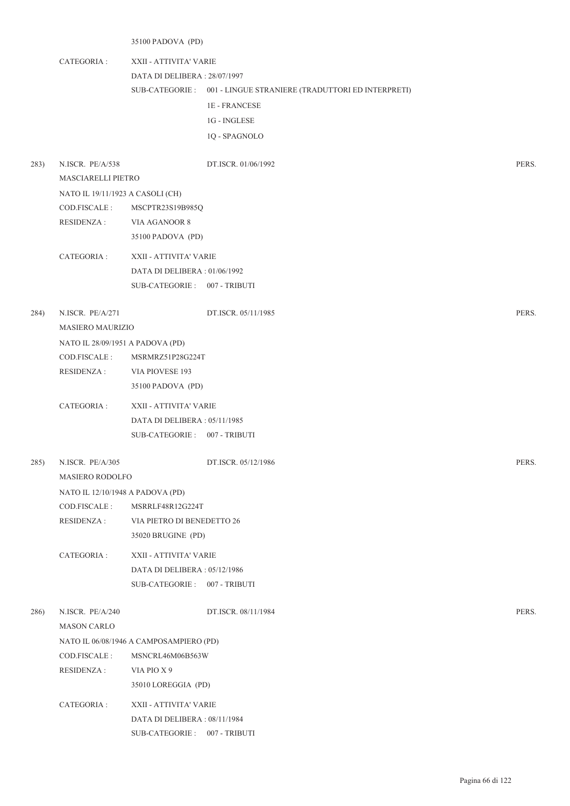35100 PADOVA (PD)

CATEGORIA : XXII - ATTIVITA' VARIE DATA DI DELIBERA : 28/07/1997 001 - LINGUE STRANIERE (TRADUTTORI ED INTERPRETI) SUB-CATEGORIE : 1E - FRANCESE 1G - INGLESE

1Q - SPAGNOLO

|      | N.ISCR. PE/A/538                                  |                                         | DT.ISCR. 01/06/1992 | PERS. |
|------|---------------------------------------------------|-----------------------------------------|---------------------|-------|
|      | MASCIARELLI PIETRO                                |                                         |                     |       |
|      | NATO IL 19/11/1923 A CASOLI (CH)                  |                                         |                     |       |
|      | COD.FISCALE :                                     | MSCPTR23S19B985Q                        |                     |       |
|      | <b>RESIDENZA:</b>                                 | VIA AGANOOR 8                           |                     |       |
|      |                                                   | 35100 PADOVA (PD)                       |                     |       |
|      | CATEGORIA :                                       | XXII - ATTIVITA' VARIE                  |                     |       |
|      |                                                   | DATA DI DELIBERA: 01/06/1992            |                     |       |
|      |                                                   | SUB-CATEGORIE: 007 - TRIBUTI            |                     |       |
| 284) | N.ISCR. PE/A/271                                  |                                         | DT.ISCR. 05/11/1985 | PERS. |
|      | <b>MASIERO MAURIZIO</b>                           |                                         |                     |       |
|      |                                                   |                                         |                     |       |
|      | NATO IL 28/09/1951 A PADOVA (PD)<br>COD.FISCALE : | MSRMRZ51P28G224T                        |                     |       |
|      | <b>RESIDENZA:</b>                                 | VIA PIOVESE 193                         |                     |       |
|      |                                                   | 35100 PADOVA (PD)                       |                     |       |
|      |                                                   |                                         |                     |       |
|      | CATEGORIA :                                       | XXII - ATTIVITA' VARIE                  |                     |       |
|      |                                                   | DATA DI DELIBERA: 05/11/1985            |                     |       |
|      |                                                   | SUB-CATEGORIE: 007 - TRIBUTI            |                     |       |
| 285) | N.ISCR. PE/A/305                                  |                                         | DT.ISCR. 05/12/1986 | PERS. |
|      | <b>MASIERO RODOLFO</b>                            |                                         |                     |       |
|      |                                                   |                                         |                     |       |
|      | NATO IL 12/10/1948 A PADOVA (PD)                  |                                         |                     |       |
|      | COD.FISCALE :                                     | MSRRLF48R12G224T                        |                     |       |
|      | RESIDENZA :                                       | VIA PIETRO DI BENEDETTO 26              |                     |       |
|      |                                                   | 35020 BRUGINE (PD)                      |                     |       |
|      | CATEGORIA :                                       | XXII - ATTIVITA' VARIE                  |                     |       |
|      |                                                   | DATA DI DELIBERA: 05/12/1986            |                     |       |
|      |                                                   | SUB-CATEGORIE: 007 - TRIBUTI            |                     |       |
| 286) | N.ISCR. PE/A/240                                  |                                         | DT.ISCR. 08/11/1984 | PERS. |
|      | <b>MASON CARLO</b>                                |                                         |                     |       |
|      |                                                   | NATO IL 06/08/1946 A CAMPOSAMPIERO (PD) |                     |       |
|      | COD.FISCALE :                                     | MSNCRL46M06B563W                        |                     |       |
|      | RESIDENZA :                                       | VIA PIO X9                              |                     |       |
|      |                                                   | 35010 LOREGGIA (PD)                     |                     |       |
|      | CATEGORIA :                                       | XXII - ATTIVITA' VARIE                  |                     |       |
|      |                                                   | DATA DI DELIBERA: 08/11/1984            |                     |       |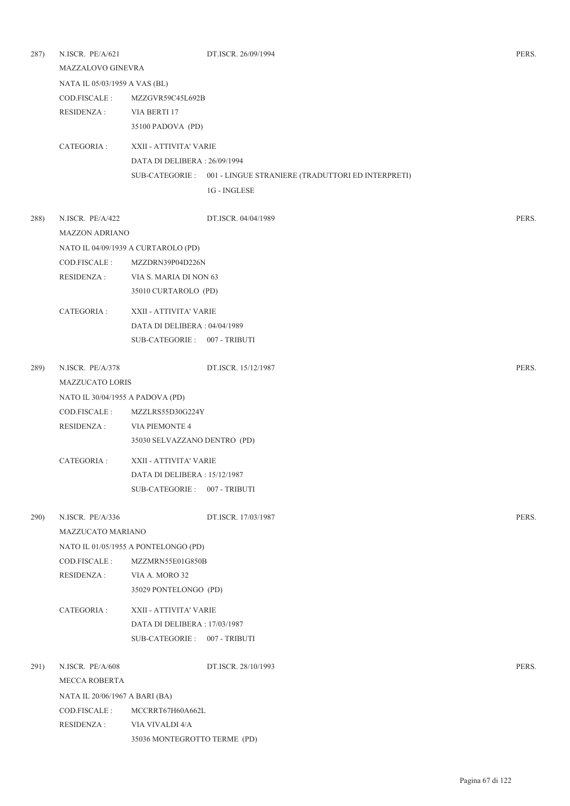| 287) | N.ISCR. PE/A/621<br>MAZZALOVO GINEVRA |                                      | DT.ISCR. 26/09/1994                                               | PERS. |  |  |  |
|------|---------------------------------------|--------------------------------------|-------------------------------------------------------------------|-------|--|--|--|
|      | NATA IL 05/03/1959 A VAS (BL)         |                                      |                                                                   |       |  |  |  |
|      | COD.FISCALE :                         | MZZGVR59C45L692B                     |                                                                   |       |  |  |  |
|      | <b>RESIDENZA:</b>                     | VIA BERTI 17                         |                                                                   |       |  |  |  |
|      |                                       | 35100 PADOVA (PD)                    |                                                                   |       |  |  |  |
|      | CATEGORIA :                           | XXII - ATTIVITA' VARIE               |                                                                   |       |  |  |  |
|      |                                       | DATA DI DELIBERA: 26/09/1994         |                                                                   |       |  |  |  |
|      |                                       |                                      | SUB-CATEGORIE : 001 - LINGUE STRANIERE (TRADUTTORI ED INTERPRETI) |       |  |  |  |
|      |                                       |                                      | 1G - INGLESE                                                      |       |  |  |  |
| 288) | N.ISCR. PE/A/422                      |                                      | DT.ISCR. 04/04/1989                                               | PERS. |  |  |  |
|      | <b>MAZZON ADRIANO</b>                 |                                      |                                                                   |       |  |  |  |
|      |                                       | NATO IL 04/09/1939 A CURTAROLO (PD)  |                                                                   |       |  |  |  |
|      | COD.FISCALE:                          | MZZDRN39P04D226N                     |                                                                   |       |  |  |  |
|      | <b>RESIDENZA:</b>                     | VIA S. MARIA DI NON 63               |                                                                   |       |  |  |  |
|      |                                       | 35010 CURTAROLO (PD)                 |                                                                   |       |  |  |  |
|      | CATEGORIA:                            | XXII - ATTIVITA' VARIE               |                                                                   |       |  |  |  |
|      |                                       | DATA DI DELIBERA: 04/04/1989         |                                                                   |       |  |  |  |
|      |                                       | SUB-CATEGORIE: 007 - TRIBUTI         |                                                                   |       |  |  |  |
| 289) | N.ISCR. PE/A/378                      |                                      | DT.ISCR. 15/12/1987                                               | PERS. |  |  |  |
|      |                                       | <b>MAZZUCATO LORIS</b>               |                                                                   |       |  |  |  |
|      | NATO IL 30/04/1955 A PADOVA (PD)      |                                      |                                                                   |       |  |  |  |
|      | COD.FISCALE :                         | MZZLRS55D30G224Y                     |                                                                   |       |  |  |  |
|      | <b>RESIDENZA:</b>                     | VIA PIEMONTE 4                       |                                                                   |       |  |  |  |
|      |                                       | 35030 SELVAZZANO DENTRO (PD)         |                                                                   |       |  |  |  |
|      | CATEGORIA:                            | XXII - ATTIVITA' VARIE               |                                                                   |       |  |  |  |
|      |                                       | DATA DI DELIBERA : 15/12/1987        |                                                                   |       |  |  |  |
|      |                                       | SUB-CATEGORIE: 007 - TRIBUTI         |                                                                   |       |  |  |  |
| 290) | N.ISCR. PE/A/336                      |                                      | DT.ISCR. 17/03/1987                                               | PERS. |  |  |  |
|      | MAZZUCATO MARIANO                     |                                      |                                                                   |       |  |  |  |
|      |                                       | NATO IL 01/05/1955 A PONTELONGO (PD) |                                                                   |       |  |  |  |
|      | COD.FISCALE:                          | MZZMRN55E01G850B                     |                                                                   |       |  |  |  |
|      | <b>RESIDENZA:</b>                     | VIA A. MORO 32                       |                                                                   |       |  |  |  |
|      |                                       | 35029 PONTELONGO (PD)                |                                                                   |       |  |  |  |
|      | CATEGORIA:                            | XXII - ATTIVITA' VARIE               |                                                                   |       |  |  |  |
|      |                                       | DATA DI DELIBERA: 17/03/1987         |                                                                   |       |  |  |  |
|      |                                       | SUB-CATEGORIE: 007 - TRIBUTI         |                                                                   |       |  |  |  |
| 291) | N.ISCR. PE/A/608                      |                                      | DT.ISCR. 28/10/1993                                               | PERS. |  |  |  |
|      | MECCA ROBERTA                         |                                      |                                                                   |       |  |  |  |
|      | NATA IL 20/06/1967 A BARI (BA)        |                                      |                                                                   |       |  |  |  |
|      | COD.FISCALE:                          | MCCRRT67H60A662L                     |                                                                   |       |  |  |  |
|      | <b>RESIDENZA:</b>                     | VIA VIVALDI 4/A                      |                                                                   |       |  |  |  |
|      |                                       | 35036 MONTEGROTTO TERME (PD)         |                                                                   |       |  |  |  |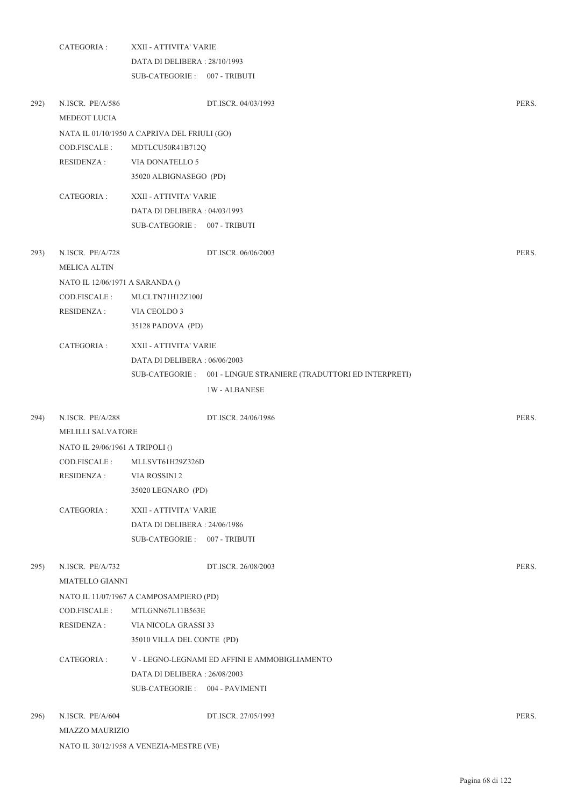|      | CATEGORIA :                                |                                              | XXII - ATTIVITA' VARIE                                            |       |  |
|------|--------------------------------------------|----------------------------------------------|-------------------------------------------------------------------|-------|--|
|      |                                            | DATA DI DELIBERA: 28/10/1993                 |                                                                   |       |  |
|      |                                            | SUB-CATEGORIE: 007 - TRIBUTI                 |                                                                   |       |  |
| 292) | N.ISCR. PE/A/586<br>MEDEOT LUCIA           |                                              | DT.ISCR. 04/03/1993                                               | PERS. |  |
|      |                                            | NATA IL 01/10/1950 A CAPRIVA DEL FRIULI (GO) |                                                                   |       |  |
|      | COD.FISCALE:                               | MDTLCU50R41B712Q                             |                                                                   |       |  |
|      | <b>RESIDENZA:</b>                          | VIA DONATELLO 5                              |                                                                   |       |  |
|      |                                            | 35020 ALBIGNASEGO (PD)                       |                                                                   |       |  |
|      | CATEGORIA :                                | XXII - ATTIVITA' VARIE                       |                                                                   |       |  |
|      |                                            | DATA DI DELIBERA: 04/03/1993                 |                                                                   |       |  |
|      |                                            | SUB-CATEGORIE: 007 - TRIBUTI                 |                                                                   |       |  |
| 293) | N.ISCR. PE/A/728<br><b>MELICA ALTIN</b>    |                                              | DT.ISCR. 06/06/2003                                               | PERS. |  |
|      | NATO IL 12/06/1971 A SARANDA ()            |                                              |                                                                   |       |  |
|      | COD.FISCALE:                               | MLCLTN71H12Z100J                             |                                                                   |       |  |
|      | <b>RESIDENZA:</b>                          | VIA CEOLDO 3                                 |                                                                   |       |  |
|      |                                            | 35128 PADOVA (PD)                            |                                                                   |       |  |
|      | CATEGORIA :                                | XXII - ATTIVITA' VARIE                       |                                                                   |       |  |
|      |                                            | DATA DI DELIBERA: 06/06/2003                 |                                                                   |       |  |
|      |                                            |                                              | SUB-CATEGORIE : 001 - LINGUE STRANIERE (TRADUTTORI ED INTERPRETI) |       |  |
|      |                                            |                                              | <b>1W-ALBANESE</b>                                                |       |  |
| 294) | N.ISCR. PE/A/288                           |                                              | DT.ISCR. 24/06/1986                                               | PERS. |  |
|      | <b>MELILLI SALVATORE</b>                   |                                              |                                                                   |       |  |
|      | NATO IL 29/06/1961 A TRIPOLI ()            |                                              |                                                                   |       |  |
|      | COD.FISCALE :                              | MLLSVT61H29Z326D                             |                                                                   |       |  |
|      | <b>RESIDENZA:</b>                          | VIA ROSSINI 2                                |                                                                   |       |  |
|      |                                            | 35020 LEGNARO (PD)                           |                                                                   |       |  |
|      | CATEGORIA :                                | XXII - ATTIVITA' VARIE                       |                                                                   |       |  |
|      |                                            | DATA DI DELIBERA: 24/06/1986                 |                                                                   |       |  |
|      |                                            | SUB-CATEGORIE: 007 - TRIBUTI                 |                                                                   |       |  |
| 295) | N.ISCR. PE/A/732                           |                                              | DT.ISCR. 26/08/2003                                               | PERS. |  |
|      | <b>MIATELLO GIANNI</b>                     |                                              |                                                                   |       |  |
|      |                                            | NATO IL 11/07/1967 A CAMPOSAMPIERO (PD)      |                                                                   |       |  |
|      | COD.FISCALE:                               | MTLGNN67L11B563E                             |                                                                   |       |  |
|      | RESIDENZA :                                | VIA NICOLA GRASSI 33                         |                                                                   |       |  |
|      |                                            | 35010 VILLA DEL CONTE (PD)                   |                                                                   |       |  |
|      | CATEGORIA :                                |                                              | V - LEGNO-LEGNAMI ED AFFINI E AMMOBIGLIAMENTO                     |       |  |
|      |                                            | DATA DI DELIBERA : 26/08/2003                |                                                                   |       |  |
|      |                                            | SUB-CATEGORIE: 004 - PAVIMENTI               |                                                                   |       |  |
| 296) | N.ISCR. PE/A/604<br><b>MIAZZO MAURIZIO</b> |                                              | DT.ISCR. 27/05/1993                                               | PERS. |  |

NATO IL 30/12/1958 A VENEZIA-MESTRE (VE)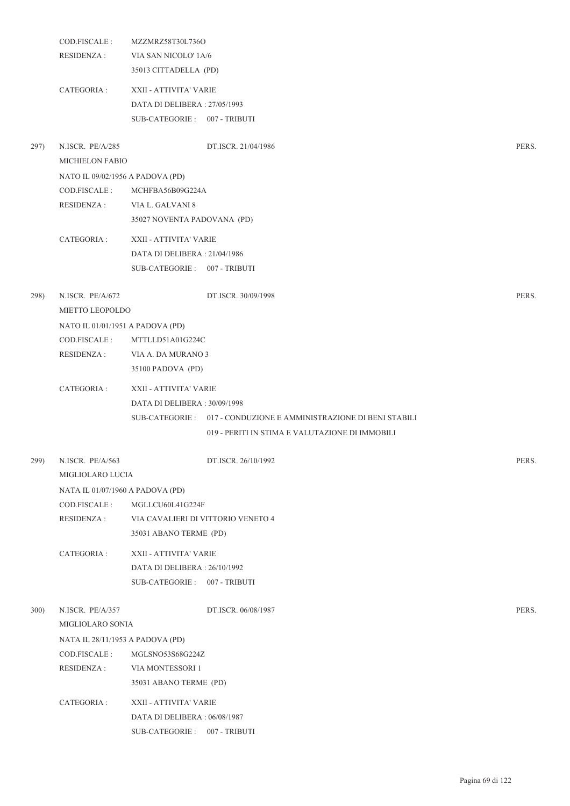|      | COD.FISCALE :                    | MZZMRZ58T30L736O                   |                                                                   |       |
|------|----------------------------------|------------------------------------|-------------------------------------------------------------------|-------|
|      | <b>RESIDENZA:</b>                | VIA SAN NICOLO' 1A/6               |                                                                   |       |
|      |                                  | 35013 CITTADELLA (PD)              |                                                                   |       |
|      | CATEGORIA :                      | XXII - ATTIVITA' VARIE             |                                                                   |       |
|      |                                  | DATA DI DELIBERA: 27/05/1993       |                                                                   |       |
|      |                                  | SUB-CATEGORIE: 007 - TRIBUTI       |                                                                   |       |
| 297) | N.ISCR. PE/A/285                 |                                    | DT.ISCR. 21/04/1986                                               | PERS. |
|      | MICHIELON FABIO                  |                                    |                                                                   |       |
|      | NATO IL 09/02/1956 A PADOVA (PD) |                                    |                                                                   |       |
|      | COD.FISCALE :                    | MCHFBA56B09G224A                   |                                                                   |       |
|      | RESIDENZA :                      | VIA L. GALVANI 8                   |                                                                   |       |
|      |                                  | 35027 NOVENTA PADOVANA (PD)        |                                                                   |       |
|      | CATEGORIA :                      | XXII - ATTIVITA' VARIE             |                                                                   |       |
|      |                                  | DATA DI DELIBERA: 21/04/1986       |                                                                   |       |
|      |                                  | SUB-CATEGORIE: 007 - TRIBUTI       |                                                                   |       |
| 298) | N.ISCR. PE/A/672                 |                                    | DT.ISCR. 30/09/1998                                               | PERS. |
|      | MIETTO LEOPOLDO                  |                                    |                                                                   |       |
|      | NATO IL 01/01/1951 A PADOVA (PD) |                                    |                                                                   |       |
|      | COD.FISCALE :                    | MTTLLD51A01G224C                   |                                                                   |       |
|      | RESIDENZA :                      | VIA A. DA MURANO 3                 |                                                                   |       |
|      |                                  | 35100 PADOVA (PD)                  |                                                                   |       |
|      | CATEGORIA :                      | XXII - ATTIVITA' VARIE             |                                                                   |       |
|      |                                  | DATA DI DELIBERA: 30/09/1998       |                                                                   |       |
|      |                                  |                                    | SUB-CATEGORIE: 017 - CONDUZIONE E AMMINISTRAZIONE DI BENI STABILI |       |
|      |                                  |                                    | 019 - PERITI IN STIMA E VALUTAZIONE DI IMMOBILI                   |       |
| 299) | N.ISCR. PE/A/563                 |                                    | DT.ISCR. 26/10/1992                                               | PERS. |
|      | MIGLIOLARO LUCIA                 |                                    |                                                                   |       |
|      | NATA IL 01/07/1960 A PADOVA (PD) |                                    |                                                                   |       |
|      | COD.FISCALE :                    | MGLLCU60L41G224F                   |                                                                   |       |
|      | <b>RESIDENZA:</b>                | VIA CAVALIERI DI VITTORIO VENETO 4 |                                                                   |       |
|      |                                  | 35031 ABANO TERME (PD)             |                                                                   |       |
|      | CATEGORIA :                      | XXII - ATTIVITA' VARIE             |                                                                   |       |
|      |                                  | DATA DI DELIBERA: 26/10/1992       |                                                                   |       |
|      |                                  | SUB-CATEGORIE: 007 - TRIBUTI       |                                                                   |       |
| 300) | N.ISCR. PE/A/357                 |                                    | DT.ISCR. 06/08/1987                                               | PERS. |
|      | MIGLIOLARO SONIA                 |                                    |                                                                   |       |
|      | NATA IL 28/11/1953 A PADOVA (PD) |                                    |                                                                   |       |
|      | COD.FISCALE :                    | MGLSNO53S68G224Z                   |                                                                   |       |
|      | <b>RESIDENZA:</b>                | VIA MONTESSORI 1                   |                                                                   |       |
|      |                                  | 35031 ABANO TERME (PD)             |                                                                   |       |
|      | CATEGORIA :                      | XXII - ATTIVITA' VARIE             |                                                                   |       |
|      |                                  | DATA DI DELIBERA : 06/08/1987      |                                                                   |       |
|      |                                  | SUB-CATEGORIE: 007 - TRIBUTI       |                                                                   |       |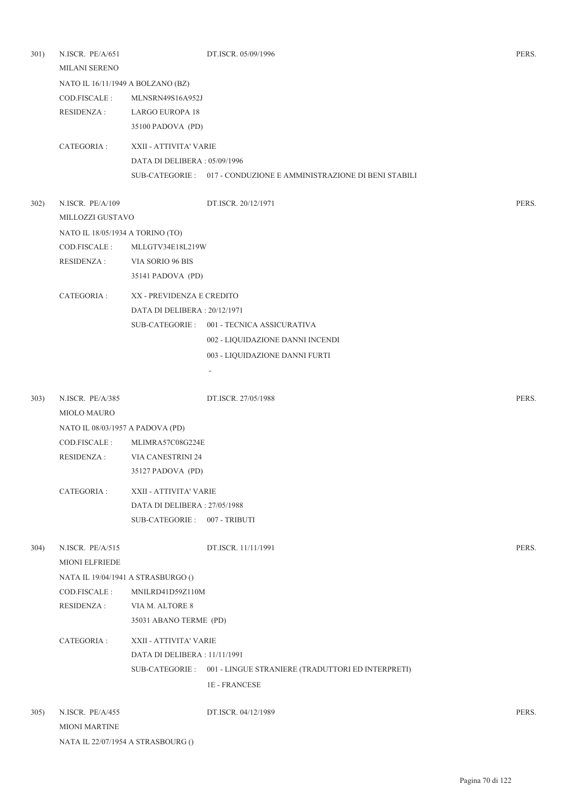| 301) | N.ISCR. PE/A/651<br><b>MILANI SERENO</b> |                               | DT.ISCR. 05/09/1996                                               | PERS. |
|------|------------------------------------------|-------------------------------|-------------------------------------------------------------------|-------|
|      | NATO IL 16/11/1949 A BOLZANO (BZ)        |                               |                                                                   |       |
|      | COD.FISCALE:                             | MLNSRN49S16A952J              |                                                                   |       |
|      | <b>RESIDENZA:</b>                        | <b>LARGO EUROPA 18</b>        |                                                                   |       |
|      |                                          | 35100 PADOVA (PD)             |                                                                   |       |
|      | CATEGORIA :                              | XXII - ATTIVITA' VARIE        |                                                                   |       |
|      |                                          | DATA DI DELIBERA : 05/09/1996 |                                                                   |       |
|      |                                          |                               | SUB-CATEGORIE: 017 - CONDUZIONE E AMMINISTRAZIONE DI BENI STABILI |       |
| 302) | N.ISCR. PE/A/109                         |                               | DT.ISCR. 20/12/1971                                               | PERS. |
|      | MILLOZZI GUSTAVO                         |                               |                                                                   |       |
|      | NATO IL 18/05/1934 A TORINO (TO)         |                               |                                                                   |       |
|      | COD.FISCALE:                             | MLLGTV34E18L219W              |                                                                   |       |
|      | <b>RESIDENZA:</b>                        | VIA SORIO 96 BIS              |                                                                   |       |
|      |                                          | 35141 PADOVA (PD)             |                                                                   |       |
|      | CATEGORIA:                               | XX - PREVIDENZA E CREDITO     |                                                                   |       |
|      |                                          | DATA DI DELIBERA: 20/12/1971  |                                                                   |       |
|      |                                          |                               | SUB-CATEGORIE: 001 - TECNICA ASSICURATIVA                         |       |
|      |                                          |                               | 002 - LIQUIDAZIONE DANNI INCENDI                                  |       |
|      |                                          |                               | 003 - LIQUIDAZIONE DANNI FURTI                                    |       |
|      |                                          |                               |                                                                   |       |
|      |                                          |                               |                                                                   |       |
| 303) | N.ISCR. PE/A/385                         |                               | DT.ISCR. 27/05/1988                                               | PERS. |
|      | <b>MIOLO MAURO</b>                       |                               |                                                                   |       |
|      | NATO IL 08/03/1957 A PADOVA (PD)         |                               |                                                                   |       |
|      | COD.FISCALE:                             | MLIMRA57C08G224E              |                                                                   |       |
|      | <b>RESIDENZA:</b>                        | VIA CANESTRINI 24             |                                                                   |       |
|      |                                          | 35127 PADOVA (PD)             |                                                                   |       |
|      | CATEGORIA :                              | XXII - ATTIVITA' VARIE        |                                                                   |       |
|      |                                          | DATA DI DELIBERA: 27/05/1988  |                                                                   |       |
|      |                                          | SUB-CATEGORIE: 007 - TRIBUTI  |                                                                   |       |
| 304) | N.ISCR. PE/A/515<br>MIONI ELFRIEDE       |                               | DT.ISCR. 11/11/1991                                               | PERS. |
|      | NATA IL 19/04/1941 A STRASBURGO ()       |                               |                                                                   |       |
|      | COD.FISCALE:                             | MNILRD41D59Z110M              |                                                                   |       |
|      | <b>RESIDENZA:</b>                        | VIA M. ALTORE 8               |                                                                   |       |
|      |                                          | 35031 ABANO TERME (PD)        |                                                                   |       |
|      | CATEGORIA :                              | XXII - ATTIVITA' VARIE        |                                                                   |       |
|      |                                          | DATA DI DELIBERA : 11/11/1991 |                                                                   |       |
|      |                                          |                               | SUB-CATEGORIE : 001 - LINGUE STRANIERE (TRADUTTORI ED INTERPRETI) |       |
|      |                                          |                               | <b>1E-FRANCESE</b>                                                |       |
|      |                                          |                               |                                                                   |       |
| 305) | N.ISCR. PE/A/455                         |                               | DT.ISCR. 04/12/1989                                               | PERS. |
|      | <b>MIONI MARTINE</b>                     |                               |                                                                   |       |

NATA IL 22/07/1954 A STRASBOURG ()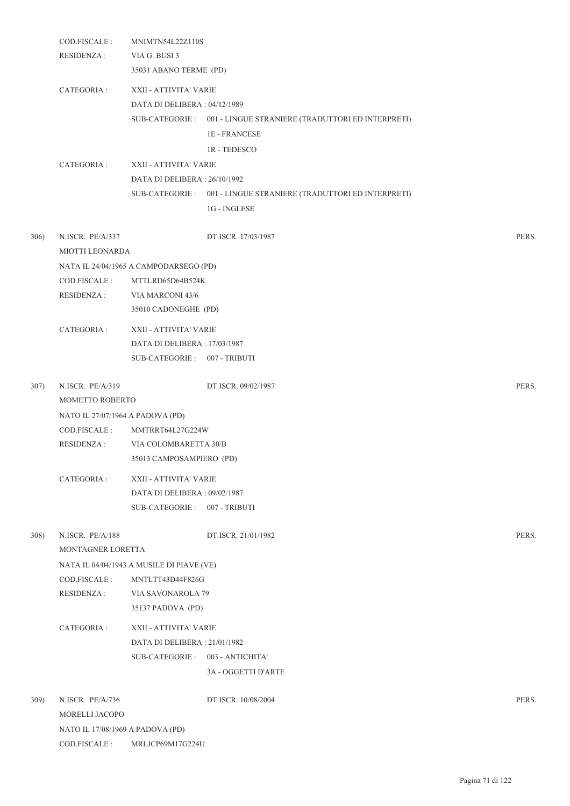|      | COD.FISCALE:<br><b>RESIDENZA:</b>   | MNIMTN54L22Z110S<br>VIA G. BUSI 3<br>35031 ABANO TERME (PD) |                                                                   |       |
|------|-------------------------------------|-------------------------------------------------------------|-------------------------------------------------------------------|-------|
|      | CATEGORIA :                         | XXII - ATTIVITA' VARIE                                      |                                                                   |       |
|      |                                     | DATA DI DELIBERA: 04/12/1989                                |                                                                   |       |
|      |                                     |                                                             | SUB-CATEGORIE : 001 - LINGUE STRANIERE (TRADUTTORI ED INTERPRETI) |       |
|      |                                     |                                                             | <b>1E-FRANCESE</b>                                                |       |
|      |                                     |                                                             | 1R - TEDESCO                                                      |       |
|      | CATEGORIA :                         | XXII - ATTIVITA' VARIE                                      |                                                                   |       |
|      |                                     | DATA DI DELIBERA: 26/10/1992                                |                                                                   |       |
|      |                                     |                                                             | SUB-CATEGORIE : 001 - LINGUE STRANIERE (TRADUTTORI ED INTERPRETI) |       |
|      |                                     |                                                             | 1G - INGLESE                                                      |       |
| 306) | N.ISCR. PE/A/337<br>MIOTTI LEONARDA |                                                             | DT.ISCR. 17/03/1987                                               | PERS. |
|      |                                     | NATA IL 24/04/1965 A CAMPODARSEGO (PD)                      |                                                                   |       |
|      | COD.FISCALE:                        | MTTLRD65D64B524K                                            |                                                                   |       |
|      | RESIDENZA :                         | VIA MARCONI 43/6                                            |                                                                   |       |
|      |                                     | 35010 CADONEGHE (PD)                                        |                                                                   |       |
|      | CATEGORIA :                         | XXII - ATTIVITA' VARIE                                      |                                                                   |       |
|      |                                     | DATA DI DELIBERA : 17/03/1987                               |                                                                   |       |
|      |                                     | SUB-CATEGORIE: 007 - TRIBUTI                                |                                                                   |       |
| 307) | N.ISCR. PE/A/319                    |                                                             | DT.ISCR. 09/02/1987                                               | PERS. |
|      | MOMETTO ROBERTO                     |                                                             |                                                                   |       |
|      | NATO IL 27/07/1964 A PADOVA (PD)    |                                                             |                                                                   |       |
|      | COD.FISCALE:                        | MMTRRT64L27G224W                                            |                                                                   |       |
|      | <b>RESIDENZA:</b>                   | VIA COLOMBARETTA 30/B                                       |                                                                   |       |
|      |                                     | 35013 CAMPOSAMPIERO (PD)                                    |                                                                   |       |
|      | CATEGORIA :                         | XXII - ATTIVITA' VARIE                                      |                                                                   |       |
|      |                                     | DATA DI DELIBERA: 09/02/1987                                |                                                                   |       |
|      |                                     | SUB-CATEGORIE: 007 - TRIBUTI                                |                                                                   |       |
| 308) | N.ISCR. PE/A/188                    |                                                             | DT.ISCR. 21/01/1982                                               | PERS. |
|      | MONTAGNER LORETTA                   |                                                             |                                                                   |       |
|      |                                     | NATA IL 04/04/1943 A MUSILE DI PIAVE (VE)                   |                                                                   |       |
|      | COD.FISCALE :                       | MNTLTT43D44F826G                                            |                                                                   |       |
|      | <b>RESIDENZA:</b>                   | VIA SAVONAROLA 79                                           |                                                                   |       |
|      |                                     | 35137 PADOVA (PD)                                           |                                                                   |       |
|      | CATEGORIA :                         | XXII - ATTIVITA' VARIE                                      |                                                                   |       |
|      |                                     | DATA DI DELIBERA : 21/01/1982                               |                                                                   |       |
|      |                                     | SUB-CATEGORIE: 003 - ANTICHITA'                             |                                                                   |       |
|      |                                     |                                                             | 3A - OGGETTI D'ARTE                                               |       |
| 309) | N.ISCR. PE/A/736                    |                                                             | DT.ISCR. 10/08/2004                                               | PERS. |
|      | MORELLI JACOPO                      |                                                             |                                                                   |       |
|      | NATO IL 17/08/1969 A PADOVA (PD)    |                                                             |                                                                   |       |
|      | COD.FISCALE :                       | MRLJCP69M17G224U                                            |                                                                   |       |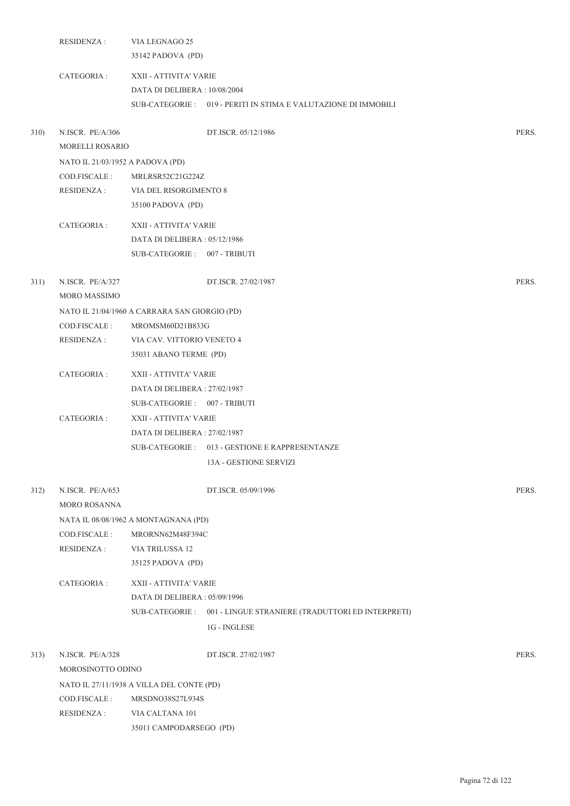|      | <b>RESIDENZA:</b>                          | VIA LEGNAGO 25<br>35142 PADOVA (PD)                     |                                                                  |       |
|------|--------------------------------------------|---------------------------------------------------------|------------------------------------------------------------------|-------|
|      | CATEGORIA :                                | XXII - ATTIVITA' VARIE<br>DATA DI DELIBERA : 10/08/2004 | SUB-CATEGORIE: 019 - PERITI IN STIMA E VALUTAZIONE DI IMMOBILI   |       |
| 310) | N.ISCR. PE/A/306<br><b>MORELLI ROSARIO</b> |                                                         | DT.ISCR. 05/12/1986                                              | PERS. |
|      | NATO IL 21/03/1952 A PADOVA (PD)           |                                                         |                                                                  |       |
|      | COD.FISCALE :                              | MRLRSR52C21G224Z                                        |                                                                  |       |
|      | RESIDENZA :                                | VIA DEL RISORGIMENTO 8                                  |                                                                  |       |
|      |                                            | 35100 PADOVA (PD)                                       |                                                                  |       |
|      | CATEGORIA :                                | XXII - ATTIVITA' VARIE                                  |                                                                  |       |
|      |                                            | DATA DI DELIBERA : 05/12/1986                           |                                                                  |       |
|      |                                            | SUB-CATEGORIE: 007 - TRIBUTI                            |                                                                  |       |
| 311) | N.ISCR. PE/A/327<br>MORO MASSIMO           |                                                         | DT.ISCR. 27/02/1987                                              | PERS. |
|      |                                            | NATO IL 21/04/1960 A CARRARA SAN GIORGIO (PD)           |                                                                  |       |
|      | COD.FISCALE :                              | MROMSM60D21B833G                                        |                                                                  |       |
|      | <b>RESIDENZA:</b>                          | VIA CAV. VITTORIO VENETO 4                              |                                                                  |       |
|      |                                            | 35031 ABANO TERME (PD)                                  |                                                                  |       |
|      | CATEGORIA :                                | XXII - ATTIVITA' VARIE                                  |                                                                  |       |
|      |                                            | DATA DI DELIBERA : 27/02/1987                           |                                                                  |       |
|      |                                            | SUB-CATEGORIE: 007 - TRIBUTI                            |                                                                  |       |
|      | CATEGORIA :                                | XXII - ATTIVITA' VARIE                                  |                                                                  |       |
|      |                                            | DATA DI DELIBERA : 27/02/1987                           |                                                                  |       |
|      |                                            |                                                         | SUB-CATEGORIE: 013 - GESTIONE E RAPPRESENTANZE                   |       |
|      |                                            |                                                         | 13A - GESTIONE SERVIZI                                           |       |
| 312) | N.ISCR. PE/A/653<br><b>MORO ROSANNA</b>    |                                                         | DT.ISCR. 05/09/1996                                              | PERS. |
|      |                                            | NATA IL 08/08/1962 A MONTAGNANA (PD)                    |                                                                  |       |
|      | COD.FISCALE:                               | MRORNN62M48F394C                                        |                                                                  |       |
|      | <b>RESIDENZA:</b>                          | VIA TRILUSSA 12                                         |                                                                  |       |
|      |                                            | 35125 PADOVA (PD)                                       |                                                                  |       |
|      | CATEGORIA :                                | XXII - ATTIVITA' VARIE                                  |                                                                  |       |
|      |                                            | DATA DI DELIBERA: 05/09/1996                            |                                                                  |       |
|      |                                            |                                                         | SUB-CATEGORIE: 001 - LINGUE STRANIERE (TRADUTTORI ED INTERPRETI) |       |
|      |                                            |                                                         | 1G - INGLESE                                                     |       |
| 313) | N.ISCR. PE/A/328                           |                                                         | DT.ISCR. 27/02/1987                                              | PERS. |
|      | MOROSINOTTO ODINO                          |                                                         |                                                                  |       |
|      |                                            | NATO IL 27/11/1938 A VILLA DEL CONTE (PD)               |                                                                  |       |
|      | COD.FISCALE :                              | MRSDNO38S27L934S                                        |                                                                  |       |
|      | <b>RESIDENZA:</b>                          | VIA CALTANA 101                                         |                                                                  |       |
|      |                                            | 35011 CAMPODARSEGO (PD)                                 |                                                                  |       |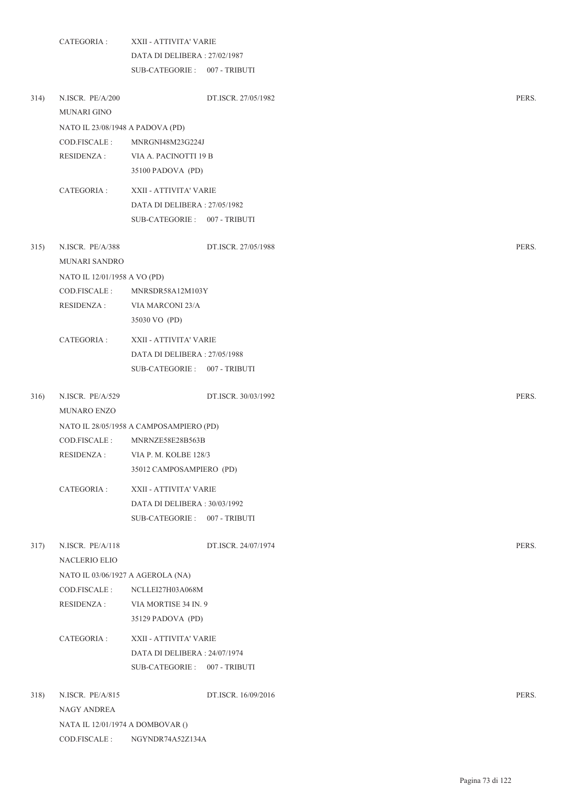|      | CATEGORIA :                            | XXII - ATTIVITA' VARIE                     |                     |       |
|------|----------------------------------------|--------------------------------------------|---------------------|-------|
|      |                                        | DATA DI DELIBERA : 27/02/1987              |                     |       |
|      |                                        | SUB-CATEGORIE: 007 - TRIBUTI               |                     |       |
| 314) | N.ISCR. PE/A/200<br><b>MUNARI GINO</b> |                                            | DT.ISCR. 27/05/1982 | PERS. |
|      | NATO IL 23/08/1948 A PADOVA (PD)       |                                            |                     |       |
|      | COD.FISCALE:                           | MNRGNI48M23G224J                           |                     |       |
|      | <b>RESIDENZA:</b>                      | VIA A. PACINOTTI 19 B<br>35100 PADOVA (PD) |                     |       |
|      | CATEGORIA :                            | XXII - ATTIVITA' VARIE                     |                     |       |
|      |                                        | DATA DI DELIBERA : 27/05/1982              |                     |       |
|      |                                        | SUB-CATEGORIE: 007 - TRIBUTI               |                     |       |
| 315) | N.ISCR. PE/A/388                       |                                            | DT.ISCR. 27/05/1988 | PERS. |
|      | MUNARI SANDRO                          |                                            |                     |       |
|      | NATO IL 12/01/1958 A VO (PD)           |                                            |                     |       |
|      | COD.FISCALE :                          | MNRSDR58A12M103Y                           |                     |       |
|      | <b>RESIDENZA:</b>                      | VIA MARCONI 23/A                           |                     |       |
|      |                                        | 35030 VO (PD)                              |                     |       |
|      | CATEGORIA :                            | XXII - ATTIVITA' VARIE                     |                     |       |
|      |                                        | DATA DI DELIBERA : 27/05/1988              |                     |       |
|      |                                        | SUB-CATEGORIE: 007 - TRIBUTI               |                     |       |
| 316) | N.ISCR. PE/A/529                       |                                            | DT.ISCR. 30/03/1992 | PERS. |
|      | <b>MUNARO ENZO</b>                     |                                            |                     |       |
|      |                                        | NATO IL 28/05/1958 A CAMPOSAMPIERO (PD)    |                     |       |
|      | COD.FISCALE :                          | MNRNZE58E28B563B                           |                     |       |
|      | RESIDENZA :                            | VIA P. M. KOLBE 128/3                      |                     |       |
|      |                                        | 35012 CAMPOSAMPIERO (PD)                   |                     |       |
|      | CATEGORIA :                            | XXII - ATTIVITA' VARIE                     |                     |       |
|      |                                        | DATA DI DELIBERA : 30/03/1992              |                     |       |
|      |                                        | SUB-CATEGORIE: 007 - TRIBUTI               |                     |       |
| 317) | N.ISCR. PE/A/118<br>NACLERIO ELIO      |                                            | DT.ISCR. 24/07/1974 | PERS. |
|      | NATO IL 03/06/1927 A AGEROLA (NA)      |                                            |                     |       |
|      | COD.FISCALE :                          | NCLLEI27H03A068M                           |                     |       |
|      | <b>RESIDENZA:</b>                      | VIA MORTISE 34 IN. 9                       |                     |       |
|      |                                        | 35129 PADOVA (PD)                          |                     |       |
|      |                                        |                                            |                     |       |
|      | CATEGORIA :                            | XXII - ATTIVITA' VARIE                     |                     |       |
|      |                                        | DATA DI DELIBERA : 24/07/1974              |                     |       |
|      |                                        | SUB-CATEGORIE: 007 - TRIBUTI               |                     |       |
| 318) | N.ISCR. PE/A/815                       |                                            | DT.ISCR. 16/09/2016 | PERS. |
|      | NAGY ANDREA                            |                                            |                     |       |
|      | NATA IL 12/01/1974 A DOMBOVAR ()       |                                            |                     |       |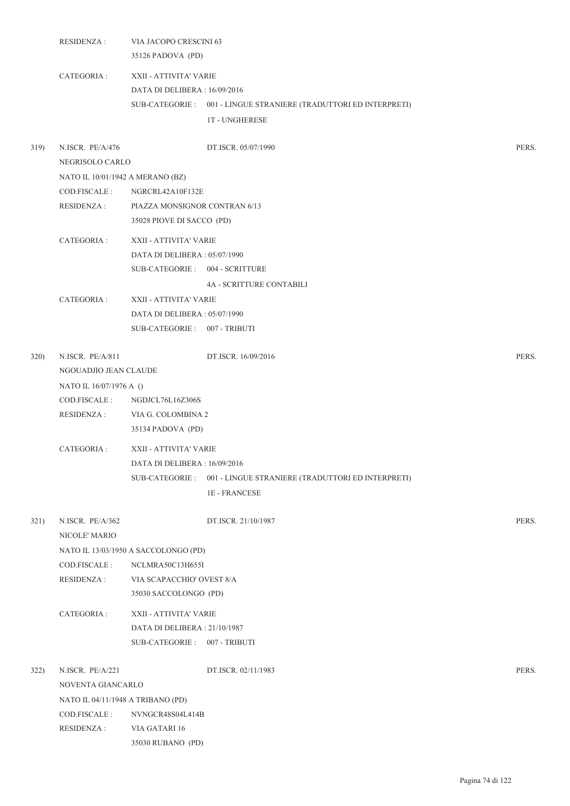|      | VIA JACOPO CRESCINI 63<br><b>RESIDENZA:</b><br>35126 PADOVA (PD) |                                                        |                                                                                         |       |
|------|------------------------------------------------------------------|--------------------------------------------------------|-----------------------------------------------------------------------------------------|-------|
|      | CATEGORIA :                                                      | XXII - ATTIVITA' VARIE<br>DATA DI DELIBERA: 16/09/2016 | SUB-CATEGORIE: 001 - LINGUE STRANIERE (TRADUTTORI ED INTERPRETI)<br><b>1T-UNGHERESE</b> |       |
| 319) | N.ISCR. PE/A/476<br>NEGRISOLO CARLO                              |                                                        | DT.ISCR. 05/07/1990                                                                     | PERS. |
|      | NATO IL 10/01/1942 A MERANO (BZ)                                 |                                                        |                                                                                         |       |
|      | COD.FISCALE :                                                    | NGRCRL42A10F132E                                       |                                                                                         |       |
|      | RESIDENZA :                                                      | PIAZZA MONSIGNOR CONTRAN 6/13                          |                                                                                         |       |
|      |                                                                  | 35028 PIOVE DI SACCO (PD)                              |                                                                                         |       |
|      | CATEGORIA :                                                      | XXII - ATTIVITA' VARIE                                 |                                                                                         |       |
|      |                                                                  | DATA DI DELIBERA : 05/07/1990                          |                                                                                         |       |
|      |                                                                  | SUB-CATEGORIE: 004 - SCRITTURE                         |                                                                                         |       |
|      |                                                                  |                                                        | 4A - SCRITTURE CONTABILI                                                                |       |
|      | CATEGORIA :                                                      | XXII - ATTIVITA' VARIE                                 |                                                                                         |       |
|      |                                                                  | DATA DI DELIBERA : 05/07/1990                          |                                                                                         |       |
|      |                                                                  | SUB-CATEGORIE: 007 - TRIBUTI                           |                                                                                         |       |
| 320) | N.ISCR. PE/A/811<br>NGOUADJIO JEAN CLAUDE                        |                                                        | DT.ISCR. 16/09/2016                                                                     | PERS. |
|      | NATO IL 16/07/1976 A ()                                          |                                                        |                                                                                         |       |
|      | COD.FISCALE :                                                    | NGDJCL76L16Z306S                                       |                                                                                         |       |
|      | RESIDENZA :                                                      | VIA G. COLOMBINA 2                                     |                                                                                         |       |
|      |                                                                  | 35134 PADOVA (PD)                                      |                                                                                         |       |
|      | CATEGORIA :                                                      | XXII - ATTIVITA' VARIE                                 |                                                                                         |       |
|      |                                                                  | DATA DI DELIBERA : 16/09/2016                          |                                                                                         |       |
|      |                                                                  |                                                        | SUB-CATEGORIE: 001 - LINGUE STRANIERE (TRADUTTORI ED INTERPRETI)                        |       |
|      |                                                                  |                                                        | <b>1E-FRANCESE</b>                                                                      |       |
| 321) | N.ISCR. PE/A/362<br>NICOLE' MARIO                                |                                                        | DT.ISCR. 21/10/1987                                                                     | PERS. |
|      |                                                                  | NATO IL 13/03/1950 A SACCOLONGO (PD)                   |                                                                                         |       |
|      | COD.FISCALE:                                                     | NCLMRA50C13H655I                                       |                                                                                         |       |
|      | <b>RESIDENZA:</b>                                                | VIA SCAPACCHIO' OVEST 8/A                              |                                                                                         |       |
|      |                                                                  | 35030 SACCOLONGO (PD)                                  |                                                                                         |       |
|      | CATEGORIA :                                                      | XXII - ATTIVITA' VARIE                                 |                                                                                         |       |
|      |                                                                  | DATA DI DELIBERA : 21/10/1987                          |                                                                                         |       |
|      |                                                                  | SUB-CATEGORIE: 007 - TRIBUTI                           |                                                                                         |       |
| 322) | N.ISCR. PE/A/221                                                 |                                                        | DT.ISCR. 02/11/1983                                                                     | PERS. |
|      | NOVENTA GIANCARLO                                                |                                                        |                                                                                         |       |
|      | NATO IL 04/11/1948 A TRIBANO (PD)                                |                                                        |                                                                                         |       |
|      | COD.FISCALE:                                                     | NVNGCR48S04L414B                                       |                                                                                         |       |
|      | <b>RESIDENZA:</b>                                                | VIA GATARI 16                                          |                                                                                         |       |
|      |                                                                  | 35030 RUBANO (PD)                                      |                                                                                         |       |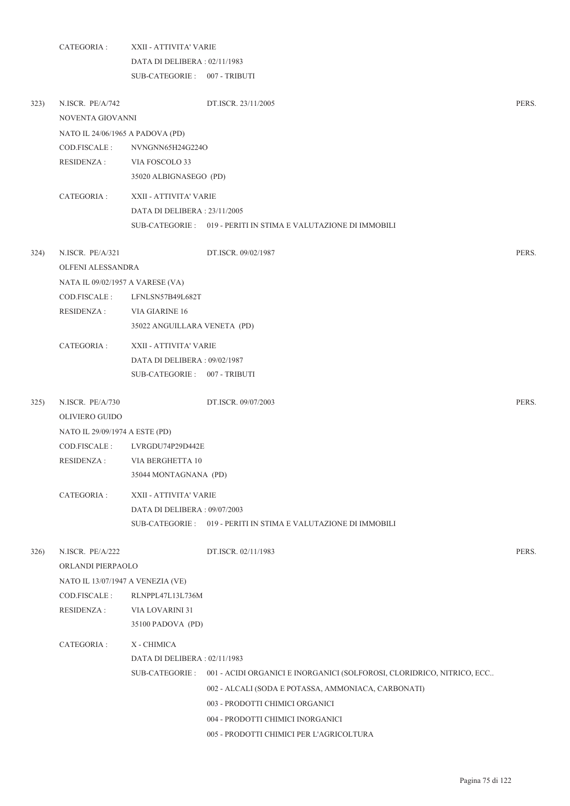|      | CATEGORIA:                            | XXII - ATTIVITA' VARIE           |                                                                        |       |  |  |
|------|---------------------------------------|----------------------------------|------------------------------------------------------------------------|-------|--|--|
|      |                                       | DATA DI DELIBERA: 02/11/1983     |                                                                        |       |  |  |
|      |                                       | SUB-CATEGORIE: 007 - TRIBUTI     |                                                                        |       |  |  |
| 323) | N.ISCR. PE/A/742<br>NOVENTA GIOVANNI  |                                  | DT.ISCR. 23/11/2005                                                    | PERS. |  |  |
|      |                                       | NATO IL 24/06/1965 A PADOVA (PD) |                                                                        |       |  |  |
|      | COD.FISCALE:                          | NVNGNN65H24G224O                 |                                                                        |       |  |  |
|      | <b>RESIDENZA:</b>                     | VIA FOSCOLO 33                   |                                                                        |       |  |  |
|      |                                       | 35020 ALBIGNASEGO (PD)           |                                                                        |       |  |  |
|      | CATEGORIA:                            | XXII - ATTIVITA' VARIE           |                                                                        |       |  |  |
|      |                                       | DATA DI DELIBERA: 23/11/2005     |                                                                        |       |  |  |
|      |                                       |                                  | SUB-CATEGORIE : 019 - PERITI IN STIMA E VALUTAZIONE DI IMMOBILI        |       |  |  |
| 324) | N.ISCR. PE/A/321                      |                                  | DT.ISCR. 09/02/1987                                                    | PERS. |  |  |
|      | OLFENI ALESSANDRA                     |                                  |                                                                        |       |  |  |
|      | NATA IL 09/02/1957 A VARESE (VA)      |                                  |                                                                        |       |  |  |
|      | COD.FISCALE :                         | LFNLSN57B49L682T                 |                                                                        |       |  |  |
|      | <b>RESIDENZA:</b>                     | VIA GIARINE 16                   |                                                                        |       |  |  |
|      |                                       | 35022 ANGUILLARA VENETA (PD)     |                                                                        |       |  |  |
|      | CATEGORIA :                           | XXII - ATTIVITA' VARIE           |                                                                        |       |  |  |
|      |                                       | DATA DI DELIBERA: 09/02/1987     |                                                                        |       |  |  |
|      |                                       | SUB-CATEGORIE: 007 - TRIBUTI     |                                                                        |       |  |  |
| 325) | N.ISCR. PE/A/730<br>OLIVIERO GUIDO    |                                  | DT.ISCR. 09/07/2003                                                    | PERS. |  |  |
|      | NATO IL 29/09/1974 A ESTE (PD)        |                                  |                                                                        |       |  |  |
|      | COD.FISCALE :                         | LVRGDU74P29D442E                 |                                                                        |       |  |  |
|      | <b>RESIDENZA:</b>                     | VIA BERGHETTA 10                 |                                                                        |       |  |  |
|      |                                       | 35044 MONTAGNANA (PD)            |                                                                        |       |  |  |
|      | CATEGORIA:                            | XXII - ATTIVITA' VARIE           |                                                                        |       |  |  |
|      |                                       | DATA DI DELIBERA : 09/07/2003    |                                                                        |       |  |  |
|      |                                       |                                  | SUB-CATEGORIE: 019 - PERITI IN STIMA E VALUTAZIONE DI IMMOBILI         |       |  |  |
| 326) | N.ISCR. PE/A/222<br>ORLANDI PIERPAOLO |                                  | DT.ISCR. 02/11/1983                                                    | PERS. |  |  |
|      | NATO IL 13/07/1947 A VENEZIA (VE)     |                                  |                                                                        |       |  |  |
|      | COD.FISCALE:                          | RLNPPL47L13L736M                 |                                                                        |       |  |  |
|      | <b>RESIDENZA:</b>                     | VIA LOVARINI 31                  |                                                                        |       |  |  |
|      |                                       | 35100 PADOVA (PD)                |                                                                        |       |  |  |
|      | CATEGORIA :                           | X - CHIMICA                      |                                                                        |       |  |  |
|      |                                       | DATA DI DELIBERA: 02/11/1983     |                                                                        |       |  |  |
|      |                                       | SUB-CATEGORIE :                  | 001 - ACIDI ORGANICI E INORGANICI (SOLFOROSI, CLORIDRICO, NITRICO, ECC |       |  |  |
|      |                                       |                                  | 002 - ALCALI (SODA E POTASSA, AMMONIACA, CARBONATI)                    |       |  |  |
|      |                                       |                                  | 003 - PRODOTTI CHIMICI ORGANICI                                        |       |  |  |
|      |                                       |                                  | 004 - PRODOTTI CHIMICI INORGANICI                                      |       |  |  |
|      |                                       |                                  | 005 - PRODOTTI CHIMICI PER L'AGRICOLTURA                               |       |  |  |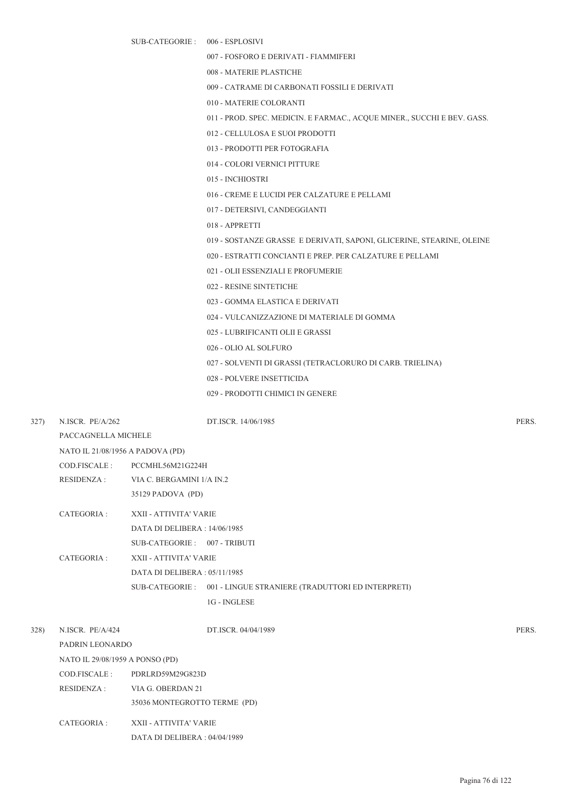SUB-CATEGORIE : 006 - ESPLOSIVI

007 - FOSFORO E DERIVATI - FIAMMIFERI

008 - MATERIE PLASTICHE

009 - CATRAME DI CARBONATI FOSSILI E DERIVATI

010 - MATERIE COLORANTI

- 011 PROD. SPEC. MEDICIN. E FARMAC., ACQUE MINER., SUCCHI E BEV. GASS.
- 012 CELLULOSA E SUOI PRODOTTI
- 013 PRODOTTI PER FOTOGRAFIA
- 014 COLORI VERNICI PITTURE
- 015 INCHIOSTRI
- 016 CREME E LUCIDI PER CALZATURE E PELLAMI
- 017 DETERSIVI, CANDEGGIANTI
- 018 APPRETTI
- 019 SOSTANZE GRASSE E DERIVATI, SAPONI, GLICERINE, STEARINE, OLEINE
- 020 ESTRATTI CONCIANTI E PREP. PER CALZATURE E PELLAMI
- 021 OLII ESSENZIALI E PROFUMERIE
- 022 RESINE SINTETICHE
- 023 GOMMA ELASTICA E DERIVATI
- 024 VULCANIZZAZIONE DI MATERIALE DI GOMMA
- 025 LUBRIFICANTI OLII E GRASSI
- 026 OLIO AL SOLFURO
- 027 SOLVENTI DI GRASSI (TETRACLORURO DI CARB. TRIELINA)
- 028 POLVERE INSETTICIDA
- 029 PRODOTTI CHIMICI IN GENERE

327) N.ISCR. PE/A/262 DT.ISCR. 14/06/1985 PERS.

PACCAGNELLA MICHELE

| NATO IL 21/08/1956 A PADOVA (PD) |                          |
|----------------------------------|--------------------------|
| $\cap$ D FISCALE $\cdot$         | <b>PCCMHI 56M21G224H</b> |

| COD TIOCALE. | T CCIVILLE OIVEZ I QZZHIT |
|--------------|---------------------------|
| RESIDENZA :  | VIA C. BERGAMINI 1/A IN.2 |

35129 PADOVA (PD)

- CATEGORIA : XXII ATTIVITA' VARIE DATA DI DELIBERA : 14/06/1985
	- SUB-CATEGORIE : 007 TRIBUTI

CATEGORIA : XXII - ATTIVITA' VARIE DATA DI DELIBERA : 05/11/1985 SUB-CATEGORIE : 001 - LINGUE STRANIERE (TRADUTTORI ED INTERPRETI)

1G - INGLESE

328) N.ISCR. PE/A/424 DT.ISCR. 04/04/1989 PERS. PADRIN LEONARDO NATO IL 29/08/1959 A PONSO (PD) COD.FISCALE : PDRLRD59M29G823D RESIDENZA : VIA G. OBERDAN 21 35036 MONTEGROTTO TERME (PD) CATEGORIA : XXII - ATTIVITA' VARIE DATA DI DELIBERA : 04/04/1989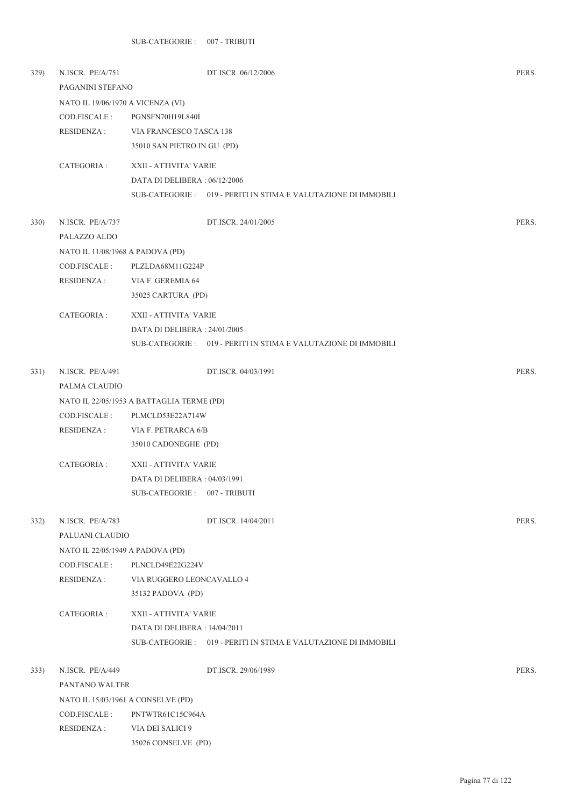| 329)         | N.ISCR. PE/A/751<br>PAGANINI STEFANO |                                           | DT.ISCR. 06/12/2006                                             | PERS. |  |  |  |
|--------------|--------------------------------------|-------------------------------------------|-----------------------------------------------------------------|-------|--|--|--|
|              |                                      | NATO IL 19/06/1970 A VICENZA (VI)         |                                                                 |       |  |  |  |
|              | COD.FISCALE :                        | PGNSFN70H19L840I                          |                                                                 |       |  |  |  |
|              | RESIDENZA :                          | VIA FRANCESCO TASCA 138                   |                                                                 |       |  |  |  |
|              |                                      | 35010 SAN PIETRO IN GU (PD)               |                                                                 |       |  |  |  |
|              | CATEGORIA :                          | XXII - ATTIVITA' VARIE                    |                                                                 |       |  |  |  |
|              |                                      | DATA DI DELIBERA: 06/12/2006              |                                                                 |       |  |  |  |
|              |                                      |                                           | SUB-CATEGORIE : 019 - PERITI IN STIMA E VALUTAZIONE DI IMMOBILI |       |  |  |  |
|              |                                      |                                           |                                                                 |       |  |  |  |
| <b>330</b> ) | N.ISCR. PE/A/737                     |                                           | DT.ISCR. 24/01/2005                                             | PERS. |  |  |  |
|              | PALAZZO ALDO                         |                                           |                                                                 |       |  |  |  |
|              | NATO IL 11/08/1968 A PADOVA (PD)     |                                           |                                                                 |       |  |  |  |
|              | COD.FISCALE :                        | PLZLDA68M11G224P                          |                                                                 |       |  |  |  |
|              | <b>RESIDENZA:</b>                    | VIA F. GEREMIA 64                         |                                                                 |       |  |  |  |
|              |                                      | 35025 CARTURA (PD)                        |                                                                 |       |  |  |  |
|              | CATEGORIA :                          | XXII - ATTIVITA' VARIE                    |                                                                 |       |  |  |  |
|              |                                      | DATA DI DELIBERA : 24/01/2005             |                                                                 |       |  |  |  |
|              |                                      |                                           | SUB-CATEGORIE: 019 - PERITI IN STIMA E VALUTAZIONE DI IMMOBILI  |       |  |  |  |
|              |                                      |                                           |                                                                 |       |  |  |  |
| 331)         | N.ISCR. PE/A/491                     |                                           | DT.ISCR. 04/03/1991                                             | PERS. |  |  |  |
|              | PALMA CLAUDIO                        |                                           |                                                                 |       |  |  |  |
|              |                                      | NATO IL 22/05/1953 A BATTAGLIA TERME (PD) |                                                                 |       |  |  |  |
|              | COD.FISCALE :                        | PLMCLD53E22A714W                          |                                                                 |       |  |  |  |
|              | RESIDENZA :                          | VIA F. PETRARCA 6/B                       |                                                                 |       |  |  |  |
|              |                                      | 35010 CADONEGHE (PD)                      |                                                                 |       |  |  |  |
|              | CATEGORIA :                          | XXII - ATTIVITA' VARIE                    |                                                                 |       |  |  |  |
|              |                                      | DATA DI DELIBERA: 04/03/1991              |                                                                 |       |  |  |  |
|              |                                      | SUB-CATEGORIE: 007 - TRIBUTI              |                                                                 |       |  |  |  |
| 332)         | N.ISCR. PE/A/783                     |                                           | DT.ISCR. 14/04/2011                                             | PERS. |  |  |  |
|              | PALUANI CLAUDIO                      |                                           |                                                                 |       |  |  |  |
|              | NATO IL 22/05/1949 A PADOVA (PD)     |                                           |                                                                 |       |  |  |  |
|              | COD.FISCALE :                        | PLNCLD49E22G224V                          |                                                                 |       |  |  |  |
|              | RESIDENZA :                          | VIA RUGGERO LEONCAVALLO 4                 |                                                                 |       |  |  |  |
|              |                                      | 35132 PADOVA (PD)                         |                                                                 |       |  |  |  |
|              | CATEGORIA :                          | XXII - ATTIVITA' VARIE                    |                                                                 |       |  |  |  |
|              |                                      | DATA DI DELIBERA : 14/04/2011             |                                                                 |       |  |  |  |
|              |                                      |                                           | SUB-CATEGORIE : 019 - PERITI IN STIMA E VALUTAZIONE DI IMMOBILI |       |  |  |  |
| 333)         | N.ISCR. PE/A/449                     |                                           | DT.ISCR. 29/06/1989                                             | PERS. |  |  |  |
|              | PANTANO WALTER                       |                                           |                                                                 |       |  |  |  |
|              |                                      | NATO IL 15/03/1961 A CONSELVE (PD)        |                                                                 |       |  |  |  |
|              | COD.FISCALE :                        | PNTWTR61C15C964A                          |                                                                 |       |  |  |  |
|              | RESIDENZA :                          | VIA DEI SALICI 9                          |                                                                 |       |  |  |  |
|              |                                      | 35026 CONSELVE (PD)                       |                                                                 |       |  |  |  |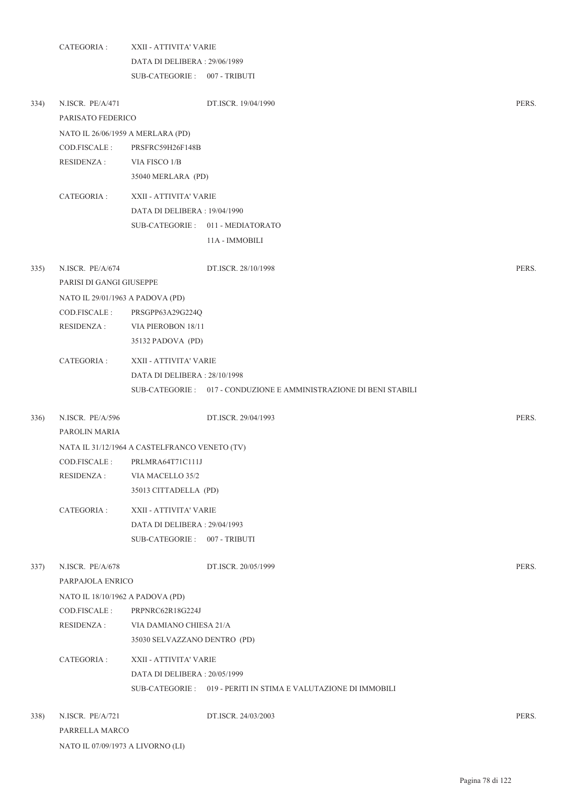|      | CATEGORIA :                       | XXII - ATTIVITA' VARIE                        |                                                                    |       |
|------|-----------------------------------|-----------------------------------------------|--------------------------------------------------------------------|-------|
|      |                                   | DATA DI DELIBERA: 29/06/1989                  |                                                                    |       |
|      |                                   | SUB-CATEGORIE: 007 - TRIBUTI                  |                                                                    |       |
| 334) | N.ISCR. PE/A/471                  |                                               | DT.ISCR. 19/04/1990                                                | PERS. |
|      | PARISATO FEDERICO                 |                                               |                                                                    |       |
|      | NATO IL 26/06/1959 A MERLARA (PD) |                                               |                                                                    |       |
|      | COD.FISCALE:                      | PRSFRC59H26F148B                              |                                                                    |       |
|      | <b>RESIDENZA:</b>                 | VIA FISCO 1/B                                 |                                                                    |       |
|      |                                   | 35040 MERLARA (PD)                            |                                                                    |       |
|      | CATEGORIA :                       | XXII - ATTIVITA' VARIE                        |                                                                    |       |
|      |                                   | DATA DI DELIBERA: 19/04/1990                  |                                                                    |       |
|      |                                   |                                               | SUB-CATEGORIE: 011 - MEDIATORATO                                   |       |
|      |                                   |                                               | 11A - IMMOBILI                                                     |       |
| 335) | N.ISCR. PE/A/674                  |                                               | DT.ISCR. 28/10/1998                                                | PERS. |
|      | PARISI DI GANGI GIUSEPPE          |                                               |                                                                    |       |
|      | NATO IL 29/01/1963 A PADOVA (PD)  |                                               |                                                                    |       |
|      | COD.FISCALE :                     | PRSGPP63A29G224Q                              |                                                                    |       |
|      | <b>RESIDENZA:</b>                 | VIA PIEROBON 18/11                            |                                                                    |       |
|      |                                   | 35132 PADOVA (PD)                             |                                                                    |       |
|      | CATEGORIA :                       | XXII - ATTIVITA' VARIE                        |                                                                    |       |
|      |                                   | DATA DI DELIBERA: 28/10/1998                  |                                                                    |       |
|      |                                   |                                               | SUB-CATEGORIE : 017 - CONDUZIONE E AMMINISTRAZIONE DI BENI STABILI |       |
| 336) | N.ISCR. PE/A/596                  |                                               | DT.ISCR. 29/04/1993                                                | PERS. |
|      | PAROLIN MARIA                     |                                               |                                                                    |       |
|      |                                   | NATA IL 31/12/1964 A CASTELFRANCO VENETO (TV) |                                                                    |       |
|      | COD.FISCALE:                      | PRLMRA64T71C111J                              |                                                                    |       |
|      | <b>RESIDENZA:</b>                 | VIA MACELLO 35/2                              |                                                                    |       |
|      |                                   | 35013 CITTADELLA (PD)                         |                                                                    |       |
|      | CATEGORIA :                       | XXII - ATTIVITA' VARIE                        |                                                                    |       |
|      |                                   | DATA DI DELIBERA: 29/04/1993                  |                                                                    |       |
|      |                                   | SUB-CATEGORIE: 007 - TRIBUTI                  |                                                                    |       |
| 337) | N.ISCR. PE/A/678                  |                                               | DT.ISCR. 20/05/1999                                                | PERS. |
|      | PARPAJOLA ENRICO                  |                                               |                                                                    |       |
|      | NATO IL 18/10/1962 A PADOVA (PD)  |                                               |                                                                    |       |
|      | COD.FISCALE:                      | PRPNRC62R18G224J                              |                                                                    |       |
|      | RESIDENZA :                       | VIA DAMIANO CHIESA 21/A                       |                                                                    |       |
|      |                                   | 35030 SELVAZZANO DENTRO (PD)                  |                                                                    |       |
|      | CATEGORIA :                       | XXII - ATTIVITA' VARIE                        |                                                                    |       |
|      |                                   | DATA DI DELIBERA: 20/05/1999                  |                                                                    |       |
|      |                                   |                                               | SUB-CATEGORIE : 019 - PERITI IN STIMA E VALUTAZIONE DI IMMOBILI    |       |
| 338) | N.ISCR. PE/A/721                  |                                               | DT.ISCR. 24/03/2003                                                | PERS. |
|      | PARRELLA MARCO                    |                                               |                                                                    |       |

NATO IL 07/09/1973 A LIVORNO (LI)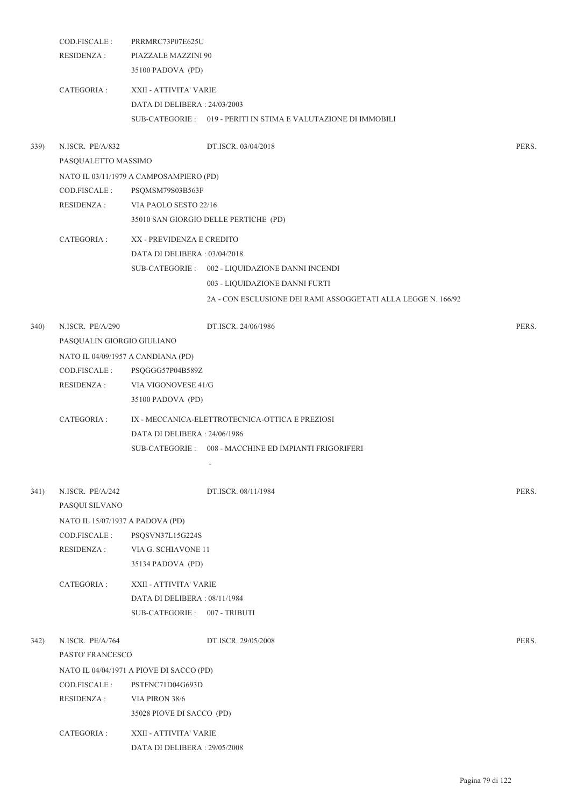| 35100 PADOVA (PD)<br>CATEGORIA :<br>XXII - ATTIVITA' VARIE<br>DATA DI DELIBERA: 24/03/2003<br>SUB-CATEGORIE : 019 - PERITI IN STIMA E VALUTAZIONE DI IMMOBILI<br>PERS.<br>N.ISCR. PE/A/832<br>DT.ISCR. 03/04/2018<br>PASQUALETTO MASSIMO<br>NATO IL 03/11/1979 A CAMPOSAMPIERO (PD)<br>COD.FISCALE :<br>PSQMSM79S03B563F<br>RESIDENZA :<br>VIA PAOLO SESTO 22/16<br>35010 SAN GIORGIO DELLE PERTICHE (PD)<br>CATEGORIA :<br>XX - PREVIDENZA E CREDITO<br>DATA DI DELIBERA: 03/04/2018<br>SUB-CATEGORIE : 002 - LIQUIDAZIONE DANNI INCENDI<br>003 - LIQUIDAZIONE DANNI FURTI<br>2A - CON ESCLUSIONE DEI RAMI ASSOGGETATI ALLA LEGGE N. 166/92<br>N.ISCR. PE/A/290<br>DT.ISCR. 24/06/1986<br>PERS.<br>340)<br>PASQUALIN GIORGIO GIULIANO<br>NATO IL 04/09/1957 A CANDIANA (PD)<br>COD.FISCALE :<br>PSQGGG57P04B589Z<br>RESIDENZA :<br>VIA VIGONOVESE 41/G<br>35100 PADOVA (PD)<br>CATEGORIA :<br>IX - MECCANICA-ELETTROTECNICA-OTTICA E PREZIOSI<br>DATA DI DELIBERA : 24/06/1986<br>SUB-CATEGORIE: 008 - MACCHINE ED IMPIANTI FRIGORIFERI<br>PERS.<br>341)<br>N.ISCR. PE/A/242<br>DT.ISCR. 08/11/1984<br>PASQUI SILVANO<br>NATO IL 15/07/1937 A PADOVA (PD)<br>COD.FISCALE :<br>PSQSVN37L15G224S<br><b>RESIDENZA:</b><br>VIA G. SCHIAVONE 11<br>35134 PADOVA (PD)<br>CATEGORIA :<br>XXII - ATTIVITA' VARIE<br>DATA DI DELIBERA : 08/11/1984<br>SUB-CATEGORIE: 007 - TRIBUTI<br>N.ISCR. PE/A/764<br>PERS.<br>342)<br>DT.ISCR. 29/05/2008<br>PASTO' FRANCESCO<br>NATO IL 04/04/1971 A PIOVE DI SACCO (PD)<br>COD.FISCALE :<br>PSTFNC71D04G693D<br><b>RESIDENZA:</b><br>VIA PIRON 38/6<br>35028 PIOVE DI SACCO (PD)<br>CATEGORIA :<br>XXII - ATTIVITA' VARIE<br>DATA DI DELIBERA: 29/05/2008 |      | COD.FISCALE:<br><b>RESIDENZA:</b> | PRRMRC73P07E625U<br>PIAZZALE MAZZINI 90 |  |
|------------------------------------------------------------------------------------------------------------------------------------------------------------------------------------------------------------------------------------------------------------------------------------------------------------------------------------------------------------------------------------------------------------------------------------------------------------------------------------------------------------------------------------------------------------------------------------------------------------------------------------------------------------------------------------------------------------------------------------------------------------------------------------------------------------------------------------------------------------------------------------------------------------------------------------------------------------------------------------------------------------------------------------------------------------------------------------------------------------------------------------------------------------------------------------------------------------------------------------------------------------------------------------------------------------------------------------------------------------------------------------------------------------------------------------------------------------------------------------------------------------------------------------------------------------------------------------------------------------------------------------------------------------------------------------------|------|-----------------------------------|-----------------------------------------|--|
|                                                                                                                                                                                                                                                                                                                                                                                                                                                                                                                                                                                                                                                                                                                                                                                                                                                                                                                                                                                                                                                                                                                                                                                                                                                                                                                                                                                                                                                                                                                                                                                                                                                                                          |      |                                   |                                         |  |
|                                                                                                                                                                                                                                                                                                                                                                                                                                                                                                                                                                                                                                                                                                                                                                                                                                                                                                                                                                                                                                                                                                                                                                                                                                                                                                                                                                                                                                                                                                                                                                                                                                                                                          |      |                                   |                                         |  |
|                                                                                                                                                                                                                                                                                                                                                                                                                                                                                                                                                                                                                                                                                                                                                                                                                                                                                                                                                                                                                                                                                                                                                                                                                                                                                                                                                                                                                                                                                                                                                                                                                                                                                          |      |                                   |                                         |  |
|                                                                                                                                                                                                                                                                                                                                                                                                                                                                                                                                                                                                                                                                                                                                                                                                                                                                                                                                                                                                                                                                                                                                                                                                                                                                                                                                                                                                                                                                                                                                                                                                                                                                                          |      |                                   |                                         |  |
|                                                                                                                                                                                                                                                                                                                                                                                                                                                                                                                                                                                                                                                                                                                                                                                                                                                                                                                                                                                                                                                                                                                                                                                                                                                                                                                                                                                                                                                                                                                                                                                                                                                                                          | 339) |                                   |                                         |  |
|                                                                                                                                                                                                                                                                                                                                                                                                                                                                                                                                                                                                                                                                                                                                                                                                                                                                                                                                                                                                                                                                                                                                                                                                                                                                                                                                                                                                                                                                                                                                                                                                                                                                                          |      |                                   |                                         |  |
|                                                                                                                                                                                                                                                                                                                                                                                                                                                                                                                                                                                                                                                                                                                                                                                                                                                                                                                                                                                                                                                                                                                                                                                                                                                                                                                                                                                                                                                                                                                                                                                                                                                                                          |      |                                   |                                         |  |
|                                                                                                                                                                                                                                                                                                                                                                                                                                                                                                                                                                                                                                                                                                                                                                                                                                                                                                                                                                                                                                                                                                                                                                                                                                                                                                                                                                                                                                                                                                                                                                                                                                                                                          |      |                                   |                                         |  |
|                                                                                                                                                                                                                                                                                                                                                                                                                                                                                                                                                                                                                                                                                                                                                                                                                                                                                                                                                                                                                                                                                                                                                                                                                                                                                                                                                                                                                                                                                                                                                                                                                                                                                          |      |                                   |                                         |  |
|                                                                                                                                                                                                                                                                                                                                                                                                                                                                                                                                                                                                                                                                                                                                                                                                                                                                                                                                                                                                                                                                                                                                                                                                                                                                                                                                                                                                                                                                                                                                                                                                                                                                                          |      |                                   |                                         |  |
|                                                                                                                                                                                                                                                                                                                                                                                                                                                                                                                                                                                                                                                                                                                                                                                                                                                                                                                                                                                                                                                                                                                                                                                                                                                                                                                                                                                                                                                                                                                                                                                                                                                                                          |      |                                   |                                         |  |
|                                                                                                                                                                                                                                                                                                                                                                                                                                                                                                                                                                                                                                                                                                                                                                                                                                                                                                                                                                                                                                                                                                                                                                                                                                                                                                                                                                                                                                                                                                                                                                                                                                                                                          |      |                                   |                                         |  |
|                                                                                                                                                                                                                                                                                                                                                                                                                                                                                                                                                                                                                                                                                                                                                                                                                                                                                                                                                                                                                                                                                                                                                                                                                                                                                                                                                                                                                                                                                                                                                                                                                                                                                          |      |                                   |                                         |  |
|                                                                                                                                                                                                                                                                                                                                                                                                                                                                                                                                                                                                                                                                                                                                                                                                                                                                                                                                                                                                                                                                                                                                                                                                                                                                                                                                                                                                                                                                                                                                                                                                                                                                                          |      |                                   |                                         |  |
|                                                                                                                                                                                                                                                                                                                                                                                                                                                                                                                                                                                                                                                                                                                                                                                                                                                                                                                                                                                                                                                                                                                                                                                                                                                                                                                                                                                                                                                                                                                                                                                                                                                                                          |      |                                   |                                         |  |
|                                                                                                                                                                                                                                                                                                                                                                                                                                                                                                                                                                                                                                                                                                                                                                                                                                                                                                                                                                                                                                                                                                                                                                                                                                                                                                                                                                                                                                                                                                                                                                                                                                                                                          |      |                                   |                                         |  |
|                                                                                                                                                                                                                                                                                                                                                                                                                                                                                                                                                                                                                                                                                                                                                                                                                                                                                                                                                                                                                                                                                                                                                                                                                                                                                                                                                                                                                                                                                                                                                                                                                                                                                          |      |                                   |                                         |  |
|                                                                                                                                                                                                                                                                                                                                                                                                                                                                                                                                                                                                                                                                                                                                                                                                                                                                                                                                                                                                                                                                                                                                                                                                                                                                                                                                                                                                                                                                                                                                                                                                                                                                                          |      |                                   |                                         |  |
|                                                                                                                                                                                                                                                                                                                                                                                                                                                                                                                                                                                                                                                                                                                                                                                                                                                                                                                                                                                                                                                                                                                                                                                                                                                                                                                                                                                                                                                                                                                                                                                                                                                                                          |      |                                   |                                         |  |
|                                                                                                                                                                                                                                                                                                                                                                                                                                                                                                                                                                                                                                                                                                                                                                                                                                                                                                                                                                                                                                                                                                                                                                                                                                                                                                                                                                                                                                                                                                                                                                                                                                                                                          |      |                                   |                                         |  |
|                                                                                                                                                                                                                                                                                                                                                                                                                                                                                                                                                                                                                                                                                                                                                                                                                                                                                                                                                                                                                                                                                                                                                                                                                                                                                                                                                                                                                                                                                                                                                                                                                                                                                          |      |                                   |                                         |  |
|                                                                                                                                                                                                                                                                                                                                                                                                                                                                                                                                                                                                                                                                                                                                                                                                                                                                                                                                                                                                                                                                                                                                                                                                                                                                                                                                                                                                                                                                                                                                                                                                                                                                                          |      |                                   |                                         |  |
|                                                                                                                                                                                                                                                                                                                                                                                                                                                                                                                                                                                                                                                                                                                                                                                                                                                                                                                                                                                                                                                                                                                                                                                                                                                                                                                                                                                                                                                                                                                                                                                                                                                                                          |      |                                   |                                         |  |
|                                                                                                                                                                                                                                                                                                                                                                                                                                                                                                                                                                                                                                                                                                                                                                                                                                                                                                                                                                                                                                                                                                                                                                                                                                                                                                                                                                                                                                                                                                                                                                                                                                                                                          |      |                                   |                                         |  |
|                                                                                                                                                                                                                                                                                                                                                                                                                                                                                                                                                                                                                                                                                                                                                                                                                                                                                                                                                                                                                                                                                                                                                                                                                                                                                                                                                                                                                                                                                                                                                                                                                                                                                          |      |                                   |                                         |  |
|                                                                                                                                                                                                                                                                                                                                                                                                                                                                                                                                                                                                                                                                                                                                                                                                                                                                                                                                                                                                                                                                                                                                                                                                                                                                                                                                                                                                                                                                                                                                                                                                                                                                                          |      |                                   |                                         |  |
|                                                                                                                                                                                                                                                                                                                                                                                                                                                                                                                                                                                                                                                                                                                                                                                                                                                                                                                                                                                                                                                                                                                                                                                                                                                                                                                                                                                                                                                                                                                                                                                                                                                                                          |      |                                   |                                         |  |
|                                                                                                                                                                                                                                                                                                                                                                                                                                                                                                                                                                                                                                                                                                                                                                                                                                                                                                                                                                                                                                                                                                                                                                                                                                                                                                                                                                                                                                                                                                                                                                                                                                                                                          |      |                                   |                                         |  |
|                                                                                                                                                                                                                                                                                                                                                                                                                                                                                                                                                                                                                                                                                                                                                                                                                                                                                                                                                                                                                                                                                                                                                                                                                                                                                                                                                                                                                                                                                                                                                                                                                                                                                          |      |                                   |                                         |  |
|                                                                                                                                                                                                                                                                                                                                                                                                                                                                                                                                                                                                                                                                                                                                                                                                                                                                                                                                                                                                                                                                                                                                                                                                                                                                                                                                                                                                                                                                                                                                                                                                                                                                                          |      |                                   |                                         |  |
|                                                                                                                                                                                                                                                                                                                                                                                                                                                                                                                                                                                                                                                                                                                                                                                                                                                                                                                                                                                                                                                                                                                                                                                                                                                                                                                                                                                                                                                                                                                                                                                                                                                                                          |      |                                   |                                         |  |
|                                                                                                                                                                                                                                                                                                                                                                                                                                                                                                                                                                                                                                                                                                                                                                                                                                                                                                                                                                                                                                                                                                                                                                                                                                                                                                                                                                                                                                                                                                                                                                                                                                                                                          |      |                                   |                                         |  |
|                                                                                                                                                                                                                                                                                                                                                                                                                                                                                                                                                                                                                                                                                                                                                                                                                                                                                                                                                                                                                                                                                                                                                                                                                                                                                                                                                                                                                                                                                                                                                                                                                                                                                          |      |                                   |                                         |  |
|                                                                                                                                                                                                                                                                                                                                                                                                                                                                                                                                                                                                                                                                                                                                                                                                                                                                                                                                                                                                                                                                                                                                                                                                                                                                                                                                                                                                                                                                                                                                                                                                                                                                                          |      |                                   |                                         |  |
|                                                                                                                                                                                                                                                                                                                                                                                                                                                                                                                                                                                                                                                                                                                                                                                                                                                                                                                                                                                                                                                                                                                                                                                                                                                                                                                                                                                                                                                                                                                                                                                                                                                                                          |      |                                   |                                         |  |
|                                                                                                                                                                                                                                                                                                                                                                                                                                                                                                                                                                                                                                                                                                                                                                                                                                                                                                                                                                                                                                                                                                                                                                                                                                                                                                                                                                                                                                                                                                                                                                                                                                                                                          |      |                                   |                                         |  |
|                                                                                                                                                                                                                                                                                                                                                                                                                                                                                                                                                                                                                                                                                                                                                                                                                                                                                                                                                                                                                                                                                                                                                                                                                                                                                                                                                                                                                                                                                                                                                                                                                                                                                          |      |                                   |                                         |  |
|                                                                                                                                                                                                                                                                                                                                                                                                                                                                                                                                                                                                                                                                                                                                                                                                                                                                                                                                                                                                                                                                                                                                                                                                                                                                                                                                                                                                                                                                                                                                                                                                                                                                                          |      |                                   |                                         |  |
|                                                                                                                                                                                                                                                                                                                                                                                                                                                                                                                                                                                                                                                                                                                                                                                                                                                                                                                                                                                                                                                                                                                                                                                                                                                                                                                                                                                                                                                                                                                                                                                                                                                                                          |      |                                   |                                         |  |
|                                                                                                                                                                                                                                                                                                                                                                                                                                                                                                                                                                                                                                                                                                                                                                                                                                                                                                                                                                                                                                                                                                                                                                                                                                                                                                                                                                                                                                                                                                                                                                                                                                                                                          |      |                                   |                                         |  |
|                                                                                                                                                                                                                                                                                                                                                                                                                                                                                                                                                                                                                                                                                                                                                                                                                                                                                                                                                                                                                                                                                                                                                                                                                                                                                                                                                                                                                                                                                                                                                                                                                                                                                          |      |                                   |                                         |  |
|                                                                                                                                                                                                                                                                                                                                                                                                                                                                                                                                                                                                                                                                                                                                                                                                                                                                                                                                                                                                                                                                                                                                                                                                                                                                                                                                                                                                                                                                                                                                                                                                                                                                                          |      |                                   |                                         |  |
|                                                                                                                                                                                                                                                                                                                                                                                                                                                                                                                                                                                                                                                                                                                                                                                                                                                                                                                                                                                                                                                                                                                                                                                                                                                                                                                                                                                                                                                                                                                                                                                                                                                                                          |      |                                   |                                         |  |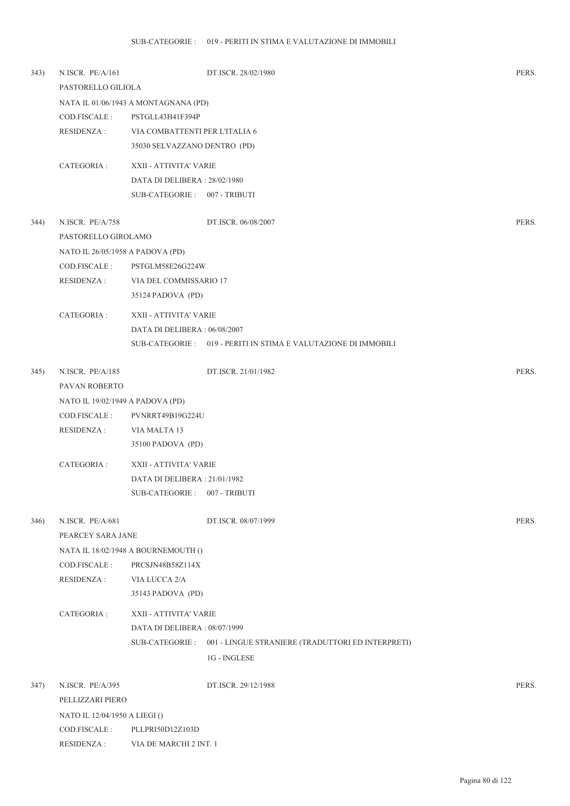| 343) | N.ISCR. PE/A/161                 |                                      | DT.ISCR. 28/02/1980                                               | PERS. |
|------|----------------------------------|--------------------------------------|-------------------------------------------------------------------|-------|
|      | PASTORELLO GILIOLA               |                                      |                                                                   |       |
|      |                                  | NATA IL 01/06/1943 A MONTAGNANA (PD) |                                                                   |       |
|      | COD.FISCALE:                     | PSTGLL43H41F394P                     |                                                                   |       |
|      | RESIDENZA :                      | VIA COMBATTENTI PER L'ITALIA 6       |                                                                   |       |
|      |                                  | 35030 SELVAZZANO DENTRO (PD)         |                                                                   |       |
|      | CATEGORIA :                      | XXII - ATTIVITA' VARIE               |                                                                   |       |
|      |                                  | DATA DI DELIBERA: 28/02/1980         |                                                                   |       |
|      |                                  | SUB-CATEGORIE: 007 - TRIBUTI         |                                                                   |       |
| 344) | N.ISCR. PE/A/758                 |                                      | DT.ISCR. 06/08/2007                                               | PERS. |
|      | PASTORELLO GIROLAMO              |                                      |                                                                   |       |
|      |                                  |                                      |                                                                   |       |
|      | NATO IL 26/05/1958 A PADOVA (PD) |                                      |                                                                   |       |
|      | COD.FISCALE:                     | PSTGLM58E26G224W                     |                                                                   |       |
|      | <b>RESIDENZA:</b>                | VIA DEL COMMISSARIO 17               |                                                                   |       |
|      |                                  | 35124 PADOVA (PD)                    |                                                                   |       |
|      | CATEGORIA :                      | XXII - ATTIVITA' VARIE               |                                                                   |       |
|      |                                  | DATA DI DELIBERA: 06/08/2007         |                                                                   |       |
|      |                                  |                                      | SUB-CATEGORIE : 019 - PERITI IN STIMA E VALUTAZIONE DI IMMOBILI   |       |
| 345) | N.ISCR. PE/A/185                 |                                      | DT.ISCR. 21/01/1982                                               | PERS. |
|      | PAVAN ROBERTO                    |                                      |                                                                   |       |
|      | NATO IL 19/02/1949 A PADOVA (PD) |                                      |                                                                   |       |
|      | COD.FISCALE :                    | PVNRRT49B19G224U                     |                                                                   |       |
|      | <b>RESIDENZA:</b>                | VIA MALTA 13                         |                                                                   |       |
|      |                                  | 35100 PADOVA (PD)                    |                                                                   |       |
|      |                                  |                                      |                                                                   |       |
|      | CATEGORIA :                      | XXII - ATTIVITA' VARIE               |                                                                   |       |
|      |                                  | DATA DI DELIBERA : 21/01/1982        |                                                                   |       |
|      |                                  | SUB-CATEGORIE :                      | 007 - TRIBUTI                                                     |       |
| 346) | N.ISCR. PE/A/681                 |                                      | DT.ISCR. 08/07/1999                                               | PERS. |
|      | PEARCEY SARA JANE                |                                      |                                                                   |       |
|      |                                  | NATA IL 18/02/1948 A BOURNEMOUTH ()  |                                                                   |       |
|      | COD.FISCALE:                     | PRCSJN48B58Z114X                     |                                                                   |       |
|      | <b>RESIDENZA:</b>                | VIA LUCCA 2/A                        |                                                                   |       |
|      |                                  | 35143 PADOVA (PD)                    |                                                                   |       |
|      | CATEGORIA :                      | XXII - ATTIVITA' VARIE               |                                                                   |       |
|      |                                  | DATA DI DELIBERA: 08/07/1999         |                                                                   |       |
|      |                                  |                                      | SUB-CATEGORIE : 001 - LINGUE STRANIERE (TRADUTTORI ED INTERPRETI) |       |
|      |                                  |                                      | 1G - INGLESE                                                      |       |
|      |                                  |                                      |                                                                   |       |
| 347) | N.ISCR. PE/A/395                 |                                      | DT.ISCR. 29/12/1988                                               | PERS. |
|      | PELLIZZARI PIERO                 |                                      |                                                                   |       |
|      | NATO IL 12/04/1950 A LIEGI ()    |                                      |                                                                   |       |
|      | COD.FISCALE:                     | PLLPRI50D12Z103D                     |                                                                   |       |
|      | RESIDENZA :                      | VIA DE MARCHI 2 INT. 1               |                                                                   |       |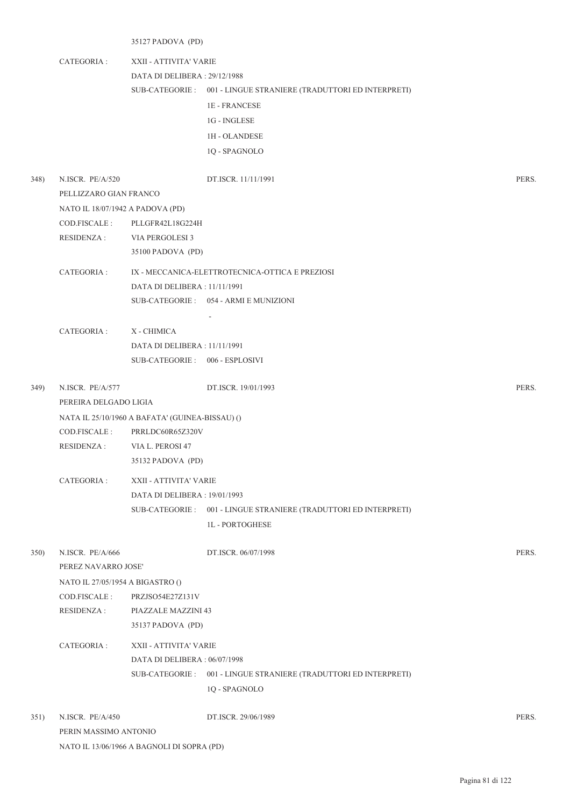35127 PADOVA (PD)

PERIN MASSIMO ANTONIO

NATO IL 13/06/1966 A BAGNOLI DI SOPRA (PD)

CATEGORIA : XXII - ATTIVITA' VARIE DATA DI DELIBERA : 29/12/1988 001 - LINGUE STRANIERE (TRADUTTORI ED INTERPRETI) SUB-CATEGORIE : 1E - FRANCESE 1G - INGLESE 1H - OLANDESE 1Q - SPAGNOLO 348) N.ISCR. PE/A/520 DT.ISCR. 11/11/1991 PERS. PELLIZZARO GIAN FRANCO NATO IL 18/07/1942 A PADOVA (PD) COD.FISCALE : PLLGFR42L18G224H RESIDENZA : VIA PERGOLESI 3 35100 PADOVA (PD) CATEGORIA : IX - MECCANICA-ELETTROTECNICA-OTTICA E PREZIOSI DATA DI DELIBERA : 11/11/1991 054 - ARMI E MUNIZIONI SUB-CATEGORIE : - CATEGORIA : X - CHIMICA DATA DI DELIBERA : 11/11/1991 SUB-CATEGORIE : 006 - ESPLOSIVI 349) N.ISCR. PE/A/577 DT.ISCR. 19/01/1993 PERS. PEREIRA DELGADO LIGIA NATA IL 25/10/1960 A BAFATA' (GUINEA-BISSAU) () COD.FISCALE : PRRLDC60R65Z320V RESIDENZA : VIA L. PEROSI 47 35132 PADOVA (PD) CATEGORIA : XXII - ATTIVITA' VARIE DATA DI DELIBERA : 19/01/1993 SUB-CATEGORIE : 001 - LINGUE STRANIERE (TRADUTTORI ED INTERPRETI) 1L - PORTOGHESE 350) N.ISCR. PE/A/666 DT.ISCR. 06/07/1998 PERS. PEREZ NAVARRO JOSE' NATO IL 27/05/1954 A BIGASTRO () COD.FISCALE : PRZJSO54E27Z131V RESIDENZA : PIAZZALE MAZZINI 43 35137 PADOVA (PD) CATEGORIA : XXII - ATTIVITA' VARIE DATA DI DELIBERA : 06/07/1998 001 - LINGUE STRANIERE (TRADUTTORI ED INTERPRETI) SUB-CATEGORIE : 1Q - SPAGNOLO 351) N.ISCR. PE/A/450 DT.ISCR. 29/06/1989 PERS.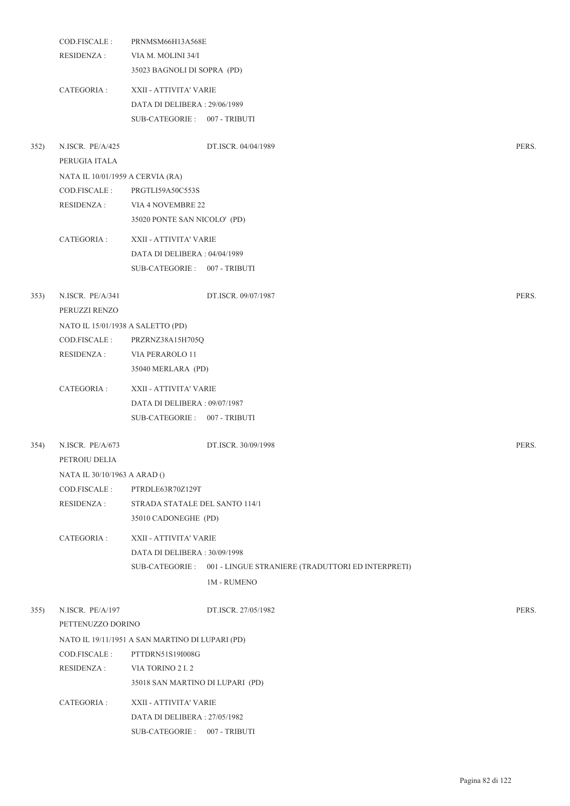|      | COD.FISCALE:                      | PRNMSM66H13A568E                                                 |       |
|------|-----------------------------------|------------------------------------------------------------------|-------|
|      | <b>RESIDENZA:</b>                 | VIA M. MOLINI 34/I                                               |       |
|      |                                   | 35023 BAGNOLI DI SOPRA (PD)                                      |       |
|      | CATEGORIA :                       | XXII - ATTIVITA' VARIE                                           |       |
|      |                                   | DATA DI DELIBERA: 29/06/1989                                     |       |
|      |                                   | SUB-CATEGORIE: 007 - TRIBUTI                                     |       |
| 352) | N.ISCR. PE/A/425                  | DT.ISCR. 04/04/1989                                              | PERS. |
|      | PERUGIA ITALA                     |                                                                  |       |
|      | NATA IL 10/01/1959 A CERVIA (RA)  |                                                                  |       |
|      | COD.FISCALE :                     | PRGTLI59A50C553S                                                 |       |
|      | RESIDENZA :                       | VIA 4 NOVEMBRE 22                                                |       |
|      |                                   | 35020 PONTE SAN NICOLO' (PD)                                     |       |
|      | CATEGORIA :                       | XXII - ATTIVITA' VARIE                                           |       |
|      |                                   | DATA DI DELIBERA: 04/04/1989                                     |       |
|      |                                   | SUB-CATEGORIE: 007 - TRIBUTI                                     |       |
|      |                                   |                                                                  |       |
| 353) | N.ISCR. PE/A/341<br>PERUZZI RENZO | DT.ISCR. 09/07/1987                                              | PERS. |
|      | NATO IL 15/01/1938 A SALETTO (PD) |                                                                  |       |
|      | COD.FISCALE :                     | PRZRNZ38A15H705Q                                                 |       |
|      | <b>RESIDENZA:</b>                 | VIA PERAROLO 11                                                  |       |
|      |                                   | 35040 MERLARA (PD)                                               |       |
|      | CATEGORIA :                       | XXII - ATTIVITA' VARIE                                           |       |
|      |                                   | DATA DI DELIBERA: 09/07/1987                                     |       |
|      |                                   | SUB-CATEGORIE: 007 - TRIBUTI                                     |       |
| 354) | N.ISCR. PE/A/673                  | DT.ISCR. 30/09/1998                                              | PERS. |
|      | PETROIU DELIA                     |                                                                  |       |
|      | NATA IL 30/10/1963 A ARAD ()      |                                                                  |       |
|      | COD.FISCALE:                      | PTRDLE63R70Z129T                                                 |       |
|      | <b>RESIDENZA:</b>                 | STRADA STATALE DEL SANTO 114/1                                   |       |
|      |                                   | 35010 CADONEGHE (PD)                                             |       |
|      | CATEGORIA :                       | XXII - ATTIVITA' VARIE                                           |       |
|      |                                   | DATA DI DELIBERA: 30/09/1998                                     |       |
|      |                                   | SUB-CATEGORIE: 001 - LINGUE STRANIERE (TRADUTTORI ED INTERPRETI) |       |
|      |                                   | <b>1M - RUMENO</b>                                               |       |
| 355) | N.ISCR. PE/A/197                  | DT.ISCR. 27/05/1982                                              | PERS. |
|      | PETTENUZZO DORINO                 |                                                                  |       |
|      |                                   | NATO IL 19/11/1951 A SAN MARTINO DI LUPARI (PD)                  |       |
|      | COD.FISCALE :                     | PTTDRN51S19I008G                                                 |       |
|      | RESIDENZA :                       | VIA TORINO 2 I.2                                                 |       |
|      |                                   | 35018 SAN MARTINO DI LUPARI (PD)                                 |       |
|      | CATEGORIA :                       | XXII - ATTIVITA' VARIE                                           |       |
|      |                                   | DATA DI DELIBERA: 27/05/1982                                     |       |
|      |                                   | SUB-CATEGORIE: 007 - TRIBUTI                                     |       |
|      |                                   |                                                                  |       |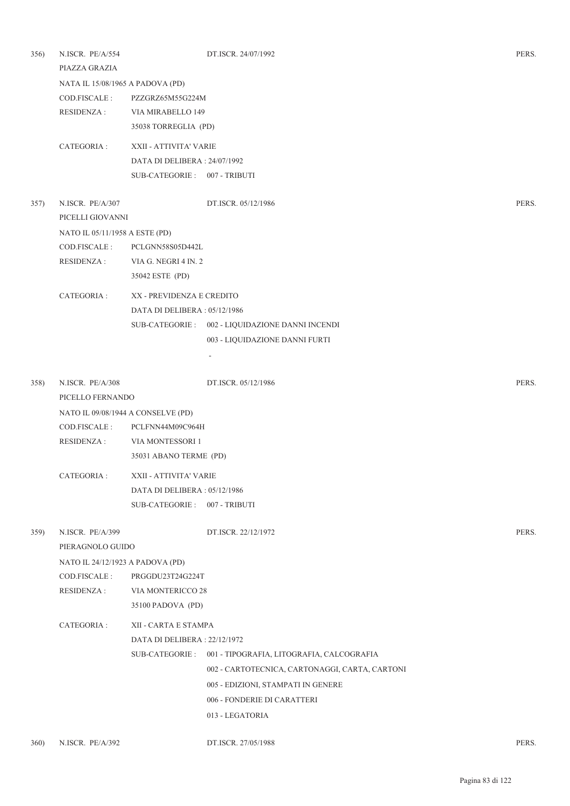| 356) | N.ISCR. PE/A/554<br>PIAZZA GRAZIA  |                               | DT.ISCR. 24/07/1992                              | PERS. |
|------|------------------------------------|-------------------------------|--------------------------------------------------|-------|
|      | NATA IL 15/08/1965 A PADOVA (PD)   |                               |                                                  |       |
|      | COD.FISCALE :                      | PZZGRZ65M55G224M              |                                                  |       |
|      | <b>RESIDENZA:</b>                  | VIA MIRABELLO 149             |                                                  |       |
|      |                                    | 35038 TORREGLIA (PD)          |                                                  |       |
|      | CATEGORIA :                        | XXII - ATTIVITA' VARIE        |                                                  |       |
|      |                                    | DATA DI DELIBERA: 24/07/1992  |                                                  |       |
|      |                                    | SUB-CATEGORIE: 007 - TRIBUTI  |                                                  |       |
| 357) | N.ISCR. PE/A/307                   |                               | DT.ISCR. 05/12/1986                              | PERS. |
|      | PICELLI GIOVANNI                   |                               |                                                  |       |
|      | NATO IL 05/11/1958 A ESTE (PD)     |                               |                                                  |       |
|      | COD.FISCALE:                       | PCLGNN58S05D442L              |                                                  |       |
|      | <b>RESIDENZA:</b>                  | VIA G. NEGRI 4 IN. 2          |                                                  |       |
|      |                                    | 35042 ESTE (PD)               |                                                  |       |
|      | CATEGORIA :                        | XX - PREVIDENZA E CREDITO     |                                                  |       |
|      |                                    | DATA DI DELIBERA : 05/12/1986 |                                                  |       |
|      |                                    |                               | SUB-CATEGORIE : 002 - LIQUIDAZIONE DANNI INCENDI |       |
|      |                                    |                               | 003 - LIQUIDAZIONE DANNI FURTI                   |       |
|      |                                    |                               |                                                  |       |
| 358) | N.ISCR. PE/A/308                   |                               | DT.ISCR. 05/12/1986                              | PERS. |
|      | PICELLO FERNANDO                   |                               |                                                  |       |
|      | NATO IL 09/08/1944 A CONSELVE (PD) |                               |                                                  |       |
|      | COD.FISCALE :                      | PCLFNN44M09C964H              |                                                  |       |
|      | <b>RESIDENZA:</b>                  | VIA MONTESSORI 1              |                                                  |       |
|      |                                    | 35031 ABANO TERME (PD)        |                                                  |       |
|      | CATEGORIA :                        | XXII - ATTIVITA' VARIE        |                                                  |       |
|      |                                    | DATA DI DELIBERA : 05/12/1986 |                                                  |       |
|      |                                    | SUB-CATEGORIE: 007 - TRIBUTI  |                                                  |       |
| 359) | N.ISCR. PE/A/399                   |                               | DT.ISCR. 22/12/1972                              | PERS. |
|      | PIERAGNOLO GUIDO                   |                               |                                                  |       |
|      | NATO IL 24/12/1923 A PADOVA (PD)   |                               |                                                  |       |
|      | COD.FISCALE:                       | PRGGDU23T24G224T              |                                                  |       |
|      | RESIDENZA :                        | VIA MONTERICCO 28             |                                                  |       |
|      |                                    | 35100 PADOVA (PD)             |                                                  |       |
|      | CATEGORIA :                        | XII - CARTA E STAMPA          |                                                  |       |
|      |                                    | DATA DI DELIBERA: 22/12/1972  |                                                  |       |
|      |                                    | SUB-CATEGORIE :               | 001 - TIPOGRAFIA, LITOGRAFIA, CALCOGRAFIA        |       |
|      |                                    |                               | 002 - CARTOTECNICA, CARTONAGGI, CARTA, CARTONI   |       |
|      |                                    |                               | 005 - EDIZIONI, STAMPATI IN GENERE               |       |
|      |                                    |                               | 006 - FONDERIE DI CARATTERI                      |       |
|      |                                    |                               | 013 - LEGATORIA                                  |       |
|      |                                    |                               |                                                  |       |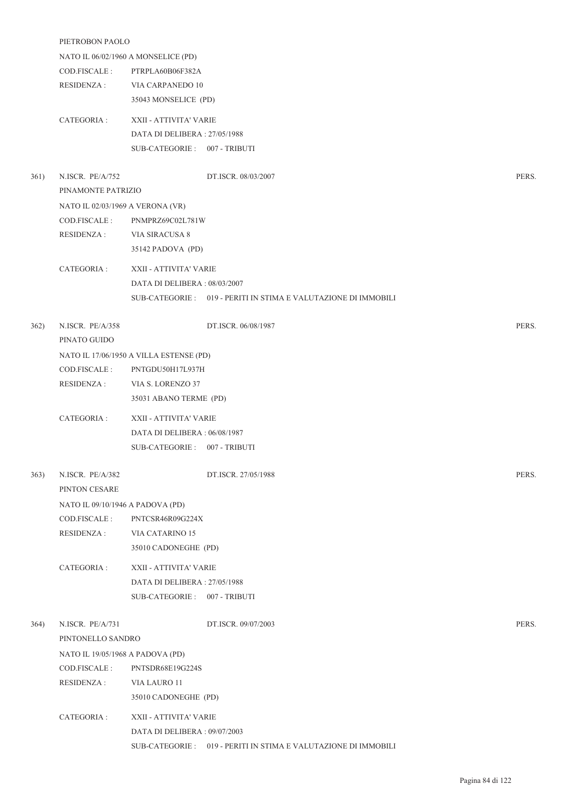|      | PIETROBON PAOLO                     |                                                                 |       |  |  |
|------|-------------------------------------|-----------------------------------------------------------------|-------|--|--|
|      | NATO IL 06/02/1960 A MONSELICE (PD) |                                                                 |       |  |  |
|      | COD.FISCALE:                        | PTRPLA60B06F382A                                                |       |  |  |
|      | <b>RESIDENZA:</b>                   | VIA CARPANEDO 10                                                |       |  |  |
|      |                                     | 35043 MONSELICE (PD)                                            |       |  |  |
|      | CATEGORIA :                         | XXII - ATTIVITA' VARIE                                          |       |  |  |
|      |                                     | DATA DI DELIBERA: 27/05/1988                                    |       |  |  |
|      |                                     | SUB-CATEGORIE: 007 - TRIBUTI                                    |       |  |  |
| 361) | N.ISCR. PE/A/752                    | DT.ISCR. 08/03/2007                                             | PERS. |  |  |
|      | PINAMONTE PATRIZIO                  |                                                                 |       |  |  |
|      | NATO IL 02/03/1969 A VERONA (VR)    |                                                                 |       |  |  |
|      | COD.FISCALE:                        | PNMPRZ69C02L781W                                                |       |  |  |
|      | <b>RESIDENZA:</b>                   | VIA SIRACUSA 8                                                  |       |  |  |
|      |                                     | 35142 PADOVA (PD)                                               |       |  |  |
|      | CATEGORIA :                         | XXII - ATTIVITA' VARIE                                          |       |  |  |
|      |                                     | DATA DI DELIBERA: 08/03/2007                                    |       |  |  |
|      |                                     | SUB-CATEGORIE : 019 - PERITI IN STIMA E VALUTAZIONE DI IMMOBILI |       |  |  |
| 362) | N.ISCR. PE/A/358                    | DT.ISCR. 06/08/1987                                             | PERS. |  |  |
|      | PINATO GUIDO                        |                                                                 |       |  |  |
|      |                                     | NATO IL 17/06/1950 A VILLA ESTENSE (PD)                         |       |  |  |
|      | COD.FISCALE:                        | PNTGDU50H17L937H                                                |       |  |  |
|      | <b>RESIDENZA:</b>                   | VIA S. LORENZO 37                                               |       |  |  |
|      |                                     | 35031 ABANO TERME (PD)                                          |       |  |  |
|      | CATEGORIA :                         | XXII - ATTIVITA' VARIE                                          |       |  |  |
|      |                                     | DATA DI DELIBERA: 06/08/1987                                    |       |  |  |
|      |                                     | SUB-CATEGORIE: 007 - TRIBUTI                                    |       |  |  |
| 363) | N.ISCR. PE/A/382                    | DT.ISCR. 27/05/1988                                             | PERS. |  |  |
|      | PINTON CESARE                       |                                                                 |       |  |  |
|      | NATO IL 09/10/1946 A PADOVA (PD)    |                                                                 |       |  |  |
|      | COD.FISCALE:                        | PNTCSR46R09G224X                                                |       |  |  |
|      | <b>RESIDENZA:</b>                   | VIA CATARINO 15                                                 |       |  |  |
|      |                                     | 35010 CADONEGHE (PD)                                            |       |  |  |
|      | CATEGORIA :                         | XXII - ATTIVITA' VARIE                                          |       |  |  |
|      |                                     | DATA DI DELIBERA: 27/05/1988                                    |       |  |  |
|      |                                     | SUB-CATEGORIE: 007 - TRIBUTI                                    |       |  |  |
| 364) | N.ISCR. PE/A/731                    | DT.ISCR. 09/07/2003                                             | PERS. |  |  |
|      | PINTONELLO SANDRO                   |                                                                 |       |  |  |
|      | NATO IL 19/05/1968 A PADOVA (PD)    |                                                                 |       |  |  |
|      | COD.FISCALE :                       | PNTSDR68E19G224S                                                |       |  |  |
|      | <b>RESIDENZA:</b>                   | VIA LAURO 11                                                    |       |  |  |
|      |                                     | 35010 CADONEGHE (PD)                                            |       |  |  |
|      |                                     |                                                                 |       |  |  |
|      | CATEGORIA :                         | XXII - ATTIVITA' VARIE                                          |       |  |  |
|      |                                     | DATA DI DELIBERA: 09/07/2003                                    |       |  |  |

SUB-CATEGORIE : 019 - PERITI IN STIMA E VALUTAZIONE DI IMMOBILI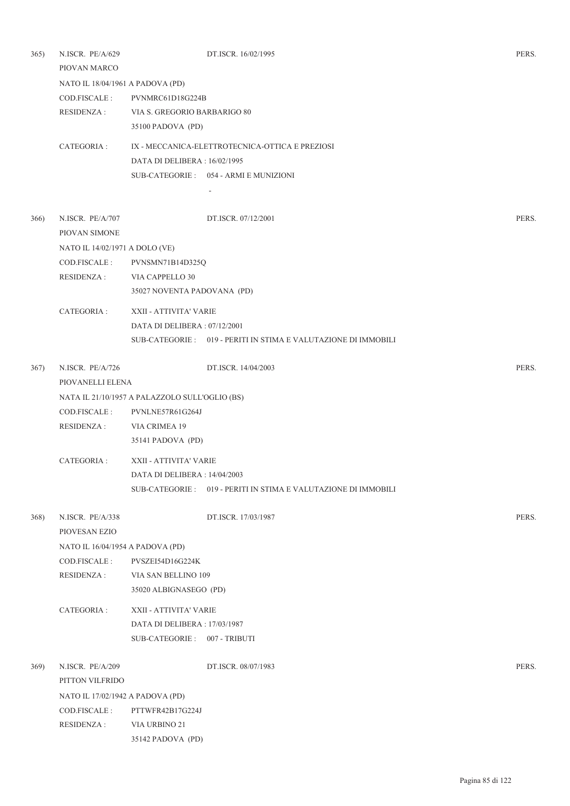| 365) | N.ISCR. PE/A/629                 |                                                | DT.ISCR. 16/02/1995                                             | PERS. |
|------|----------------------------------|------------------------------------------------|-----------------------------------------------------------------|-------|
|      | PIOVAN MARCO                     |                                                |                                                                 |       |
|      | NATO IL 18/04/1961 A PADOVA (PD) |                                                |                                                                 |       |
|      | COD.FISCALE:                     | PVNMRC61D18G224B                               |                                                                 |       |
|      | RESIDENZA :                      | VIA S. GREGORIO BARBARIGO 80                   |                                                                 |       |
|      |                                  | 35100 PADOVA (PD)                              |                                                                 |       |
|      | CATEGORIA :                      |                                                | IX - MECCANICA-ELETTROTECNICA-OTTICA E PREZIOSI                 |       |
|      |                                  | DATA DI DELIBERA : 16/02/1995                  |                                                                 |       |
|      |                                  |                                                | SUB-CATEGORIE: 054 - ARMI E MUNIZIONI                           |       |
|      |                                  |                                                |                                                                 |       |
| 366) | N.ISCR. PE/A/707                 |                                                | DT.ISCR. 07/12/2001                                             | PERS. |
|      | PIOVAN SIMONE                    |                                                |                                                                 |       |
|      | NATO IL 14/02/1971 A DOLO (VE)   |                                                |                                                                 |       |
|      | COD.FISCALE :                    | PVNSMN71B14D325Q                               |                                                                 |       |
|      | RESIDENZA :                      | VIA CAPPELLO 30                                |                                                                 |       |
|      |                                  | 35027 NOVENTA PADOVANA (PD)                    |                                                                 |       |
|      | CATEGORIA :                      | XXII - ATTIVITA' VARIE                         |                                                                 |       |
|      |                                  | DATA DI DELIBERA: 07/12/2001                   |                                                                 |       |
|      |                                  |                                                | SUB-CATEGORIE : 019 - PERITI IN STIMA E VALUTAZIONE DI IMMOBILI |       |
|      |                                  |                                                |                                                                 |       |
| 367) | N.ISCR. PE/A/726                 |                                                | DT.ISCR. 14/04/2003                                             | PERS. |
|      | PIOVANELLI ELENA                 |                                                |                                                                 |       |
|      |                                  | NATA IL 21/10/1957 A PALAZZOLO SULL'OGLIO (BS) |                                                                 |       |
|      | COD.FISCALE :                    | PVNLNE57R61G264J                               |                                                                 |       |
|      | RESIDENZA :                      | VIA CRIMEA 19                                  |                                                                 |       |
|      |                                  | 35141 PADOVA (PD)                              |                                                                 |       |
|      | CATEGORIA :                      | XXII - ATTIVITA' VARIE                         |                                                                 |       |
|      |                                  | DATA DI DELIBERA : 14/04/2003                  |                                                                 |       |
|      |                                  |                                                | SUB-CATEGORIE: 019 - PERITI IN STIMA E VALUTAZIONE DI IMMOBILI  |       |
| 368) | N.ISCR. PE/A/338                 |                                                | DT.ISCR. 17/03/1987                                             | PERS. |
|      | PIOVESAN EZIO                    |                                                |                                                                 |       |
|      | NATO IL 16/04/1954 A PADOVA (PD) |                                                |                                                                 |       |
|      | COD.FISCALE :                    | PVSZEI54D16G224K                               |                                                                 |       |
|      | RESIDENZA :                      | VIA SAN BELLINO 109                            |                                                                 |       |
|      |                                  | 35020 ALBIGNASEGO (PD)                         |                                                                 |       |
|      | CATEGORIA :                      | XXII - ATTIVITA' VARIE                         |                                                                 |       |
|      |                                  | DATA DI DELIBERA: 17/03/1987                   |                                                                 |       |
|      |                                  | SUB-CATEGORIE: 007 - TRIBUTI                   |                                                                 |       |
| 369) | N.ISCR. PE/A/209                 |                                                | DT.ISCR. 08/07/1983                                             | PERS. |
|      | PITTON VILFRIDO                  |                                                |                                                                 |       |
|      | NATO IL 17/02/1942 A PADOVA (PD) |                                                |                                                                 |       |
|      | COD.FISCALE :                    | PTTWFR42B17G224J                               |                                                                 |       |
|      | <b>RESIDENZA:</b>                | VIA URBINO 21                                  |                                                                 |       |
|      |                                  | 35142 PADOVA (PD)                              |                                                                 |       |
|      |                                  |                                                |                                                                 |       |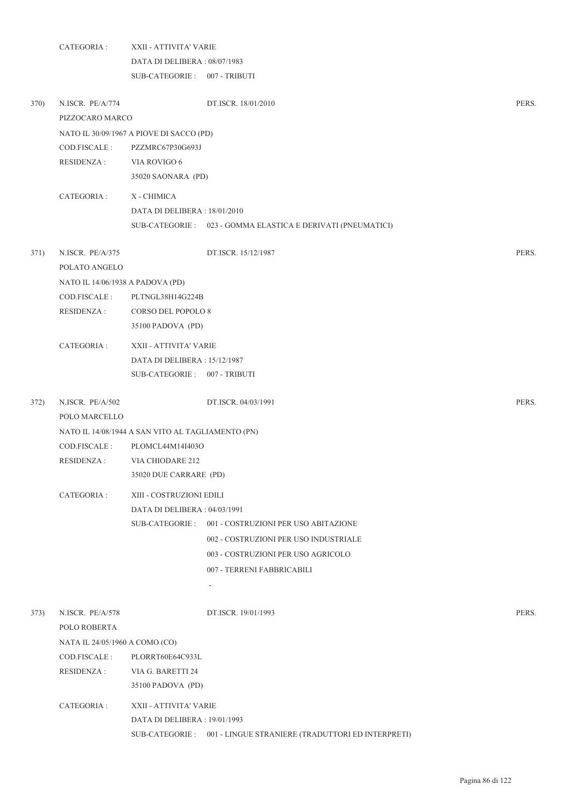|      | CATEGORIA :                       | XXII - ATTIVITA' VARIE                            |                                                                   |       |
|------|-----------------------------------|---------------------------------------------------|-------------------------------------------------------------------|-------|
|      |                                   | DATA DI DELIBERA: 08/07/1983                      |                                                                   |       |
|      |                                   | SUB-CATEGORIE: 007 - TRIBUTI                      |                                                                   |       |
| 370) | N.ISCR. PE/A/774                  |                                                   | DT.ISCR. 18/01/2010                                               | PERS. |
|      | PIZZOCARO MARCO                   |                                                   |                                                                   |       |
|      |                                   | NATO IL 30/09/1967 A PIOVE DI SACCO (PD)          |                                                                   |       |
|      | COD.FISCALE:                      | PZZMRC67P30G693J                                  |                                                                   |       |
|      | <b>RESIDENZA:</b>                 | VIA ROVIGO 6                                      |                                                                   |       |
|      |                                   | 35020 SAONARA (PD)                                |                                                                   |       |
|      | CATEGORIA :                       | X - CHIMICA                                       |                                                                   |       |
|      |                                   | DATA DI DELIBERA : 18/01/2010                     |                                                                   |       |
|      |                                   |                                                   | SUB-CATEGORIE : 023 - GOMMA ELASTICA E DERIVATI (PNEUMATICI)      |       |
| 371) | N.ISCR. PE/A/375                  |                                                   | DT.ISCR. 15/12/1987                                               | PERS. |
|      | POLATO ANGELO                     |                                                   |                                                                   |       |
|      | NATO IL 14/06/1938 A PADOVA (PD)  |                                                   |                                                                   |       |
|      | COD.FISCALE:                      | PLTNGL38H14G224B                                  |                                                                   |       |
|      | <b>RESIDENZA:</b>                 | <b>CORSO DEL POPOLO 8</b>                         |                                                                   |       |
|      |                                   | 35100 PADOVA (PD)                                 |                                                                   |       |
|      | CATEGORIA:                        | XXII - ATTIVITA' VARIE                            |                                                                   |       |
|      |                                   | DATA DI DELIBERA: 15/12/1987                      |                                                                   |       |
|      |                                   | SUB-CATEGORIE: 007 - TRIBUTI                      |                                                                   |       |
| 372) | N.ISCR. PE/A/502<br>POLO MARCELLO |                                                   | DT.ISCR. 04/03/1991                                               | PERS. |
|      |                                   | NATO IL 14/08/1944 A SAN VITO AL TAGLIAMENTO (PN) |                                                                   |       |
|      | COD.FISCALE:                      | PLOMCL44M14I403O                                  |                                                                   |       |
|      | RESIDENZA :                       | VIA CHIODARE 212                                  |                                                                   |       |
|      |                                   | 35020 DUE CARRARE (PD)                            |                                                                   |       |
|      | CATEGORIA:                        | XIII - COSTRUZIONI EDILI                          |                                                                   |       |
|      |                                   | DATA DI DELIBERA: 04/03/1991                      |                                                                   |       |
|      |                                   | SUB-CATEGORIE :                                   | 001 - COSTRUZIONI PER USO ABITAZIONE                              |       |
|      |                                   |                                                   | 002 - COSTRUZIONI PER USO INDUSTRIALE                             |       |
|      |                                   |                                                   | 003 - COSTRUZIONI PER USO AGRICOLO                                |       |
|      |                                   |                                                   | 007 - TERRENI FABBRICABILI                                        |       |
|      |                                   |                                                   | $\overline{\phantom{a}}$                                          |       |
| 373) | N.ISCR. PE/A/578                  |                                                   | DT.ISCR. 19/01/1993                                               | PERS. |
|      | POLO ROBERTA                      |                                                   |                                                                   |       |
|      | NATA IL 24/05/1960 A COMO (CO)    |                                                   |                                                                   |       |
|      | COD.FISCALE:                      | PLORRT60E64C933L                                  |                                                                   |       |
|      | RESIDENZA :                       | VIA G. BARETTI 24                                 |                                                                   |       |
|      |                                   | 35100 PADOVA (PD)                                 |                                                                   |       |
|      | CATEGORIA :                       | XXII - ATTIVITA' VARIE                            |                                                                   |       |
|      |                                   | DATA DI DELIBERA: 19/01/1993                      |                                                                   |       |
|      |                                   |                                                   | SUB-CATEGORIE : 001 - LINGUE STRANIERE (TRADUTTORI ED INTERPRETI) |       |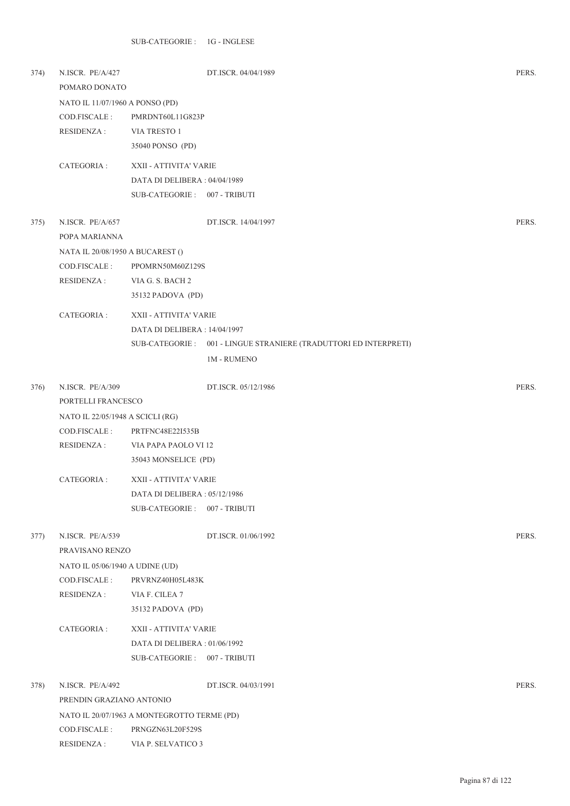| 374) | N.ISCR. PE/A/427<br>POMARO DONATO |                                             | DT.ISCR. 04/04/1989                                               | PERS. |
|------|-----------------------------------|---------------------------------------------|-------------------------------------------------------------------|-------|
|      | NATO IL 11/07/1960 A PONSO (PD)   |                                             |                                                                   |       |
|      | COD.FISCALE:                      | PMRDNT60L11G823P                            |                                                                   |       |
|      | <b>RESIDENZA:</b>                 | VIA TRESTO 1                                |                                                                   |       |
|      |                                   | 35040 PONSO (PD)                            |                                                                   |       |
|      | CATEGORIA :                       | XXII - ATTIVITA' VARIE                      |                                                                   |       |
|      |                                   | DATA DI DELIBERA: 04/04/1989                |                                                                   |       |
|      |                                   | SUB-CATEGORIE: 007 - TRIBUTI                |                                                                   |       |
| 375) | N.ISCR. PE/A/657                  |                                             | DT.ISCR. 14/04/1997                                               | PERS. |
|      | POPA MARIANNA                     |                                             |                                                                   |       |
|      | NATA IL 20/08/1950 A BUCAREST ()  |                                             |                                                                   |       |
|      | COD.FISCALE:                      | PPOMRN50M60Z129S                            |                                                                   |       |
|      | <b>RESIDENZA:</b>                 | VIA G. S. BACH 2                            |                                                                   |       |
|      |                                   | 35132 PADOVA (PD)                           |                                                                   |       |
|      | CATEGORIA :                       | XXII - ATTIVITA' VARIE                      |                                                                   |       |
|      |                                   | DATA DI DELIBERA : 14/04/1997               |                                                                   |       |
|      |                                   |                                             | SUB-CATEGORIE : 001 - LINGUE STRANIERE (TRADUTTORI ED INTERPRETI) |       |
|      |                                   |                                             | <b>1M - RUMENO</b>                                                |       |
| 376) | N.ISCR. PE/A/309                  |                                             | DT.ISCR. 05/12/1986                                               | PERS. |
|      | PORTELLI FRANCESCO                |                                             |                                                                   |       |
|      | NATO IL 22/05/1948 A SCICLI (RG)  |                                             |                                                                   |       |
|      | COD.FISCALE :                     | PRTFNC48E22I535B                            |                                                                   |       |
|      | RESIDENZA :                       | VIA PAPA PAOLO VI 12                        |                                                                   |       |
|      |                                   | 35043 MONSELICE (PD)                        |                                                                   |       |
|      | CATEGORIA :                       | XXII - ATTIVITA' VARIE                      |                                                                   |       |
|      |                                   | DATA DI DELIBERA : 05/12/1986               |                                                                   |       |
|      |                                   | SUB-CATEGORIE: 007 - TRIBUTI                |                                                                   |       |
| 377) | N.ISCR. PE/A/539                  |                                             | DT.ISCR. 01/06/1992                                               | PERS. |
|      | PRAVISANO RENZO                   |                                             |                                                                   |       |
|      | NATO IL 05/06/1940 A UDINE (UD)   |                                             |                                                                   |       |
|      | COD.FISCALE :                     | PRVRNZ40H05L483K                            |                                                                   |       |
|      | <b>RESIDENZA:</b>                 | VIA F. CILEA 7                              |                                                                   |       |
|      |                                   | 35132 PADOVA (PD)                           |                                                                   |       |
|      | CATEGORIA :                       | XXII - ATTIVITA' VARIE                      |                                                                   |       |
|      |                                   | DATA DI DELIBERA : 01/06/1992               |                                                                   |       |
|      |                                   | SUB-CATEGORIE: 007 - TRIBUTI                |                                                                   |       |
| 378) | N.ISCR. PE/A/492                  |                                             | DT.ISCR. 04/03/1991                                               | PERS. |
|      | PRENDIN GRAZIANO ANTONIO          |                                             |                                                                   |       |
|      |                                   | NATO IL 20/07/1963 A MONTEGROTTO TERME (PD) |                                                                   |       |
|      | COD.FISCALE:                      | PRNGZN63L20F529S                            |                                                                   |       |
|      | <b>RESIDENZA:</b>                 | VIA P. SELVATICO 3                          |                                                                   |       |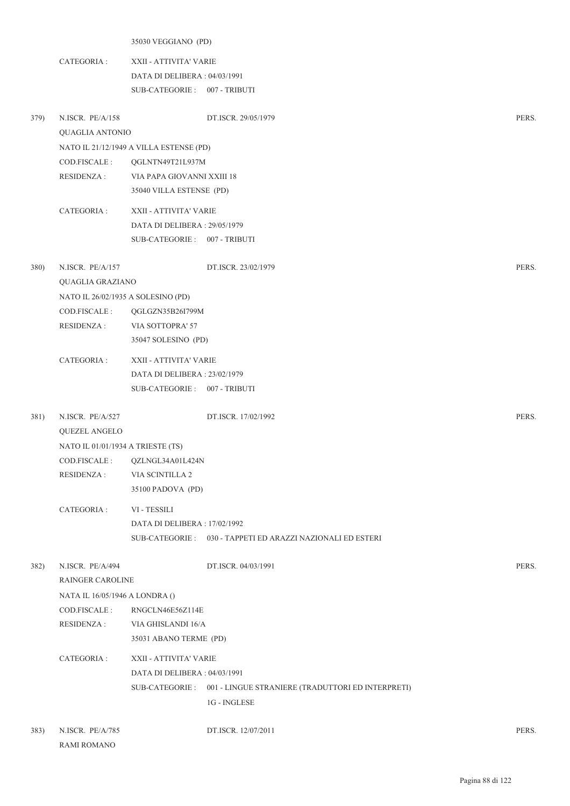| 35030 VEGGIANO (PD) |  |
|---------------------|--|
|---------------------|--|

CATEGORIA : XXII - ATTIVITA' VARIE DATA DI DELIBERA : 04/03/1991 SUB-CATEGORIE : 007 - TRIBUTI

| 379) | N.ISCR. PE/A/158                   |                                         | DT.ISCR. 29/05/1979                                              | PERS. |  |
|------|------------------------------------|-----------------------------------------|------------------------------------------------------------------|-------|--|
|      | QUAGLIA ANTONIO                    |                                         |                                                                  |       |  |
|      |                                    | NATO IL 21/12/1949 A VILLA ESTENSE (PD) |                                                                  |       |  |
|      | COD.FISCALE:                       | QGLNTN49T21L937M                        |                                                                  |       |  |
|      | <b>RESIDENZA:</b>                  | VIA PAPA GIOVANNI XXIII 18              |                                                                  |       |  |
|      |                                    | 35040 VILLA ESTENSE (PD)                |                                                                  |       |  |
|      | CATEGORIA :                        | XXII - ATTIVITA' VARIE                  |                                                                  |       |  |
|      |                                    | DATA DI DELIBERA: 29/05/1979            |                                                                  |       |  |
|      |                                    | SUB-CATEGORIE: 007 - TRIBUTI            |                                                                  |       |  |
| 380) | N.ISCR. PE/A/157                   |                                         | DT.ISCR. 23/02/1979                                              | PERS. |  |
|      | QUAGLIA GRAZIANO                   |                                         |                                                                  |       |  |
|      | NATO IL 26/02/1935 A SOLESINO (PD) |                                         |                                                                  |       |  |
|      | COD.FISCALE:                       | QGLGZN35B26I799M                        |                                                                  |       |  |
|      | <b>RESIDENZA:</b>                  | VIA SOTTOPRA' 57                        |                                                                  |       |  |
|      |                                    | 35047 SOLESINO (PD)                     |                                                                  |       |  |
|      | CATEGORIA :                        | XXII - ATTIVITA' VARIE                  |                                                                  |       |  |
|      |                                    | DATA DI DELIBERA: 23/02/1979            |                                                                  |       |  |
|      |                                    | SUB-CATEGORIE: 007 - TRIBUTI            |                                                                  |       |  |
| 381) | N.ISCR. PE/A/527                   |                                         | DT.ISCR. 17/02/1992                                              | PERS. |  |
|      | <b>QUEZEL ANGELO</b>               |                                         |                                                                  |       |  |
|      | NATO IL 01/01/1934 A TRIESTE (TS)  |                                         |                                                                  |       |  |
|      | COD.FISCALE :                      | QZLNGL34A01L424N                        |                                                                  |       |  |
|      | <b>RESIDENZA:</b>                  | VIA SCINTILLA 2                         |                                                                  |       |  |
|      |                                    | 35100 PADOVA (PD)                       |                                                                  |       |  |
|      | CATEGORIA :                        | VI - TESSILI                            |                                                                  |       |  |
|      |                                    | DATA DI DELIBERA : 17/02/1992           |                                                                  |       |  |
|      |                                    |                                         | SUB-CATEGORIE: 030 - TAPPETI ED ARAZZI NAZIONALI ED ESTERI       |       |  |
| 382) | N.ISCR. PE/A/494                   |                                         | DT.ISCR. 04/03/1991                                              | PERS. |  |
|      | RAINGER CAROLINE                   |                                         |                                                                  |       |  |
|      | NATA IL 16/05/1946 A LONDRA ()     |                                         |                                                                  |       |  |
|      | COD.FISCALE :                      | RNGCLN46E56Z114E                        |                                                                  |       |  |
|      | <b>RESIDENZA:</b>                  | VIA GHISLANDI 16/A                      |                                                                  |       |  |
|      |                                    | 35031 ABANO TERME (PD)                  |                                                                  |       |  |
|      | CATEGORIA :                        | XXII - ATTIVITA' VARIE                  |                                                                  |       |  |
|      |                                    | DATA DI DELIBERA : 04/03/1991           |                                                                  |       |  |
|      |                                    |                                         | SUB-CATEGORIE: 001 - LINGUE STRANIERE (TRADUTTORI ED INTERPRETI) |       |  |
|      |                                    |                                         | 1G - INGLESE                                                     |       |  |
| 383) | N.ISCR. PE/A/785                   |                                         | DT.ISCR. 12/07/2011                                              | PERS. |  |
|      | <b>RAMI ROMANO</b>                 |                                         |                                                                  |       |  |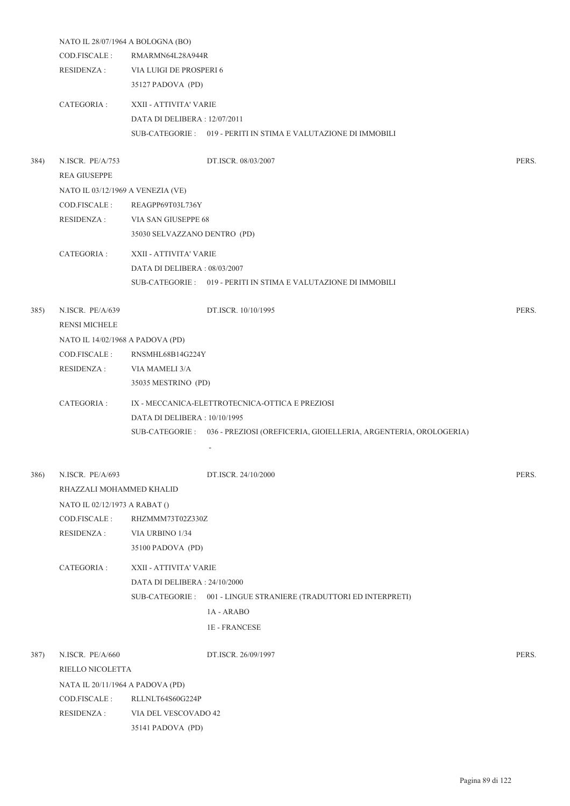|      | NATO IL 28/07/1964 A BOLOGNA (BO)        |                               |                                                                                      |       |  |  |
|------|------------------------------------------|-------------------------------|--------------------------------------------------------------------------------------|-------|--|--|
|      | COD.FISCALE:                             | RMARMN64L28A944R              |                                                                                      |       |  |  |
|      | <b>RESIDENZA:</b>                        | VIA LUIGI DE PROSPERI 6       |                                                                                      |       |  |  |
|      |                                          | 35127 PADOVA (PD)             |                                                                                      |       |  |  |
|      | CATEGORIA :                              | XXII - ATTIVITA' VARIE        |                                                                                      |       |  |  |
|      |                                          | DATA DI DELIBERA : 12/07/2011 |                                                                                      |       |  |  |
|      |                                          |                               | SUB-CATEGORIE: 019 - PERITI IN STIMA E VALUTAZIONE DI IMMOBILI                       |       |  |  |
| 384) | N.ISCR. PE/A/753                         |                               | DT.ISCR. 08/03/2007                                                                  | PERS. |  |  |
|      | <b>REA GIUSEPPE</b>                      |                               |                                                                                      |       |  |  |
|      | NATO IL 03/12/1969 A VENEZIA (VE)        |                               |                                                                                      |       |  |  |
|      | COD.FISCALE :                            | REAGPP69T03L736Y              |                                                                                      |       |  |  |
|      | <b>RESIDENZA:</b>                        | VIA SAN GIUSEPPE 68           |                                                                                      |       |  |  |
|      |                                          | 35030 SELVAZZANO DENTRO (PD)  |                                                                                      |       |  |  |
|      | CATEGORIA :                              | XXII - ATTIVITA' VARIE        |                                                                                      |       |  |  |
|      |                                          | DATA DI DELIBERA: 08/03/2007  |                                                                                      |       |  |  |
|      |                                          |                               | SUB-CATEGORIE: 019 - PERITI IN STIMA E VALUTAZIONE DI IMMOBILI                       |       |  |  |
| 385) | N.ISCR. PE/A/639<br><b>RENSI MICHELE</b> |                               | DT.ISCR. 10/10/1995                                                                  | PERS. |  |  |
|      | NATO IL 14/02/1968 A PADOVA (PD)         |                               |                                                                                      |       |  |  |
|      | COD.FISCALE:                             | RNSMHL68B14G224Y              |                                                                                      |       |  |  |
|      | <b>RESIDENZA:</b>                        | VIA MAMELI 3/A                |                                                                                      |       |  |  |
|      |                                          | 35035 MESTRINO (PD)           |                                                                                      |       |  |  |
|      | CATEGORIA :                              |                               | IX - MECCANICA-ELETTROTECNICA-OTTICA E PREZIOSI                                      |       |  |  |
|      |                                          | DATA DI DELIBERA: 10/10/1995  |                                                                                      |       |  |  |
|      |                                          |                               | SUB-CATEGORIE: 036 - PREZIOSI (OREFICERIA, GIOIELLERIA, ARGENTERIA, OROLOGERIA)<br>٠ |       |  |  |
| 386) | N.ISCR. PE/A/693                         |                               | DT.ISCR. 24/10/2000                                                                  | PERS. |  |  |
|      | RHAZZALI MOHAMMED KHALID                 |                               |                                                                                      |       |  |  |
|      | NATO IL 02/12/1973 A RABAT ()            |                               |                                                                                      |       |  |  |
|      | COD.FISCALE:                             | RHZMMM73T02Z330Z              |                                                                                      |       |  |  |
|      | <b>RESIDENZA:</b>                        | VIA URBINO 1/34               |                                                                                      |       |  |  |
|      |                                          | 35100 PADOVA (PD)             |                                                                                      |       |  |  |
|      | CATEGORIA:                               | XXII - ATTIVITA' VARIE        |                                                                                      |       |  |  |
|      |                                          | DATA DI DELIBERA : 24/10/2000 |                                                                                      |       |  |  |
|      |                                          |                               | SUB-CATEGORIE: 001 - LINGUE STRANIERE (TRADUTTORI ED INTERPRETI)                     |       |  |  |
|      |                                          |                               | 1A - ARABO                                                                           |       |  |  |
|      |                                          |                               | 1E - FRANCESE                                                                        |       |  |  |
| 387) | N.ISCR. PE/A/660                         |                               | DT.ISCR. 26/09/1997                                                                  | PERS. |  |  |
|      | RIELLO NICOLETTA                         |                               |                                                                                      |       |  |  |
|      | NATA IL 20/11/1964 A PADOVA (PD)         |                               |                                                                                      |       |  |  |
|      | COD.FISCALE:                             | RLLNLT64S60G224P              |                                                                                      |       |  |  |
|      | <b>RESIDENZA:</b>                        | VIA DEL VESCOVADO 42          |                                                                                      |       |  |  |
|      |                                          | 35141 PADOVA (PD)             |                                                                                      |       |  |  |
|      |                                          |                               |                                                                                      |       |  |  |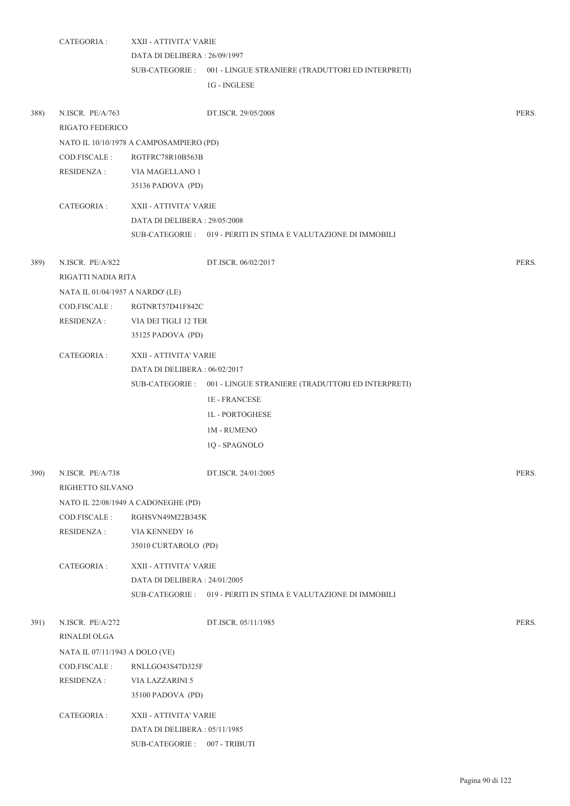|      | CATEGORIA :                          | XXII - ATTIVITA' VARIE<br>DATA DI DELIBERA: 26/09/1997 | SUB-CATEGORIE : 001 - LINGUE STRANIERE (TRADUTTORI ED INTERPRETI) |       |
|------|--------------------------------------|--------------------------------------------------------|-------------------------------------------------------------------|-------|
|      |                                      |                                                        | 1G - INGLESE                                                      |       |
| 388) | N.ISCR. PE/A/763<br>RIGATO FEDERICO  |                                                        | DT.ISCR. 29/05/2008                                               | PERS. |
|      |                                      | NATO IL 10/10/1978 A CAMPOSAMPIERO (PD)                |                                                                   |       |
|      | COD.FISCALE :                        | RGTFRC78R10B563B                                       |                                                                   |       |
|      | RESIDENZA :                          | VIA MAGELLANO 1<br>35136 PADOVA (PD)                   |                                                                   |       |
|      | CATEGORIA :                          | XXII - ATTIVITA' VARIE                                 |                                                                   |       |
|      |                                      | DATA DI DELIBERA : 29/05/2008                          |                                                                   |       |
|      |                                      |                                                        | SUB-CATEGORIE : 019 - PERITI IN STIMA E VALUTAZIONE DI IMMOBILI   |       |
| 389) | N.ISCR. PE/A/822                     |                                                        | DT.ISCR. 06/02/2017                                               | PERS. |
|      | RIGATTI NADIA RITA                   |                                                        |                                                                   |       |
|      | NATA IL 01/04/1957 A NARDO' (LE)     |                                                        |                                                                   |       |
|      | COD.FISCALE :                        | RGTNRT57D41F842C                                       |                                                                   |       |
|      | <b>RESIDENZA:</b>                    | VIA DEI TIGLI 12 TER<br>35125 PADOVA (PD)              |                                                                   |       |
|      | CATEGORIA :                          | XXII - ATTIVITA' VARIE                                 |                                                                   |       |
|      |                                      | DATA DI DELIBERA : 06/02/2017                          |                                                                   |       |
|      |                                      |                                                        | SUB-CATEGORIE : 001 - LINGUE STRANIERE (TRADUTTORI ED INTERPRETI) |       |
|      |                                      |                                                        | <b>1E-FRANCESE</b>                                                |       |
|      |                                      |                                                        | <b>1L-PORTOGHESE</b>                                              |       |
|      |                                      |                                                        | <b>1M - RUMENO</b>                                                |       |
|      |                                      |                                                        | 1Q - SPAGNOLO                                                     |       |
| 390) | N.ISCR. PE/A/738<br>RIGHETTO SILVANO |                                                        | DT.ISCR. 24/01/2005                                               | PERS. |
|      |                                      | NATO IL 22/08/1949 A CADONEGHE (PD)                    |                                                                   |       |
|      | COD.FISCALE:                         | RGHSVN49M22B345K                                       |                                                                   |       |
|      | <b>RESIDENZA:</b>                    | VIA KENNEDY 16                                         |                                                                   |       |
|      |                                      | 35010 CURTAROLO (PD)                                   |                                                                   |       |
|      | CATEGORIA :                          | XXII - ATTIVITA' VARIE                                 |                                                                   |       |
|      |                                      | DATA DI DELIBERA: 24/01/2005                           |                                                                   |       |
|      |                                      |                                                        | SUB-CATEGORIE : 019 - PERITI IN STIMA E VALUTAZIONE DI IMMOBILI   |       |
| 391) | N.ISCR. PE/A/272                     |                                                        | DT.ISCR. 05/11/1985                                               | PERS. |
|      | RINALDI OLGA                         |                                                        |                                                                   |       |
|      | NATA IL 07/11/1943 A DOLO (VE)       |                                                        |                                                                   |       |
|      | COD.FISCALE:                         | RNLLGO43S47D325F                                       |                                                                   |       |
|      | <b>RESIDENZA:</b>                    | <b>VIA LAZZARINI 5</b>                                 |                                                                   |       |
|      |                                      | 35100 PADOVA (PD)                                      |                                                                   |       |
|      | CATEGORIA :                          | XXII - ATTIVITA' VARIE                                 |                                                                   |       |
|      |                                      | DATA DI DELIBERA: 05/11/1985                           |                                                                   |       |
|      |                                      | SUB-CATEGORIE: 007 - TRIBUTI                           |                                                                   |       |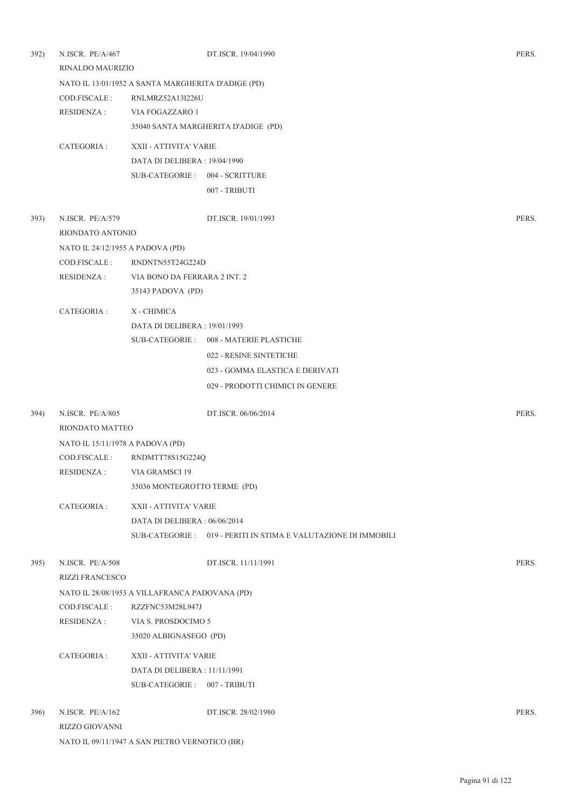| 392)         | N.ISCR. PE/A/467                                 |                                                    | DT.ISCR. 19/04/1990                                             | PERS. |
|--------------|--------------------------------------------------|----------------------------------------------------|-----------------------------------------------------------------|-------|
|              | RINALDO MAURIZIO                                 |                                                    |                                                                 |       |
|              |                                                  | NATO IL 13/01/1952 A SANTA MARGHERITA D'ADIGE (PD) |                                                                 |       |
|              | COD.FISCALE:                                     | RNLMRZ52A13I226U                                   |                                                                 |       |
|              | RESIDENZA :                                      | VIA FOGAZZARO 1                                    |                                                                 |       |
|              |                                                  |                                                    | 35040 SANTA MARGHERITA D'ADIGE (PD)                             |       |
|              | CATEGORIA :                                      | XXII - ATTIVITA' VARIE                             |                                                                 |       |
|              |                                                  | DATA DI DELIBERA: 19/04/1990                       |                                                                 |       |
|              |                                                  | SUB-CATEGORIE: 004 - SCRITTURE                     |                                                                 |       |
|              |                                                  |                                                    |                                                                 |       |
|              |                                                  |                                                    | 007 - TRIBUTI                                                   |       |
| 393)         | N.ISCR. PE/A/579                                 |                                                    | DT.ISCR. 19/01/1993                                             | PERS. |
|              | RIONDATO ANTONIO                                 |                                                    |                                                                 |       |
|              | NATO IL 24/12/1955 A PADOVA (PD)                 |                                                    |                                                                 |       |
|              | COD.FISCALE :                                    | RNDNTN55T24G224D                                   |                                                                 |       |
|              | <b>RESIDENZA:</b>                                | VIA BONO DA FERRARA 2 INT. 2                       |                                                                 |       |
|              |                                                  | 35143 PADOVA (PD)                                  |                                                                 |       |
|              |                                                  |                                                    |                                                                 |       |
|              | CATEGORIA :                                      | X - CHIMICA                                        |                                                                 |       |
|              |                                                  | DATA DI DELIBERA : 19/01/1993                      |                                                                 |       |
|              |                                                  |                                                    | SUB-CATEGORIE: 008 - MATERIE PLASTICHE                          |       |
|              |                                                  |                                                    | 022 - RESINE SINTETICHE                                         |       |
|              |                                                  |                                                    | 023 - GOMMA ELASTICA E DERIVATI                                 |       |
|              |                                                  |                                                    | 029 - PRODOTTI CHIMICI IN GENERE                                |       |
|              | N.ISCR. PE/A/805                                 |                                                    | DT.ISCR. 06/06/2014                                             | PERS. |
| 394)         | RIONDATO MATTEO                                  |                                                    |                                                                 |       |
|              |                                                  |                                                    |                                                                 |       |
|              | NATO IL 15/11/1978 A PADOVA (PD)<br>COD.FISCALE: | RNDMTT78S15G224Q                                   |                                                                 |       |
|              | RESIDENZA :                                      | VIA GRAMSCI 19                                     |                                                                 |       |
|              |                                                  | 35036 MONTEGROTTO TERME (PD)                       |                                                                 |       |
|              |                                                  |                                                    |                                                                 |       |
|              | CATEGORIA :                                      | XXII - ATTIVITA' VARIE                             |                                                                 |       |
|              |                                                  | DATA DI DELIBERA: 06/06/2014                       |                                                                 |       |
|              |                                                  |                                                    | SUB-CATEGORIE : 019 - PERITI IN STIMA E VALUTAZIONE DI IMMOBILI |       |
|              |                                                  |                                                    |                                                                 |       |
| 395)         | N.ISCR. PE/A/508                                 |                                                    | DT.ISCR. 11/11/1991                                             | PERS. |
|              | <b>RIZZI FRANCESCO</b>                           |                                                    |                                                                 |       |
|              |                                                  | NATO IL 28/08/1953 A VILLAFRANCA PADOVANA (PD)     |                                                                 |       |
|              | COD.FISCALE:                                     | RZZFNC53M28L947J                                   |                                                                 |       |
|              | RESIDENZA :                                      | VIA S. PROSDOCIMO 5                                |                                                                 |       |
|              |                                                  | 35020 ALBIGNASEGO (PD)                             |                                                                 |       |
|              | CATEGORIA :                                      | XXII - ATTIVITA' VARIE                             |                                                                 |       |
|              |                                                  | DATA DI DELIBERA : 11/11/1991                      |                                                                 |       |
|              |                                                  | SUB-CATEGORIE: 007 - TRIBUTI                       |                                                                 |       |
|              |                                                  |                                                    |                                                                 |       |
| <b>396</b> ) | N.ISCR. PE/A/162                                 |                                                    | DT.ISCR. 28/02/1980                                             | PERS. |
|              | RIZZO GIOVANNI                                   |                                                    |                                                                 |       |
|              |                                                  | NATO IL 09/11/1947 A SAN PIETRO VERNOTICO (BR)     |                                                                 |       |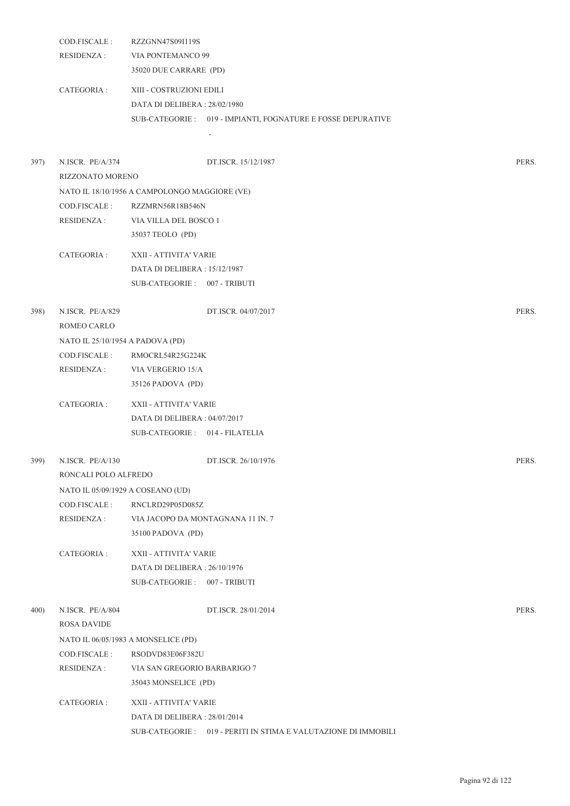|      | COD.FISCALE:<br><b>RESIDENZA:</b>      | RZZGNN47S09I119S<br>VIA PONTEMANCO 99         |                                                                 |       |
|------|----------------------------------------|-----------------------------------------------|-----------------------------------------------------------------|-------|
|      |                                        | 35020 DUE CARRARE (PD)                        |                                                                 |       |
|      | CATEGORIA :                            | XIII - COSTRUZIONI EDILI                      |                                                                 |       |
|      |                                        | DATA DI DELIBERA: 28/02/1980                  |                                                                 |       |
|      |                                        |                                               | SUB-CATEGORIE: 019 - IMPIANTI, FOGNATURE E FOSSE DEPURATIVE     |       |
|      |                                        |                                               |                                                                 |       |
| 397) | N.ISCR. PE/A/374<br>RIZZONATO MORENO   |                                               | DT.ISCR. 15/12/1987                                             | PERS. |
|      |                                        | NATO IL 18/10/1956 A CAMPOLONGO MAGGIORE (VE) |                                                                 |       |
|      | COD.FISCALE :                          | RZZMRN56R18B546N                              |                                                                 |       |
|      | <b>RESIDENZA:</b>                      | VIA VILLA DEL BOSCO 1                         |                                                                 |       |
|      |                                        | 35037 TEOLO (PD)                              |                                                                 |       |
|      | CATEGORIA :                            | XXII - ATTIVITA' VARIE                        |                                                                 |       |
|      |                                        | DATA DI DELIBERA: 15/12/1987                  |                                                                 |       |
|      |                                        | SUB-CATEGORIE: 007 - TRIBUTI                  |                                                                 |       |
| 398) | N.ISCR. PE/A/829<br>ROMEO CARLO        |                                               | DT.ISCR. 04/07/2017                                             | PERS. |
|      | NATO IL 25/10/1954 A PADOVA (PD)       |                                               |                                                                 |       |
|      | COD.FISCALE:                           | RMOCRL54R25G224K                              |                                                                 |       |
|      | <b>RESIDENZA:</b>                      | VIA VERGERIO 15/A                             |                                                                 |       |
|      |                                        | 35126 PADOVA (PD)                             |                                                                 |       |
|      | CATEGORIA :                            | XXII - ATTIVITA' VARIE                        |                                                                 |       |
|      |                                        | DATA DI DELIBERA: 04/07/2017                  |                                                                 |       |
|      |                                        | SUB-CATEGORIE: 014 - FILATELIA                |                                                                 |       |
| 399) | N.ISCR. PE/A/130                       |                                               | DT.ISCR. 26/10/1976                                             | PERS. |
|      | RONCALI POLO ALFREDO                   |                                               |                                                                 |       |
|      | NATO IL 05/09/1929 A COSEANO (UD)      |                                               |                                                                 |       |
|      | COD.FISCALE :                          | RNCLRD29P05D085Z                              |                                                                 |       |
|      | <b>RESIDENZA:</b>                      |                                               | VIA JACOPO DA MONTAGNANA 11 IN. 7                               |       |
|      |                                        | 35100 PADOVA (PD)                             |                                                                 |       |
|      | CATEGORIA :                            | XXII - ATTIVITA' VARIE                        |                                                                 |       |
|      |                                        | DATA DI DELIBERA: 26/10/1976                  |                                                                 |       |
|      |                                        | SUB-CATEGORIE: 007 - TRIBUTI                  |                                                                 |       |
| 400) | N.ISCR. PE/A/804<br><b>ROSA DAVIDE</b> |                                               | DT.ISCR. 28/01/2014                                             | PERS. |
|      |                                        | NATO IL 06/05/1983 A MONSELICE (PD)           |                                                                 |       |
|      | COD.FISCALE :                          | RSODVD83E06F382U                              |                                                                 |       |
|      | RESIDENZA :                            | VIA SAN GREGORIO BARBARIGO 7                  |                                                                 |       |
|      |                                        | 35043 MONSELICE (PD)                          |                                                                 |       |
|      | CATEGORIA :                            | XXII - ATTIVITA' VARIE                        |                                                                 |       |
|      |                                        | DATA DI DELIBERA: 28/01/2014                  |                                                                 |       |
|      |                                        |                                               | SUB-CATEGORIE : 019 - PERITI IN STIMA E VALUTAZIONE DI IMMOBILI |       |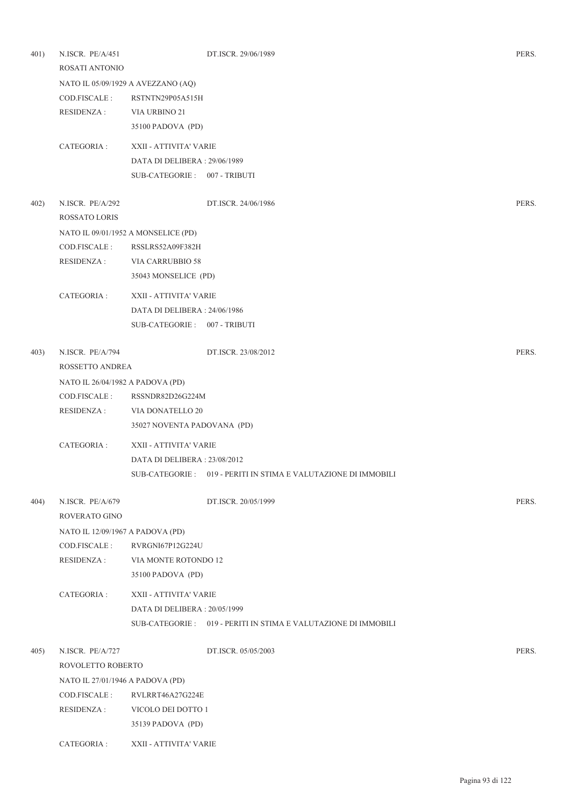| 401) | N.ISCR. PE/A/451<br>ROSATI ANTONIO |                                     | DT.ISCR. 29/06/1989                                             | PERS. |
|------|------------------------------------|-------------------------------------|-----------------------------------------------------------------|-------|
|      |                                    | NATO IL 05/09/1929 A AVEZZANO (AQ)  |                                                                 |       |
|      | COD.FISCALE:                       | RSTNTN29P05A515H                    |                                                                 |       |
|      | <b>RESIDENZA:</b>                  | VIA URBINO 21                       |                                                                 |       |
|      |                                    | 35100 PADOVA (PD)                   |                                                                 |       |
|      | CATEGORIA :                        | XXII - ATTIVITA' VARIE              |                                                                 |       |
|      |                                    | DATA DI DELIBERA: 29/06/1989        |                                                                 |       |
|      |                                    | SUB-CATEGORIE: 007 - TRIBUTI        |                                                                 |       |
| 402) | N.ISCR. PE/A/292                   |                                     | DT.ISCR. 24/06/1986                                             | PERS. |
|      | <b>ROSSATO LORIS</b>               |                                     |                                                                 |       |
|      |                                    | NATO IL 09/01/1952 A MONSELICE (PD) |                                                                 |       |
|      | COD.FISCALE:                       | RSSLRS52A09F382H                    |                                                                 |       |
|      | RESIDENZA :                        | VIA CARRUBBIO 58                    |                                                                 |       |
|      |                                    | 35043 MONSELICE (PD)                |                                                                 |       |
|      | CATEGORIA :                        | XXII - ATTIVITA' VARIE              |                                                                 |       |
|      |                                    | DATA DI DELIBERA: 24/06/1986        |                                                                 |       |
|      |                                    | SUB-CATEGORIE: 007 - TRIBUTI        |                                                                 |       |
| 403) | N.ISCR. PE/A/794                   |                                     | DT.ISCR. 23/08/2012                                             | PERS. |
|      | ROSSETTO ANDREA                    |                                     |                                                                 |       |
|      | NATO IL 26/04/1982 A PADOVA (PD)   |                                     |                                                                 |       |
|      | COD.FISCALE:                       | RSSNDR82D26G224M                    |                                                                 |       |
|      | <b>RESIDENZA:</b>                  | VIA DONATELLO 20                    |                                                                 |       |
|      |                                    | 35027 NOVENTA PADOVANA (PD)         |                                                                 |       |
|      | CATEGORIA :                        | XXII - ATTIVITA' VARIE              |                                                                 |       |
|      |                                    | DATA DI DELIBERA : 23/08/2012       |                                                                 |       |
|      |                                    |                                     | SUB-CATEGORIE : 019 - PERITI IN STIMA E VALUTAZIONE DI IMMOBILI |       |
| 404) | N.ISCR. PE/A/679                   |                                     | DT.ISCR. 20/05/1999                                             | PERS. |
|      | ROVERATO GINO                      |                                     |                                                                 |       |
|      | NATO IL 12/09/1967 A PADOVA (PD)   |                                     |                                                                 |       |
|      | COD.FISCALE :                      | RVRGNI67P12G224U                    |                                                                 |       |
|      | <b>RESIDENZA:</b>                  | VIA MONTE ROTONDO 12                |                                                                 |       |
|      |                                    | 35100 PADOVA (PD)                   |                                                                 |       |
|      | CATEGORIA :                        | XXII - ATTIVITA' VARIE              |                                                                 |       |
|      |                                    | DATA DI DELIBERA: 20/05/1999        |                                                                 |       |
|      |                                    |                                     | SUB-CATEGORIE : 019 - PERITI IN STIMA E VALUTAZIONE DI IMMOBILI |       |
| 405) | N.ISCR. PE/A/727                   |                                     | DT.ISCR. 05/05/2003                                             | PERS. |
|      | ROVOLETTO ROBERTO                  |                                     |                                                                 |       |
|      | NATO IL 27/01/1946 A PADOVA (PD)   |                                     |                                                                 |       |
|      | COD.FISCALE :                      | RVLRRT46A27G224E                    |                                                                 |       |
|      | <b>RESIDENZA:</b>                  | VICOLO DEI DOTTO 1                  |                                                                 |       |
|      |                                    | 35139 PADOVA (PD)                   |                                                                 |       |
|      | CATEGORIA :                        | XXII - ATTIVITA' VARIE              |                                                                 |       |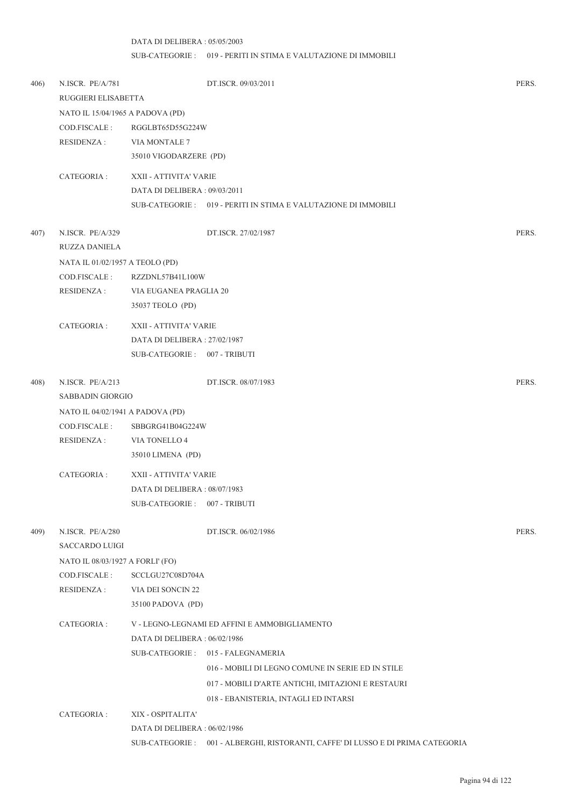## DATA DI DELIBERA : 05/05/2003 SUB-CATEGORIE : 019 - PERITI IN STIMA E VALUTAZIONE DI IMMOBILI

| 406) | N.ISCR. PE/A/781<br>RUGGIERI ELISABETTA |                               | DT.ISCR. 09/03/2011                                                              | PERS. |
|------|-----------------------------------------|-------------------------------|----------------------------------------------------------------------------------|-------|
|      | NATO IL 15/04/1965 A PADOVA (PD)        |                               |                                                                                  |       |
|      | COD.FISCALE :                           | RGGLBT65D55G224W              |                                                                                  |       |
|      | <b>RESIDENZA:</b>                       | VIA MONTALE 7                 |                                                                                  |       |
|      |                                         | 35010 VIGODARZERE (PD)        |                                                                                  |       |
|      | CATEGORIA :                             | XXII - ATTIVITA' VARIE        |                                                                                  |       |
|      |                                         | DATA DI DELIBERA: 09/03/2011  |                                                                                  |       |
|      |                                         |                               | SUB-CATEGORIE: 019 - PERITI IN STIMA E VALUTAZIONE DI IMMOBILI                   |       |
| 407) | N.ISCR. PE/A/329                        |                               | DT.ISCR. 27/02/1987                                                              | PERS. |
|      | RUZZA DANIELA                           |                               |                                                                                  |       |
|      | NATA IL 01/02/1957 A TEOLO (PD)         |                               |                                                                                  |       |
|      | COD.FISCALE :                           | RZZDNL57B41L100W              |                                                                                  |       |
|      | <b>RESIDENZA:</b>                       | VIA EUGANEA PRAGLIA 20        |                                                                                  |       |
|      |                                         | 35037 TEOLO (PD)              |                                                                                  |       |
|      | CATEGORIA :                             | XXII - ATTIVITA' VARIE        |                                                                                  |       |
|      |                                         | DATA DI DELIBERA: 27/02/1987  |                                                                                  |       |
|      |                                         | SUB-CATEGORIE: 007 - TRIBUTI  |                                                                                  |       |
| 408) | N.ISCR. PE/A/213                        |                               | DT.ISCR. 08/07/1983                                                              | PERS. |
|      | SABBADIN GIORGIO                        |                               |                                                                                  |       |
|      | NATO IL 04/02/1941 A PADOVA (PD)        |                               |                                                                                  |       |
|      | COD.FISCALE :                           | SBBGRG41B04G224W              |                                                                                  |       |
|      | <b>RESIDENZA:</b>                       | VIA TONELLO 4                 |                                                                                  |       |
|      |                                         | 35010 LIMENA (PD)             |                                                                                  |       |
|      | CATEGORIA :                             | XXII - ATTIVITA' VARIE        |                                                                                  |       |
|      |                                         | DATA DI DELIBERA: 08/07/1983  |                                                                                  |       |
|      |                                         | SUB-CATEGORIE: 007 - TRIBUTI  |                                                                                  |       |
| 409) | N.ISCR. PE/A/280                        |                               | DT.ISCR. 06/02/1986                                                              | PERS. |
|      | <b>SACCARDO LUIGI</b>                   |                               |                                                                                  |       |
|      | NATO IL 08/03/1927 A FORLI' (FO)        |                               |                                                                                  |       |
|      | COD.FISCALE :                           | SCCLGU27C08D704A              |                                                                                  |       |
|      | <b>RESIDENZA:</b>                       | VIA DEI SONCIN 22             |                                                                                  |       |
|      |                                         | 35100 PADOVA (PD)             |                                                                                  |       |
|      | CATEGORIA :                             |                               | V - LEGNO-LEGNAMI ED AFFINI E AMMOBIGLIAMENTO                                    |       |
|      |                                         | DATA DI DELIBERA : 06/02/1986 |                                                                                  |       |
|      |                                         |                               | SUB-CATEGORIE: 015 - FALEGNAMERIA                                                |       |
|      |                                         |                               | 016 - MOBILI DI LEGNO COMUNE IN SERIE ED IN STILE                                |       |
|      |                                         |                               | 017 - MOBILI D'ARTE ANTICHI, IMITAZIONI E RESTAURI                               |       |
|      |                                         |                               | 018 - EBANISTERIA, INTAGLI ED INTARSI                                            |       |
|      | CATEGORIA :                             | XIX - OSPITALITA'             |                                                                                  |       |
|      |                                         | DATA DI DELIBERA: 06/02/1986  |                                                                                  |       |
|      |                                         |                               | SUB-CATEGORIE : 001 - ALBERGHI, RISTORANTI, CAFFE' DI LUSSO E DI PRIMA CATEGORIA |       |
|      |                                         |                               |                                                                                  |       |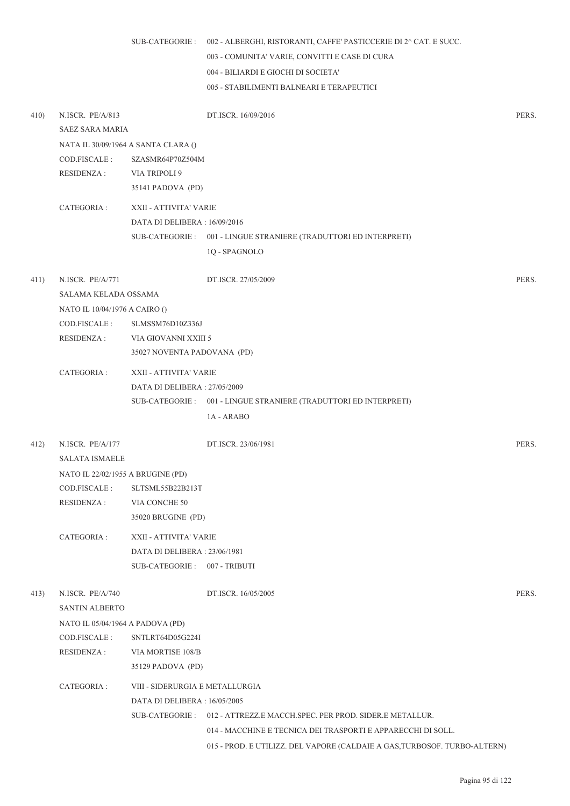|      |                                                                                                              |                                                                                               | SUB-CATEGORIE : 002 - ALBERGHI, RISTORANTI, CAFFE' PASTICCERIE DI 2^ CAT. E SUCC.<br>003 - COMUNITA' VARIE, CONVITTI E CASE DI CURA<br>004 - BILIARDI E GIOCHI DI SOCIETA'<br>005 - STABILIMENTI BALNEARI E TERAPEUTICI |       |
|------|--------------------------------------------------------------------------------------------------------------|-----------------------------------------------------------------------------------------------|-------------------------------------------------------------------------------------------------------------------------------------------------------------------------------------------------------------------------|-------|
| 410) | N.ISCR. PE/A/813<br>SAEZ SARA MARIA                                                                          |                                                                                               | DT.ISCR. 16/09/2016                                                                                                                                                                                                     | PERS. |
|      | COD.FISCALE :<br>RESIDENZA :                                                                                 | NATA IL 30/09/1964 A SANTA CLARA ()<br>SZASMR64P70Z504M<br>VIA TRIPOLI 9<br>35141 PADOVA (PD) |                                                                                                                                                                                                                         |       |
|      | CATEGORIA :                                                                                                  | XXII - ATTIVITA' VARIE<br>DATA DI DELIBERA : 16/09/2016                                       | SUB-CATEGORIE : 001 - LINGUE STRANIERE (TRADUTTORI ED INTERPRETI)<br>1Q - SPAGNOLO                                                                                                                                      |       |
| 411) | N.ISCR. PE/A/771<br>SALAMA KELADA OSSAMA<br>NATO IL 10/04/1976 A CAIRO ()<br>COD.FISCALE :<br>RESIDENZA :    | SLMSSM76D10Z336J<br>VIA GIOVANNI XXIII 5<br>35027 NOVENTA PADOVANA (PD)                       | DT.ISCR. 27/05/2009                                                                                                                                                                                                     | PERS. |
|      | CATEGORIA :                                                                                                  | XXII - ATTIVITA' VARIE<br>DATA DI DELIBERA : 27/05/2009                                       | SUB-CATEGORIE: 001 - LINGUE STRANIERE (TRADUTTORI ED INTERPRETI)<br>1A - ARABO                                                                                                                                          |       |
| 412) | N.ISCR. PE/A/177<br>SALATA ISMAELE<br>NATO IL 22/02/1955 A BRUGINE (PD)                                      |                                                                                               | DT.ISCR. 23/06/1981                                                                                                                                                                                                     | PERS. |
|      | COD.FISCALE :<br>RESIDENZA :                                                                                 | SLTSML55B22B213T<br>VIA CONCHE 50<br>35020 BRUGINE (PD)                                       |                                                                                                                                                                                                                         |       |
|      | CATEGORIA :                                                                                                  | XXII - ATTIVITA' VARIE<br>DATA DI DELIBERA: 23/06/1981<br>SUB-CATEGORIE: 007 - TRIBUTI        |                                                                                                                                                                                                                         |       |
| 413) | N.ISCR. PE/A/740<br><b>SANTIN ALBERTO</b><br>NATO IL 05/04/1964 A PADOVA (PD)<br>COD.FISCALE:<br>RESIDENZA : | SNTLRT64D05G224I<br>VIA MORTISE 108/B                                                         | DT.ISCR. 16/05/2005                                                                                                                                                                                                     | PERS. |
|      | CATEGORIA:                                                                                                   | 35129 PADOVA (PD)<br>VIII - SIDERURGIA E METALLURGIA<br>DATA DI DELIBERA : 16/05/2005         | SUB-CATEGORIE: 012 - ATTREZZ.E MACCH.SPEC. PER PROD. SIDER.E METALLUR.<br>014 - MACCHINE E TECNICA DEI TRASPORTI E APPARECCHI DI SOLL.                                                                                  |       |

015 - PROD. E UTILIZZ. DEL VAPORE (CALDAIE A GAS,TURBOSOF. TURBO-ALTERN)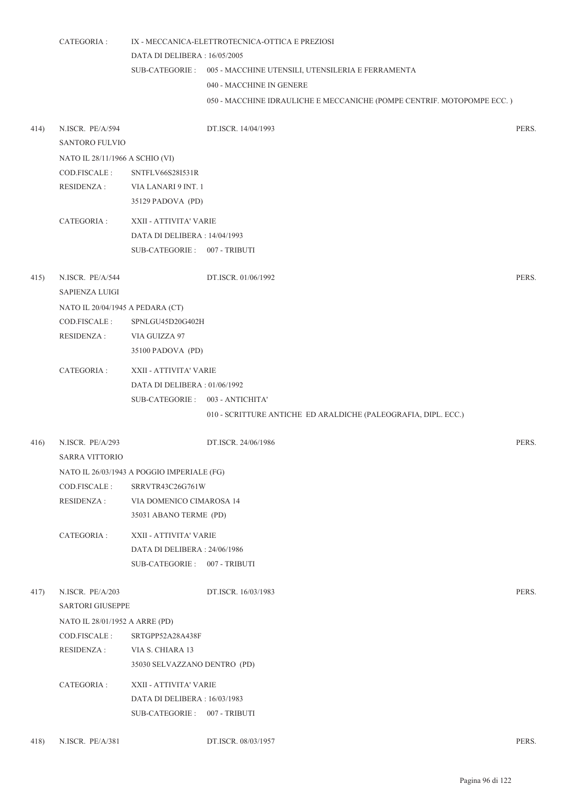|      | CATEGORIA :                      |                                            | IX - MECCANICA-ELETTROTECNICA-OTTICA E PREZIOSI                        |       |
|------|----------------------------------|--------------------------------------------|------------------------------------------------------------------------|-------|
|      |                                  | DATA DI DELIBERA: 16/05/2005               |                                                                        |       |
|      |                                  |                                            | SUB-CATEGORIE : 005 - MACCHINE UTENSILI, UTENSILERIA E FERRAMENTA      |       |
|      |                                  |                                            | 040 - MACCHINE IN GENERE                                               |       |
|      |                                  |                                            | 050 - MACCHINE IDRAULICHE E MECCANICHE (POMPE CENTRIF. MOTOPOMPE ECC.) |       |
|      |                                  |                                            |                                                                        |       |
| 414) | N.ISCR. PE/A/594                 |                                            | DT.ISCR. 14/04/1993                                                    | PERS. |
|      | <b>SANTORO FULVIO</b>            |                                            |                                                                        |       |
|      | NATO IL 28/11/1966 A SCHIO (VI)  |                                            |                                                                        |       |
|      | COD.FISCALE:                     | SNTFLV66S28I531R                           |                                                                        |       |
|      | RESIDENZA :                      | VIA LANARI 9 INT. 1                        |                                                                        |       |
|      |                                  | 35129 PADOVA (PD)                          |                                                                        |       |
|      | CATEGORIA:                       | XXII - ATTIVITA' VARIE                     |                                                                        |       |
|      |                                  | DATA DI DELIBERA: 14/04/1993               |                                                                        |       |
|      |                                  | SUB-CATEGORIE: 007 - TRIBUTI               |                                                                        |       |
|      |                                  |                                            |                                                                        |       |
| 415) | N.ISCR. PE/A/544                 |                                            | DT.ISCR. 01/06/1992                                                    | PERS. |
|      | <b>SAPIENZA LUIGI</b>            |                                            |                                                                        |       |
|      | NATO IL 20/04/1945 A PEDARA (CT) |                                            |                                                                        |       |
|      | COD.FISCALE :                    | SPNLGU45D20G402H                           |                                                                        |       |
|      | <b>RESIDENZA:</b>                | VIA GUIZZA 97                              |                                                                        |       |
|      |                                  | 35100 PADOVA (PD)                          |                                                                        |       |
|      | CATEGORIA :                      | XXII - ATTIVITA' VARIE                     |                                                                        |       |
|      |                                  | DATA DI DELIBERA : 01/06/1992              |                                                                        |       |
|      |                                  | SUB-CATEGORIE: 003 - ANTICHITA'            |                                                                        |       |
|      |                                  |                                            | 010 - SCRITTURE ANTICHE ED ARALDICHE (PALEOGRAFIA, DIPL. ECC.)         |       |
|      |                                  |                                            |                                                                        |       |
| 416) | N.ISCR. PE/A/293                 |                                            | DT.ISCR. 24/06/1986                                                    | PERS. |
|      | <b>SARRA VITTORIO</b>            |                                            |                                                                        |       |
|      |                                  | NATO IL 26/03/1943 A POGGIO IMPERIALE (FG) |                                                                        |       |
|      | COD.FISCALE:                     | SRRVTR43C26G761W                           |                                                                        |       |
|      | <b>RESIDENZA:</b>                | VIA DOMENICO CIMAROSA 14                   |                                                                        |       |
|      |                                  | 35031 ABANO TERME (PD)                     |                                                                        |       |
|      | CATEGORIA:                       | XXII - ATTIVITA' VARIE                     |                                                                        |       |
|      |                                  | DATA DI DELIBERA: 24/06/1986               |                                                                        |       |
|      |                                  | SUB-CATEGORIE: 007 - TRIBUTI               |                                                                        |       |
|      |                                  |                                            |                                                                        |       |
| 417) | N.ISCR. PE/A/203                 |                                            | DT.ISCR. 16/03/1983                                                    | PERS. |
|      | SARTORI GIUSEPPE                 |                                            |                                                                        |       |
|      | NATO IL 28/01/1952 A ARRE (PD)   |                                            |                                                                        |       |
|      | COD.FISCALE:                     | SRTGPP52A28A438F                           |                                                                        |       |
|      | <b>RESIDENZA:</b>                | VIA S. CHIARA 13                           |                                                                        |       |
|      |                                  | 35030 SELVAZZANO DENTRO (PD)               |                                                                        |       |
|      | CATEGORIA :                      | XXII - ATTIVITA' VARIE                     |                                                                        |       |
|      |                                  | DATA DI DELIBERA: 16/03/1983               |                                                                        |       |
|      |                                  | SUB-CATEGORIE: 007 - TRIBUTI               |                                                                        |       |
|      |                                  |                                            |                                                                        |       |
| 418) | N.ISCR. PE/A/381                 |                                            | DT.ISCR. 08/03/1957                                                    | PERS. |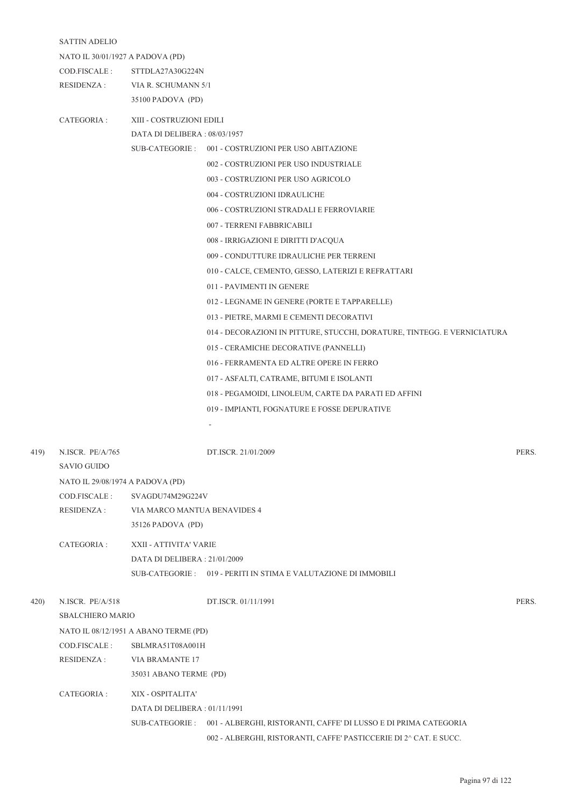|      | <b>SATTIN ADELIO</b>             |                                       |                                                                                                                                                                                                                                                                                                                                                                                                                                                                                                                                                                                                                                                                                                                                                                                                                                                                                                                                                                                                                                                                                             |       |  |  |
|------|----------------------------------|---------------------------------------|---------------------------------------------------------------------------------------------------------------------------------------------------------------------------------------------------------------------------------------------------------------------------------------------------------------------------------------------------------------------------------------------------------------------------------------------------------------------------------------------------------------------------------------------------------------------------------------------------------------------------------------------------------------------------------------------------------------------------------------------------------------------------------------------------------------------------------------------------------------------------------------------------------------------------------------------------------------------------------------------------------------------------------------------------------------------------------------------|-------|--|--|
|      | NATO IL 30/01/1927 A PADOVA (PD) |                                       |                                                                                                                                                                                                                                                                                                                                                                                                                                                                                                                                                                                                                                                                                                                                                                                                                                                                                                                                                                                                                                                                                             |       |  |  |
|      | COD.FISCALE :                    | STTDLA27A30G224N                      |                                                                                                                                                                                                                                                                                                                                                                                                                                                                                                                                                                                                                                                                                                                                                                                                                                                                                                                                                                                                                                                                                             |       |  |  |
|      | <b>RESIDENZA:</b>                | VIA R. SCHUMANN 5/1                   |                                                                                                                                                                                                                                                                                                                                                                                                                                                                                                                                                                                                                                                                                                                                                                                                                                                                                                                                                                                                                                                                                             |       |  |  |
|      |                                  | 35100 PADOVA (PD)                     |                                                                                                                                                                                                                                                                                                                                                                                                                                                                                                                                                                                                                                                                                                                                                                                                                                                                                                                                                                                                                                                                                             |       |  |  |
|      | CATEGORIA :                      |                                       | XIII - COSTRUZIONI EDILI<br>DATA DI DELIBERA: 08/03/1957<br>SUB-CATEGORIE: 001 - COSTRUZIONI PER USO ABITAZIONE<br>002 - COSTRUZIONI PER USO INDUSTRIALE<br>003 - COSTRUZIONI PER USO AGRICOLO<br>004 - COSTRUZIONI IDRAULICHE<br>006 - COSTRUZIONI STRADALI E FERROVIARIE<br>007 - TERRENI FABBRICABILI<br>008 - IRRIGAZIONI E DIRITTI D'ACQUA<br>009 - CONDUTTURE IDRAULICHE PER TERRENI<br>010 - CALCE, CEMENTO, GESSO, LATERIZI E REFRATTARI<br>011 - PAVIMENTI IN GENERE<br>012 - LEGNAME IN GENERE (PORTE E TAPPARELLE)<br>013 - PIETRE, MARMI E CEMENTI DECORATIVI<br>014 - DECORAZIONI IN PITTURE, STUCCHI, DORATURE, TINTEGG. E VERNICIATURA<br>015 - CERAMICHE DECORATIVE (PANNELLI)<br>016 - FERRAMENTA ED ALTRE OPERE IN FERRO<br>017 - ASFALTI, CATRAME, BITUMI E ISOLANTI<br>018 - PEGAMOIDI, LINOLEUM, CARTE DA PARATI ED AFFINI<br>019 - IMPIANTI, FOGNATURE E FOSSE DEPURATIVE<br>PERS.<br>DT.ISCR. 21/01/2009<br>VIA MARCO MANTUA BENAVIDES 4<br>XXII - ATTIVITA' VARIE<br>DATA DI DELIBERA: 21/01/2009<br>SUB-CATEGORIE: 019 - PERITI IN STIMA E VALUTAZIONE DI IMMOBILI |       |  |  |
|      |                                  |                                       |                                                                                                                                                                                                                                                                                                                                                                                                                                                                                                                                                                                                                                                                                                                                                                                                                                                                                                                                                                                                                                                                                             |       |  |  |
|      |                                  |                                       |                                                                                                                                                                                                                                                                                                                                                                                                                                                                                                                                                                                                                                                                                                                                                                                                                                                                                                                                                                                                                                                                                             |       |  |  |
|      |                                  |                                       |                                                                                                                                                                                                                                                                                                                                                                                                                                                                                                                                                                                                                                                                                                                                                                                                                                                                                                                                                                                                                                                                                             |       |  |  |
|      |                                  |                                       |                                                                                                                                                                                                                                                                                                                                                                                                                                                                                                                                                                                                                                                                                                                                                                                                                                                                                                                                                                                                                                                                                             |       |  |  |
|      |                                  |                                       |                                                                                                                                                                                                                                                                                                                                                                                                                                                                                                                                                                                                                                                                                                                                                                                                                                                                                                                                                                                                                                                                                             |       |  |  |
|      |                                  |                                       |                                                                                                                                                                                                                                                                                                                                                                                                                                                                                                                                                                                                                                                                                                                                                                                                                                                                                                                                                                                                                                                                                             |       |  |  |
|      |                                  |                                       |                                                                                                                                                                                                                                                                                                                                                                                                                                                                                                                                                                                                                                                                                                                                                                                                                                                                                                                                                                                                                                                                                             |       |  |  |
|      |                                  |                                       |                                                                                                                                                                                                                                                                                                                                                                                                                                                                                                                                                                                                                                                                                                                                                                                                                                                                                                                                                                                                                                                                                             |       |  |  |
|      |                                  |                                       |                                                                                                                                                                                                                                                                                                                                                                                                                                                                                                                                                                                                                                                                                                                                                                                                                                                                                                                                                                                                                                                                                             |       |  |  |
|      |                                  |                                       |                                                                                                                                                                                                                                                                                                                                                                                                                                                                                                                                                                                                                                                                                                                                                                                                                                                                                                                                                                                                                                                                                             |       |  |  |
|      |                                  |                                       |                                                                                                                                                                                                                                                                                                                                                                                                                                                                                                                                                                                                                                                                                                                                                                                                                                                                                                                                                                                                                                                                                             |       |  |  |
|      |                                  |                                       |                                                                                                                                                                                                                                                                                                                                                                                                                                                                                                                                                                                                                                                                                                                                                                                                                                                                                                                                                                                                                                                                                             |       |  |  |
|      |                                  |                                       |                                                                                                                                                                                                                                                                                                                                                                                                                                                                                                                                                                                                                                                                                                                                                                                                                                                                                                                                                                                                                                                                                             |       |  |  |
|      |                                  |                                       |                                                                                                                                                                                                                                                                                                                                                                                                                                                                                                                                                                                                                                                                                                                                                                                                                                                                                                                                                                                                                                                                                             |       |  |  |
|      |                                  |                                       |                                                                                                                                                                                                                                                                                                                                                                                                                                                                                                                                                                                                                                                                                                                                                                                                                                                                                                                                                                                                                                                                                             |       |  |  |
|      |                                  |                                       |                                                                                                                                                                                                                                                                                                                                                                                                                                                                                                                                                                                                                                                                                                                                                                                                                                                                                                                                                                                                                                                                                             |       |  |  |
|      |                                  |                                       |                                                                                                                                                                                                                                                                                                                                                                                                                                                                                                                                                                                                                                                                                                                                                                                                                                                                                                                                                                                                                                                                                             |       |  |  |
|      |                                  |                                       |                                                                                                                                                                                                                                                                                                                                                                                                                                                                                                                                                                                                                                                                                                                                                                                                                                                                                                                                                                                                                                                                                             |       |  |  |
|      |                                  |                                       |                                                                                                                                                                                                                                                                                                                                                                                                                                                                                                                                                                                                                                                                                                                                                                                                                                                                                                                                                                                                                                                                                             |       |  |  |
|      |                                  |                                       |                                                                                                                                                                                                                                                                                                                                                                                                                                                                                                                                                                                                                                                                                                                                                                                                                                                                                                                                                                                                                                                                                             |       |  |  |
|      |                                  |                                       |                                                                                                                                                                                                                                                                                                                                                                                                                                                                                                                                                                                                                                                                                                                                                                                                                                                                                                                                                                                                                                                                                             |       |  |  |
| 419) | N.ISCR. PE/A/765                 |                                       |                                                                                                                                                                                                                                                                                                                                                                                                                                                                                                                                                                                                                                                                                                                                                                                                                                                                                                                                                                                                                                                                                             |       |  |  |
|      | <b>SAVIO GUIDO</b>               |                                       |                                                                                                                                                                                                                                                                                                                                                                                                                                                                                                                                                                                                                                                                                                                                                                                                                                                                                                                                                                                                                                                                                             |       |  |  |
|      | NATO IL 29/08/1974 A PADOVA (PD) |                                       |                                                                                                                                                                                                                                                                                                                                                                                                                                                                                                                                                                                                                                                                                                                                                                                                                                                                                                                                                                                                                                                                                             |       |  |  |
|      | COD.FISCALE :                    | SVAGDU74M29G224V                      |                                                                                                                                                                                                                                                                                                                                                                                                                                                                                                                                                                                                                                                                                                                                                                                                                                                                                                                                                                                                                                                                                             |       |  |  |
|      | <b>RESIDENZA:</b>                |                                       |                                                                                                                                                                                                                                                                                                                                                                                                                                                                                                                                                                                                                                                                                                                                                                                                                                                                                                                                                                                                                                                                                             |       |  |  |
|      |                                  | 35126 PADOVA (PD)                     |                                                                                                                                                                                                                                                                                                                                                                                                                                                                                                                                                                                                                                                                                                                                                                                                                                                                                                                                                                                                                                                                                             |       |  |  |
|      | CATEGORIA :                      |                                       |                                                                                                                                                                                                                                                                                                                                                                                                                                                                                                                                                                                                                                                                                                                                                                                                                                                                                                                                                                                                                                                                                             |       |  |  |
|      |                                  |                                       |                                                                                                                                                                                                                                                                                                                                                                                                                                                                                                                                                                                                                                                                                                                                                                                                                                                                                                                                                                                                                                                                                             |       |  |  |
|      |                                  |                                       |                                                                                                                                                                                                                                                                                                                                                                                                                                                                                                                                                                                                                                                                                                                                                                                                                                                                                                                                                                                                                                                                                             |       |  |  |
| 420) | N.ISCR. PE/A/518                 |                                       | DT.ISCR. 01/11/1991                                                                                                                                                                                                                                                                                                                                                                                                                                                                                                                                                                                                                                                                                                                                                                                                                                                                                                                                                                                                                                                                         | PERS. |  |  |
|      | <b>SBALCHIERO MARIO</b>          |                                       |                                                                                                                                                                                                                                                                                                                                                                                                                                                                                                                                                                                                                                                                                                                                                                                                                                                                                                                                                                                                                                                                                             |       |  |  |
|      |                                  | NATO IL 08/12/1951 A ABANO TERME (PD) |                                                                                                                                                                                                                                                                                                                                                                                                                                                                                                                                                                                                                                                                                                                                                                                                                                                                                                                                                                                                                                                                                             |       |  |  |
|      | COD.FISCALE :                    | SBLMRA51T08A001H                      |                                                                                                                                                                                                                                                                                                                                                                                                                                                                                                                                                                                                                                                                                                                                                                                                                                                                                                                                                                                                                                                                                             |       |  |  |
|      | <b>RESIDENZA:</b>                | <b>VIA BRAMANTE 17</b>                |                                                                                                                                                                                                                                                                                                                                                                                                                                                                                                                                                                                                                                                                                                                                                                                                                                                                                                                                                                                                                                                                                             |       |  |  |
|      |                                  | 35031 ABANO TERME (PD)                |                                                                                                                                                                                                                                                                                                                                                                                                                                                                                                                                                                                                                                                                                                                                                                                                                                                                                                                                                                                                                                                                                             |       |  |  |
|      | CATEGORIA :                      | XIX - OSPITALITA'                     |                                                                                                                                                                                                                                                                                                                                                                                                                                                                                                                                                                                                                                                                                                                                                                                                                                                                                                                                                                                                                                                                                             |       |  |  |
|      |                                  | DATA DI DELIBERA : 01/11/1991         |                                                                                                                                                                                                                                                                                                                                                                                                                                                                                                                                                                                                                                                                                                                                                                                                                                                                                                                                                                                                                                                                                             |       |  |  |
|      |                                  |                                       | SUB-CATEGORIE : 001 - ALBERGHI, RISTORANTI, CAFFE' DI LUSSO E DI PRIMA CATEGORIA                                                                                                                                                                                                                                                                                                                                                                                                                                                                                                                                                                                                                                                                                                                                                                                                                                                                                                                                                                                                            |       |  |  |
|      |                                  |                                       | 002 - ALBERGHI, RISTORANTI, CAFFE' PASTICCERIE DI 2^ CAT. E SUCC.                                                                                                                                                                                                                                                                                                                                                                                                                                                                                                                                                                                                                                                                                                                                                                                                                                                                                                                                                                                                                           |       |  |  |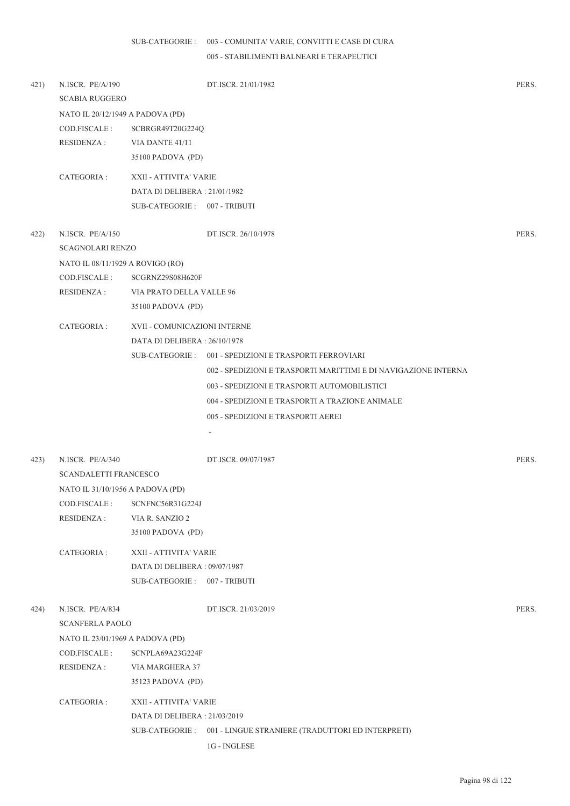## 003 - COMUNITA' VARIE, CONVITTI E CASE DI CURA SUB-CATEGORIE :

005 - STABILIMENTI BALNEARI E TERAPEUTICI

| 421) | N.ISCR. PE/A/190<br><b>SCABIA RUGGERO</b>                                       |                                                              | DT.ISCR. 21/01/1982                                              | PERS. |
|------|---------------------------------------------------------------------------------|--------------------------------------------------------------|------------------------------------------------------------------|-------|
|      | NATO IL 20/12/1949 A PADOVA (PD)<br>COD.FISCALE :<br>RESIDENZA :                | SCBRGR49T20G224Q<br>VIA DANTE 41/11<br>35100 PADOVA (PD)     |                                                                  |       |
|      | CATEGORIA :                                                                     | XXII - ATTIVITA' VARIE                                       |                                                                  |       |
|      |                                                                                 | DATA DI DELIBERA: 21/01/1982                                 |                                                                  |       |
|      |                                                                                 | SUB-CATEGORIE: 007 - TRIBUTI                                 |                                                                  |       |
| 422) | N.ISCR. PE/A/150<br><b>SCAGNOLARI RENZO</b><br>NATO IL 08/11/1929 A ROVIGO (RO) |                                                              | DT.ISCR. 26/10/1978                                              | PERS. |
|      | COD.FISCALE :                                                                   | SCGRNZ29S08H620F                                             |                                                                  |       |
|      | RESIDENZA :                                                                     | VIA PRATO DELLA VALLE 96                                     |                                                                  |       |
|      |                                                                                 | 35100 PADOVA (PD)                                            |                                                                  |       |
|      | CATEGORIA :                                                                     | XVII - COMUNICAZIONI INTERNE<br>DATA DI DELIBERA: 26/10/1978 |                                                                  |       |
|      |                                                                                 |                                                              | SUB-CATEGORIE: 001 - SPEDIZIONI E TRASPORTI FERROVIARI           |       |
|      |                                                                                 |                                                              | 002 - SPEDIZIONI E TRASPORTI MARITTIMI E DI NAVIGAZIONE INTERNA  |       |
|      |                                                                                 |                                                              | 003 - SPEDIZIONI E TRASPORTI AUTOMOBILISTICI                     |       |
|      |                                                                                 |                                                              | 004 - SPEDIZIONI E TRASPORTI A TRAZIONE ANIMALE                  |       |
|      |                                                                                 |                                                              | 005 - SPEDIZIONI E TRASPORTI AEREI                               |       |
|      |                                                                                 |                                                              | $\sim$                                                           |       |
| 423) | N.ISCR. PE/A/340                                                                |                                                              | DT.ISCR. 09/07/1987                                              | PERS. |
|      | <b>SCANDALETTI FRANCESCO</b>                                                    |                                                              |                                                                  |       |
|      | NATO IL 31/10/1956 A PADOVA (PD)                                                |                                                              |                                                                  |       |
|      |                                                                                 | COD.FISCALE: SCNFNC56R31G224J                                |                                                                  |       |
|      | <b>RESIDENZA:</b>                                                               | VIA R. SANZIO 2                                              |                                                                  |       |
|      |                                                                                 | 35100 PADOVA (PD)                                            |                                                                  |       |
|      | CATEGORIA :                                                                     | XXII - ATTIVITA' VARIE                                       |                                                                  |       |
|      |                                                                                 | DATA DI DELIBERA: 09/07/1987                                 |                                                                  |       |
|      |                                                                                 | SUB-CATEGORIE: 007 - TRIBUTI                                 |                                                                  |       |
| 424) | N.ISCR. PE/A/834<br><b>SCANFERLA PAOLO</b>                                      |                                                              | DT.ISCR. 21/03/2019                                              | PERS. |
|      | NATO IL 23/01/1969 A PADOVA (PD)                                                |                                                              |                                                                  |       |
|      | COD.FISCALE :                                                                   | SCNPLA69A23G224F                                             |                                                                  |       |
|      | <b>RESIDENZA:</b>                                                               | VIA MARGHERA 37                                              |                                                                  |       |
|      |                                                                                 | 35123 PADOVA (PD)                                            |                                                                  |       |
|      | CATEGORIA :                                                                     | XXII - ATTIVITA' VARIE                                       |                                                                  |       |
|      |                                                                                 | DATA DI DELIBERA: 21/03/2019                                 |                                                                  |       |
|      |                                                                                 |                                                              | SUB-CATEGORIE: 001 - LINGUE STRANIERE (TRADUTTORI ED INTERPRETI) |       |
|      |                                                                                 |                                                              | 1G - INGLESE                                                     |       |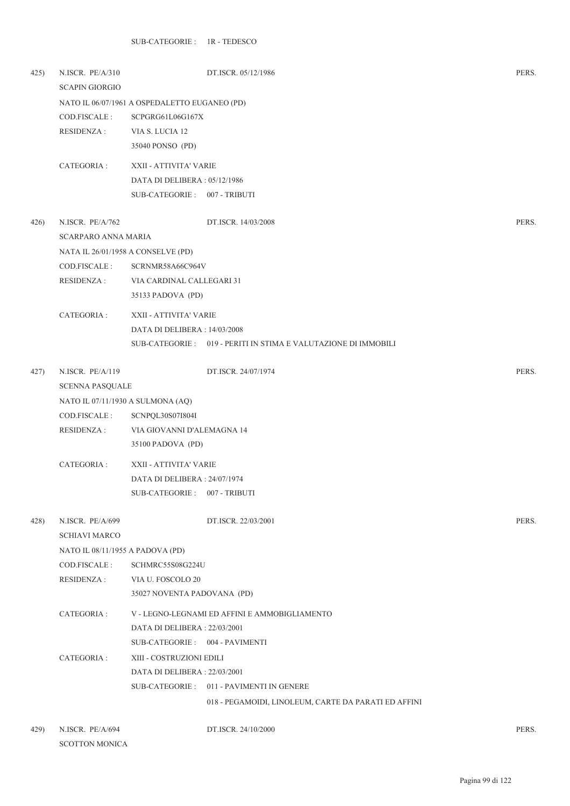| 425) | N.ISCR. PE/A/310<br><b>SCAPIN GIORGIO</b> |                                               | DT.ISCR. 05/12/1986                                             | PERS. |
|------|-------------------------------------------|-----------------------------------------------|-----------------------------------------------------------------|-------|
|      |                                           | NATO IL 06/07/1961 A OSPEDALETTO EUGANEO (PD) |                                                                 |       |
|      | COD.FISCALE :                             | SCPGRG61L06G167X                              |                                                                 |       |
|      | RESIDENZA :                               | VIA S. LUCIA 12                               |                                                                 |       |
|      |                                           | 35040 PONSO (PD)                              |                                                                 |       |
|      | CATEGORIA :                               | XXII - ATTIVITA' VARIE                        |                                                                 |       |
|      |                                           | DATA DI DELIBERA: 05/12/1986                  |                                                                 |       |
|      |                                           | SUB-CATEGORIE: 007 - TRIBUTI                  |                                                                 |       |
| 426) | N.ISCR. PE/A/762                          |                                               | DT.ISCR. 14/03/2008                                             | PERS. |
|      | <b>SCARPARO ANNA MARIA</b>                |                                               |                                                                 |       |
|      | NATA IL 26/01/1958 A CONSELVE (PD)        |                                               |                                                                 |       |
|      | COD.FISCALE :                             | SCRNMR58A66C964V                              |                                                                 |       |
|      | <b>RESIDENZA:</b>                         | VIA CARDINAL CALLEGARI 31                     |                                                                 |       |
|      |                                           | 35133 PADOVA (PD)                             |                                                                 |       |
|      | CATEGORIA :                               | XXII - ATTIVITA' VARIE                        |                                                                 |       |
|      |                                           | DATA DI DELIBERA : 14/03/2008                 |                                                                 |       |
|      |                                           |                                               | SUB-CATEGORIE : 019 - PERITI IN STIMA E VALUTAZIONE DI IMMOBILI |       |
| 427) | N.ISCR. PE/A/119                          |                                               | DT.ISCR. 24/07/1974                                             | PERS. |
|      | <b>SCENNA PASQUALE</b>                    |                                               |                                                                 |       |
|      | NATO IL 07/11/1930 A SULMONA (AQ)         |                                               |                                                                 |       |
|      | COD.FISCALE :                             | SCNPQL30S07I804I                              |                                                                 |       |
|      | RESIDENZA :                               | VIA GIOVANNI D'ALEMAGNA 14                    |                                                                 |       |
|      |                                           | 35100 PADOVA (PD)                             |                                                                 |       |
|      | CATEGORIA :                               | XXII - ATTIVITA' VARIE                        |                                                                 |       |
|      |                                           | DATA DI DELIBERA: 24/07/1974                  |                                                                 |       |
|      |                                           | SUB-CATEGORIE: 007 - TRIBUTI                  |                                                                 |       |
| 428) | N.ISCR. PE/A/699                          |                                               | DT.ISCR. 22/03/2001                                             | PERS. |
|      | <b>SCHIAVI MARCO</b>                      |                                               |                                                                 |       |
|      | NATO IL 08/11/1955 A PADOVA (PD)          |                                               |                                                                 |       |
|      | COD.FISCALE :                             | SCHMRC55S08G224U                              |                                                                 |       |
|      | RESIDENZA :                               | VIA U. FOSCOLO 20                             |                                                                 |       |
|      |                                           | 35027 NOVENTA PADOVANA (PD)                   |                                                                 |       |
|      | CATEGORIA :                               |                                               | V - LEGNO-LEGNAMI ED AFFINI E AMMOBIGLIAMENTO                   |       |
|      |                                           | DATA DI DELIBERA : 22/03/2001                 |                                                                 |       |
|      |                                           | SUB-CATEGORIE: 004 - PAVIMENTI                |                                                                 |       |
|      | CATEGORIA :                               | XIII - COSTRUZIONI EDILI                      |                                                                 |       |
|      |                                           | DATA DI DELIBERA: 22/03/2001                  |                                                                 |       |
|      |                                           |                                               | SUB-CATEGORIE: 011 - PAVIMENTI IN GENERE                        |       |
|      |                                           |                                               | 018 - PEGAMOIDI, LINOLEUM, CARTE DA PARATI ED AFFINI            |       |
|      |                                           |                                               |                                                                 |       |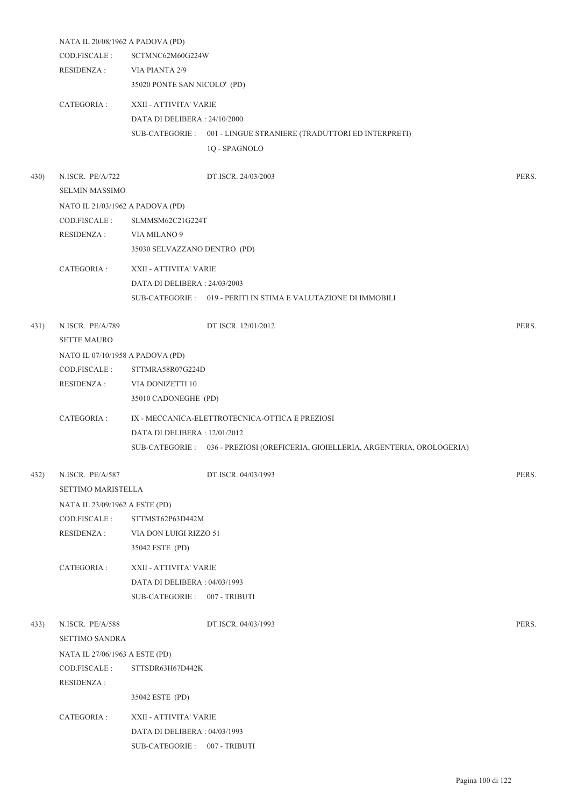|      | NATA IL 20/08/1962 A PADOVA (PD) |                               |                                                                                 |       |  |
|------|----------------------------------|-------------------------------|---------------------------------------------------------------------------------|-------|--|
|      | COD.FISCALE :                    | SCTMNC62M60G224W              |                                                                                 |       |  |
|      | RESIDENZA :                      | VIA PIANTA 2/9                |                                                                                 |       |  |
|      |                                  | 35020 PONTE SAN NICOLO' (PD)  |                                                                                 |       |  |
|      | CATEGORIA :                      | XXII - ATTIVITA' VARIE        |                                                                                 |       |  |
|      |                                  | DATA DI DELIBERA : 24/10/2000 |                                                                                 |       |  |
|      |                                  |                               | SUB-CATEGORIE : 001 - LINGUE STRANIERE (TRADUTTORI ED INTERPRETI)               |       |  |
|      |                                  |                               | 1Q - SPAGNOLO                                                                   |       |  |
| 430) | N.ISCR. PE/A/722                 |                               | DT.ISCR. 24/03/2003                                                             | PERS. |  |
|      | <b>SELMIN MASSIMO</b>            |                               |                                                                                 |       |  |
|      | NATO IL 21/03/1962 A PADOVA (PD) |                               |                                                                                 |       |  |
|      | COD.FISCALE :                    | SLMMSM62C21G224T              |                                                                                 |       |  |
|      | RESIDENZA :                      | VIA MILANO 9                  |                                                                                 |       |  |
|      |                                  | 35030 SELVAZZANO DENTRO (PD)  |                                                                                 |       |  |
|      | CATEGORIA :                      | XXII - ATTIVITA' VARIE        |                                                                                 |       |  |
|      |                                  | DATA DI DELIBERA: 24/03/2003  |                                                                                 |       |  |
|      |                                  |                               | SUB-CATEGORIE : 019 - PERITI IN STIMA E VALUTAZIONE DI IMMOBILI                 |       |  |
| 431) | N.ISCR. PE/A/789                 |                               | DT.ISCR. 12/01/2012                                                             | PERS. |  |
|      | <b>SETTE MAURO</b>               |                               |                                                                                 |       |  |
|      | NATO IL 07/10/1958 A PADOVA (PD) |                               |                                                                                 |       |  |
|      | COD.FISCALE :                    | STTMRA58R07G224D              |                                                                                 |       |  |
|      | RESIDENZA :                      | VIA DONIZETTI 10              |                                                                                 |       |  |
|      |                                  | 35010 CADONEGHE (PD)          |                                                                                 |       |  |
|      | CATEGORIA :                      |                               | IX - MECCANICA-ELETTROTECNICA-OTTICA E PREZIOSI                                 |       |  |
|      |                                  | DATA DI DELIBERA : 12/01/2012 |                                                                                 |       |  |
|      |                                  |                               | SUB-CATEGORIE: 036 - PREZIOSI (OREFICERIA, GIOIELLERIA, ARGENTERIA, OROLOGERIA) |       |  |
|      |                                  |                               |                                                                                 |       |  |
| 432) | N.ISCR. PE/A/587                 |                               | DT.ISCR. 04/03/1993                                                             | PERS. |  |
|      | SETTIMO MARISTELLA               |                               |                                                                                 |       |  |
|      | NATA IL 23/09/1962 A ESTE (PD)   |                               |                                                                                 |       |  |
|      | COD.FISCALE :                    | STTMST62P63D442M              |                                                                                 |       |  |
|      | <b>RESIDENZA:</b>                | VIA DON LUIGI RIZZO 51        |                                                                                 |       |  |
|      |                                  | 35042 ESTE (PD)               |                                                                                 |       |  |
|      | CATEGORIA :                      | XXII - ATTIVITA' VARIE        |                                                                                 |       |  |
|      |                                  | DATA DI DELIBERA: 04/03/1993  |                                                                                 |       |  |
|      |                                  | SUB-CATEGORIE: 007 - TRIBUTI  |                                                                                 |       |  |
| 433) | N.ISCR. PE/A/588                 |                               | DT.ISCR. 04/03/1993                                                             | PERS. |  |
|      | <b>SETTIMO SANDRA</b>            |                               |                                                                                 |       |  |
|      | NATA IL 27/06/1963 A ESTE (PD)   |                               |                                                                                 |       |  |
|      | COD.FISCALE :                    | STTSDR63H67D442K              |                                                                                 |       |  |
|      | <b>RESIDENZA:</b>                |                               |                                                                                 |       |  |
|      |                                  | 35042 ESTE (PD)               |                                                                                 |       |  |
|      | CATEGORIA :                      | XXII - ATTIVITA' VARIE        |                                                                                 |       |  |
|      |                                  | DATA DI DELIBERA: 04/03/1993  |                                                                                 |       |  |
|      |                                  | SUB-CATEGORIE: 007 - TRIBUTI  |                                                                                 |       |  |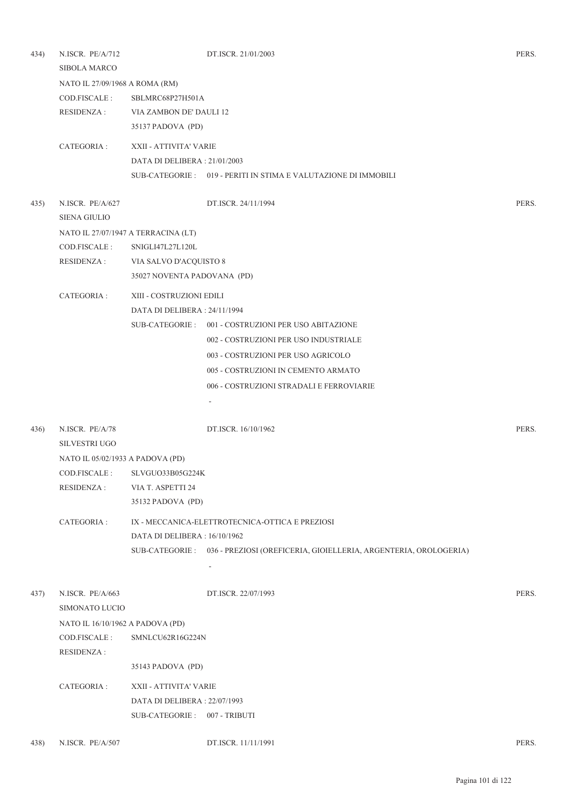| 434) | N.ISCR. PE/A/712                 |                                     | DT.ISCR. 21/01/2003                                                             | PERS. |
|------|----------------------------------|-------------------------------------|---------------------------------------------------------------------------------|-------|
|      | <b>SIBOLA MARCO</b>              |                                     |                                                                                 |       |
|      | NATO IL 27/09/1968 A ROMA (RM)   |                                     |                                                                                 |       |
|      | COD.FISCALE :                    | SBLMRC68P27H501A                    |                                                                                 |       |
|      | RESIDENZA :                      | VIA ZAMBON DE' DAULI 12             |                                                                                 |       |
|      |                                  | 35137 PADOVA (PD)                   |                                                                                 |       |
|      | CATEGORIA :                      | XXII - ATTIVITA' VARIE              |                                                                                 |       |
|      |                                  | DATA DI DELIBERA : 21/01/2003       |                                                                                 |       |
|      |                                  |                                     | SUB-CATEGORIE : 019 - PERITI IN STIMA E VALUTAZIONE DI IMMOBILI                 |       |
| 435) | N.ISCR. PE/A/627                 |                                     | DT.ISCR. 24/11/1994                                                             | PERS. |
|      | <b>SIENA GIULIO</b>              |                                     |                                                                                 |       |
|      |                                  | NATO IL 27/07/1947 A TERRACINA (LT) |                                                                                 |       |
|      | COD.FISCALE:                     | SNIGLI47L27L120L                    |                                                                                 |       |
|      | <b>RESIDENZA:</b>                | VIA SALVO D'ACQUISTO 8              |                                                                                 |       |
|      |                                  | 35027 NOVENTA PADOVANA (PD)         |                                                                                 |       |
|      | CATEGORIA :                      | XIII - COSTRUZIONI EDILI            |                                                                                 |       |
|      |                                  | DATA DI DELIBERA : 24/11/1994       |                                                                                 |       |
|      |                                  |                                     | SUB-CATEGORIE: 001 - COSTRUZIONI PER USO ABITAZIONE                             |       |
|      |                                  |                                     | 002 - COSTRUZIONI PER USO INDUSTRIALE                                           |       |
|      |                                  |                                     | 003 - COSTRUZIONI PER USO AGRICOLO                                              |       |
|      |                                  |                                     | 005 - COSTRUZIONI IN CEMENTO ARMATO                                             |       |
|      |                                  |                                     | 006 - COSTRUZIONI STRADALI E FERROVIARIE                                        |       |
|      |                                  |                                     |                                                                                 |       |
|      |                                  |                                     |                                                                                 |       |
| 436) | N.ISCR. PE/A/78                  |                                     | DT.ISCR. 16/10/1962                                                             | PERS. |
|      | <b>SILVESTRI UGO</b>             |                                     |                                                                                 |       |
|      | NATO IL 05/02/1933 A PADOVA (PD) |                                     |                                                                                 |       |
|      | COD.FISCALE :                    | SLVGUO33B05G224K                    |                                                                                 |       |
|      | <b>RESIDENZA:</b>                | VIA T. ASPETTI 24                   |                                                                                 |       |
|      |                                  | 35132 PADOVA (PD)                   |                                                                                 |       |
|      | CATEGORIA:                       |                                     | IX - MECCANICA-ELETTROTECNICA-OTTICA E PREZIOSI                                 |       |
|      |                                  | DATA DI DELIBERA : 16/10/1962       |                                                                                 |       |
|      |                                  |                                     | SUB-CATEGORIE: 036 - PREZIOSI (OREFICERIA, GIOIELLERIA, ARGENTERIA, OROLOGERIA) |       |
|      |                                  |                                     |                                                                                 |       |
| 437) | N.ISCR. PE/A/663                 |                                     | DT.ISCR. 22/07/1993                                                             | PERS. |
|      | SIMONATO LUCIO                   |                                     |                                                                                 |       |
|      | NATO IL 16/10/1962 A PADOVA (PD) |                                     |                                                                                 |       |
|      | COD.FISCALE :                    | SMNLCU62R16G224N                    |                                                                                 |       |
|      | <b>RESIDENZA:</b>                |                                     |                                                                                 |       |
|      |                                  | 35143 PADOVA (PD)                   |                                                                                 |       |
|      | CATEGORIA :                      | XXII - ATTIVITA' VARIE              |                                                                                 |       |
|      |                                  | DATA DI DELIBERA: 22/07/1993        |                                                                                 |       |
|      |                                  | SUB-CATEGORIE :                     | 007 - TRIBUTI                                                                   |       |
| 438) | N.ISCR. PE/A/507                 |                                     | DT.ISCR. 11/11/1991                                                             | PERS. |
|      |                                  |                                     |                                                                                 |       |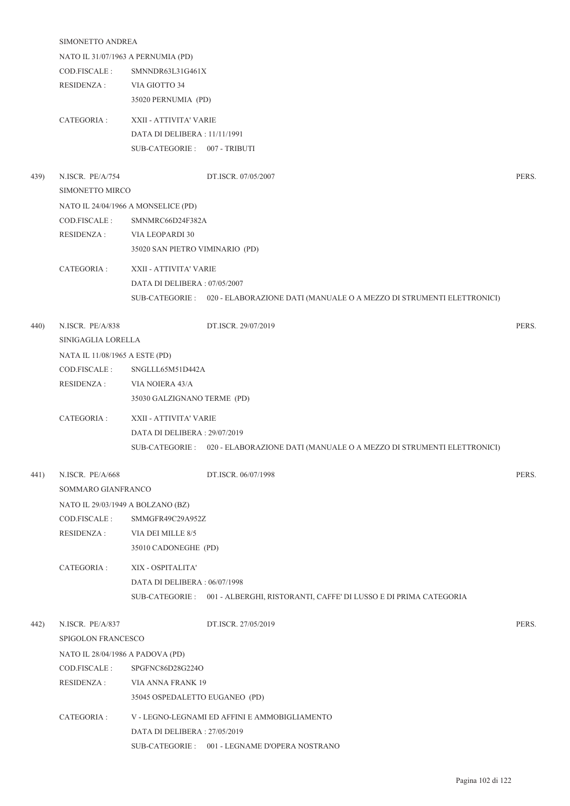|      | SIMONETTO ANDREA                  |                                     |                                                                                      |       |  |
|------|-----------------------------------|-------------------------------------|--------------------------------------------------------------------------------------|-------|--|
|      |                                   | NATO IL 31/07/1963 A PERNUMIA (PD)  |                                                                                      |       |  |
|      | COD.FISCALE :                     | SMNNDR63L31G461X                    |                                                                                      |       |  |
|      | RESIDENZA :                       | VIA GIOTTO 34                       |                                                                                      |       |  |
|      |                                   | 35020 PERNUMIA (PD)                 |                                                                                      |       |  |
|      | CATEGORIA :                       | XXII - ATTIVITA' VARIE              |                                                                                      |       |  |
|      |                                   | DATA DI DELIBERA: 11/11/1991        |                                                                                      |       |  |
|      |                                   | SUB-CATEGORIE: 007 - TRIBUTI        |                                                                                      |       |  |
| 439) | N.ISCR. PE/A/754                  |                                     | DT.ISCR. 07/05/2007                                                                  | PERS. |  |
|      | SIMONETTO MIRCO                   |                                     |                                                                                      |       |  |
|      |                                   | NATO IL 24/04/1966 A MONSELICE (PD) |                                                                                      |       |  |
|      | COD.FISCALE :                     | SMNMRC66D24F382A                    |                                                                                      |       |  |
|      | RESIDENZA :                       | VIA LEOPARDI 30                     |                                                                                      |       |  |
|      |                                   | 35020 SAN PIETRO VIMINARIO (PD)     |                                                                                      |       |  |
|      | CATEGORIA :                       | XXII - ATTIVITA' VARIE              |                                                                                      |       |  |
|      |                                   | DATA DI DELIBERA: 07/05/2007        |                                                                                      |       |  |
|      |                                   |                                     | SUB-CATEGORIE : 020 - ELABORAZIONE DATI (MANUALE O A MEZZO DI STRUMENTI ELETTRONICI) |       |  |
| 440) | N.ISCR. PE/A/838                  |                                     | DT.ISCR. 29/07/2019                                                                  | PERS. |  |
|      | SINIGAGLIA LORELLA                |                                     |                                                                                      |       |  |
|      | NATA IL 11/08/1965 A ESTE (PD)    |                                     |                                                                                      |       |  |
|      | COD.FISCALE :                     | SNGLLL65M51D442A                    |                                                                                      |       |  |
|      | RESIDENZA :                       | VIA NOIERA 43/A                     |                                                                                      |       |  |
|      |                                   | 35030 GALZIGNANO TERME (PD)         |                                                                                      |       |  |
|      | CATEGORIA :                       | XXII - ATTIVITA' VARIE              |                                                                                      |       |  |
|      |                                   | DATA DI DELIBERA : 29/07/2019       |                                                                                      |       |  |
|      |                                   |                                     | SUB-CATEGORIE : 020 - ELABORAZIONE DATI (MANUALE O A MEZZO DI STRUMENTI ELETTRONICI) |       |  |
| 441) | N.ISCR. PE/A/668                  |                                     | DT.ISCR. 06/07/1998                                                                  | PERS. |  |
|      | SOMMARO GIANFRANCO                |                                     |                                                                                      |       |  |
|      | NATO IL 29/03/1949 A BOLZANO (BZ) |                                     |                                                                                      |       |  |
|      | COD.FISCALE :                     | SMMGFR49C29A952Z                    |                                                                                      |       |  |
|      | <b>RESIDENZA:</b>                 | VIA DEI MILLE 8/5                   |                                                                                      |       |  |
|      |                                   | 35010 CADONEGHE (PD)                |                                                                                      |       |  |
|      | CATEGORIA :                       | XIX - OSPITALITA'                   |                                                                                      |       |  |
|      |                                   | DATA DI DELIBERA: 06/07/1998        |                                                                                      |       |  |
|      |                                   |                                     | SUB-CATEGORIE : 001 - ALBERGHI, RISTORANTI, CAFFE' DI LUSSO E DI PRIMA CATEGORIA     |       |  |
| 442) | N.ISCR. PE/A/837                  |                                     | DT.ISCR. 27/05/2019                                                                  | PERS. |  |
|      | SPIGOLON FRANCESCO                |                                     |                                                                                      |       |  |
|      | NATO IL 28/04/1986 A PADOVA (PD)  |                                     |                                                                                      |       |  |
|      | COD.FISCALE :                     | SPGFNC86D28G224O                    |                                                                                      |       |  |
|      | <b>RESIDENZA:</b>                 | VIA ANNA FRANK 19                   |                                                                                      |       |  |
|      |                                   | 35045 OSPEDALETTO EUGANEO (PD)      |                                                                                      |       |  |
|      | CATEGORIA :                       |                                     | V - LEGNO-LEGNAMI ED AFFINI E AMMOBIGLIAMENTO                                        |       |  |
|      |                                   | DATA DI DELIBERA: 27/05/2019        |                                                                                      |       |  |
|      |                                   |                                     | SUB-CATEGORIE : 001 - LEGNAME D'OPERA NOSTRANO                                       |       |  |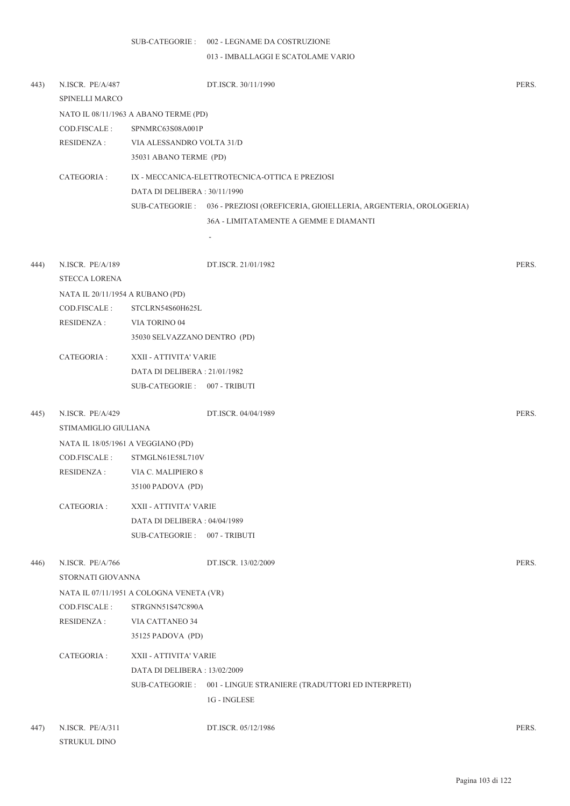## SUB-CATEGORIE : 002 - LEGNAME DA COSTRUZIONE

013 - IMBALLAGGI E SCATOLAME VARIO

| 443) | N.ISCR. PE/A/487<br>SPINELLI MARCO |                                          | DT.ISCR. 30/11/1990                                                             | PERS. |
|------|------------------------------------|------------------------------------------|---------------------------------------------------------------------------------|-------|
|      |                                    | NATO IL 08/11/1963 A ABANO TERME (PD)    |                                                                                 |       |
|      | COD.FISCALE:                       | SPNMRC63S08A001P                         |                                                                                 |       |
|      | <b>RESIDENZA:</b>                  | VIA ALESSANDRO VOLTA 31/D                |                                                                                 |       |
|      |                                    | 35031 ABANO TERME (PD)                   |                                                                                 |       |
|      | CATEGORIA :                        |                                          | IX - MECCANICA-ELETTROTECNICA-OTTICA E PREZIOSI                                 |       |
|      |                                    | DATA DI DELIBERA: 30/11/1990             |                                                                                 |       |
|      |                                    |                                          | SUB-CATEGORIE: 036 - PREZIOSI (OREFICERIA, GIOIELLERIA, ARGENTERIA, OROLOGERIA) |       |
|      |                                    |                                          | 36A - LIMITATAMENTE A GEMME E DIAMANTI                                          |       |
|      |                                    |                                          | -                                                                               |       |
| 444) | N.ISCR. PE/A/189                   |                                          | DT.ISCR. 21/01/1982                                                             | PERS. |
|      | <b>STECCA LORENA</b>               |                                          |                                                                                 |       |
|      | NATA IL 20/11/1954 A RUBANO (PD)   |                                          |                                                                                 |       |
|      | COD.FISCALE :                      | STCLRN54S60H625L                         |                                                                                 |       |
|      | RESIDENZA :                        | VIA TORINO 04                            |                                                                                 |       |
|      |                                    | 35030 SELVAZZANO DENTRO (PD)             |                                                                                 |       |
|      | CATEGORIA :                        | XXII - ATTIVITA' VARIE                   |                                                                                 |       |
|      |                                    | DATA DI DELIBERA: 21/01/1982             |                                                                                 |       |
|      |                                    | SUB-CATEGORIE: 007 - TRIBUTI             |                                                                                 |       |
| 445) | N.ISCR. PE/A/429                   |                                          | DT.ISCR. 04/04/1989                                                             | PERS. |
|      | STIMAMIGLIO GIULIANA               |                                          |                                                                                 |       |
|      | NATA IL 18/05/1961 A VEGGIANO (PD) |                                          |                                                                                 |       |
|      | COD.FISCALE :                      | STMGLN61E58L710V                         |                                                                                 |       |
|      | RESIDENZA :                        | VIA C. MALIPIERO 8                       |                                                                                 |       |
|      |                                    | 35100 PADOVA (PD)                        |                                                                                 |       |
|      | CATEGORIA :                        | XXII - ATTIVITA' VARIE                   |                                                                                 |       |
|      |                                    | DATA DI DELIBERA : 04/04/1989            |                                                                                 |       |
|      |                                    | SUB-CATEGORIE: 007 - TRIBUTI             |                                                                                 |       |
| 446) | N.ISCR. PE/A/766                   |                                          | DT.ISCR. 13/02/2009                                                             | PERS. |
|      | STORNATI GIOVANNA                  |                                          |                                                                                 |       |
|      |                                    | NATA IL 07/11/1951 A COLOGNA VENETA (VR) |                                                                                 |       |
|      | COD.FISCALE:                       | STRGNN51S47C890A                         |                                                                                 |       |
|      | <b>RESIDENZA:</b>                  | VIA CATTANEO 34                          |                                                                                 |       |
|      |                                    | 35125 PADOVA (PD)                        |                                                                                 |       |
|      | CATEGORIA :                        | XXII - ATTIVITA' VARIE                   |                                                                                 |       |
|      |                                    | DATA DI DELIBERA : 13/02/2009            |                                                                                 |       |
|      |                                    | SUB-CATEGORIE :                          | 001 - LINGUE STRANIERE (TRADUTTORI ED INTERPRETI)                               |       |
|      |                                    |                                          | 1G - INGLESE                                                                    |       |
| 447) | N.ISCR. PE/A/311                   |                                          | DT.ISCR. 05/12/1986                                                             | PERS. |

STRUKUL DINO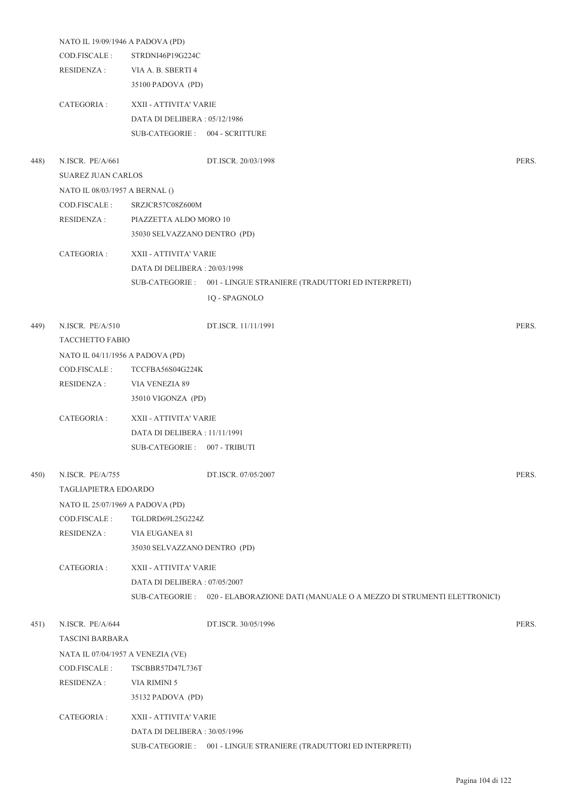|      | NATO IL 19/09/1946 A PADOVA (PD)  |                                |                                                                                      |       |
|------|-----------------------------------|--------------------------------|--------------------------------------------------------------------------------------|-------|
|      | COD.FISCALE:                      | STRDNI46P19G224C               |                                                                                      |       |
|      | <b>RESIDENZA:</b>                 | VIA A. B. SBERTI 4             |                                                                                      |       |
|      |                                   | 35100 PADOVA (PD)              |                                                                                      |       |
|      | CATEGORIA:                        | XXII - ATTIVITA' VARIE         |                                                                                      |       |
|      |                                   | DATA DI DELIBERA: 05/12/1986   |                                                                                      |       |
|      |                                   | SUB-CATEGORIE: 004 - SCRITTURE |                                                                                      |       |
| 448) | N.ISCR. PE/A/661                  |                                | DT.ISCR. 20/03/1998                                                                  | PERS. |
|      | <b>SUAREZ JUAN CARLOS</b>         |                                |                                                                                      |       |
|      | NATO IL 08/03/1957 A BERNAL ()    |                                |                                                                                      |       |
|      | COD.FISCALE:                      | SRZJCR57C08Z600M               |                                                                                      |       |
|      | <b>RESIDENZA:</b>                 | PIAZZETTA ALDO MORO 10         |                                                                                      |       |
|      |                                   | 35030 SELVAZZANO DENTRO (PD)   |                                                                                      |       |
|      |                                   |                                |                                                                                      |       |
|      | CATEGORIA :                       | XXII - ATTIVITA' VARIE         |                                                                                      |       |
|      |                                   | DATA DI DELIBERA : 20/03/1998  |                                                                                      |       |
|      |                                   |                                | SUB-CATEGORIE: 001 - LINGUE STRANIERE (TRADUTTORI ED INTERPRETI)                     |       |
|      |                                   |                                | 1Q - SPAGNOLO                                                                        |       |
| 449) | N.ISCR. PE/A/510                  |                                | DT.ISCR. 11/11/1991                                                                  | PERS. |
|      | <b>TACCHETTO FABIO</b>            |                                |                                                                                      |       |
|      | NATO IL 04/11/1956 A PADOVA (PD)  |                                |                                                                                      |       |
|      | COD.FISCALE:                      | TCCFBA56S04G224K               |                                                                                      |       |
|      | <b>RESIDENZA:</b>                 | VIA VENEZIA 89                 |                                                                                      |       |
|      |                                   | 35010 VIGONZA (PD)             |                                                                                      |       |
|      | CATEGORIA:                        | XXII - ATTIVITA' VARIE         |                                                                                      |       |
|      |                                   | DATA DI DELIBERA : 11/11/1991  |                                                                                      |       |
|      |                                   | SUB-CATEGORIE: 007 - TRIBUTI   |                                                                                      |       |
|      |                                   |                                |                                                                                      |       |
| 450) | N.ISCR. PE/A/755                  |                                | DT.ISCR. 07/05/2007                                                                  | PERS. |
|      | TAGLIAPIETRA EDOARDO              |                                |                                                                                      |       |
|      | NATO IL 25/07/1969 A PADOVA (PD)  |                                |                                                                                      |       |
|      | COD.FISCALE:                      | TGLDRD69L25G224Z               |                                                                                      |       |
|      | <b>RESIDENZA:</b>                 | VIA EUGANEA 81                 |                                                                                      |       |
|      |                                   | 35030 SELVAZZANO DENTRO (PD)   |                                                                                      |       |
|      | CATEGORIA :                       | XXII - ATTIVITA' VARIE         |                                                                                      |       |
|      |                                   | DATA DI DELIBERA: 07/05/2007   |                                                                                      |       |
|      |                                   |                                | SUB-CATEGORIE : 020 - ELABORAZIONE DATI (MANUALE O A MEZZO DI STRUMENTI ELETTRONICI) |       |
| 451) | N.ISCR. PE/A/644                  |                                | DT.ISCR. 30/05/1996                                                                  | PERS. |
|      | <b>TASCINI BARBARA</b>            |                                |                                                                                      |       |
|      | NATA IL 07/04/1957 A VENEZIA (VE) |                                |                                                                                      |       |
|      | COD.FISCALE :                     | TSCBBR57D47L736T               |                                                                                      |       |
|      | <b>RESIDENZA:</b>                 | VIA RIMINI 5                   |                                                                                      |       |
|      |                                   | 35132 PADOVA (PD)              |                                                                                      |       |
|      | CATEGORIA :                       | XXII - ATTIVITA' VARIE         |                                                                                      |       |
|      |                                   | DATA DI DELIBERA: 30/05/1996   |                                                                                      |       |
|      |                                   |                                | SUB-CATEGORIE : 001 - LINGUE STRANIERE (TRADUTTORI ED INTERPRETI)                    |       |
|      |                                   |                                |                                                                                      |       |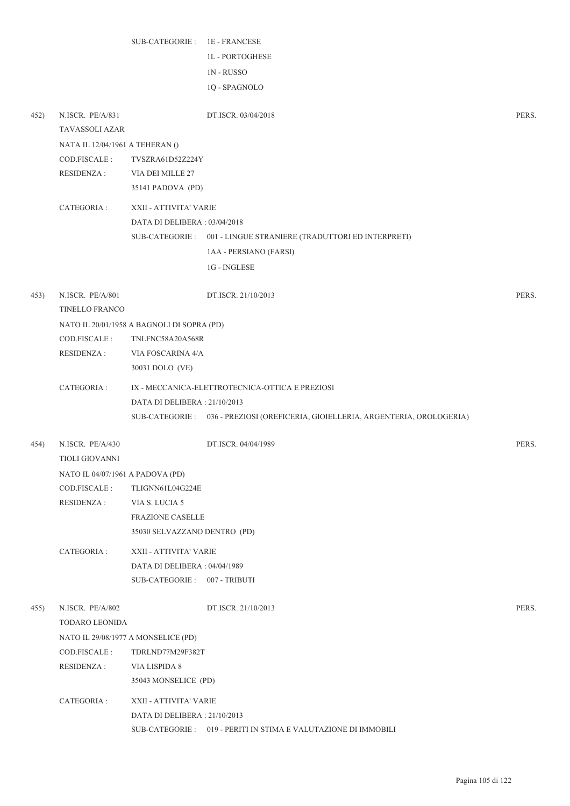|      |                                           | SUB-CATEGORIE: 1E-FRANCESE                                     |                                                                                 |       |
|------|-------------------------------------------|----------------------------------------------------------------|---------------------------------------------------------------------------------|-------|
|      |                                           |                                                                | <b>1L - PORTOGHESE</b>                                                          |       |
|      |                                           |                                                                | <b>1N-RUSSO</b>                                                                 |       |
|      |                                           |                                                                | 1Q - SPAGNOLO                                                                   |       |
|      |                                           |                                                                |                                                                                 |       |
| 452) | N.ISCR. PE/A/831                          |                                                                | DT.ISCR. 03/04/2018                                                             | PERS. |
|      | TAVASSOLI AZAR                            |                                                                |                                                                                 |       |
|      | NATA IL 12/04/1961 A TEHERAN ()           |                                                                |                                                                                 |       |
|      | COD.FISCALE :                             | TVSZRA61D52Z224Y                                               |                                                                                 |       |
|      | <b>RESIDENZA:</b>                         | VIA DEI MILLE 27                                               |                                                                                 |       |
|      |                                           | 35141 PADOVA (PD)                                              |                                                                                 |       |
|      | CATEGORIA :                               | XXII - ATTIVITA' VARIE                                         |                                                                                 |       |
|      |                                           | DATA DI DELIBERA: 03/04/2018                                   |                                                                                 |       |
|      |                                           |                                                                | SUB-CATEGORIE: 001 - LINGUE STRANIERE (TRADUTTORI ED INTERPRETI)                |       |
|      |                                           |                                                                | 1AA - PERSIANO (FARSI)                                                          |       |
|      |                                           |                                                                | 1G - INGLESE                                                                    |       |
|      |                                           |                                                                |                                                                                 |       |
| 453) | N.ISCR. PE/A/801<br><b>TINELLO FRANCO</b> |                                                                | DT.ISCR. 21/10/2013                                                             | PERS. |
|      |                                           |                                                                |                                                                                 |       |
|      | COD.FISCALE :                             | NATO IL 20/01/1958 A BAGNOLI DI SOPRA (PD)<br>TNLFNC58A20A568R |                                                                                 |       |
|      | <b>RESIDENZA:</b>                         | VIA FOSCARINA 4/A                                              |                                                                                 |       |
|      |                                           | 30031 DOLO (VE)                                                |                                                                                 |       |
|      |                                           |                                                                |                                                                                 |       |
|      | CATEGORIA :                               |                                                                | IX - MECCANICA-ELETTROTECNICA-OTTICA E PREZIOSI                                 |       |
|      |                                           | DATA DI DELIBERA: 21/10/2013                                   |                                                                                 |       |
|      |                                           |                                                                | SUB-CATEGORIE: 036 - PREZIOSI (OREFICERIA, GIOIELLERIA, ARGENTERIA, OROLOGERIA) |       |
| 454) | N.ISCR. PE/A/430                          |                                                                | DT.ISCR. 04/04/1989                                                             | PERS. |
|      | <b>TIOLI GIOVANNI</b>                     |                                                                |                                                                                 |       |
|      | NATO IL 04/07/1961 A PADOVA (PD)          |                                                                |                                                                                 |       |
|      | COD.FISCALE :                             | TLIGNN61L04G224E                                               |                                                                                 |       |
|      | <b>RESIDENZA:</b>                         | VIA S. LUCIA 5                                                 |                                                                                 |       |
|      |                                           | <b>FRAZIONE CASELLE</b>                                        |                                                                                 |       |
|      |                                           | 35030 SELVAZZANO DENTRO (PD)                                   |                                                                                 |       |
|      | CATEGORIA :                               | XXII - ATTIVITA' VARIE                                         |                                                                                 |       |
|      |                                           | DATA DI DELIBERA: 04/04/1989                                   |                                                                                 |       |
|      |                                           | SUB-CATEGORIE: 007 - TRIBUTI                                   |                                                                                 |       |
|      |                                           |                                                                |                                                                                 |       |
| 455) | N.ISCR. PE/A/802                          |                                                                | DT.ISCR. 21/10/2013                                                             | PERS. |
|      | TODARO LEONIDA                            |                                                                |                                                                                 |       |
|      |                                           | NATO IL 29/08/1977 A MONSELICE (PD)                            |                                                                                 |       |
|      | COD.FISCALE :                             | TDRLND77M29F382T                                               |                                                                                 |       |
|      | <b>RESIDENZA:</b>                         | VIA LISPIDA 8                                                  |                                                                                 |       |
|      |                                           | 35043 MONSELICE (PD)                                           |                                                                                 |       |
|      | CATEGORIA :                               | XXII - ATTIVITA' VARIE                                         |                                                                                 |       |
|      |                                           | DATA DI DELIBERA : 21/10/2013                                  |                                                                                 |       |
|      |                                           |                                                                | SUB-CATEGORIE : 019 - PERITI IN STIMA E VALUTAZIONE DI IMMOBILI                 |       |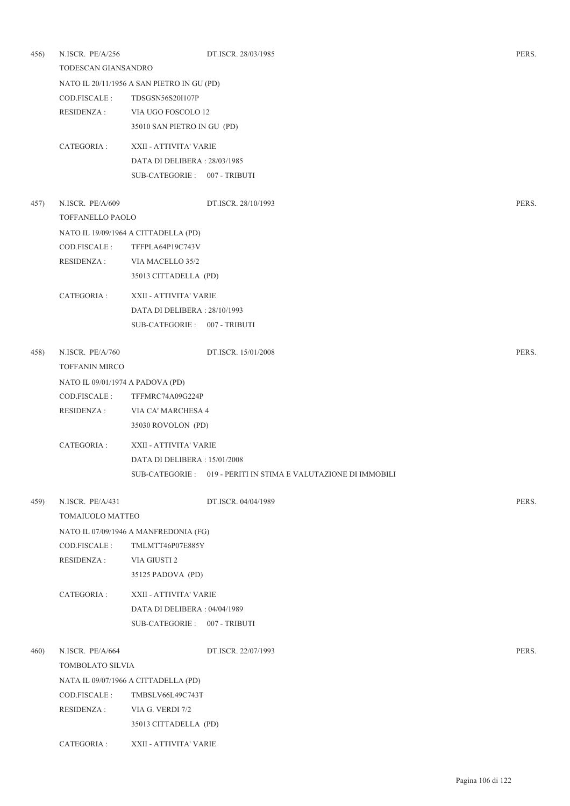| 456) | N.ISCR. PE/A/256<br>TODESCAN GIANSANDRO |                                            | DT.ISCR. 28/03/1985                                             | PERS. |
|------|-----------------------------------------|--------------------------------------------|-----------------------------------------------------------------|-------|
|      |                                         | NATO IL 20/11/1956 A SAN PIETRO IN GU (PD) |                                                                 |       |
|      | COD.FISCALE :                           | TDSGSN56S20I107P                           |                                                                 |       |
|      | RESIDENZA :                             | VIA UGO FOSCOLO 12                         |                                                                 |       |
|      |                                         | 35010 SAN PIETRO IN GU (PD)                |                                                                 |       |
|      | CATEGORIA :                             | XXII - ATTIVITA' VARIE                     |                                                                 |       |
|      |                                         | DATA DI DELIBERA: 28/03/1985               |                                                                 |       |
|      |                                         | SUB-CATEGORIE: 007 - TRIBUTI               |                                                                 |       |
| 457) | N.ISCR. PE/A/609                        |                                            | DT.ISCR. 28/10/1993                                             | PERS. |
|      | TOFFANELLO PAOLO                        |                                            |                                                                 |       |
|      |                                         | NATO IL 19/09/1964 A CITTADELLA (PD)       |                                                                 |       |
|      | COD.FISCALE :                           | TFFPLA64P19C743V                           |                                                                 |       |
|      | RESIDENZA :                             | VIA MACELLO 35/2                           |                                                                 |       |
|      |                                         | 35013 CITTADELLA (PD)                      |                                                                 |       |
|      | CATEGORIA :                             | XXII - ATTIVITA' VARIE                     |                                                                 |       |
|      |                                         | DATA DI DELIBERA: 28/10/1993               |                                                                 |       |
|      |                                         | SUB-CATEGORIE: 007 - TRIBUTI               |                                                                 |       |
| 458) | N.ISCR. PE/A/760                        |                                            | DT.ISCR. 15/01/2008                                             | PERS. |
|      | <b>TOFFANIN MIRCO</b>                   |                                            |                                                                 |       |
|      | NATO IL 09/01/1974 A PADOVA (PD)        |                                            |                                                                 |       |
|      | COD.FISCALE :                           | TFFMRC74A09G224P                           |                                                                 |       |
|      | <b>RESIDENZA:</b>                       | VIA CA' MARCHESA 4                         |                                                                 |       |
|      |                                         | 35030 ROVOLON (PD)                         |                                                                 |       |
|      | CATEGORIA :                             | XXII - ATTIVITA' VARIE                     |                                                                 |       |
|      |                                         | DATA DI DELIBERA : 15/01/2008              |                                                                 |       |
|      |                                         |                                            | SUB-CATEGORIE : 019 - PERITI IN STIMA E VALUTAZIONE DI IMMOBILI |       |
| 459) | N.ISCR. PE/A/431                        |                                            | DT.ISCR. 04/04/1989                                             | PERS. |
|      | TOMAIUOLO MATTEO                        |                                            |                                                                 |       |
|      |                                         | NATO IL 07/09/1946 A MANFREDONIA (FG)      |                                                                 |       |
|      | COD.FISCALE:                            | TMLMTT46P07E885Y                           |                                                                 |       |
|      | <b>RESIDENZA:</b>                       | VIA GIUSTI 2                               |                                                                 |       |
|      |                                         | 35125 PADOVA (PD)                          |                                                                 |       |
|      | CATEGORIA :                             | XXII - ATTIVITA' VARIE                     |                                                                 |       |
|      |                                         | DATA DI DELIBERA: 04/04/1989               |                                                                 |       |
|      |                                         | SUB-CATEGORIE: 007 - TRIBUTI               |                                                                 |       |
| 460) | N.ISCR. PE/A/664                        |                                            | DT.ISCR. 22/07/1993                                             | PERS. |
|      | TOMBOLATO SILVIA                        |                                            |                                                                 |       |
|      |                                         | NATA IL 09/07/1966 A CITTADELLA (PD)       |                                                                 |       |
|      | COD.FISCALE :                           | TMBSLV66L49C743T                           |                                                                 |       |
|      | <b>RESIDENZA:</b>                       | VIA G. VERDI 7/2                           |                                                                 |       |
|      |                                         | 35013 CITTADELLA (PD)                      |                                                                 |       |
|      | CATEGORIA :                             | XXII - ATTIVITA' VARIE                     |                                                                 |       |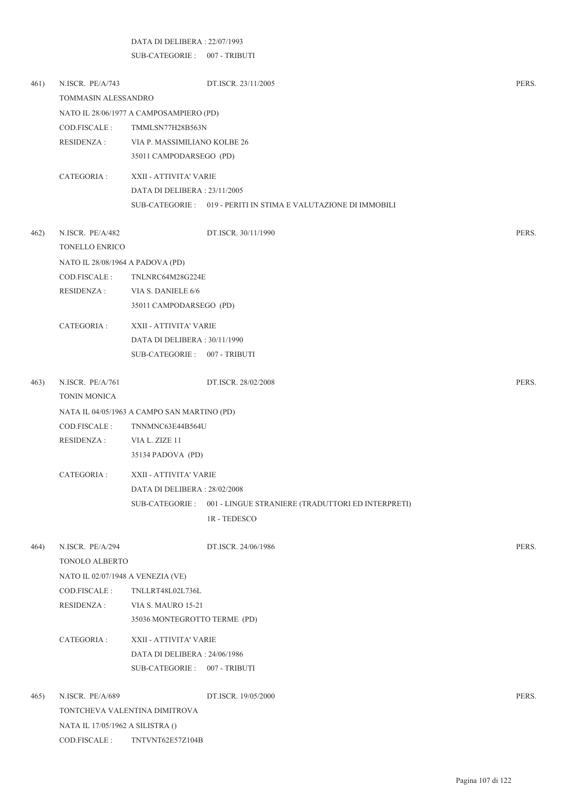## DATA DI DELIBERA : 22/07/1993

SUB-CATEGORIE : 007 - TRIBUTI

| 461) | N.ISCR. PE/A/743                  |                                             | DT.ISCR. 23/11/2005                                              | PERS. |  |  |
|------|-----------------------------------|---------------------------------------------|------------------------------------------------------------------|-------|--|--|
|      |                                   | TOMMASIN ALESSANDRO                         |                                                                  |       |  |  |
|      |                                   | NATO IL 28/06/1977 A CAMPOSAMPIERO (PD)     |                                                                  |       |  |  |
|      | COD.FISCALE :                     | TMMLSN77H28B563N                            |                                                                  |       |  |  |
|      | RESIDENZA :                       | VIA P. MASSIMILIANO KOLBE 26                |                                                                  |       |  |  |
|      |                                   | 35011 CAMPODARSEGO (PD)                     |                                                                  |       |  |  |
|      | CATEGORIA :                       | XXII - ATTIVITA' VARIE                      |                                                                  |       |  |  |
|      |                                   | DATA DI DELIBERA : 23/11/2005               |                                                                  |       |  |  |
|      |                                   |                                             | SUB-CATEGORIE: 019 - PERITI IN STIMA E VALUTAZIONE DI IMMOBILI   |       |  |  |
| 462) | N.ISCR. PE/A/482                  |                                             | DT.ISCR. 30/11/1990                                              | PERS. |  |  |
|      | <b>TONELLO ENRICO</b>             |                                             |                                                                  |       |  |  |
|      | NATO IL 28/08/1964 A PADOVA (PD)  |                                             |                                                                  |       |  |  |
|      | COD.FISCALE :                     | TNLNRC64M28G224E                            |                                                                  |       |  |  |
|      | RESIDENZA :                       | VIA S. DANIELE 6/6                          |                                                                  |       |  |  |
|      |                                   | 35011 CAMPODARSEGO (PD)                     |                                                                  |       |  |  |
|      | CATEGORIA :                       | XXII - ATTIVITA' VARIE                      |                                                                  |       |  |  |
|      |                                   | DATA DI DELIBERA: 30/11/1990                |                                                                  |       |  |  |
|      |                                   | SUB-CATEGORIE: 007 - TRIBUTI                |                                                                  |       |  |  |
| 463) | N.ISCR. PE/A/761                  |                                             | DT.ISCR. 28/02/2008                                              | PERS. |  |  |
|      | TONIN MONICA                      |                                             |                                                                  |       |  |  |
|      |                                   | NATA IL 04/05/1963 A CAMPO SAN MARTINO (PD) |                                                                  |       |  |  |
|      | COD.FISCALE :                     | TNNMNC63E44B564U                            |                                                                  |       |  |  |
|      | RESIDENZA :                       | VIA L. ZIZE 11                              |                                                                  |       |  |  |
|      |                                   | 35134 PADOVA (PD)                           |                                                                  |       |  |  |
|      | CATEGORIA :                       | XXII - ATTIVITA' VARIE                      |                                                                  |       |  |  |
|      |                                   | DATA DI DELIBERA : 28/02/2008               |                                                                  |       |  |  |
|      |                                   |                                             | SUB-CATEGORIE: 001 - LINGUE STRANIERE (TRADUTTORI ED INTERPRETI) |       |  |  |
|      |                                   |                                             | 1R - TEDESCO                                                     |       |  |  |
| 464) | N.ISCR. PE/A/294                  |                                             | DT.ISCR. 24/06/1986                                              | PERS. |  |  |
|      | TONOLO ALBERTO                    |                                             |                                                                  |       |  |  |
|      | NATO IL 02/07/1948 A VENEZIA (VE) |                                             |                                                                  |       |  |  |
|      | COD.FISCALE:                      | TNLLRT48L02L736L                            |                                                                  |       |  |  |
|      | <b>RESIDENZA:</b>                 | <b>VIA S. MAURO 15-21</b>                   |                                                                  |       |  |  |
|      |                                   | 35036 MONTEGROTTO TERME (PD)                |                                                                  |       |  |  |
|      | CATEGORIA :                       | XXII - ATTIVITA' VARIE                      |                                                                  |       |  |  |
|      |                                   | DATA DI DELIBERA: 24/06/1986                |                                                                  |       |  |  |
|      |                                   | SUB-CATEGORIE: 007 - TRIBUTI                |                                                                  |       |  |  |
| 465) | N.ISCR. PE/A/689                  |                                             | DT.ISCR. 19/05/2000                                              | PERS. |  |  |
|      |                                   | TONTCHEVA VALENTINA DIMITROVA               |                                                                  |       |  |  |
|      | NATA IL 17/05/1962 A SILISTRA ()  |                                             |                                                                  |       |  |  |
|      | COD.FISCALE:                      | TNTVNT62E57Z104B                            |                                                                  |       |  |  |
|      |                                   |                                             |                                                                  |       |  |  |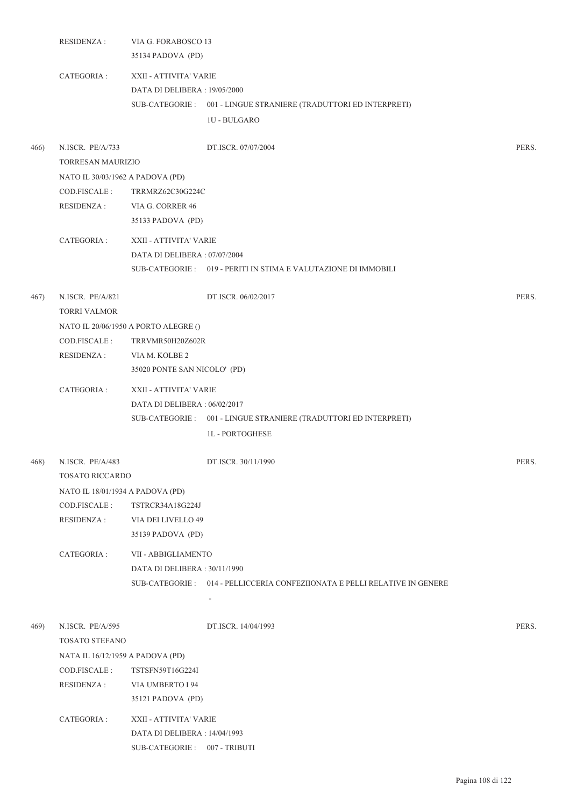|      | RESIDENZA :                          | VIA G. FORABOSCO 13<br>35134 PADOVA (PD)                |                                                                           |       |
|------|--------------------------------------|---------------------------------------------------------|---------------------------------------------------------------------------|-------|
|      | CATEGORIA :                          | XXII - ATTIVITA' VARIE<br>DATA DI DELIBERA : 19/05/2000 |                                                                           |       |
|      |                                      |                                                         |                                                                           |       |
|      |                                      |                                                         | SUB-CATEGORIE: 001 - LINGUE STRANIERE (TRADUTTORI ED INTERPRETI)          |       |
|      |                                      |                                                         | <b>1U - BULGARO</b>                                                       |       |
| 466) | N.ISCR. PE/A/733                     |                                                         | DT.ISCR. 07/07/2004                                                       | PERS. |
|      | TORRESAN MAURIZIO                    |                                                         |                                                                           |       |
|      | NATO IL 30/03/1962 A PADOVA (PD)     |                                                         |                                                                           |       |
|      | COD.FISCALE :                        | TRRMRZ62C30G224C                                        |                                                                           |       |
|      | <b>RESIDENZA:</b>                    | VIA G. CORRER 46                                        |                                                                           |       |
|      |                                      | 35133 PADOVA (PD)                                       |                                                                           |       |
|      | CATEGORIA :                          | XXII - ATTIVITA' VARIE<br>DATA DI DELIBERA: 07/07/2004  |                                                                           |       |
|      |                                      |                                                         |                                                                           |       |
|      |                                      |                                                         | SUB-CATEGORIE : 019 - PERITI IN STIMA E VALUTAZIONE DI IMMOBILI           |       |
| 467) | N.ISCR. PE/A/821                     |                                                         | DT.ISCR. 06/02/2017                                                       | PERS. |
|      | <b>TORRI VALMOR</b>                  |                                                         |                                                                           |       |
|      | NATO IL 20/06/1950 A PORTO ALEGRE () |                                                         |                                                                           |       |
|      | COD.FISCALE:                         | TRRVMR50H20Z602R                                        |                                                                           |       |
|      | <b>RESIDENZA:</b>                    | VIA M. KOLBE 2                                          |                                                                           |       |
|      |                                      | 35020 PONTE SAN NICOLO' (PD)                            |                                                                           |       |
|      | CATEGORIA :                          | XXII - ATTIVITA' VARIE                                  |                                                                           |       |
|      |                                      | DATA DI DELIBERA: 06/02/2017                            |                                                                           |       |
|      |                                      |                                                         | SUB-CATEGORIE: 001 - LINGUE STRANIERE (TRADUTTORI ED INTERPRETI)          |       |
|      |                                      |                                                         | <b>1L-PORTOGHESE</b>                                                      |       |
|      | 468) N.ISCR. PE/A/483                |                                                         | DT.ISCR. 30/11/1990                                                       | PERS. |
|      | <b>TOSATO RICCARDO</b>               |                                                         |                                                                           |       |
|      | NATO IL 18/01/1934 A PADOVA (PD)     |                                                         |                                                                           |       |
|      | COD.FISCALE:                         | TSTRCR34A18G224J                                        |                                                                           |       |
|      | <b>RESIDENZA:</b>                    | VIA DEI LIVELLO 49                                      |                                                                           |       |
|      |                                      | 35139 PADOVA (PD)                                       |                                                                           |       |
|      | CATEGORIA :                          | VII - ABBIGLIAMENTO                                     |                                                                           |       |
|      |                                      | DATA DI DELIBERA: 30/11/1990                            |                                                                           |       |
|      |                                      |                                                         | SUB-CATEGORIE: 014 - PELLICCERIA CONFEZIIONATA E PELLI RELATIVE IN GENERE |       |
|      |                                      |                                                         |                                                                           |       |
| 469) | N.ISCR. PE/A/595                     |                                                         | DT.ISCR. 14/04/1993                                                       | PERS. |
|      | TOSATO STEFANO                       |                                                         |                                                                           |       |
|      | NATA IL 16/12/1959 A PADOVA (PD)     |                                                         |                                                                           |       |
|      | COD.FISCALE :<br>TSTSFN59T16G224I    |                                                         |                                                                           |       |
|      | <b>RESIDENZA:</b>                    | VIA UMBERTO I 94                                        |                                                                           |       |
|      |                                      | 35121 PADOVA (PD)                                       |                                                                           |       |
|      | CATEGORIA :                          | XXII - ATTIVITA' VARIE                                  |                                                                           |       |
|      |                                      | DATA DI DELIBERA : 14/04/1993                           |                                                                           |       |
|      |                                      | SUB-CATEGORIE: 007 - TRIBUTI                            |                                                                           |       |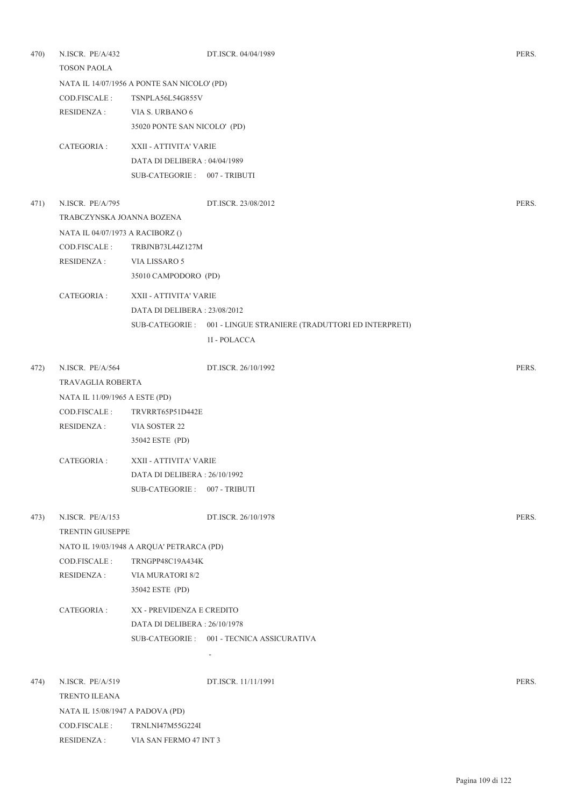| 470) | N.ISCR. PE/A/432<br><b>TOSON PAOLA</b> |                                             | DT.ISCR. 04/04/1989                                              | PERS. |  |
|------|----------------------------------------|---------------------------------------------|------------------------------------------------------------------|-------|--|
|      |                                        | NATA IL 14/07/1956 A PONTE SAN NICOLO' (PD) |                                                                  |       |  |
|      | COD.FISCALE :                          | TSNPLA56L54G855V                            |                                                                  |       |  |
|      | RESIDENZA :                            | VIA S. URBANO 6                             |                                                                  |       |  |
|      |                                        | 35020 PONTE SAN NICOLO' (PD)                |                                                                  |       |  |
|      | CATEGORIA :                            | XXII - ATTIVITA' VARIE                      |                                                                  |       |  |
|      |                                        | DATA DI DELIBERA: 04/04/1989                |                                                                  |       |  |
|      |                                        | SUB-CATEGORIE: 007 - TRIBUTI                |                                                                  |       |  |
| 471) | N.ISCR. PE/A/795                       |                                             | DT.ISCR. 23/08/2012                                              | PERS. |  |
|      | TRABCZYNSKA JOANNA BOZENA              |                                             |                                                                  |       |  |
|      | NATA IL 04/07/1973 A RACIBORZ ()       |                                             |                                                                  |       |  |
|      | COD.FISCALE :                          | TRBJNB73L44Z127M                            |                                                                  |       |  |
|      | RESIDENZA :                            | VIA LISSARO 5                               |                                                                  |       |  |
|      |                                        | 35010 CAMPODORO (PD)                        |                                                                  |       |  |
|      | CATEGORIA :                            | XXII - ATTIVITA' VARIE                      |                                                                  |       |  |
|      |                                        | DATA DI DELIBERA: 23/08/2012                |                                                                  |       |  |
|      |                                        |                                             | SUB-CATEGORIE: 001 - LINGUE STRANIERE (TRADUTTORI ED INTERPRETI) |       |  |
|      |                                        |                                             | 1I - POLACCA                                                     |       |  |
| 472) | N.ISCR. PE/A/564                       |                                             | DT.ISCR. 26/10/1992                                              | PERS. |  |
|      | TRAVAGLIA ROBERTA                      |                                             |                                                                  |       |  |
|      | NATA IL 11/09/1965 A ESTE (PD)         |                                             |                                                                  |       |  |
|      | COD.FISCALE :                          | TRVRRT65P51D442E                            |                                                                  |       |  |
|      | RESIDENZA :                            | VIA SOSTER 22                               |                                                                  |       |  |
|      |                                        | 35042 ESTE (PD)                             |                                                                  |       |  |
|      | CATEGORIA :                            | XXII - ATTIVITA' VARIE                      |                                                                  |       |  |
|      |                                        | DATA DI DELIBERA : 26/10/1992               |                                                                  |       |  |
|      |                                        | SUB-CATEGORIE: 007 - TRIBUTI                |                                                                  |       |  |
| 473) | N.ISCR. PE/A/153                       |                                             | DT.ISCR. 26/10/1978                                              | PERS. |  |
|      | TRENTIN GIUSEPPE                       |                                             |                                                                  |       |  |
|      |                                        | NATO IL 19/03/1948 A ARQUA' PETRARCA (PD)   |                                                                  |       |  |
|      | COD.FISCALE :                          | TRNGPP48C19A434K                            |                                                                  |       |  |
|      | <b>RESIDENZA:</b>                      | VIA MURATORI 8/2                            |                                                                  |       |  |
|      |                                        | 35042 ESTE (PD)                             |                                                                  |       |  |
|      | CATEGORIA :                            | XX - PREVIDENZA E CREDITO                   |                                                                  |       |  |
|      |                                        | DATA DI DELIBERA : 26/10/1978               |                                                                  |       |  |
|      |                                        |                                             | SUB-CATEGORIE: 001 - TECNICA ASSICURATIVA                        |       |  |
|      |                                        |                                             | $\overline{a}$                                                   |       |  |
| 474) | N.ISCR. PE/A/519                       |                                             | DT.ISCR. 11/11/1991                                              | PERS. |  |
|      | TRENTO ILEANA                          |                                             |                                                                  |       |  |
|      | NATA IL 15/08/1947 A PADOVA (PD)       |                                             |                                                                  |       |  |
|      | COD.FISCALE :                          | TRNLNI47M55G224I                            |                                                                  |       |  |
|      | <b>RESIDENZA:</b>                      | VIA SAN FERMO 47 INT 3                      |                                                                  |       |  |
|      |                                        |                                             |                                                                  |       |  |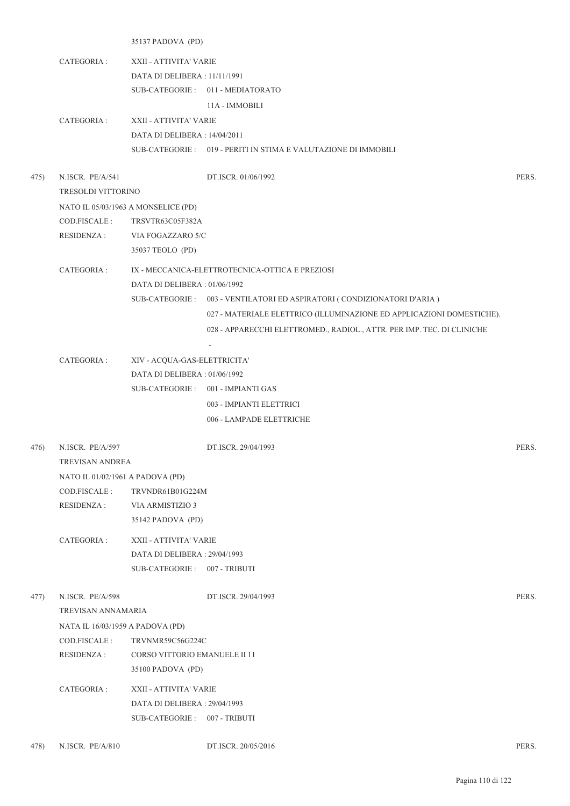35137 PADOVA (PD)

- CATEGORIA : XXII ATTIVITA' VARIE DATA DI DELIBERA : 11/11/1991 SUB-CATEGORIE: 011 - MEDIATORATO 11A - IMMOBILI
- CATEGORIA : XXII ATTIVITA' VARIE DATA DI DELIBERA : 14/04/2011 SUB-CATEGORIE : 019 - PERITI IN STIMA E VALUTAZIONE DI IMMOBILI
- 475) N.ISCR. PE/A/541 DT.ISCR. 01/06/1992 PERS. TRESOLDI VITTORINO NATO IL 05/03/1963 A MONSELICE (PD) COD.FISCALE : TRSVTR63C05F382A RESIDENZA : VIA FOGAZZARO 5/C 35037 TEOLO (PD) CATEGORIA : IX - MECCANICA-ELETTROTECNICA-OTTICA E PREZIOSI DATA DI DELIBERA : 01/06/1992 SUB-CATEGORIE : 003 - VENTILATORI ED ASPIRATORI ( CONDIZIONATORI D'ARIA ) 027 - MATERIALE ELETTRICO (ILLUMINAZIONE ED APPLICAZIONI DOMESTICHE). 028 - APPARECCHI ELETTROMED., RADIOL., ATTR. PER IMP. TEC. DI CLINICHE - CATEGORIA : XIV - ACQUA-GAS-ELETTRICITA' DATA DI DELIBERA : 01/06/1992 SUB-CATEGORIE : 001 - IMPIANTI GAS 003 - IMPIANTI ELETTRICI 006 - LAMPADE ELETTRICHE 476) N.ISCR. PE/A/597 DT.ISCR. 29/04/1993 PERS. TREVISAN ANDREA NATO IL 01/02/1961 A PADOVA (PD) COD.FISCALE : TRVNDR61B01G224M RESIDENZA : VIA ARMISTIZIO 3 35142 PADOVA (PD) CATEGORIA : XXII - ATTIVITA' VARIE DATA DI DELIBERA : 29/04/1993 SUB-CATEGORIE : 007 - TRIBUTI 477) N.ISCR. PE/A/598 DT.ISCR. 29/04/1993 PERS. TREVISAN ANNAMARIA NATA IL 16/03/1959 A PADOVA (PD) COD.FISCALE : TRVNMR59C56G224C RESIDENZA : CORSO VITTORIO EMANUELE II 11 35100 PADOVA (PD) CATEGORIA : XXII - ATTIVITA' VARIE DATA DI DELIBERA : 29/04/1993 SUB-CATEGORIE : 007 - TRIBUTI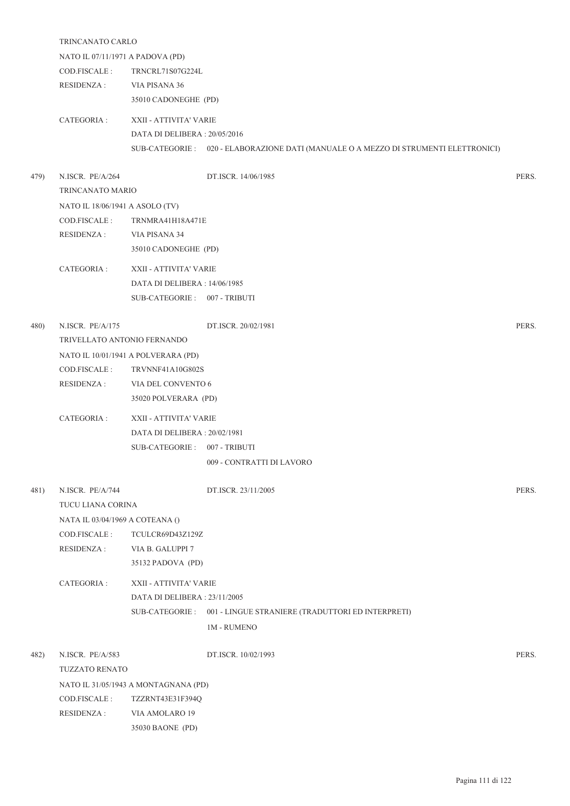|      | TRINCANATO CARLO                    |                                      |                                                                                      |       |  |  |
|------|-------------------------------------|--------------------------------------|--------------------------------------------------------------------------------------|-------|--|--|
|      | NATO IL 07/11/1971 A PADOVA (PD)    |                                      |                                                                                      |       |  |  |
|      | COD.FISCALE:                        | TRNCRL71S07G224L                     |                                                                                      |       |  |  |
|      | RESIDENZA :                         | VIA PISANA 36                        |                                                                                      |       |  |  |
|      |                                     | 35010 CADONEGHE (PD)                 |                                                                                      |       |  |  |
|      | CATEGORIA :                         | XXII - ATTIVITA' VARIE               |                                                                                      |       |  |  |
|      |                                     | DATA DI DELIBERA: 20/05/2016         |                                                                                      |       |  |  |
|      |                                     |                                      | SUB-CATEGORIE : 020 - ELABORAZIONE DATI (MANUALE O A MEZZO DI STRUMENTI ELETTRONICI) |       |  |  |
| 479) | N.ISCR. PE/A/264                    |                                      | DT.ISCR. 14/06/1985                                                                  | PERS. |  |  |
|      | TRINCANATO MARIO                    |                                      |                                                                                      |       |  |  |
|      | NATO IL 18/06/1941 A ASOLO (TV)     |                                      |                                                                                      |       |  |  |
|      | COD.FISCALE :                       | TRNMRA41H18A471E                     |                                                                                      |       |  |  |
|      | RESIDENZA :                         | VIA PISANA 34                        |                                                                                      |       |  |  |
|      |                                     |                                      |                                                                                      |       |  |  |
|      |                                     | 35010 CADONEGHE (PD)                 |                                                                                      |       |  |  |
|      | CATEGORIA :                         | XXII - ATTIVITA' VARIE               |                                                                                      |       |  |  |
|      |                                     | DATA DI DELIBERA : 14/06/1985        |                                                                                      |       |  |  |
|      |                                     | SUB-CATEGORIE: 007 - TRIBUTI         |                                                                                      |       |  |  |
| 480) | N.ISCR. PE/A/175                    |                                      | DT.ISCR. 20/02/1981                                                                  | PERS. |  |  |
|      | TRIVELLATO ANTONIO FERNANDO         |                                      |                                                                                      |       |  |  |
|      | NATO IL 10/01/1941 A POLVERARA (PD) |                                      |                                                                                      |       |  |  |
|      | COD.FISCALE :                       | TRVNNF41A10G802S                     |                                                                                      |       |  |  |
|      | RESIDENZA :                         | VIA DEL CONVENTO 6                   |                                                                                      |       |  |  |
|      |                                     | 35020 POLVERARA (PD)                 |                                                                                      |       |  |  |
|      | CATEGORIA :                         | XXII - ATTIVITA' VARIE               |                                                                                      |       |  |  |
|      |                                     | DATA DI DELIBERA : 20/02/1981        |                                                                                      |       |  |  |
|      |                                     | SUB-CATEGORIE: 007 - TRIBUTI         |                                                                                      |       |  |  |
|      |                                     |                                      | 009 - CONTRATTI DI LAVORO                                                            |       |  |  |
| 481) | N.ISCR. PE/A/744                    |                                      | DT.ISCR. 23/11/2005                                                                  | PERS. |  |  |
|      | TUCU LIANA CORINA                   |                                      |                                                                                      |       |  |  |
|      |                                     |                                      |                                                                                      |       |  |  |
|      | NATA IL 03/04/1969 A COTEANA ()     |                                      |                                                                                      |       |  |  |
|      | COD.FISCALE:                        | TCULCR69D43Z129Z                     |                                                                                      |       |  |  |
|      | <b>RESIDENZA:</b>                   | VIA B. GALUPPI 7                     |                                                                                      |       |  |  |
|      |                                     | 35132 PADOVA (PD)                    |                                                                                      |       |  |  |
|      | CATEGORIA :                         | XXII - ATTIVITA' VARIE               |                                                                                      |       |  |  |
|      |                                     | DATA DI DELIBERA: 23/11/2005         |                                                                                      |       |  |  |
|      |                                     |                                      | SUB-CATEGORIE : 001 - LINGUE STRANIERE (TRADUTTORI ED INTERPRETI)                    |       |  |  |
|      |                                     |                                      | <b>1M - RUMENO</b>                                                                   |       |  |  |
| 482) | N.ISCR. PE/A/583                    |                                      | DT.ISCR. 10/02/1993                                                                  | PERS. |  |  |
|      | TUZZATO RENATO                      |                                      |                                                                                      |       |  |  |
|      |                                     | NATO IL 31/05/1943 A MONTAGNANA (PD) |                                                                                      |       |  |  |
|      | COD.FISCALE :                       | TZZRNT43E31F394Q                     |                                                                                      |       |  |  |

RESIDENZA : VIA AMOLARO 19

35030 BAONE (PD)

Pagina 111 di 122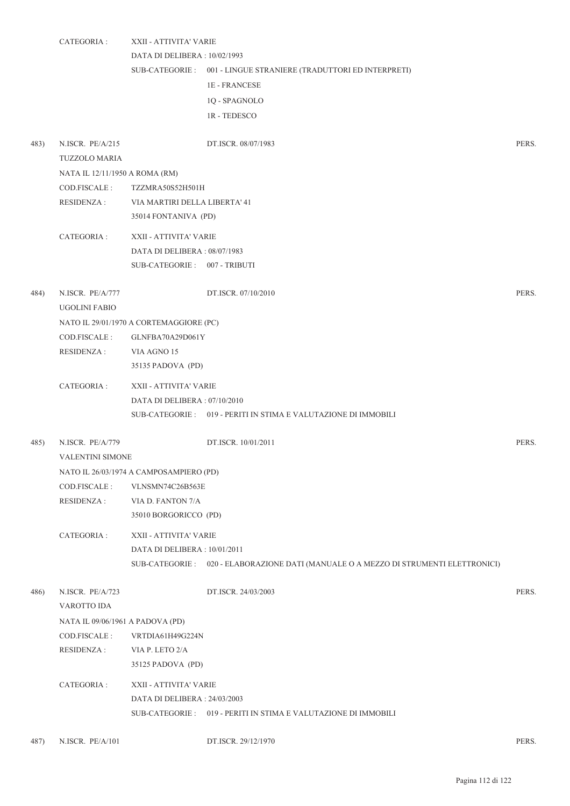|      | CATEGORIA :                                                            | XXII - ATTIVITA' VARIE<br>DATA DI DELIBERA : 10/02/1993                                                   | SUB-CATEGORIE : 001 - LINGUE STRANIERE (TRADUTTORI ED INTERPRETI)<br><b>1E-FRANCESE</b><br>1Q - SPAGNOLO<br><b>1R-TEDESCO</b> |       |
|------|------------------------------------------------------------------------|-----------------------------------------------------------------------------------------------------------|-------------------------------------------------------------------------------------------------------------------------------|-------|
| 483) | N.ISCR. PE/A/215<br><b>TUZZOLO MARIA</b>                               |                                                                                                           | DT.ISCR. 08/07/1983                                                                                                           | PERS. |
|      | NATA IL 12/11/1950 A ROMA (RM)<br>COD.FISCALE :<br>RESIDENZA :         | TZZMRA50S52H501H<br>VIA MARTIRI DELLA LIBERTA' 41<br>35014 FONTANIVA (PD)                                 |                                                                                                                               |       |
|      | CATEGORIA :                                                            | XXII - ATTIVITA' VARIE<br>DATA DI DELIBERA: 08/07/1983<br>SUB-CATEGORIE: 007 - TRIBUTI                    |                                                                                                                               |       |
| 484) | N.ISCR. PE/A/777<br><b>UGOLINI FABIO</b>                               |                                                                                                           | DT.ISCR. 07/10/2010                                                                                                           | PERS. |
|      | COD.FISCALE :<br><b>RESIDENZA:</b>                                     | NATO IL 29/01/1970 A CORTEMAGGIORE (PC)<br>GLNFBA70A29D061Y<br>VIA AGNO 15<br>35135 PADOVA (PD)           |                                                                                                                               |       |
|      | CATEGORIA :                                                            | XXII - ATTIVITA' VARIE<br>DATA DI DELIBERA: 07/10/2010                                                    | SUB-CATEGORIE: 019 - PERITI IN STIMA E VALUTAZIONE DI IMMOBILI                                                                |       |
| 485) | N.ISCR. PE/A/779<br><b>VALENTINI SIMONE</b>                            |                                                                                                           | DT.ISCR. 10/01/2011                                                                                                           | PERS. |
|      | COD.FISCALE:<br><b>RESIDENZA:</b>                                      | NATO IL 26/03/1974 A CAMPOSAMPIERO (PD)<br>VLNSMN74C26B563E<br>VIA D. FANTON 7/A<br>35010 BORGORICCO (PD) |                                                                                                                               |       |
|      | CATEGORIA :                                                            | XXII - ATTIVITA' VARIE<br>DATA DI DELIBERA: 10/01/2011                                                    | SUB-CATEGORIE : 020 - ELABORAZIONE DATI (MANUALE O A MEZZO DI STRUMENTI ELETTRONICI)                                          |       |
| 486) | N.ISCR. PE/A/723<br>VAROTTO IDA                                        |                                                                                                           | DT.ISCR. 24/03/2003                                                                                                           | PERS. |
|      | NATA IL 09/06/1961 A PADOVA (PD)<br>COD.FISCALE :<br><b>RESIDENZA:</b> | VRTDIA61H49G224N<br>VIA P. LETO 2/A<br>35125 PADOVA (PD)                                                  |                                                                                                                               |       |
|      | CATEGORIA :                                                            | XXII - ATTIVITA' VARIE<br>DATA DI DELIBERA: 24/03/2003                                                    | SUB-CATEGORIE : 019 - PERITI IN STIMA E VALUTAZIONE DI IMMOBILI                                                               |       |
| 487) | N.ISCR. PE/A/101                                                       |                                                                                                           | DT.ISCR. 29/12/1970                                                                                                           | PERS. |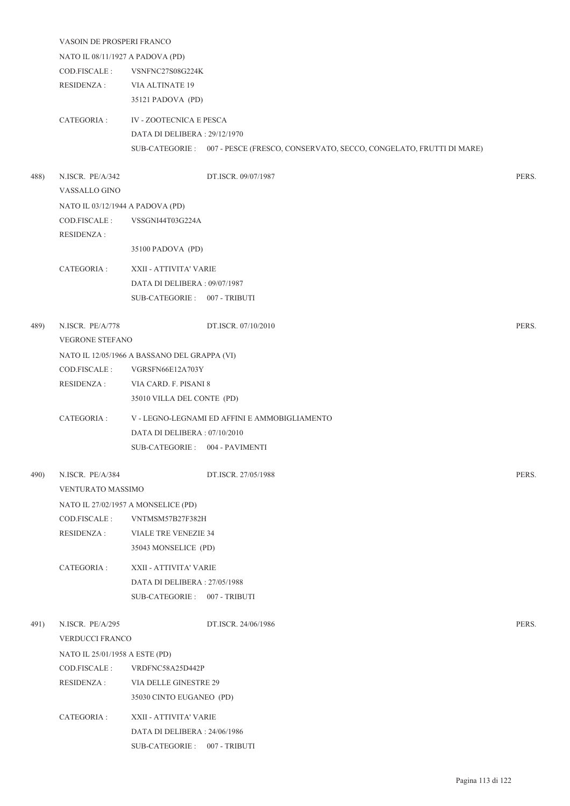|      | VASOIN DE PROSPERI FRANCO         |                                              |                                                                                    |       |  |
|------|-----------------------------------|----------------------------------------------|------------------------------------------------------------------------------------|-------|--|
|      | NATO IL 08/11/1927 A PADOVA (PD)  |                                              |                                                                                    |       |  |
|      | COD.FISCALE:                      | VSNFNC27S08G224K                             |                                                                                    |       |  |
|      | <b>RESIDENZA:</b>                 | <b>VIA ALTINATE 19</b>                       |                                                                                    |       |  |
|      |                                   | 35121 PADOVA (PD)                            |                                                                                    |       |  |
|      | CATEGORIA :                       | <b>IV - ZOOTECNICA E PESCA</b>               |                                                                                    |       |  |
|      |                                   | DATA DI DELIBERA: 29/12/1970                 |                                                                                    |       |  |
|      |                                   |                                              | SUB-CATEGORIE : 007 - PESCE (FRESCO, CONSERVATO, SECCO, CONGELATO, FRUTTI DI MARE) |       |  |
| 488) | N.ISCR. PE/A/342<br>VASSALLO GINO |                                              | DT.ISCR. 09/07/1987                                                                | PERS. |  |
|      | NATO IL 03/12/1944 A PADOVA (PD)  |                                              |                                                                                    |       |  |
|      | COD.FISCALE:                      | VSSGNI44T03G224A                             |                                                                                    |       |  |
|      | <b>RESIDENZA:</b>                 |                                              |                                                                                    |       |  |
|      |                                   | 35100 PADOVA (PD)                            |                                                                                    |       |  |
|      | CATEGORIA :                       | XXII - ATTIVITA' VARIE                       |                                                                                    |       |  |
|      |                                   | DATA DI DELIBERA: 09/07/1987                 |                                                                                    |       |  |
|      |                                   | SUB-CATEGORIE: 007 - TRIBUTI                 |                                                                                    |       |  |
|      |                                   |                                              |                                                                                    |       |  |
| 489) | N.ISCR. PE/A/778                  |                                              | DT.ISCR. 07/10/2010                                                                | PERS. |  |
|      | VEGRONE STEFANO                   |                                              |                                                                                    |       |  |
|      |                                   | NATO IL 12/05/1966 A BASSANO DEL GRAPPA (VI) |                                                                                    |       |  |
|      | COD.FISCALE :                     | VGRSFN66E12A703Y                             |                                                                                    |       |  |
|      | <b>RESIDENZA:</b>                 | VIA CARD. F. PISANI 8                        |                                                                                    |       |  |
|      |                                   | 35010 VILLA DEL CONTE (PD)                   |                                                                                    |       |  |
|      | CATEGORIA:                        |                                              | V - LEGNO-LEGNAMI ED AFFINI E AMMOBIGLIAMENTO                                      |       |  |
|      |                                   | DATA DI DELIBERA: 07/10/2010                 |                                                                                    |       |  |
|      |                                   | SUB-CATEGORIE: 004 - PAVIMENTI               |                                                                                    |       |  |
| 490) | N.ISCR. PE/A/384                  |                                              | DT.ISCR. 27/05/1988                                                                | PERS. |  |
|      | VENTURATO MASSIMO                 |                                              |                                                                                    |       |  |
|      |                                   | NATO IL 27/02/1957 A MONSELICE (PD)          |                                                                                    |       |  |
|      | COD.FISCALE :                     | VNTMSM57B27F382H                             |                                                                                    |       |  |
|      | <b>RESIDENZA:</b>                 | <b>VIALE TRE VENEZIE 34</b>                  |                                                                                    |       |  |
|      |                                   | 35043 MONSELICE (PD)                         |                                                                                    |       |  |
|      | CATEGORIA :                       | XXII - ATTIVITA' VARIE                       |                                                                                    |       |  |
|      |                                   | DATA DI DELIBERA: 27/05/1988                 |                                                                                    |       |  |
|      |                                   | SUB-CATEGORIE: 007 - TRIBUTI                 |                                                                                    |       |  |
|      |                                   |                                              |                                                                                    |       |  |
| 491) | N.ISCR. PE/A/295                  |                                              | DT.ISCR. 24/06/1986                                                                | PERS. |  |
|      | VERDUCCI FRANCO                   |                                              |                                                                                    |       |  |
|      | NATO IL 25/01/1958 A ESTE (PD)    |                                              |                                                                                    |       |  |
|      | COD.FISCALE:                      | VRDFNC58A25D442P                             |                                                                                    |       |  |
|      | <b>RESIDENZA:</b>                 | VIA DELLE GINESTRE 29                        |                                                                                    |       |  |
|      |                                   | 35030 CINTO EUGANEO (PD)                     |                                                                                    |       |  |
|      | CATEGORIA :                       | XXII - ATTIVITA' VARIE                       |                                                                                    |       |  |
|      |                                   | DATA DI DELIBERA: 24/06/1986                 |                                                                                    |       |  |
|      |                                   | SUB-CATEGORIE: 007 - TRIBUTI                 |                                                                                    |       |  |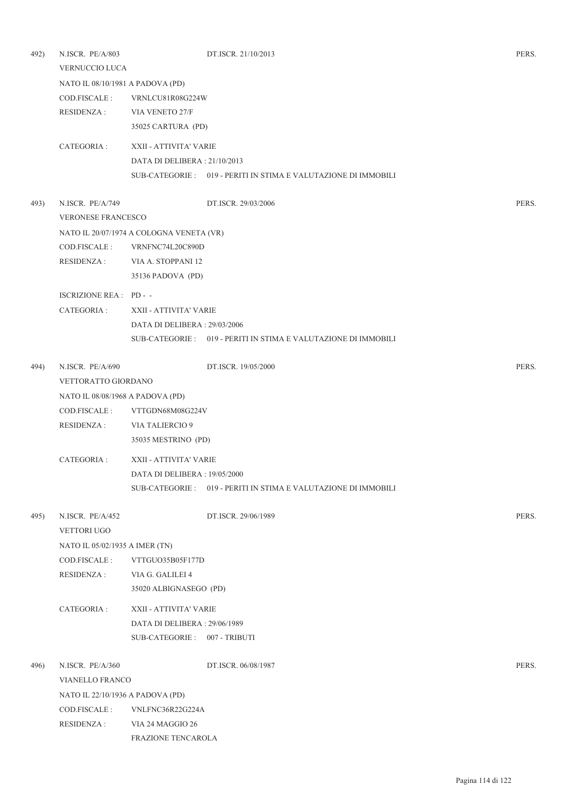| 492) | N.ISCR. PE/A/803                 |                                          | DT.ISCR. 21/10/2013                                             | PERS. |
|------|----------------------------------|------------------------------------------|-----------------------------------------------------------------|-------|
|      | VERNUCCIO LUCA                   |                                          |                                                                 |       |
|      | NATO IL 08/10/1981 A PADOVA (PD) |                                          |                                                                 |       |
|      | COD.FISCALE :                    | VRNLCU81R08G224W                         |                                                                 |       |
|      | RESIDENZA :                      | VIA VENETO 27/F                          |                                                                 |       |
|      |                                  | 35025 CARTURA (PD)                       |                                                                 |       |
|      | CATEGORIA :                      | XXII - ATTIVITA' VARIE                   |                                                                 |       |
|      |                                  | DATA DI DELIBERA: 21/10/2013             |                                                                 |       |
|      |                                  |                                          | SUB-CATEGORIE : 019 - PERITI IN STIMA E VALUTAZIONE DI IMMOBILI |       |
| 493) | N.ISCR. PE/A/749                 |                                          | DT.ISCR. 29/03/2006                                             | PERS. |
|      | <b>VERONESE FRANCESCO</b>        |                                          |                                                                 |       |
|      |                                  | NATO IL 20/07/1974 A COLOGNA VENETA (VR) |                                                                 |       |
|      | COD.FISCALE :                    | VRNFNC74L20C890D                         |                                                                 |       |
|      | RESIDENZA :                      | VIA A. STOPPANI 12                       |                                                                 |       |
|      |                                  | 35136 PADOVA (PD)                        |                                                                 |       |
|      | ISCRIZIONE REA : PD --           |                                          |                                                                 |       |
|      | CATEGORIA :                      | XXII - ATTIVITA' VARIE                   |                                                                 |       |
|      |                                  | DATA DI DELIBERA : 29/03/2006            |                                                                 |       |
|      |                                  |                                          | SUB-CATEGORIE : 019 - PERITI IN STIMA E VALUTAZIONE DI IMMOBILI |       |
| 494) | N.ISCR. PE/A/690                 |                                          | DT.ISCR. 19/05/2000                                             | PERS. |
|      | VETTORATTO GIORDANO              |                                          |                                                                 |       |
|      | NATO IL 08/08/1968 A PADOVA (PD) |                                          |                                                                 |       |
|      | COD.FISCALE :                    | VTTGDN68M08G224V                         |                                                                 |       |
|      | <b>RESIDENZA:</b>                | VIA TALIERCIO 9                          |                                                                 |       |
|      |                                  | 35035 MESTRINO (PD)                      |                                                                 |       |
|      | CATEGORIA :                      | XXII - ATTIVITA' VARIE                   |                                                                 |       |
|      |                                  | DATA DI DELIBERA : 19/05/2000            |                                                                 |       |
|      |                                  |                                          | SUB-CATEGORIE : 019 - PERITI IN STIMA E VALUTAZIONE DI IMMOBILI |       |
| 495) | N.ISCR. PE/A/452                 |                                          | DT.ISCR. 29/06/1989                                             | PERS. |
|      | <b>VETTORI UGO</b>               |                                          |                                                                 |       |
|      | NATO IL 05/02/1935 A IMER (TN)   |                                          |                                                                 |       |
|      | COD.FISCALE :                    | VTTGUO35B05F177D                         |                                                                 |       |
|      | <b>RESIDENZA:</b>                | VIA G. GALILEI 4                         |                                                                 |       |
|      |                                  | 35020 ALBIGNASEGO (PD)                   |                                                                 |       |
|      | CATEGORIA :                      | XXII - ATTIVITA' VARIE                   |                                                                 |       |
|      |                                  | DATA DI DELIBERA: 29/06/1989             |                                                                 |       |
|      |                                  | SUB-CATEGORIE: 007 - TRIBUTI             |                                                                 |       |
| 496) | N.ISCR. PE/A/360                 |                                          | DT.ISCR. 06/08/1987                                             | PERS. |
|      | <b>VIANELLO FRANCO</b>           |                                          |                                                                 |       |
|      | NATO IL 22/10/1936 A PADOVA (PD) |                                          |                                                                 |       |
|      | COD.FISCALE :                    | VNLFNC36R22G224A                         |                                                                 |       |
|      | <b>RESIDENZA:</b>                | VIA 24 MAGGIO 26                         |                                                                 |       |
|      |                                  | FRAZIONE TENCAROLA                       |                                                                 |       |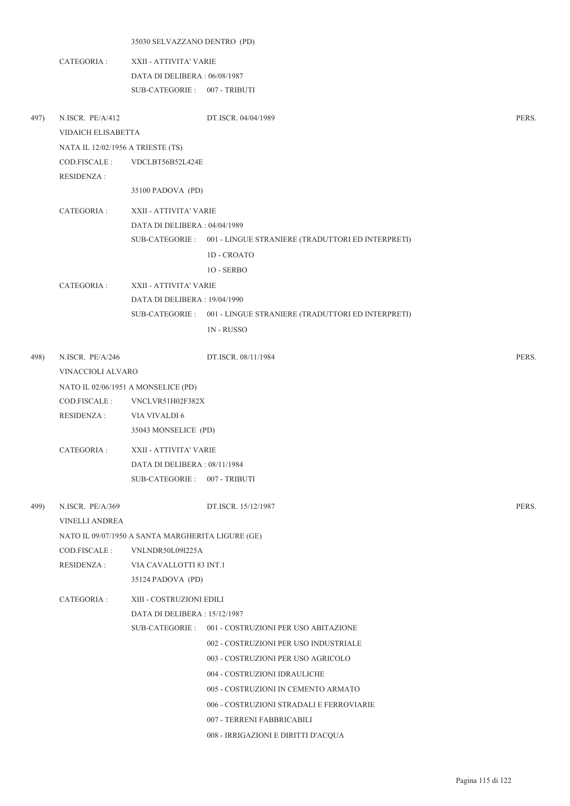|      |                                   |                                                   | 35030 SELVAZZANO DENTRO (PD)                                      |       |  |  |  |
|------|-----------------------------------|---------------------------------------------------|-------------------------------------------------------------------|-------|--|--|--|
|      | CATEGORIA :                       | XXII - ATTIVITA' VARIE                            |                                                                   |       |  |  |  |
|      |                                   | DATA DI DELIBERA: 06/08/1987                      |                                                                   |       |  |  |  |
|      |                                   | SUB-CATEGORIE: 007 - TRIBUTI                      |                                                                   |       |  |  |  |
|      |                                   |                                                   |                                                                   |       |  |  |  |
| 497) | N.ISCR. PE/A/412                  |                                                   | DT.ISCR. 04/04/1989                                               | PERS. |  |  |  |
|      | VIDAICH ELISABETTA                |                                                   |                                                                   |       |  |  |  |
|      | NATA IL 12/02/1956 A TRIESTE (TS) |                                                   |                                                                   |       |  |  |  |
|      | COD.FISCALE :                     | VDCLBT56B52L424E                                  |                                                                   |       |  |  |  |
|      | <b>RESIDENZA:</b>                 |                                                   |                                                                   |       |  |  |  |
|      |                                   | 35100 PADOVA (PD)                                 |                                                                   |       |  |  |  |
|      | CATEGORIA :                       | XXII - ATTIVITA' VARIE                            |                                                                   |       |  |  |  |
|      |                                   | DATA DI DELIBERA : 04/04/1989                     |                                                                   |       |  |  |  |
|      |                                   |                                                   | SUB-CATEGORIE : 001 - LINGUE STRANIERE (TRADUTTORI ED INTERPRETI) |       |  |  |  |
|      |                                   |                                                   | <b>1D - CROATO</b>                                                |       |  |  |  |
|      |                                   |                                                   | 10 - SERBO                                                        |       |  |  |  |
|      | CATEGORIA :                       | XXII - ATTIVITA' VARIE                            |                                                                   |       |  |  |  |
|      |                                   | DATA DI DELIBERA : 19/04/1990                     |                                                                   |       |  |  |  |
|      |                                   |                                                   | SUB-CATEGORIE: 001 - LINGUE STRANIERE (TRADUTTORI ED INTERPRETI)  |       |  |  |  |
|      |                                   |                                                   | <b>1N-RUSSO</b>                                                   |       |  |  |  |
|      |                                   |                                                   |                                                                   |       |  |  |  |
| 498) | N.ISCR. PE/A/246                  |                                                   | DT.ISCR. 08/11/1984                                               | PERS. |  |  |  |
|      | VINACCIOLI ALVARO                 |                                                   |                                                                   |       |  |  |  |
|      |                                   | NATO IL 02/06/1951 A MONSELICE (PD)               |                                                                   |       |  |  |  |
|      | COD.FISCALE :                     | VNCLVR51H02F382X                                  |                                                                   |       |  |  |  |
|      | <b>RESIDENZA:</b>                 | VIA VIVALDI 6                                     |                                                                   |       |  |  |  |
|      |                                   | 35043 MONSELICE (PD)                              |                                                                   |       |  |  |  |
|      | CATEGORIA :                       | XXII - ATTIVITA' VARIE                            |                                                                   |       |  |  |  |
|      |                                   | DATA DI DELIBERA : 08/11/1984                     |                                                                   |       |  |  |  |
|      |                                   | SUB-CATEGORIE: 007 - TRIBUTI                      |                                                                   |       |  |  |  |
|      |                                   |                                                   |                                                                   |       |  |  |  |
| 499) | N.ISCR. PE/A/369                  |                                                   | DT.ISCR. 15/12/1987                                               | PERS. |  |  |  |
|      | <b>VINELLI ANDREA</b>             |                                                   |                                                                   |       |  |  |  |
|      |                                   | NATO IL 09/07/1950 A SANTA MARGHERITA LIGURE (GE) |                                                                   |       |  |  |  |
|      | COD.FISCALE :                     | VNLNDR50L09I225A                                  |                                                                   |       |  |  |  |
|      | <b>RESIDENZA:</b>                 | VIA CAVALLOTTI 83 INT.1                           |                                                                   |       |  |  |  |
|      |                                   | 35124 PADOVA (PD)                                 |                                                                   |       |  |  |  |
|      | CATEGORIA :                       | XIII - COSTRUZIONI EDILI                          |                                                                   |       |  |  |  |
|      |                                   | DATA DI DELIBERA : 15/12/1987                     |                                                                   |       |  |  |  |
|      |                                   | SUB-CATEGORIE :                                   | 001 - COSTRUZIONI PER USO ABITAZIONE                              |       |  |  |  |
|      |                                   |                                                   | 002 - COSTRUZIONI PER USO INDUSTRIALE                             |       |  |  |  |
|      |                                   |                                                   | 003 - COSTRUZIONI PER USO AGRICOLO                                |       |  |  |  |
|      |                                   |                                                   | 004 - COSTRUZIONI IDRAULICHE                                      |       |  |  |  |
|      |                                   |                                                   | 005 - COSTRUZIONI IN CEMENTO ARMATO                               |       |  |  |  |
|      |                                   |                                                   | 006 - COSTRUZIONI STRADALI E FERROVIARIE                          |       |  |  |  |
|      |                                   |                                                   | 007 - TERRENI FABBRICABILI                                        |       |  |  |  |
|      |                                   |                                                   | 008 - IRRIGAZIONI E DIRITTI D'ACQUA                               |       |  |  |  |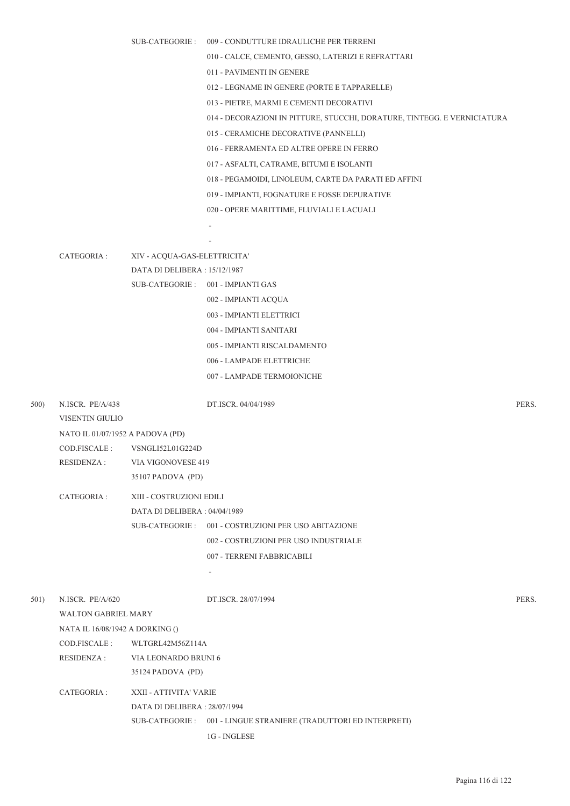|      |                                     | SUB-CATEGORIE :               | 009 - CONDUTTURE IDRAULICHE PER TERRENI                                  |       |
|------|-------------------------------------|-------------------------------|--------------------------------------------------------------------------|-------|
|      |                                     |                               | 010 - CALCE, CEMENTO, GESSO, LATERIZI E REFRATTARI                       |       |
|      |                                     |                               | 011 - PAVIMENTI IN GENERE                                                |       |
|      |                                     |                               | 012 - LEGNAME IN GENERE (PORTE E TAPPARELLE)                             |       |
|      |                                     |                               | 013 - PIETRE, MARMI E CEMENTI DECORATIVI                                 |       |
|      |                                     |                               | 014 - DECORAZIONI IN PITTURE, STUCCHI, DORATURE, TINTEGG. E VERNICIATURA |       |
|      |                                     |                               | 015 - CERAMICHE DECORATIVE (PANNELLI)                                    |       |
|      |                                     |                               | 016 - FERRAMENTA ED ALTRE OPERE IN FERRO                                 |       |
|      |                                     |                               | 017 - ASFALTI, CATRAME, BITUMI E ISOLANTI                                |       |
|      |                                     |                               | 018 - PEGAMOIDI, LINOLEUM, CARTE DA PARATI ED AFFINI                     |       |
|      |                                     |                               | 019 - IMPIANTI, FOGNATURE E FOSSE DEPURATIVE                             |       |
|      |                                     |                               | 020 - OPERE MARITTIME, FLUVIALI E LACUALI                                |       |
|      |                                     |                               |                                                                          |       |
|      |                                     |                               |                                                                          |       |
|      | CATEGORIA :                         | XIV - ACQUA-GAS-ELETTRICITA'  |                                                                          |       |
|      |                                     | DATA DI DELIBERA: 15/12/1987  |                                                                          |       |
|      |                                     |                               | SUB-CATEGORIE: 001 - IMPIANTI GAS                                        |       |
|      |                                     |                               | 002 - IMPIANTI ACQUA                                                     |       |
|      |                                     |                               | 003 - IMPIANTI ELETTRICI                                                 |       |
|      |                                     |                               | 004 - IMPIANTI SANITARI                                                  |       |
|      |                                     |                               | 005 - IMPIANTI RISCALDAMENTO                                             |       |
|      |                                     |                               | 006 - LAMPADE ELETTRICHE                                                 |       |
|      |                                     |                               | 007 - LAMPADE TERMOIONICHE                                               |       |
| 500) | N.ISCR. PE/A/438<br>VISENTIN GIULIO |                               | DT.ISCR. 04/04/1989                                                      | PERS. |
|      | NATO IL 01/07/1952 A PADOVA (PD)    |                               |                                                                          |       |
|      | COD.FISCALE :                       | VSNGLI52L01G224D              |                                                                          |       |
|      |                                     | RESIDENZA: VIA VIGONOVESE 419 |                                                                          |       |
|      |                                     | 35107 PADOVA (PD)             |                                                                          |       |
|      | CATEGORIA :                         | XIII - COSTRUZIONI EDILI      |                                                                          |       |
|      |                                     | DATA DI DELIBERA: 04/04/1989  |                                                                          |       |
|      |                                     |                               | SUB-CATEGORIE: 001 - COSTRUZIONI PER USO ABITAZIONE                      |       |
|      |                                     |                               | 002 - COSTRUZIONI PER USO INDUSTRIALE                                    |       |
|      |                                     |                               | 007 - TERRENI FABBRICABILI                                               |       |
|      |                                     |                               | ٠                                                                        |       |
| 501) | N.ISCR. PE/A/620                    |                               | DT.ISCR. 28/07/1994                                                      | PERS. |
|      | <b>WALTON GABRIEL MARY</b>          |                               |                                                                          |       |
|      | NATA IL 16/08/1942 A DORKING ()     |                               |                                                                          |       |
|      | COD.FISCALE :                       | WLTGRL42M56Z114A              |                                                                          |       |
|      | <b>RESIDENZA:</b>                   | VIA LEONARDO BRUNI 6          |                                                                          |       |
|      |                                     | 35124 PADOVA (PD)             |                                                                          |       |
|      | CATEGORIA :                         | XXII - ATTIVITA' VARIE        |                                                                          |       |
|      |                                     | DATA DI DELIBERA : 28/07/1994 |                                                                          |       |
|      |                                     |                               | SUB-CATEGORIE: 001 - LINGUE STRANIERE (TRADUTTORI ED INTERPRETI)         |       |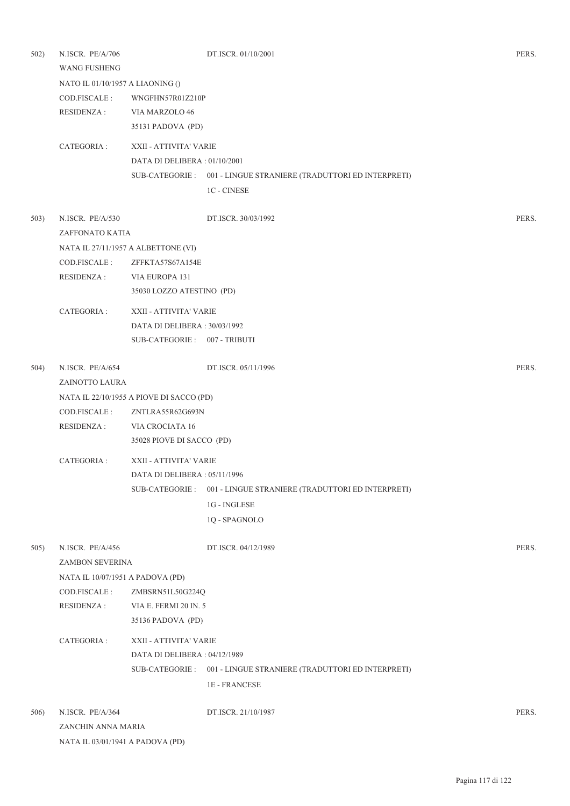| 502) | N.ISCR. PE/A/706<br><b>WANG FUSHENG</b> |                                          | DT.ISCR. 01/10/2001                                               | PERS. |
|------|-----------------------------------------|------------------------------------------|-------------------------------------------------------------------|-------|
|      | NATO IL 01/10/1957 A LIAONING ()        |                                          |                                                                   |       |
|      | COD.FISCALE:<br>RESIDENZA :             | WNGFHN57R01Z210P<br>VIA MARZOLO 46       |                                                                   |       |
|      |                                         | 35131 PADOVA (PD)                        |                                                                   |       |
|      | CATEGORIA :                             | XXII - ATTIVITA' VARIE                   |                                                                   |       |
|      |                                         | DATA DI DELIBERA: 01/10/2001             |                                                                   |       |
|      |                                         |                                          | SUB-CATEGORIE: 001 - LINGUE STRANIERE (TRADUTTORI ED INTERPRETI)  |       |
|      |                                         |                                          | <b>1C - CINESE</b>                                                |       |
| 503) | N.ISCR. PE/A/530                        |                                          | DT.ISCR. 30/03/1992                                               | PERS. |
|      | ZAFFONATO KATIA                         |                                          |                                                                   |       |
|      |                                         | NATA IL 27/11/1957 A ALBETTONE (VI)      |                                                                   |       |
|      | COD.FISCALE:                            | ZFFKTA57S67A154E                         |                                                                   |       |
|      | <b>RESIDENZA:</b>                       | VIA EUROPA 131                           |                                                                   |       |
|      |                                         | 35030 LOZZO ATESTINO (PD)                |                                                                   |       |
|      | CATEGORIA :                             | XXII - ATTIVITA' VARIE                   |                                                                   |       |
|      |                                         | DATA DI DELIBERA: 30/03/1992             |                                                                   |       |
|      |                                         | SUB-CATEGORIE: 007 - TRIBUTI             |                                                                   |       |
| 504) | N.ISCR. PE/A/654                        |                                          | DT.ISCR. 05/11/1996                                               | PERS. |
|      | ZAINOTTO LAURA                          |                                          |                                                                   |       |
|      |                                         | NATA IL 22/10/1955 A PIOVE DI SACCO (PD) |                                                                   |       |
|      | COD.FISCALE:                            | ZNTLRA55R62G693N                         |                                                                   |       |
|      | <b>RESIDENZA:</b>                       | VIA CROCIATA 16                          |                                                                   |       |
|      |                                         | 35028 PIOVE DI SACCO (PD)                |                                                                   |       |
|      | CATEGORIA :                             | XXII - ATTIVITA' VARIE                   |                                                                   |       |
|      |                                         | DATA DI DELIBERA : 05/11/1996            |                                                                   |       |
|      |                                         | SUB-CATEGORIE :                          | 001 - LINGUE STRANIERE (TRADUTTORI ED INTERPRETI)                 |       |
|      |                                         |                                          | 1G - INGLESE                                                      |       |
|      |                                         |                                          | 1Q - SPAGNOLO                                                     |       |
| 505) | N.ISCR. PE/A/456                        |                                          | DT.ISCR. 04/12/1989                                               | PERS. |
|      | ZAMBON SEVERINA                         |                                          |                                                                   |       |
|      | NATA IL 10/07/1951 A PADOVA (PD)        |                                          |                                                                   |       |
|      | COD.FISCALE :                           | ZMBSRN51L50G224Q                         |                                                                   |       |
|      | <b>RESIDENZA:</b>                       | VIA E. FERMI 20 IN. 5                    |                                                                   |       |
|      |                                         | 35136 PADOVA (PD)                        |                                                                   |       |
|      | CATEGORIA :                             | XXII - ATTIVITA' VARIE                   |                                                                   |       |
|      |                                         | DATA DI DELIBERA: 04/12/1989             |                                                                   |       |
|      |                                         |                                          | SUB-CATEGORIE : 001 - LINGUE STRANIERE (TRADUTTORI ED INTERPRETI) |       |
|      |                                         |                                          | <b>1E-FRANCESE</b>                                                |       |
| 506) | N.ISCR. PE/A/364                        |                                          | DT.ISCR. 21/10/1987                                               | PERS. |
|      | ZANCHIN ANNA MARIA                      |                                          |                                                                   |       |
|      | NATA IL 03/01/1941 A PADOVA (PD)        |                                          |                                                                   |       |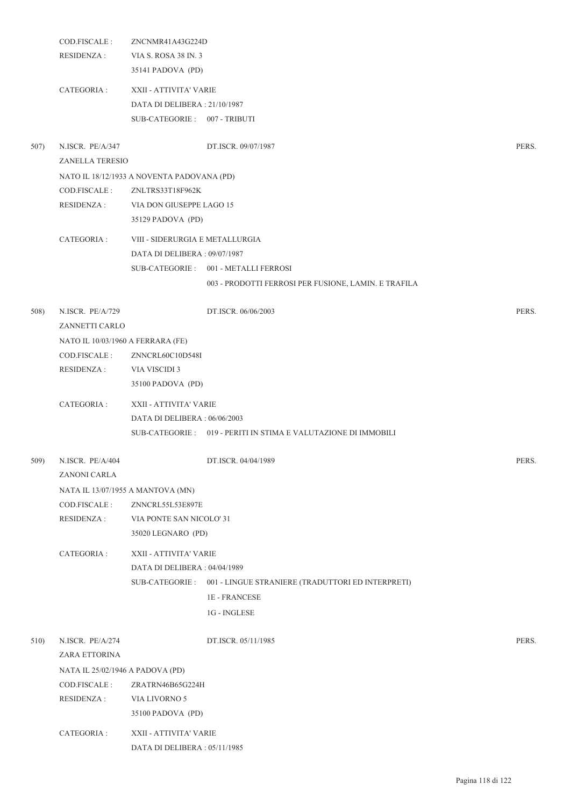|      | COD.FISCALE :<br><b>RESIDENZA:</b>         | ZNCNMR41A43G224D<br>VIA S. ROSA 38 IN. 3<br>35141 PADOVA (PD)                          |                                                                   |       |
|------|--------------------------------------------|----------------------------------------------------------------------------------------|-------------------------------------------------------------------|-------|
|      | CATEGORIA :                                | XXII - ATTIVITA' VARIE<br>DATA DI DELIBERA: 21/10/1987<br>SUB-CATEGORIE: 007 - TRIBUTI |                                                                   |       |
| 507) | N.ISCR. PE/A/347<br><b>ZANELLA TERESIO</b> |                                                                                        | DT.ISCR. 09/07/1987                                               | PERS. |
|      |                                            | NATO IL 18/12/1933 A NOVENTA PADOVANA (PD)                                             |                                                                   |       |
|      | COD.FISCALE :                              | ZNLTRS33T18F962K                                                                       |                                                                   |       |
|      | RESIDENZA :                                | VIA DON GIUSEPPE LAGO 15                                                               |                                                                   |       |
|      |                                            | 35129 PADOVA (PD)                                                                      |                                                                   |       |
|      | CATEGORIA :                                | VIII - SIDERURGIA E METALLURGIA                                                        |                                                                   |       |
|      |                                            | DATA DI DELIBERA: 09/07/1987                                                           |                                                                   |       |
|      |                                            |                                                                                        | SUB-CATEGORIE: 001 - METALLI FERROSI                              |       |
|      |                                            |                                                                                        | 003 - PRODOTTI FERROSI PER FUSIONE, LAMIN. E TRAFILA              |       |
| 508) | N.ISCR. PE/A/729<br>ZANNETTI CARLO         |                                                                                        | DT.ISCR. 06/06/2003                                               | PERS. |
|      | NATO IL 10/03/1960 A FERRARA (FE)          |                                                                                        |                                                                   |       |
|      | COD.FISCALE:                               | ZNNCRL60C10D548I                                                                       |                                                                   |       |
|      | <b>RESIDENZA:</b>                          | VIA VISCIDI 3                                                                          |                                                                   |       |
|      |                                            | 35100 PADOVA (PD)                                                                      |                                                                   |       |
|      | CATEGORIA :                                | XXII - ATTIVITA' VARIE                                                                 |                                                                   |       |
|      |                                            | DATA DI DELIBERA : 06/06/2003                                                          |                                                                   |       |
|      |                                            |                                                                                        | SUB-CATEGORIE : 019 - PERITI IN STIMA E VALUTAZIONE DI IMMOBILI   |       |
| 509) | N.ISCR. PE/A/404<br>ZANONI CARLA           |                                                                                        | DT.ISCR. 04/04/1989                                               | PERS. |
|      | NATA IL 13/07/1955 A MANTOVA (MN)          |                                                                                        |                                                                   |       |
|      | COD.FISCALE:                               | ZNNCRL55L53E897E                                                                       |                                                                   |       |
|      | <b>RESIDENZA:</b>                          | VIA PONTE SAN NICOLO' 31                                                               |                                                                   |       |
|      |                                            | 35020 LEGNARO (PD)                                                                     |                                                                   |       |
|      | CATEGORIA :                                | XXII - ATTIVITA' VARIE                                                                 |                                                                   |       |
|      |                                            | DATA DI DELIBERA: 04/04/1989                                                           |                                                                   |       |
|      |                                            |                                                                                        | SUB-CATEGORIE : 001 - LINGUE STRANIERE (TRADUTTORI ED INTERPRETI) |       |
|      |                                            |                                                                                        | 1E - FRANCESE                                                     |       |
|      |                                            |                                                                                        | 1G - INGLESE                                                      |       |
| 510) | N.ISCR. PE/A/274                           |                                                                                        | DT.ISCR. 05/11/1985                                               | PERS. |
|      | ZARA ETTORINA                              |                                                                                        |                                                                   |       |
|      | NATA IL 25/02/1946 A PADOVA (PD)           |                                                                                        |                                                                   |       |
|      | COD.FISCALE:                               | ZRATRN46B65G224H                                                                       |                                                                   |       |
|      | <b>RESIDENZA:</b>                          | VIA LIVORNO 5                                                                          |                                                                   |       |
|      |                                            | 35100 PADOVA (PD)                                                                      |                                                                   |       |
|      | CATEGORIA :                                | XXII - ATTIVITA' VARIE                                                                 |                                                                   |       |
|      |                                            | DATA DI DELIBERA : 05/11/1985                                                          |                                                                   |       |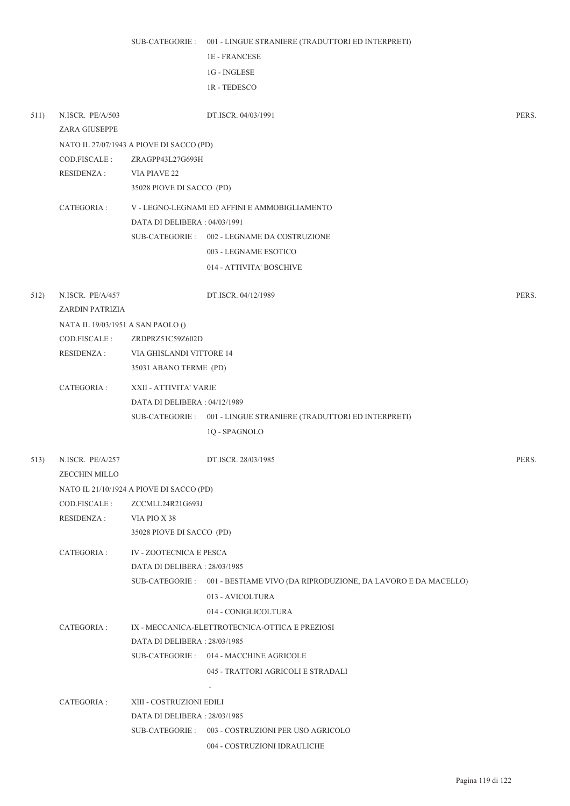|                   |                                                                                                                                                                                     | <b>1E - FRANCESE</b>                                                                 |                                                                                                                                                                                                                                                                                                                                                                                                                                                                                                                                                                                                                                                                                                                                                                                                                                                                                                                                                                                                                                                                                                                                                 |
|-------------------|-------------------------------------------------------------------------------------------------------------------------------------------------------------------------------------|--------------------------------------------------------------------------------------|-------------------------------------------------------------------------------------------------------------------------------------------------------------------------------------------------------------------------------------------------------------------------------------------------------------------------------------------------------------------------------------------------------------------------------------------------------------------------------------------------------------------------------------------------------------------------------------------------------------------------------------------------------------------------------------------------------------------------------------------------------------------------------------------------------------------------------------------------------------------------------------------------------------------------------------------------------------------------------------------------------------------------------------------------------------------------------------------------------------------------------------------------|
|                   |                                                                                                                                                                                     | 1G - INGLESE                                                                         |                                                                                                                                                                                                                                                                                                                                                                                                                                                                                                                                                                                                                                                                                                                                                                                                                                                                                                                                                                                                                                                                                                                                                 |
|                   |                                                                                                                                                                                     | 1R - TEDESCO                                                                         |                                                                                                                                                                                                                                                                                                                                                                                                                                                                                                                                                                                                                                                                                                                                                                                                                                                                                                                                                                                                                                                                                                                                                 |
|                   |                                                                                                                                                                                     |                                                                                      |                                                                                                                                                                                                                                                                                                                                                                                                                                                                                                                                                                                                                                                                                                                                                                                                                                                                                                                                                                                                                                                                                                                                                 |
| N.ISCR. PE/A/503  |                                                                                                                                                                                     | DT.ISCR. 04/03/1991                                                                  | PERS.                                                                                                                                                                                                                                                                                                                                                                                                                                                                                                                                                                                                                                                                                                                                                                                                                                                                                                                                                                                                                                                                                                                                           |
|                   |                                                                                                                                                                                     |                                                                                      |                                                                                                                                                                                                                                                                                                                                                                                                                                                                                                                                                                                                                                                                                                                                                                                                                                                                                                                                                                                                                                                                                                                                                 |
|                   |                                                                                                                                                                                     |                                                                                      |                                                                                                                                                                                                                                                                                                                                                                                                                                                                                                                                                                                                                                                                                                                                                                                                                                                                                                                                                                                                                                                                                                                                                 |
|                   |                                                                                                                                                                                     |                                                                                      |                                                                                                                                                                                                                                                                                                                                                                                                                                                                                                                                                                                                                                                                                                                                                                                                                                                                                                                                                                                                                                                                                                                                                 |
|                   |                                                                                                                                                                                     |                                                                                      |                                                                                                                                                                                                                                                                                                                                                                                                                                                                                                                                                                                                                                                                                                                                                                                                                                                                                                                                                                                                                                                                                                                                                 |
|                   |                                                                                                                                                                                     |                                                                                      |                                                                                                                                                                                                                                                                                                                                                                                                                                                                                                                                                                                                                                                                                                                                                                                                                                                                                                                                                                                                                                                                                                                                                 |
|                   |                                                                                                                                                                                     |                                                                                      |                                                                                                                                                                                                                                                                                                                                                                                                                                                                                                                                                                                                                                                                                                                                                                                                                                                                                                                                                                                                                                                                                                                                                 |
|                   |                                                                                                                                                                                     |                                                                                      |                                                                                                                                                                                                                                                                                                                                                                                                                                                                                                                                                                                                                                                                                                                                                                                                                                                                                                                                                                                                                                                                                                                                                 |
|                   |                                                                                                                                                                                     |                                                                                      |                                                                                                                                                                                                                                                                                                                                                                                                                                                                                                                                                                                                                                                                                                                                                                                                                                                                                                                                                                                                                                                                                                                                                 |
|                   |                                                                                                                                                                                     |                                                                                      |                                                                                                                                                                                                                                                                                                                                                                                                                                                                                                                                                                                                                                                                                                                                                                                                                                                                                                                                                                                                                                                                                                                                                 |
|                   |                                                                                                                                                                                     |                                                                                      |                                                                                                                                                                                                                                                                                                                                                                                                                                                                                                                                                                                                                                                                                                                                                                                                                                                                                                                                                                                                                                                                                                                                                 |
| N.ISCR. PE/A/457  |                                                                                                                                                                                     | DT.ISCR. 04/12/1989                                                                  | PERS.                                                                                                                                                                                                                                                                                                                                                                                                                                                                                                                                                                                                                                                                                                                                                                                                                                                                                                                                                                                                                                                                                                                                           |
|                   |                                                                                                                                                                                     |                                                                                      |                                                                                                                                                                                                                                                                                                                                                                                                                                                                                                                                                                                                                                                                                                                                                                                                                                                                                                                                                                                                                                                                                                                                                 |
|                   |                                                                                                                                                                                     |                                                                                      |                                                                                                                                                                                                                                                                                                                                                                                                                                                                                                                                                                                                                                                                                                                                                                                                                                                                                                                                                                                                                                                                                                                                                 |
| COD.FISCALE :     |                                                                                                                                                                                     |                                                                                      |                                                                                                                                                                                                                                                                                                                                                                                                                                                                                                                                                                                                                                                                                                                                                                                                                                                                                                                                                                                                                                                                                                                                                 |
| <b>RESIDENZA:</b> |                                                                                                                                                                                     |                                                                                      |                                                                                                                                                                                                                                                                                                                                                                                                                                                                                                                                                                                                                                                                                                                                                                                                                                                                                                                                                                                                                                                                                                                                                 |
|                   |                                                                                                                                                                                     |                                                                                      |                                                                                                                                                                                                                                                                                                                                                                                                                                                                                                                                                                                                                                                                                                                                                                                                                                                                                                                                                                                                                                                                                                                                                 |
| CATEGORIA :       |                                                                                                                                                                                     |                                                                                      |                                                                                                                                                                                                                                                                                                                                                                                                                                                                                                                                                                                                                                                                                                                                                                                                                                                                                                                                                                                                                                                                                                                                                 |
|                   |                                                                                                                                                                                     |                                                                                      |                                                                                                                                                                                                                                                                                                                                                                                                                                                                                                                                                                                                                                                                                                                                                                                                                                                                                                                                                                                                                                                                                                                                                 |
|                   |                                                                                                                                                                                     |                                                                                      |                                                                                                                                                                                                                                                                                                                                                                                                                                                                                                                                                                                                                                                                                                                                                                                                                                                                                                                                                                                                                                                                                                                                                 |
|                   |                                                                                                                                                                                     | 1Q - SPAGNOLO                                                                        |                                                                                                                                                                                                                                                                                                                                                                                                                                                                                                                                                                                                                                                                                                                                                                                                                                                                                                                                                                                                                                                                                                                                                 |
| N.ISCR. PE/A/257  |                                                                                                                                                                                     | DT.ISCR. 28/03/1985                                                                  | PERS.                                                                                                                                                                                                                                                                                                                                                                                                                                                                                                                                                                                                                                                                                                                                                                                                                                                                                                                                                                                                                                                                                                                                           |
|                   |                                                                                                                                                                                     |                                                                                      |                                                                                                                                                                                                                                                                                                                                                                                                                                                                                                                                                                                                                                                                                                                                                                                                                                                                                                                                                                                                                                                                                                                                                 |
|                   |                                                                                                                                                                                     |                                                                                      |                                                                                                                                                                                                                                                                                                                                                                                                                                                                                                                                                                                                                                                                                                                                                                                                                                                                                                                                                                                                                                                                                                                                                 |
|                   |                                                                                                                                                                                     |                                                                                      |                                                                                                                                                                                                                                                                                                                                                                                                                                                                                                                                                                                                                                                                                                                                                                                                                                                                                                                                                                                                                                                                                                                                                 |
|                   |                                                                                                                                                                                     |                                                                                      |                                                                                                                                                                                                                                                                                                                                                                                                                                                                                                                                                                                                                                                                                                                                                                                                                                                                                                                                                                                                                                                                                                                                                 |
|                   |                                                                                                                                                                                     |                                                                                      |                                                                                                                                                                                                                                                                                                                                                                                                                                                                                                                                                                                                                                                                                                                                                                                                                                                                                                                                                                                                                                                                                                                                                 |
|                   |                                                                                                                                                                                     |                                                                                      |                                                                                                                                                                                                                                                                                                                                                                                                                                                                                                                                                                                                                                                                                                                                                                                                                                                                                                                                                                                                                                                                                                                                                 |
|                   |                                                                                                                                                                                     |                                                                                      |                                                                                                                                                                                                                                                                                                                                                                                                                                                                                                                                                                                                                                                                                                                                                                                                                                                                                                                                                                                                                                                                                                                                                 |
|                   |                                                                                                                                                                                     |                                                                                      |                                                                                                                                                                                                                                                                                                                                                                                                                                                                                                                                                                                                                                                                                                                                                                                                                                                                                                                                                                                                                                                                                                                                                 |
|                   |                                                                                                                                                                                     |                                                                                      |                                                                                                                                                                                                                                                                                                                                                                                                                                                                                                                                                                                                                                                                                                                                                                                                                                                                                                                                                                                                                                                                                                                                                 |
|                   |                                                                                                                                                                                     |                                                                                      |                                                                                                                                                                                                                                                                                                                                                                                                                                                                                                                                                                                                                                                                                                                                                                                                                                                                                                                                                                                                                                                                                                                                                 |
|                   |                                                                                                                                                                                     |                                                                                      |                                                                                                                                                                                                                                                                                                                                                                                                                                                                                                                                                                                                                                                                                                                                                                                                                                                                                                                                                                                                                                                                                                                                                 |
|                   |                                                                                                                                                                                     |                                                                                      |                                                                                                                                                                                                                                                                                                                                                                                                                                                                                                                                                                                                                                                                                                                                                                                                                                                                                                                                                                                                                                                                                                                                                 |
|                   |                                                                                                                                                                                     |                                                                                      |                                                                                                                                                                                                                                                                                                                                                                                                                                                                                                                                                                                                                                                                                                                                                                                                                                                                                                                                                                                                                                                                                                                                                 |
|                   |                                                                                                                                                                                     |                                                                                      |                                                                                                                                                                                                                                                                                                                                                                                                                                                                                                                                                                                                                                                                                                                                                                                                                                                                                                                                                                                                                                                                                                                                                 |
|                   |                                                                                                                                                                                     |                                                                                      |                                                                                                                                                                                                                                                                                                                                                                                                                                                                                                                                                                                                                                                                                                                                                                                                                                                                                                                                                                                                                                                                                                                                                 |
|                   |                                                                                                                                                                                     |                                                                                      |                                                                                                                                                                                                                                                                                                                                                                                                                                                                                                                                                                                                                                                                                                                                                                                                                                                                                                                                                                                                                                                                                                                                                 |
|                   |                                                                                                                                                                                     |                                                                                      |                                                                                                                                                                                                                                                                                                                                                                                                                                                                                                                                                                                                                                                                                                                                                                                                                                                                                                                                                                                                                                                                                                                                                 |
|                   | <b>ZARA GIUSEPPE</b><br>COD.FISCALE:<br><b>RESIDENZA:</b><br>CATEGORIA :<br><b>ZECCHIN MILLO</b><br>COD.FISCALE :<br><b>RESIDENZA:</b><br>CATEGORIA :<br>CATEGORIA :<br>CATEGORIA : | VIA PIAVE 22<br>ZARDIN PATRIZIA<br>NATA IL 19/03/1951 A SAN PAOLO ()<br>VIA PIO X 38 | SUB-CATEGORIE : 001 - LINGUE STRANIERE (TRADUTTORI ED INTERPRETI)<br>NATO IL 27/07/1943 A PIOVE DI SACCO (PD)<br>ZRAGPP43L27G693H<br>35028 PIOVE DI SACCO (PD)<br>V - LEGNO-LEGNAMI ED AFFINI E AMMOBIGLIAMENTO<br>DATA DI DELIBERA: 04/03/1991<br>SUB-CATEGORIE: 002 - LEGNAME DA COSTRUZIONE<br>003 - LEGNAME ESOTICO<br>014 - ATTIVITA' BOSCHIVE<br>ZRDPRZ51C59Z602D<br>VIA GHISLANDI VITTORE 14<br>35031 ABANO TERME (PD)<br>XXII - ATTIVITA' VARIE<br>DATA DI DELIBERA : 04/12/1989<br>SUB-CATEGORIE: 001 - LINGUE STRANIERE (TRADUTTORI ED INTERPRETI)<br>NATO IL 21/10/1924 A PIOVE DI SACCO (PD)<br>ZCCMLL24R21G693J<br>35028 PIOVE DI SACCO (PD)<br><b>IV - ZOOTECNICA E PESCA</b><br>DATA DI DELIBERA: 28/03/1985<br>SUB-CATEGORIE : 001 - BESTIAME VIVO (DA RIPRODUZIONE, DA LAVORO E DA MACELLO)<br>013 - AVICOLTURA<br>014 - CONIGLICOLTURA<br>IX - MECCANICA-ELETTROTECNICA-OTTICA E PREZIOSI<br>DATA DI DELIBERA : 28/03/1985<br>SUB-CATEGORIE: 014 - MACCHINE AGRICOLE<br>045 - TRATTORI AGRICOLI E STRADALI<br>XIII - COSTRUZIONI EDILI<br>DATA DI DELIBERA : 28/03/1985<br>SUB-CATEGORIE : 003 - COSTRUZIONI PER USO AGRICOLO |

004 - COSTRUZIONI IDRAULICHE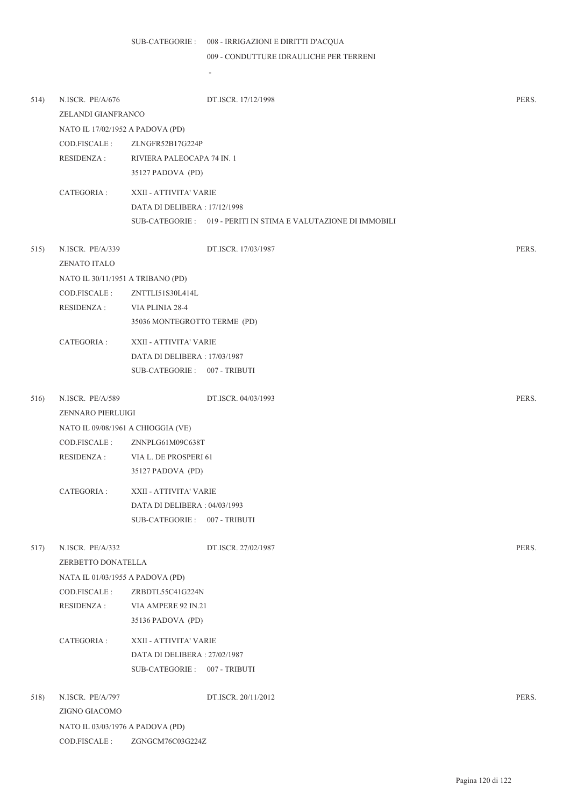-

009 - CONDUTTURE IDRAULICHE PER TERRENI

| 514) | N.ISCR. PE/A/676                        |                               | DT.ISCR. 17/12/1998                                            | PERS. |
|------|-----------------------------------------|-------------------------------|----------------------------------------------------------------|-------|
|      | ZELANDI GIANFRANCO                      |                               |                                                                |       |
|      | NATO IL 17/02/1952 A PADOVA (PD)        |                               |                                                                |       |
|      | COD.FISCALE :                           | ZLNGFR52B17G224P              |                                                                |       |
|      | <b>RESIDENZA:</b>                       | RIVIERA PALEOCAPA 74 IN. 1    |                                                                |       |
|      |                                         | 35127 PADOVA (PD)             |                                                                |       |
|      | CATEGORIA :                             | XXII - ATTIVITA' VARIE        |                                                                |       |
|      |                                         | DATA DI DELIBERA : 17/12/1998 |                                                                |       |
|      |                                         |                               | SUB-CATEGORIE: 019 - PERITI IN STIMA E VALUTAZIONE DI IMMOBILI |       |
| 515) | N.ISCR. PE/A/339<br><b>ZENATO ITALO</b> |                               | DT.ISCR. 17/03/1987                                            | PERS. |
|      | NATO IL 30/11/1951 A TRIBANO (PD)       |                               |                                                                |       |
|      | COD.FISCALE:                            | ZNTTLI51S30L414L              |                                                                |       |
|      | <b>RESIDENZA:</b>                       | VIA PLINIA 28-4               |                                                                |       |
|      |                                         | 35036 MONTEGROTTO TERME (PD)  |                                                                |       |
|      | CATEGORIA :                             | XXII - ATTIVITA' VARIE        |                                                                |       |
|      |                                         | DATA DI DELIBERA: 17/03/1987  |                                                                |       |
|      |                                         | SUB-CATEGORIE: 007 - TRIBUTI  |                                                                |       |
| 516) | N.ISCR. PE/A/589<br>ZENNARO PIERLUIGI   |                               | DT.ISCR. 04/03/1993                                            | PERS. |
|      | NATO IL 09/08/1961 A CHIOGGIA (VE)      |                               |                                                                |       |
|      | COD.FISCALE:                            | ZNNPLG61M09C638T              |                                                                |       |
|      | RESIDENZA :                             | VIA L. DE PROSPERI 61         |                                                                |       |
|      |                                         | 35127 PADOVA (PD)             |                                                                |       |
|      | CATEGORIA:                              | XXII - ATTIVITA' VARIE        |                                                                |       |
|      |                                         | DATA DI DELIBERA : 04/03/1993 |                                                                |       |
|      |                                         | SUB-CATEGORIE: 007 - TRIBUTI  |                                                                |       |
|      |                                         |                               |                                                                |       |
| 517) | N.ISCR. PE/A/332                        |                               | DT.ISCR. 27/02/1987                                            | PERS. |
|      | ZERBETTO DONATELLA                      |                               |                                                                |       |
|      | NATA IL 01/03/1955 A PADOVA (PD)        |                               |                                                                |       |
|      | COD.FISCALE:                            | ZRBDTL55C41G224N              |                                                                |       |
|      | <b>RESIDENZA:</b>                       | VIA AMPERE 92 IN.21           |                                                                |       |
|      |                                         | 35136 PADOVA (PD)             |                                                                |       |
|      | CATEGORIA :                             | XXII - ATTIVITA' VARIE        |                                                                |       |
|      |                                         | DATA DI DELIBERA: 27/02/1987  |                                                                |       |
|      |                                         | SUB-CATEGORIE: 007 - TRIBUTI  |                                                                |       |
| 518) | N.ISCR. PE/A/797                        |                               | DT.ISCR. 20/11/2012                                            | PERS. |
|      | ZIGNO GIACOMO                           |                               |                                                                |       |
|      | NATO IL 03/03/1976 A PADOVA (PD)        |                               |                                                                |       |
|      | COD.FISCALE :                           | ZGNGCM76C03G224Z              |                                                                |       |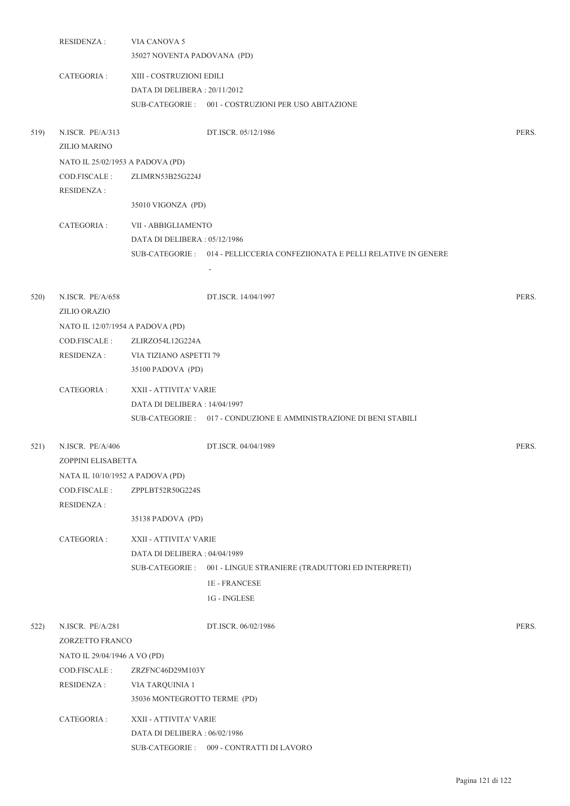|      | <b>RESIDENZA:</b>                       | VIA CANOVA 5                  |                                                                            |       |
|------|-----------------------------------------|-------------------------------|----------------------------------------------------------------------------|-------|
|      |                                         | 35027 NOVENTA PADOVANA (PD)   |                                                                            |       |
|      | CATEGORIA :                             | XIII - COSTRUZIONI EDILI      |                                                                            |       |
|      |                                         | DATA DI DELIBERA: 20/11/2012  |                                                                            |       |
|      |                                         |                               | SUB-CATEGORIE: 001 - COSTRUZIONI PER USO ABITAZIONE                        |       |
| 519) | N.ISCR. PE/A/313<br><b>ZILIO MARINO</b> |                               | DT.ISCR. 05/12/1986                                                        | PERS. |
|      | NATO IL 25/02/1953 A PADOVA (PD)        |                               |                                                                            |       |
|      | COD.FISCALE:<br><b>RESIDENZA:</b>       | ZLIMRN53B25G224J              |                                                                            |       |
|      |                                         | 35010 VIGONZA (PD)            |                                                                            |       |
|      | CATEGORIA :                             | VII - ABBIGLIAMENTO           |                                                                            |       |
|      |                                         | DATA DI DELIBERA: 05/12/1986  |                                                                            |       |
|      |                                         |                               | SUB-CATEGORIE : 014 - PELLICCERIA CONFEZIIONATA E PELLI RELATIVE IN GENERE |       |
|      |                                         |                               | $\overline{\phantom{a}}$                                                   |       |
|      | N.ISCR. PE/A/658                        |                               |                                                                            |       |
| 520) | ZILIO ORAZIO                            |                               | DT.ISCR. 14/04/1997                                                        | PERS. |
|      | NATO IL 12/07/1954 A PADOVA (PD)        |                               |                                                                            |       |
|      | COD.FISCALE :                           | ZLIRZO54L12G224A              |                                                                            |       |
|      | <b>RESIDENZA:</b>                       | VIA TIZIANO ASPETTI 79        |                                                                            |       |
|      |                                         | 35100 PADOVA (PD)             |                                                                            |       |
|      | CATEGORIA :                             | XXII - ATTIVITA' VARIE        |                                                                            |       |
|      |                                         | DATA DI DELIBERA : 14/04/1997 |                                                                            |       |
|      |                                         |                               | SUB-CATEGORIE: 017 - CONDUZIONE E AMMINISTRAZIONE DI BENI STABILI          |       |
| 521) | N.ISCR. PE/A/406                        |                               | DT.ISCR. 04/04/1989                                                        | PERS. |
|      | ZOPPINI ELISABETTA                      |                               |                                                                            |       |
|      | NATA IL 10/10/1952 A PADOVA (PD)        |                               |                                                                            |       |
|      | COD.FISCALE:                            | ZPPLBT52R50G224S              |                                                                            |       |
|      | <b>RESIDENZA:</b>                       |                               |                                                                            |       |
|      |                                         | 35138 PADOVA (PD)             |                                                                            |       |
|      | CATEGORIA :                             | XXII - ATTIVITA' VARIE        |                                                                            |       |
|      |                                         | DATA DI DELIBERA: 04/04/1989  |                                                                            |       |
|      |                                         |                               | SUB-CATEGORIE: 001 - LINGUE STRANIERE (TRADUTTORI ED INTERPRETI)           |       |
|      |                                         |                               | <b>1E-FRANCESE</b>                                                         |       |
|      |                                         |                               | 1G - INGLESE                                                               |       |
| 522) | N.ISCR. PE/A/281                        |                               | DT.ISCR. 06/02/1986                                                        | PERS. |
|      | ZORZETTO FRANCO                         |                               |                                                                            |       |
|      | NATO IL 29/04/1946 A VO (PD)            |                               |                                                                            |       |
|      | COD.FISCALE :                           | ZRZFNC46D29M103Y              |                                                                            |       |
|      | <b>RESIDENZA:</b>                       | VIA TARQUINIA 1               |                                                                            |       |
|      |                                         | 35036 MONTEGROTTO TERME (PD)  |                                                                            |       |
|      | CATEGORIA :                             | XXII - ATTIVITA' VARIE        |                                                                            |       |
|      |                                         | DATA DI DELIBERA: 06/02/1986  |                                                                            |       |
|      |                                         |                               | SUB-CATEGORIE: 009 - CONTRATTI DI LAVORO                                   |       |